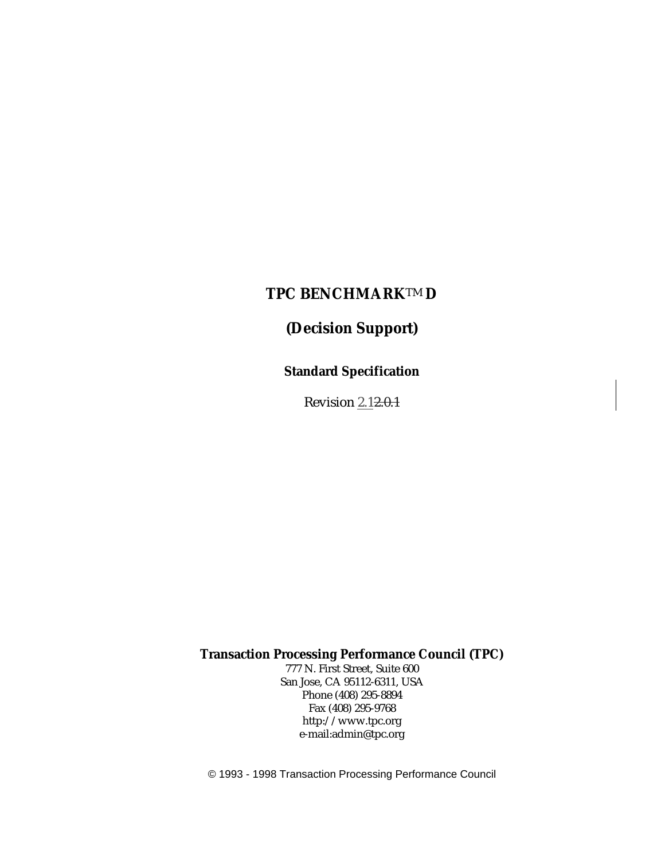# **TPC BENCHMARK**TM **D**

# **(Decision Support)**

# **Standard Specification**

Revision 2.12.0.1

# **Transaction Processing Performance Council (TPC)**

777 N. First Street, Suite 600 San Jose, CA 95112-6311, USA Phone (408) 295-8894 Fax (408) 295-9768 http://www.tpc.org e-mail:admin@tpc.org

© 1993 - 1998 Transaction Processing Performance Council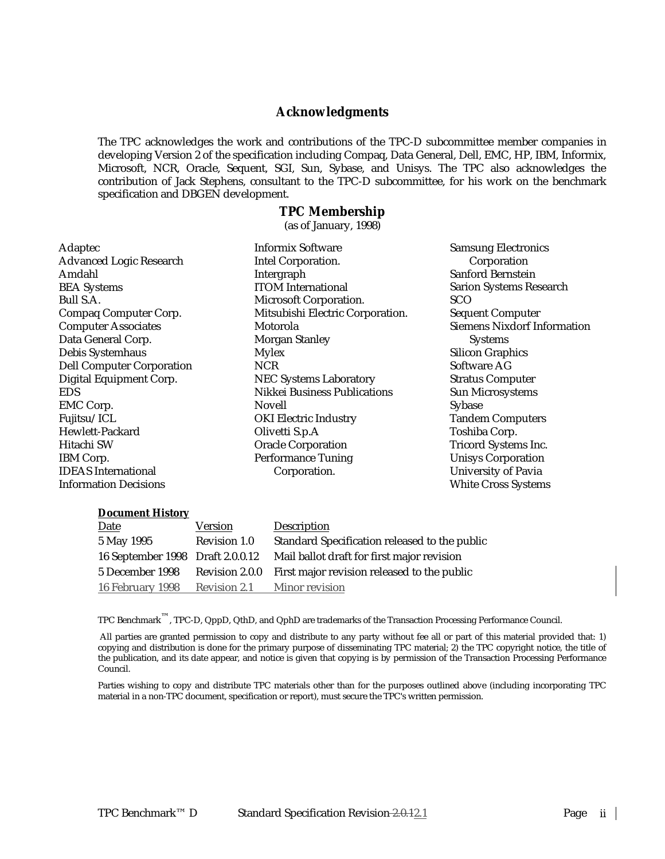### **Acknowledgments**

The TPC acknowledges the work and contributions of the TPC-D subcommittee member companies in developing Version 2 of the specification including Compaq, Data General, Dell, EMC, HP, IBM, Informix, Microsoft, NCR, Oracle, Sequent, SGI, Sun, Sybase, and Unisys. The TPC also acknowledges the contribution of Jack Stephens, consultant to the TPC-D subcommittee, for his work on the benchmark specification and DBGEN development.

# **TPC Membership**

(as of January, 1998)

Adaptec Advanced Logic Research Amdahl BEA Systems Bull S.A. Compaq Computer Corp. Computer Associates Data General Corp. Debis Systemhaus Dell Computer Corporation Digital Equipment Corp. EDS EMC Corp. Fujitsu/ICL Hewlett-Packard Hitachi SW IBM Corp. IDEAS International Information Decisions

- Informix Software Intel Corporation. Intergraph ITOM International Microsoft Corporation. Mitsubishi Electric Corporation. Motorola Morgan Stanley Mylex NCR NEC Systems Laboratory Nikkei Business Publications Novell OKI Electric Industry Olivetti S.p.A Oracle Corporation Performance Tuning Corporation.
- Samsung Electronics **Corporation** Sanford Bernstein Sarion Systems Research **SCO** Sequent Computer Siemens Nixdorf Information Systems Silicon Graphics Software AG Stratus Computer Sun Microsystems **Sybase** Tandem Computers Toshiba Corp. Tricord Systems Inc. Unisys Corporation University of Pavia White Cross Systems

#### **Document History**

| <u>Date</u>                      | <b>Version</b> | Description                                                |
|----------------------------------|----------------|------------------------------------------------------------|
| 5 May 1995                       | Revision 1.0   | Standard Specification released to the public              |
| 16 September 1998 Draft 2.0.0.12 |                | Mail ballot draft for first major revision                 |
| 5 December 1998                  |                | Revision 2.0.0 First major revision released to the public |
| <b>16 February 1998</b>          |                | Revision 2.1 Minor revision                                |

TPC Benchmark™, TPC-D, QppD, QthD, and QphD are trademarks of the Transaction Processing Performance Council.

 All parties are granted permission to copy and distribute to any party without fee all or part of this material provided that: 1) copying and distribution is done for the primary purpose of disseminating TPC material; 2) the TPC copyright notice, the title of the publication, and its date appear, and notice is given that copying is by permission of the Transaction Processing Performance Council.

Parties wishing to copy and distribute TPC materials other than for the purposes outlined above (including incorporating TPC material in a non-TPC document, specification or report), must secure the TPC's written permission.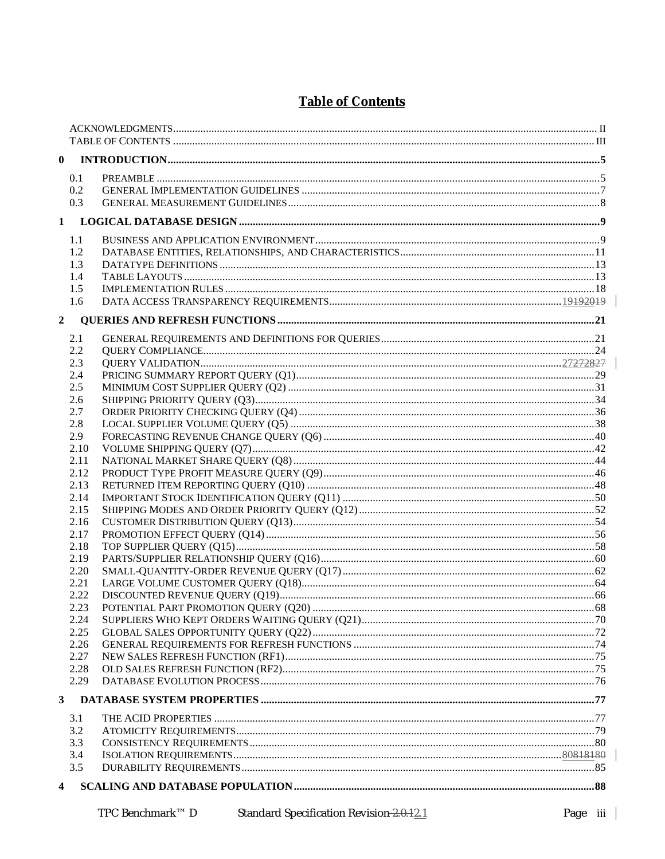|--|

| $\bf{0}$       |      |  |
|----------------|------|--|
|                |      |  |
|                | 0.1  |  |
|                | 0.2  |  |
|                | 0.3  |  |
| 1              |      |  |
|                | 1.1  |  |
|                | 1.2  |  |
|                | 1.3  |  |
|                | 1.4  |  |
|                | 1.5  |  |
|                | 1.6  |  |
| $\overline{2}$ |      |  |
|                | 2.1  |  |
|                | 2.2  |  |
|                | 2.3  |  |
|                | 2.4  |  |
|                | 2.5  |  |
|                | 2.6  |  |
|                | 2.7  |  |
|                | 2.8  |  |
|                | 2.9  |  |
|                | 2.10 |  |
|                | 2.11 |  |
|                | 2.12 |  |
|                | 2.13 |  |
|                | 2.14 |  |
|                | 2.15 |  |
|                | 2.16 |  |
|                | 2.17 |  |
|                | 2.18 |  |
|                | 2.19 |  |
|                | 2.20 |  |
|                | 2.21 |  |
|                | 2.22 |  |
|                | 2.23 |  |
|                | 2.24 |  |
|                | 2.25 |  |
|                | 2.26 |  |
|                | 2.27 |  |
|                | 2.28 |  |
|                | 2.29 |  |
| 3              |      |  |
|                | 3.1  |  |
|                | 3.2  |  |
|                | 3.3  |  |
|                | 3.4  |  |
|                | 3.5  |  |
| 4              |      |  |
|                |      |  |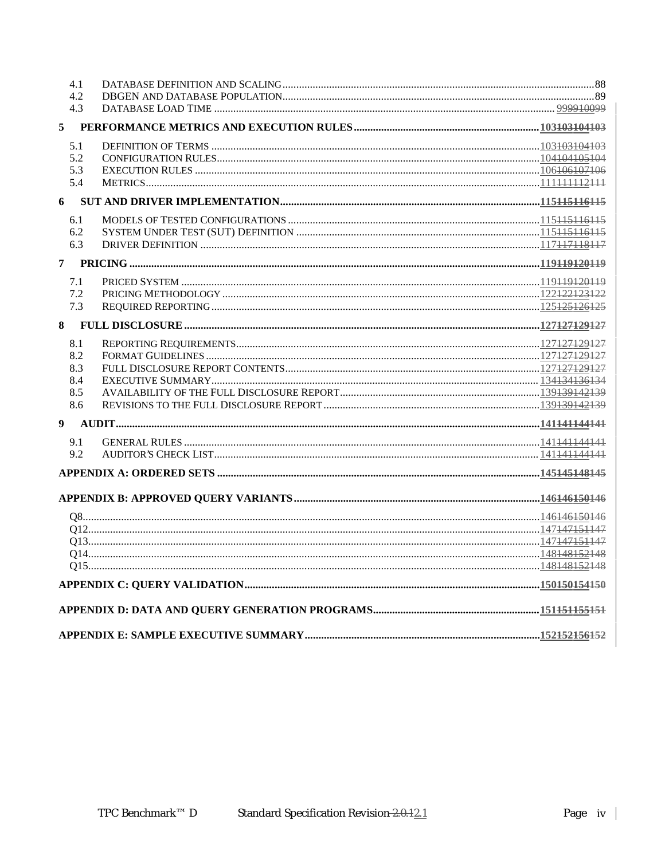| 4.3<br>5<br>5.1<br>5.2<br>5.3<br>5.4<br>6<br>6.1<br>6.2<br>6.3<br>$\overline{7}$<br>7.1<br>7.2<br>7.3<br>8<br>8.1<br>8.2<br>8.3<br>8.4<br>8.5<br>8.6<br>9<br>9.1<br>9.2 | 4.1<br>4.2 |  |
|-------------------------------------------------------------------------------------------------------------------------------------------------------------------------|------------|--|
|                                                                                                                                                                         |            |  |
|                                                                                                                                                                         |            |  |
|                                                                                                                                                                         |            |  |
|                                                                                                                                                                         |            |  |
|                                                                                                                                                                         |            |  |
|                                                                                                                                                                         |            |  |
|                                                                                                                                                                         |            |  |
|                                                                                                                                                                         |            |  |
|                                                                                                                                                                         |            |  |
|                                                                                                                                                                         |            |  |
|                                                                                                                                                                         |            |  |
|                                                                                                                                                                         |            |  |
|                                                                                                                                                                         |            |  |
|                                                                                                                                                                         |            |  |
|                                                                                                                                                                         |            |  |
|                                                                                                                                                                         |            |  |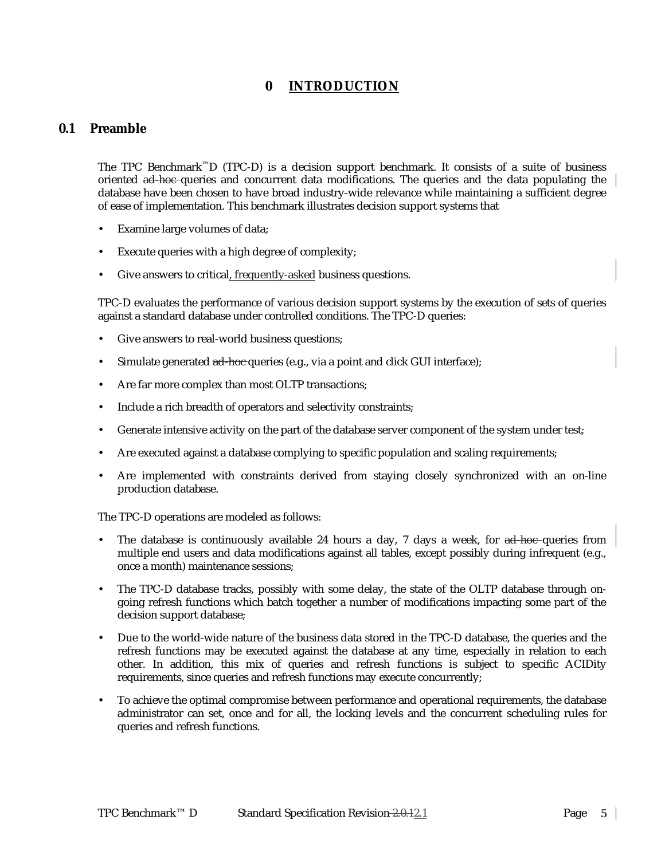### **0 INTRODUCTION**

### **0.1 Preamble**

The TPC Benchmark™D (TPC-D) is a decision support benchmark. It consists of a suite of business oriented a<del>d-hoc q</del>ueries and concurrent data modifications. The queries and the data populating the database have been chosen to have broad industry-wide relevance while maintaining a sufficient degree of ease of implementation. This benchmark illustrates decision support systems that

- Examine large volumes of data;
- Execute queries with a high degree of complexity;
- Give answers to critical, frequently-asked business questions.

TPC-D evaluates the performance of various decision support systems by the execution of sets of queries against a standard database under controlled conditions. The TPC-D queries:

- Give answers to real-world business questions;
- Simulate generated ad-hoc-queries (e.g., via a point and click GUI interface);
- Are far more complex than most OLTP transactions;
- Include a rich breadth of operators and selectivity constraints;
- Generate intensive activity on the part of the database server component of the system under test;
- Are executed against a database complying to specific population and scaling requirements;
- Are implemented with constraints derived from staying closely synchronized with an on-line production database.

The TPC-D operations are modeled as follows:

- The database is continuously available 24 hours a day, 7 days a week, for ad-hoc-queries from multiple end users and data modifications against all tables, except possibly during infrequent (e.g., once a month) maintenance sessions;
- The TPC-D database tracks, possibly with some delay, the state of the OLTP database through ongoing refresh functions which batch together a number of modifications impacting some part of the decision support database;
- Due to the world-wide nature of the business data stored in the TPC-D database, the queries and the refresh functions may be executed against the database at any time, especially in relation to each other. In addition, this mix of queries and refresh functions is subject to specific ACIDity requirements, since queries and refresh functions may execute concurrently;
- To achieve the optimal compromise between performance and operational requirements, the database administrator can set, once and for all, the locking levels and the concurrent scheduling rules for queries and refresh functions.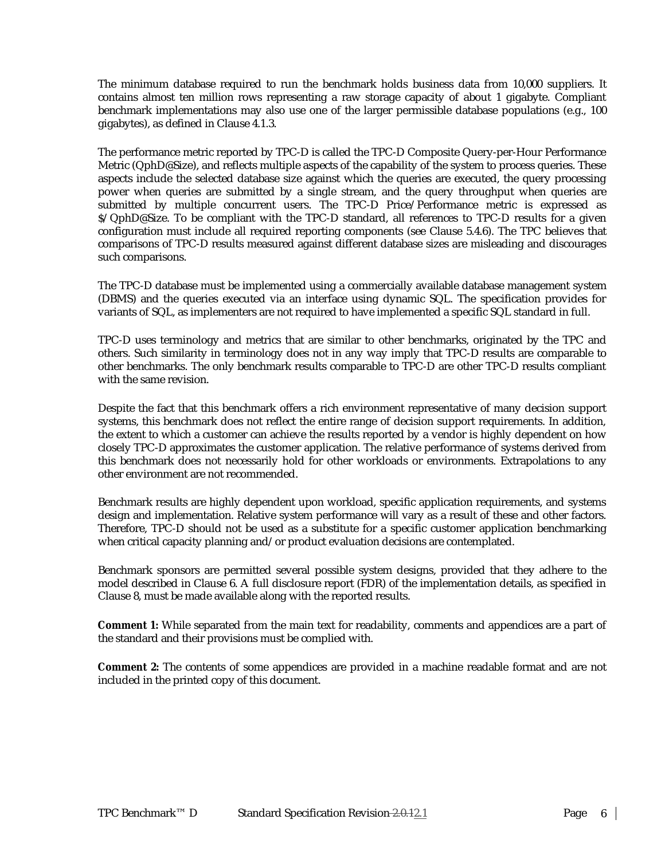The minimum database required to run the benchmark holds business data from 10,000 suppliers. It contains almost ten million rows representing a raw storage capacity of about 1 gigabyte. Compliant benchmark implementations may also use one of the larger permissible database populations (e.g., 100 gigabytes), as defined in Clause 4.1.3.

The performance metric reported by TPC-D is called the TPC-D Composite Query-per-Hour Performance Metric (QphD@Size), and reflects multiple aspects of the capability of the system to process queries. These aspects include the selected database size against which the queries are executed, the query processing power when queries are submitted by a single stream, and the query throughput when queries are submitted by multiple concurrent users. The TPC-D Price/Performance metric is expressed as \$/QphD@Size. To be compliant with the TPC-D standard, all references to TPC-D results for a given configuration must include all required reporting components (see Clause 5.4.6). The TPC believes that comparisons of TPC-D results measured against different database sizes are misleading and discourages such comparisons.

The TPC-D database must be implemented using a commercially available database management system (DBMS) and the queries executed via an interface using dynamic SQL. The specification provides for variants of SQL, as implementers are not required to have implemented a specific SQL standard in full.

TPC-D uses terminology and metrics that are similar to other benchmarks, originated by the TPC and others. Such similarity in terminology does not in any way imply that TPC-D results are comparable to other benchmarks. The only benchmark results comparable to TPC-D are other TPC-D results compliant with the same revision.

Despite the fact that this benchmark offers a rich environment representative of many decision support systems, this benchmark does not reflect the entire range of decision support requirements. In addition, the extent to which a customer can achieve the results reported by a vendor is highly dependent on how closely TPC-D approximates the customer application. The relative performance of systems derived from this benchmark does not necessarily hold for other workloads or environments. Extrapolations to any other environment are not recommended.

Benchmark results are highly dependent upon workload, specific application requirements, and systems design and implementation. Relative system performance will vary as a result of these and other factors. Therefore, TPC-D should not be used as a substitute for a specific customer application benchmarking when critical capacity planning and/or product evaluation decisions are contemplated.

Benchmark sponsors are permitted several possible system designs, provided that they adhere to the model described in Clause 6. A full disclosure report (FDR) of the implementation details, as specified in Clause 8, must be made available along with the reported results.

**Comment 1:** While separated from the main text for readability, comments and appendices are a part of the standard and their provisions must be complied with.

**Comment 2:** The contents of some appendices are provided in a machine readable format and are not included in the printed copy of this document.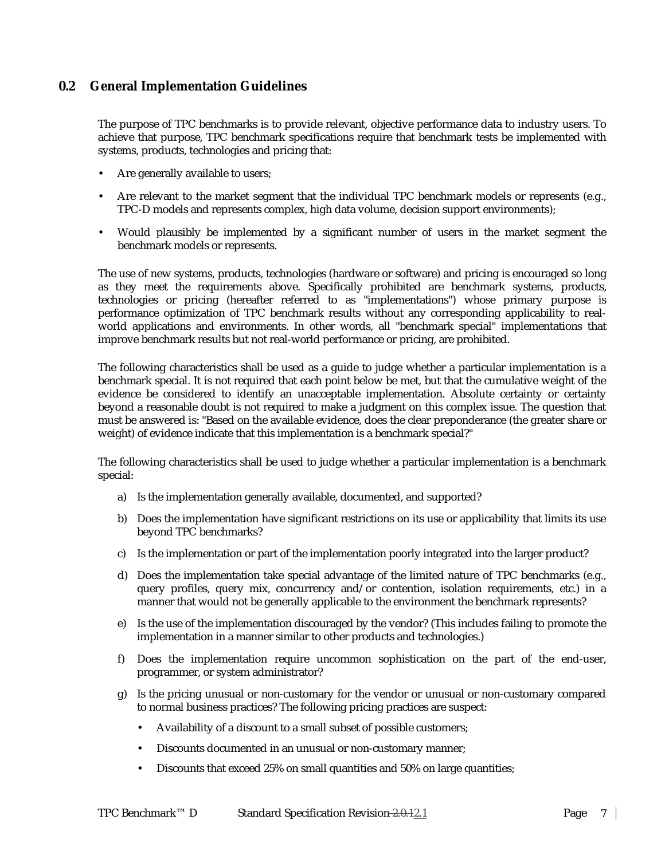### **0.2 General Implementation Guidelines**

The purpose of TPC benchmarks is to provide relevant, objective performance data to industry users. To achieve that purpose, TPC benchmark specifications require that benchmark tests be implemented with systems, products, technologies and pricing that:

- Are generally available to users;
- Are relevant to the market segment that the individual TPC benchmark models or represents (e.g., TPC-D models and represents complex, high data volume, decision support environments);
- Would plausibly be implemented by a significant number of users in the market segment the benchmark models or represents.

The use of new systems, products, technologies (hardware or software) and pricing is encouraged so long as they meet the requirements above. Specifically prohibited are benchmark systems, products, technologies or pricing (hereafter referred to as "implementations") whose primary purpose is performance optimization of TPC benchmark results without any corresponding applicability to realworld applications and environments. In other words, all "benchmark special" implementations that improve benchmark results but not real-world performance or pricing, are prohibited.

The following characteristics shall be used as a guide to judge whether a particular implementation is a benchmark special. It is not required that each point below be met, but that the cumulative weight of the evidence be considered to identify an unacceptable implementation. Absolute certainty or certainty beyond a reasonable doubt is not required to make a judgment on this complex issue. The question that must be answered is: "Based on the available evidence, does the clear preponderance (the greater share or weight) of evidence indicate that this implementation is a benchmark special?"

The following characteristics shall be used to judge whether a particular implementation is a benchmark special:

- a) Is the implementation generally available, documented, and supported?
- b) Does the implementation have significant restrictions on its use or applicability that limits its use beyond TPC benchmarks?
- c) Is the implementation or part of the implementation poorly integrated into the larger product?
- d) Does the implementation take special advantage of the limited nature of TPC benchmarks (e.g., query profiles, query mix, concurrency and/or contention, isolation requirements, etc.) in a manner that would not be generally applicable to the environment the benchmark represents?
- e) Is the use of the implementation discouraged by the vendor? (This includes failing to promote the implementation in a manner similar to other products and technologies.)
- f) Does the implementation require uncommon sophistication on the part of the end-user, programmer, or system administrator?
- g) Is the pricing unusual or non-customary for the vendor or unusual or non-customary compared to normal business practices? The following pricing practices are suspect:
	- Availability of a discount to a small subset of possible customers;
	- Discounts documented in an unusual or non-customary manner;
	- Discounts that exceed 25% on small quantities and 50% on large quantities;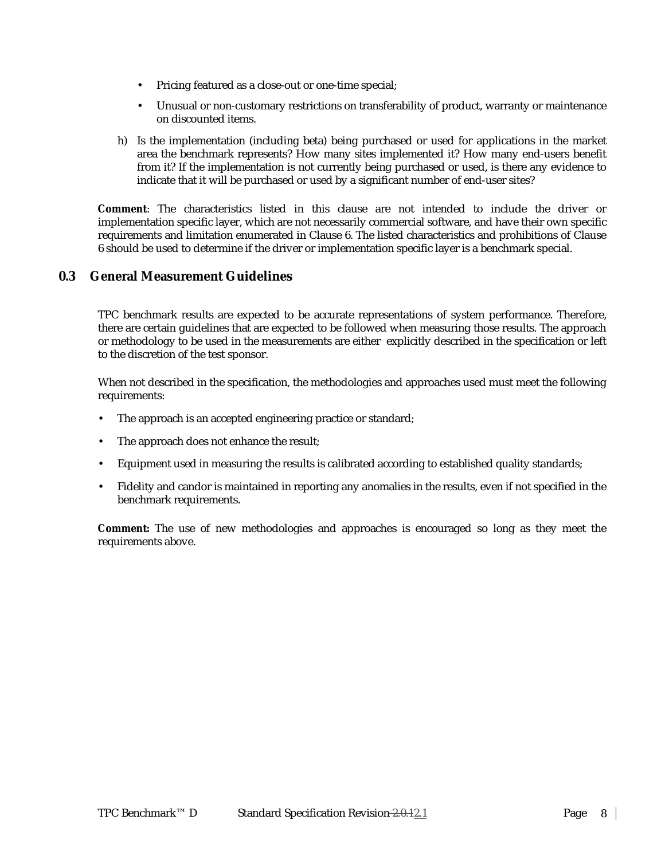- Pricing featured as a close-out or one-time special;
- Unusual or non-customary restrictions on transferability of product, warranty or maintenance on discounted items.
- h) Is the implementation (including beta) being purchased or used for applications in the market area the benchmark represents? How many sites implemented it? How many end-users benefit from it? If the implementation is not currently being purchased or used, is there any evidence to indicate that it will be purchased or used by a significant number of end-user sites?

**Comment**: The characteristics listed in this clause are not intended to include the driver or implementation specific layer, which are not necessarily commercial software, and have their own specific requirements and limitation enumerated in Clause 6. The listed characteristics and prohibitions of Clause 6 should be used to determine if the driver or implementation specific layer is a benchmark special.

### **0.3 General Measurement Guidelines**

TPC benchmark results are expected to be accurate representations of system performance. Therefore, there are certain guidelines that are expected to be followed when measuring those results. The approach or methodology to be used in the measurements are either explicitly described in the specification or left to the discretion of the test sponsor.

When not described in the specification, the methodologies and approaches used must meet the following requirements:

- The approach is an accepted engineering practice or standard;
- The approach does not enhance the result;
- Equipment used in measuring the results is calibrated according to established quality standards;
- Fidelity and candor is maintained in reporting any anomalies in the results, even if not specified in the benchmark requirements.

**Comment:** The use of new methodologies and approaches is encouraged so long as they meet the requirements above.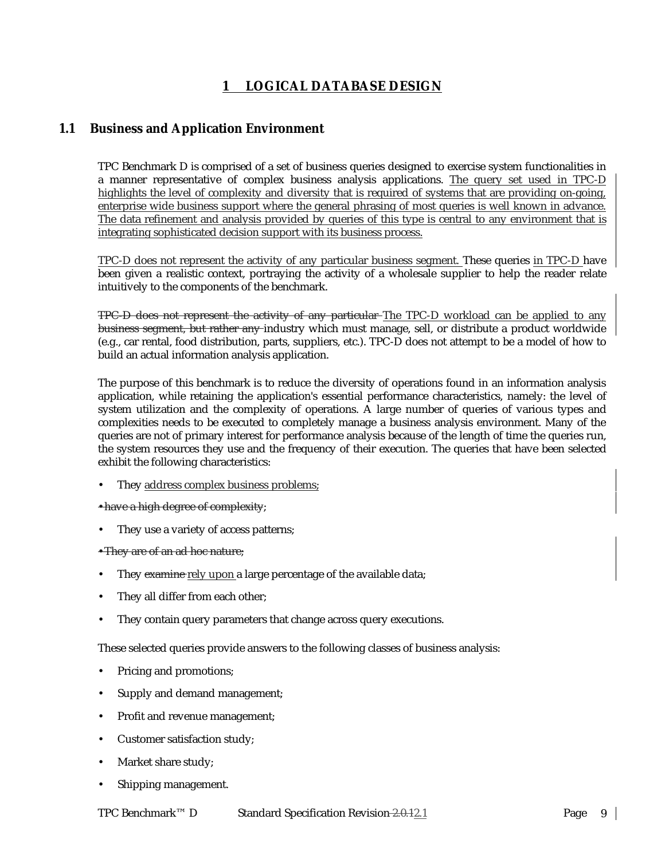# **1 LOGICAL DATABASE DESIGN**

## **1.1 Business and Application Environment**

TPC Benchmark D is comprised of a set of business queries designed to exercise system functionalities in a manner representative of complex business analysis applications. The query set used in TPC-D highlights the level of complexity and diversity that is required of systems that are providing on-going, enterprise wide business support where the general phrasing of most queries is well known in advance. The data refinement and analysis provided by queries of this type is central to any environment that is integrating sophisticated decision support with its business process.

TPC-D does not represent the activity of any particular business segment. These queries in TPC-D have been given a realistic context, portraying the activity of a wholesale supplier to help the reader relate intuitively to the components of the benchmark.

TPC-D does not represent the activity of any particular The TPC-D workload can be applied to any business segment, but rather any industry which must manage, sell, or distribute a product worldwide (e.g., car rental, food distribution, parts, suppliers, etc.). TPC-D does not attempt to be a model of how to build an actual information analysis application.

The purpose of this benchmark is to reduce the diversity of operations found in an information analysis application, while retaining the application's essential performance characteristics, namely: the level of system utilization and the complexity of operations. A large number of queries of various types and complexities needs to be executed to completely manage a business analysis environment. Many of the queries are not of primary interest for performance analysis because of the length of time the queries run, the system resources they use and the frequency of their execution. The queries that have been selected exhibit the following characteristics:

They address complex business problems;

•have a high degree of complexity;

They use a variety of access patterns;

•They are of an ad hoc nature;

- They examine rely upon a large percentage of the available data;
- They all differ from each other;
- They contain query parameters that change across query executions.

These selected queries provide answers to the following classes of business analysis:

- Pricing and promotions;
- Supply and demand management;
- Profit and revenue management;
- Customer satisfaction study;
- Market share study;
- Shipping management.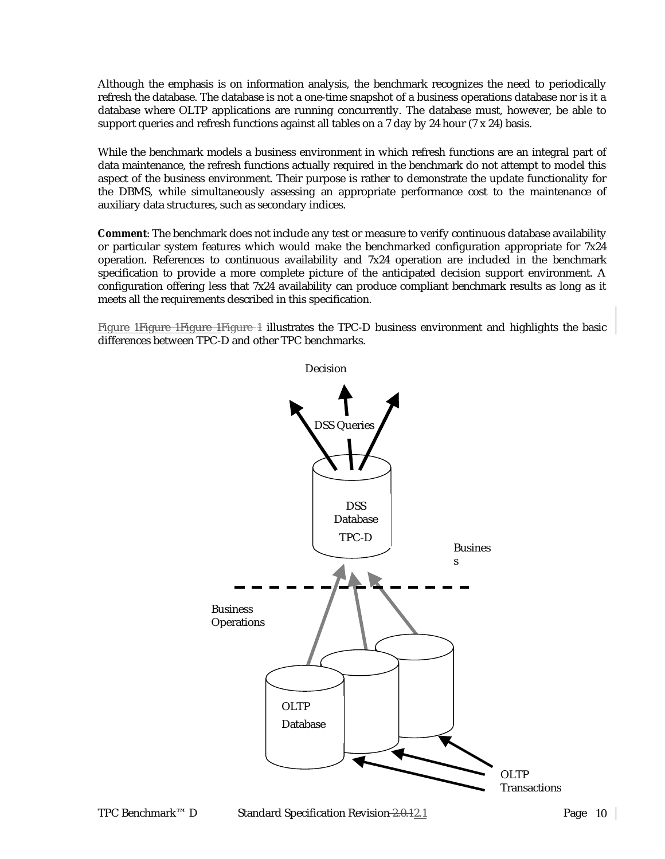Although the emphasis is on information analysis, the benchmark recognizes the need to periodically refresh the database. The database is not a one-time snapshot of a business operations database nor is it a database where OLTP applications are running concurrently. The database must, however, be able to support queries and refresh functions against all tables on a 7 day by 24 hour (7 x 24) basis.

While the benchmark models a business environment in which refresh functions are an integral part of data maintenance, the refresh functions actually required in the benchmark do not attempt to model this aspect of the business environment. Their purpose is rather to demonstrate the update functionality for the DBMS, while simultaneously assessing an appropriate performance cost to the maintenance of auxiliary data structures, such as secondary indices.

**Comment**: The benchmark does not include any test or measure to verify continuous database availability or particular system features which would make the benchmarked configuration appropriate for 7x24 operation. References to continuous availability and 7x24 operation are included in the benchmark specification to provide a more complete picture of the anticipated decision support environment. A configuration offering less that 7x24 availability can produce compliant benchmark results as long as it meets all the requirements described in this specification.

Figure 1Figure 1Figure 1 Figure 1 illustrates the TPC-D business environment and highlights the basic differences between TPC-D and other TPC benchmarks.

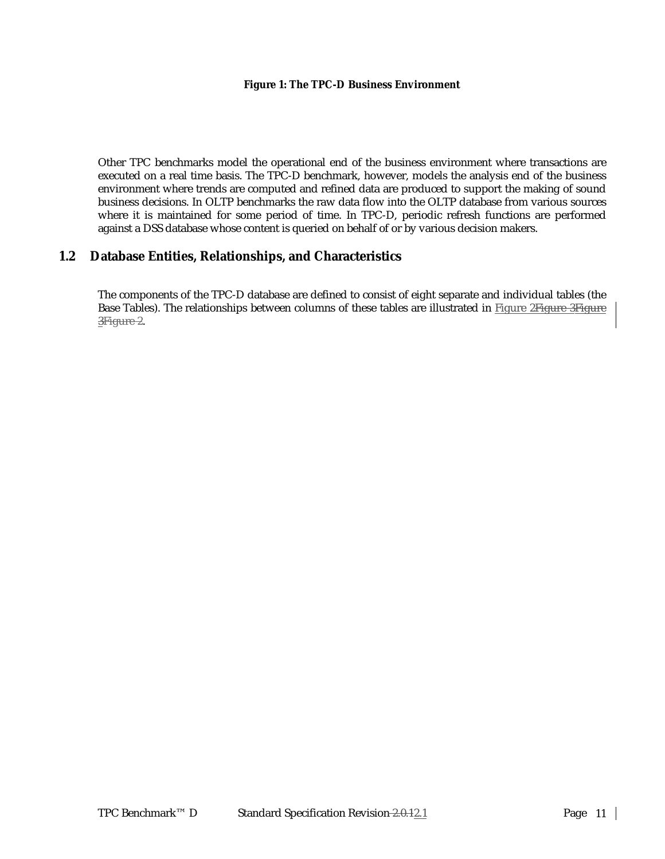#### **Figure 1: The TPC-D Business Environment**

Other TPC benchmarks model the operational end of the business environment where transactions are executed on a real time basis. The TPC-D benchmark, however, models the analysis end of the business environment where trends are computed and refined data are produced to support the making of sound business decisions. In OLTP benchmarks the raw data flow into the OLTP database from various sources where it is maintained for some period of time. In TPC-D, periodic refresh functions are performed against a DSS database whose content is queried on behalf of or by various decision makers.

### **1.2 Database Entities, Relationships, and Characteristics**

The components of the TPC-D database are defined to consist of eight separate and individual tables (the Base Tables). The relationships between columns of these tables are illustrated in Figure 2Figure 3Figure 3Figure 2.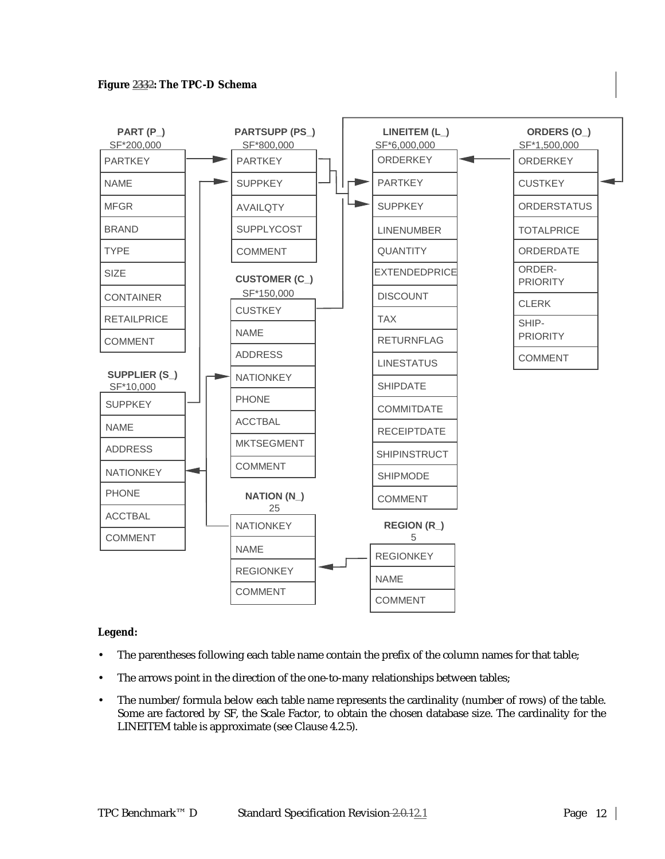#### **Figure 2332: The TPC-D Schema**



#### **Legend:**

- The parentheses following each table name contain the prefix of the column names for that table;
- The arrows point in the direction of the one-to-many relationships between tables;
- The number/formula below each table name represents the cardinality (number of rows) of the table. Some are factored by SF, the Scale Factor, to obtain the chosen database size. The cardinality for the LINEITEM table is approximate (see Clause 4.2.5).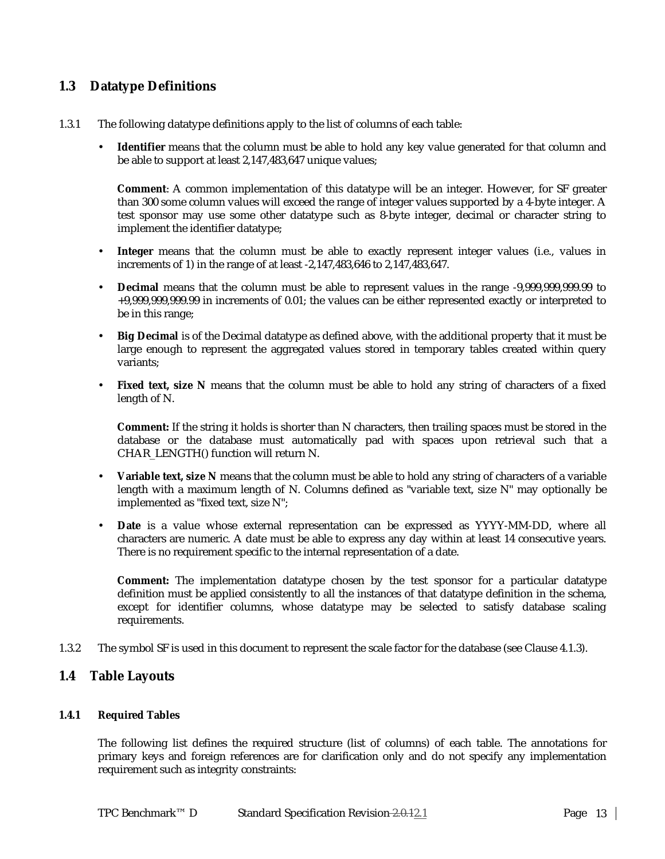## **1.3 Datatype Definitions**

- 1.3.1 The following datatype definitions apply to the list of columns of each table:
	- **Identifier** means that the column must be able to hold any key value generated for that column and be able to support at least 2,147,483,647 unique values;

**Comment**: A common implementation of this datatype will be an integer. However, for SF greater than 300 some column values will exceed the range of integer values supported by a 4-byte integer. A test sponsor may use some other datatype such as 8-byte integer, decimal or character string to implement the identifier datatype;

- **Integer** means that the column must be able to exactly represent integer values (i.e., values in increments of 1) in the range of at least -2,147,483,646 to 2,147,483,647.
- **Decimal** means that the column must be able to represent values in the range -9,999,999,999.99 to +9,999,999,999.99 in increments of 0.01; the values can be either represented exactly or interpreted to be in this range;
- **Big Decimal** is of the Decimal datatype as defined above, with the additional property that it must be large enough to represent the aggregated values stored in temporary tables created within query variants;
- **Fixed text, size N** means that the column must be able to hold any string of characters of a fixed length of N.

**Comment:** If the string it holds is shorter than N characters, then trailing spaces must be stored in the database or the database must automatically pad with spaces upon retrieval such that a CHAR\_LENGTH() function will return N.

- **Variable text, size N** means that the column must be able to hold any string of characters of a variable length with a maximum length of N. Columns defined as "variable text, size N" may optionally be implemented as "fixed text, size N";
- **Date** is a value whose external representation can be expressed as YYYY-MM-DD, where all characters are numeric. A date must be able to express any day within at least 14 consecutive years. There is no requirement specific to the internal representation of a date.

**Comment:** The implementation datatype chosen by the test sponsor for a particular datatype definition must be applied consistently to all the instances of that datatype definition in the schema, except for identifier columns, whose datatype may be selected to satisfy database scaling requirements.

1.3.2 The symbol SF is used in this document to represent the scale factor for the database (see Clause 4.1.3).

### **1.4 Table Layouts**

#### **1.4.1 Required Tables**

The following list defines the required structure (list of columns) of each table. The annotations for primary keys and foreign references are for clarification only and do not specify any implementation requirement such as integrity constraints: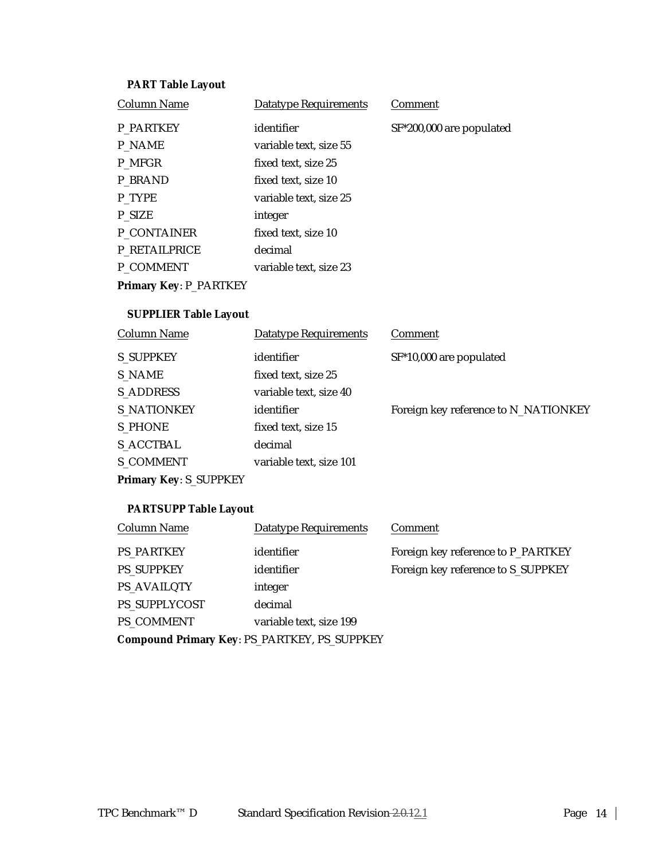### **PART Table Layout**

| Column Name            | Datatype Requirements  | Comment                  |
|------------------------|------------------------|--------------------------|
| P PARTKEY              | identifier             | SF*200,000 are populated |
| <b>P_NAME</b>          | variable text, size 55 |                          |
| P MFGR                 | fixed text, size 25    |                          |
| <b>P_BRAND</b>         | fixed text, size 10    |                          |
| P TYPE                 | variable text, size 25 |                          |
| P SIZE                 | integer                |                          |
| P CONTAINER            | fixed text, size 10    |                          |
| P RETAILPRICE          | decimal                |                          |
| P COMMENT              | variable text, size 23 |                          |
| Primary Key: P_PARTKEY |                        |                          |

# **SUPPLIER Table Layout**

| Column Name                   | <b>Datatype Requirements</b> | Comment                              |
|-------------------------------|------------------------------|--------------------------------------|
| <b>S SUPPKEY</b>              | identifier                   | SF*10,000 are populated              |
| <b>S NAME</b>                 | fixed text, size 25          |                                      |
| <b>S_ADDRESS</b>              | variable text, size 40       |                                      |
| <b>S NATIONKEY</b>            | identifier                   | Foreign key reference to N_NATIONKEY |
| <b>S PHONE</b>                | fixed text, size 15          |                                      |
| <b>S ACCTBAL</b>              | decimal                      |                                      |
| <b>S COMMENT</b>              | variable text, size 101      |                                      |
| <b>Primary Key: S_SUPPKEY</b> |                              |                                      |

# **PARTSUPP Table Layout**

| Column Name                                  | <b>Datatype Requirements</b> | Comment                            |
|----------------------------------------------|------------------------------|------------------------------------|
| <b>PS PARTKEY</b>                            | identifier                   | Foreign key reference to P_PARTKEY |
| PS SUPPKEY                                   | identifier                   | Foreign key reference to S_SUPPKEY |
| <b>PS_AVAILQTY</b>                           | integer                      |                                    |
| PS SUPPLYCOST                                | decimal                      |                                    |
| PS COMMENT                                   | variable text, size 199      |                                    |
| Compound Primary Key: PS_PARTKEY, PS_SUPPKEY |                              |                                    |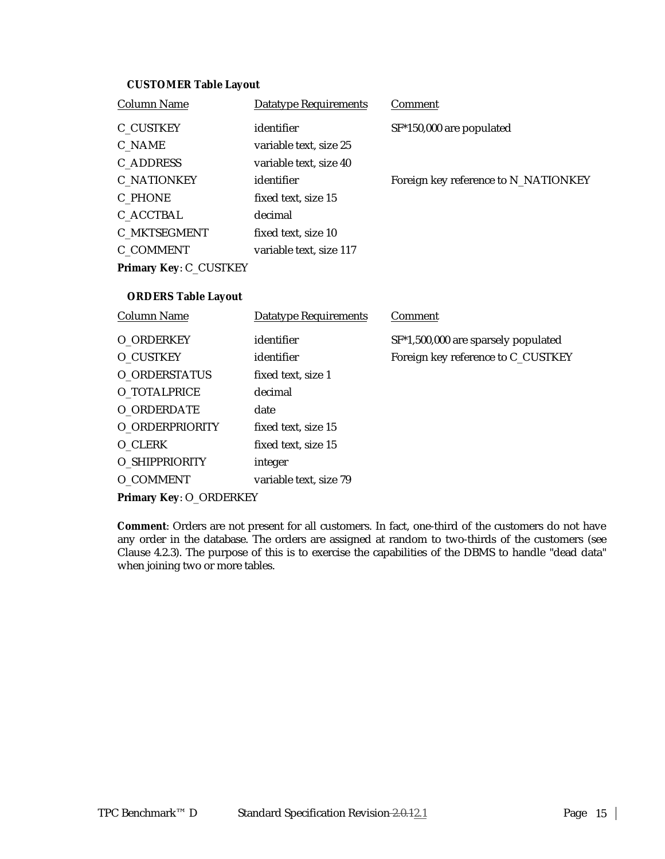#### **CUSTOMER Table Layout**

| <b>Column Name</b>     | <b>Datatype Requirements</b> | Comment                              |
|------------------------|------------------------------|--------------------------------------|
| <b>C_CUSTKEY</b>       | identifier                   | SF*150,000 are populated             |
| C NAME                 | variable text, size 25       |                                      |
| <b>C ADDRESS</b>       | variable text, size 40       |                                      |
| <b>C_NATIONKEY</b>     | identifier                   | Foreign key reference to N_NATIONKEY |
| C PHONE                | fixed text, size 15          |                                      |
| C ACCTBAL              | decimal                      |                                      |
| <b>C_MKTSEGMENT</b>    | fixed text, size 10          |                                      |
| C_COMMENT              | variable text, size 117      |                                      |
| Primary Key: C_CUSTKEY |                              |                                      |

#### **ORDERS Table Layout**

| Column Name      | <b>Datatype Requirements</b> | Comment                             |
|------------------|------------------------------|-------------------------------------|
| O ORDERKEY       | identifier                   | SF*1,500,000 are sparsely populated |
| <b>O CUSTKEY</b> | identifier                   | Foreign key reference to C_CUSTKEY  |
| O ORDERSTATUS    | fixed text, size 1           |                                     |
| O TOTALPRICE     | decimal                      |                                     |
| O ORDERDATE      | date                         |                                     |
| O ORDERPRIORITY  | fixed text, size 15          |                                     |
| <b>O_CLERK</b>   | fixed text, size 15          |                                     |
| O SHIPPRIORITY   | integer                      |                                     |
| O COMMENT        | variable text, size 79       |                                     |
|                  |                              |                                     |

**Primary Key**: O\_ORDERKEY

**Comment**: Orders are not present for all customers. In fact, one-third of the customers do not have any order in the database. The orders are assigned at random to two-thirds of the customers (see Clause 4.2.3). The purpose of this is to exercise the capabilities of the DBMS to handle "dead data" when joining two or more tables.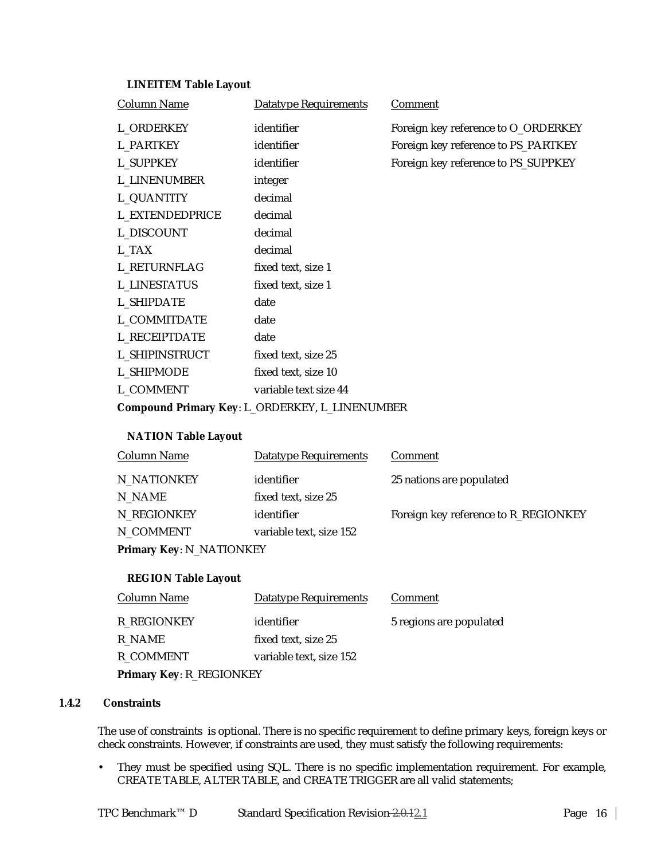#### **LINEITEM Table Layout**

| <b>Column Name</b>  | <b>Datatype Requirements</b>                   | Comment                             |
|---------------------|------------------------------------------------|-------------------------------------|
| L ORDERKEY          | identifier                                     | Foreign key reference to O_ORDERKEY |
| <b>L_PARTKEY</b>    | identifier                                     | Foreign key reference to PS_PARTKEY |
| <b>L_SUPPKEY</b>    | identifier                                     | Foreign key reference to PS_SUPPKEY |
| <b>L_LINENUMBER</b> | integer                                        |                                     |
| L_QUANTITY          | decimal                                        |                                     |
| L_EXTENDEDPRICE     | decimal                                        |                                     |
| L_DISCOUNT          | decimal                                        |                                     |
| L_TAX               | decimal                                        |                                     |
| L_RETURNFLAG        | fixed text, size 1                             |                                     |
| <b>L_LINESTATUS</b> | fixed text, size 1                             |                                     |
| <b>L SHIPDATE</b>   | date                                           |                                     |
| L_COMMITDATE        | date                                           |                                     |
| L RECEIPTDATE       | date                                           |                                     |
| L SHIPINSTRUCT      | fixed text, size 25                            |                                     |
| L_SHIPMODE          | fixed text, size 10                            |                                     |
| L COMMENT           | variable text size 44                          |                                     |
|                     | Compound Drimory Koy: I ODDEDKEV I INJENIJADED |                                     |

#### **Compound Primary Key**: L\_ORDERKEY, L\_LINENUMBER

### **NATION Table Layout**

| <b>Column Name</b>                              | Datatype Requirements   | Comment                              |
|-------------------------------------------------|-------------------------|--------------------------------------|
| N NATIONKEY                                     | identifier              | 25 nations are populated             |
| N NAME                                          | fixed text, size 25     |                                      |
| N REGIONKEY                                     | identifier              | Foreign key reference to R_REGIONKEY |
| N COMMENT                                       | variable text, size 152 |                                      |
| $\mathbf{r}$<br>$\mathbf{r}$<br>AT ATARTAMIZITY |                         |                                      |

**Primary Key**: N\_NATIONKEY

#### **REGION Table Layout**

| Column Name | Datatype Requirements   | Comment                 |
|-------------|-------------------------|-------------------------|
| R REGIONKEY | identifier              | 5 regions are populated |
| R NAME      | fixed text, size 25     |                         |
| R COMMENT   | variable text, size 152 |                         |

**Primary Key**: R\_REGIONKEY

#### **1.4.2 Constraints**

The use of constraints is optional. There is no specific requirement to define primary keys, foreign keys or check constraints. However, if constraints are used, they must satisfy the following requirements:

• They must be specified using SQL. There is no specific implementation requirement. For example, CREATE TABLE, ALTER TABLE, and CREATE TRIGGER are all valid statements;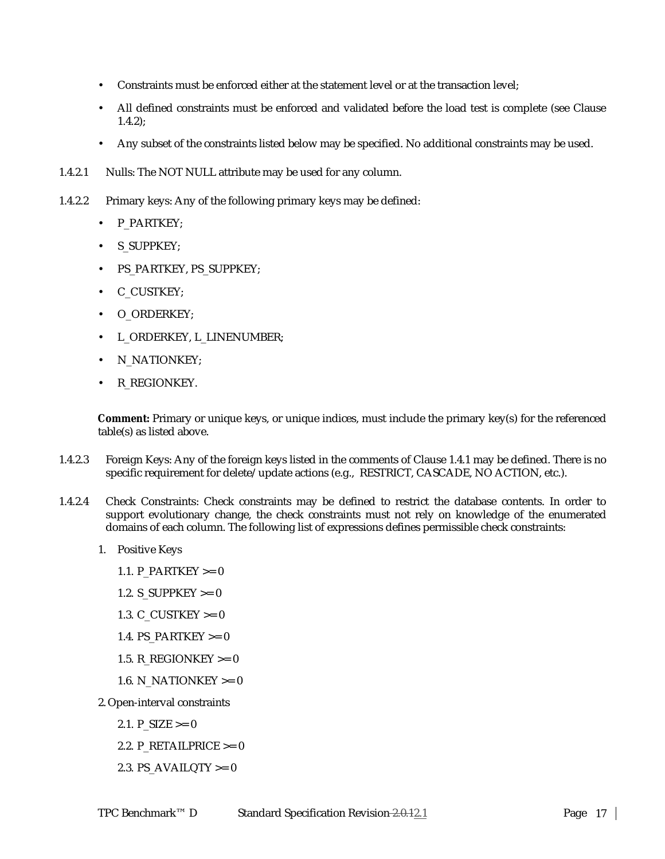- Constraints must be enforced either at the statement level or at the transaction level;
- All defined constraints must be enforced and validated before the load test is complete (see Clause 1.4.2);
- Any subset of the constraints listed below may be specified. No additional constraints may be used.
- 1.4.2.1 Nulls: The NOT NULL attribute may be used for any column.
- 1.4.2.2 Primary keys: Any of the following primary keys may be defined:
	- P\_PARTKEY:
	- S\_SUPPKEY:
	- PS\_PARTKEY, PS\_SUPPKEY;
	- C\_CUSTKEY;
	- O\_ORDERKEY;
	- L\_ORDERKEY, L\_LINENUMBER;
	- N\_NATIONKEY;
	- R\_REGIONKEY.

**Comment:** Primary or unique keys, or unique indices, must include the primary key(s) for the referenced table(s) as listed above.

- 1.4.2.3 Foreign Keys: Any of the foreign keys listed in the comments of Clause 1.4.1 may be defined. There is no specific requirement for delete/update actions (e.g., RESTRICT, CASCADE, NO ACTION, etc.).
- 1.4.2.4 Check Constraints: Check constraints may be defined to restrict the database contents. In order to support evolutionary change, the check constraints must not rely on knowledge of the enumerated domains of each column. The following list of expressions defines permissible check constraints:
	- 1. Positive Keys
		- 1.1. P\_PARTKEY  $>= 0$
		- 1.2. S\_SUPPKEY  $>= 0$
		- 1.3. C\_CUSTKEY  $>= 0$
		- 1.4. PS\_PARTKEY >= 0
		- 1.5.  $R$ <sub>REGIONKEY</sub>  $>= 0$
		- 1.6. N\_NATIONKEY  $>= 0$
	- 2. Open-interval constraints
		- 2.1. P\_SIZE  $>= 0$
		- 2.2.  $P$ <sub>RETAILPRICE</sub>  $>= 0$
		- 2.3. PS\_AVAILQTY >= 0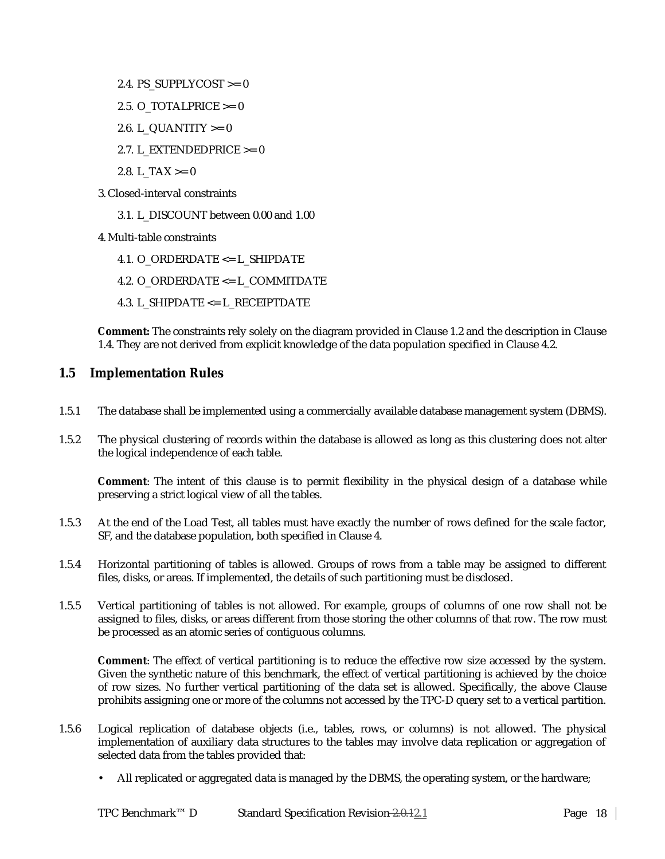- 2.4. PS\_SUPPLYCOST  $>= 0$
- 2.5. O\_TOTALPRICE  $>= 0$
- 2.6. L\_QUANTITY  $>= 0$
- 2.7. L\_EXTENDEDPRICE >= 0
- 2.8. L\_TAX  $>= 0$
- 3. Closed-interval constraints
	- 3.1. L\_DISCOUNT between 0.00 and 1.00
- 4. Multi-table constraints
	- 4.1. O\_ORDERDATE <= L\_SHIPDATE
	- 4.2. O\_ORDERDATE <= L\_COMMITDATE
	- 4.3. L\_SHIPDATE <= L\_RECEIPTDATE

**Comment:** The constraints rely solely on the diagram provided in Clause 1.2 and the description in Clause 1.4. They are not derived from explicit knowledge of the data population specified in Clause 4.2.

## **1.5 Implementation Rules**

- 1.5.1 The database shall be implemented using a commercially available database management system (DBMS).
- 1.5.2 The physical clustering of records within the database is allowed as long as this clustering does not alter the logical independence of each table.

**Comment**: The intent of this clause is to permit flexibility in the physical design of a database while preserving a strict logical view of all the tables.

- 1.5.3 At the end of the Load Test, all tables must have exactly the number of rows defined for the scale factor, SF, and the database population, both specified in Clause 4.
- 1.5.4 Horizontal partitioning of tables is allowed. Groups of rows from a table may be assigned to different files, disks, or areas. If implemented, the details of such partitioning must be disclosed.
- 1.5.5 Vertical partitioning of tables is not allowed. For example, groups of columns of one row shall not be assigned to files, disks, or areas different from those storing the other columns of that row. The row must be processed as an atomic series of contiguous columns.

**Comment**: The effect of vertical partitioning is to reduce the effective row size accessed by the system. Given the synthetic nature of this benchmark, the effect of vertical partitioning is achieved by the choice of row sizes. No further vertical partitioning of the data set is allowed. Specifically, the above Clause prohibits assigning one or more of the columns not accessed by the TPC-D query set to a vertical partition.

- 1.5.6 Logical replication of database objects (i.e., tables, rows, or columns) is not allowed. The physical implementation of auxiliary data structures to the tables may involve data replication or aggregation of selected data from the tables provided that:
	- All replicated or aggregated data is managed by the DBMS, the operating system, or the hardware;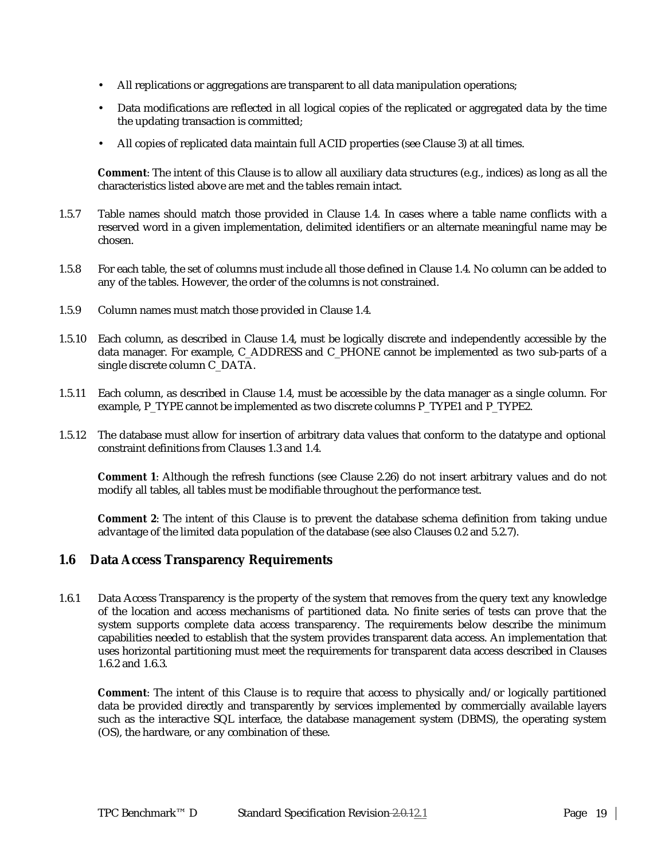- All replications or aggregations are transparent to all data manipulation operations;
- Data modifications are reflected in all logical copies of the replicated or aggregated data by the time the updating transaction is committed;
- All copies of replicated data maintain full ACID properties (see Clause 3) at all times.

**Comment**: The intent of this Clause is to allow all auxiliary data structures (e.g., indices) as long as all the characteristics listed above are met and the tables remain intact.

- 1.5.7 Table names should match those provided in Clause 1.4. In cases where a table name conflicts with a reserved word in a given implementation, delimited identifiers or an alternate meaningful name may be chosen.
- 1.5.8 For each table, the set of columns must include all those defined in Clause 1.4. No column can be added to any of the tables. However, the order of the columns is not constrained.
- 1.5.9 Column names must match those provided in Clause 1.4.
- 1.5.10 Each column, as described in Clause 1.4, must be logically discrete and independently accessible by the data manager. For example, C\_ADDRESS and C\_PHONE cannot be implemented as two sub-parts of a single discrete column C\_DATA.
- 1.5.11 Each column, as described in Clause 1.4, must be accessible by the data manager as a single column. For example, P\_TYPE cannot be implemented as two discrete columns P\_TYPE1 and P\_TYPE2.
- 1.5.12 The database must allow for insertion of arbitrary data values that conform to the datatype and optional constraint definitions from Clauses 1.3 and 1.4.

**Comment 1**: Although the refresh functions (see Clause 2.26) do not insert arbitrary values and do not modify all tables, all tables must be modifiable throughout the performance test.

**Comment 2**: The intent of this Clause is to prevent the database schema definition from taking undue advantage of the limited data population of the database (see also Clauses 0.2 and 5.2.7).

#### **1.6 Data Access Transparency Requirements**

1.6.1 Data Access Transparency is the property of the system that removes from the query text any knowledge of the location and access mechanisms of partitioned data. No finite series of tests can prove that the system supports complete data access transparency. The requirements below describe the minimum capabilities needed to establish that the system provides transparent data access. An implementation that uses horizontal partitioning must meet the requirements for transparent data access described in Clauses 1.6.2 and 1.6.3.

**Comment**: The intent of this Clause is to require that access to physically and/or logically partitioned data be provided directly and transparently by services implemented by commercially available layers such as the interactive SQL interface, the database management system (DBMS), the operating system (OS), the hardware, or any combination of these.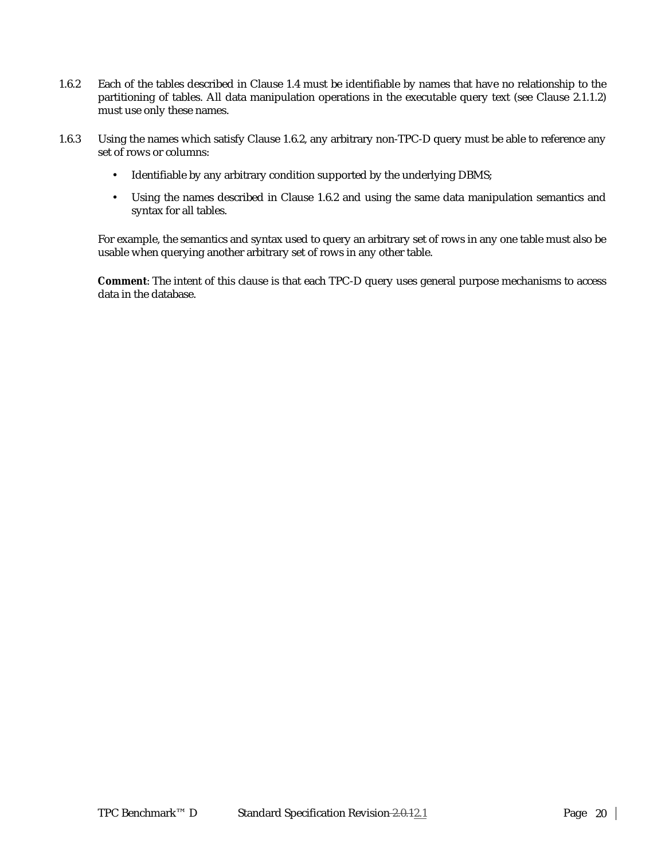- 1.6.2 Each of the tables described in Clause 1.4 must be identifiable by names that have no relationship to the partitioning of tables. All data manipulation operations in the executable query text (see Clause 2.1.1.2) must use only these names.
- 1.6.3 Using the names which satisfy Clause 1.6.2, any arbitrary non-TPC-D query must be able to reference any set of rows or columns:
	- Identifiable by any arbitrary condition supported by the underlying DBMS;
	- Using the names described in Clause 1.6.2 and using the same data manipulation semantics and syntax for all tables.

For example, the semantics and syntax used to query an arbitrary set of rows in any one table must also be usable when querying another arbitrary set of rows in any other table.

**Comment**: The intent of this clause is that each TPC-D query uses general purpose mechanisms to access data in the database.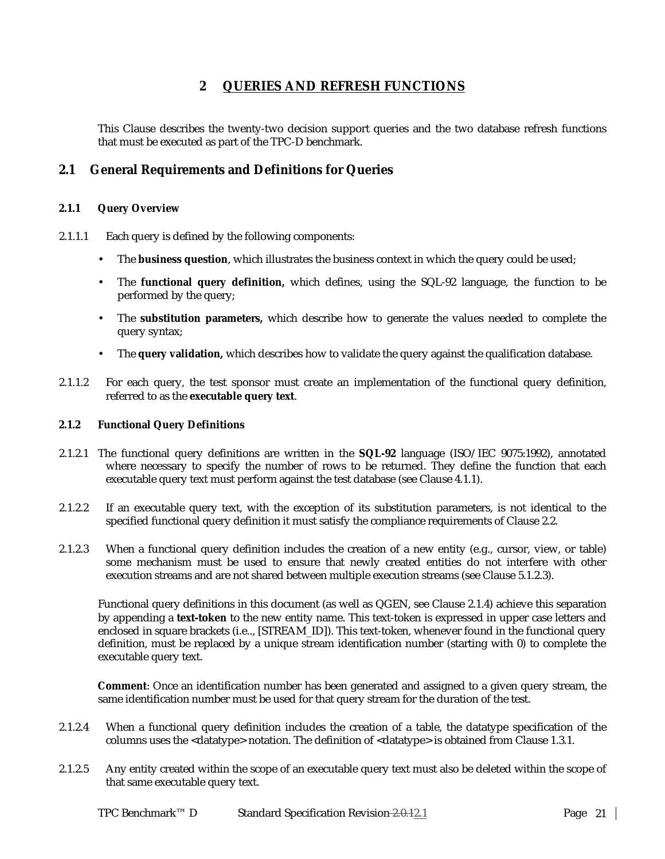## **2 QUERIES AND REFRESH FUNCTIONS**

This Clause describes the twenty-two decision support queries and the two database refresh functions that must be executed as part of the TPC-D benchmark.

### **2.1 General Requirements and Definitions for Queries**

#### **2.1.1 Query Overview**

- 2.1.1.1 Each query is defined by the following components:
	- The **business question**, which illustrates the business context in which the query could be used;
	- The **functional query definition,** which defines, using the SQL-92 language, the function to be performed by the query;
	- The **substitution parameters,** which describe how to generate the values needed to complete the query syntax;
	- The **query validation,** which describes how to validate the query against the qualification database.
- 2.1.1.2 For each query, the test sponsor must create an implementation of the functional query definition, referred to as the **executable query text**.

#### **2.1.2 Functional Query Definitions**

- 2.1.2.1 The functional query definitions are written in the **SQL-92** language (ISO/IEC 9075:1992), annotated where necessary to specify the number of rows to be returned. They define the function that each executable query text must perform against the test database (see Clause 4.1.1).
- 2.1.2.2 If an executable query text, with the exception of its substitution parameters, is not identical to the specified functional query definition it must satisfy the compliance requirements of Clause 2.2.
- 2.1.2.3 When a functional query definition includes the creation of a new entity (e.g., cursor, view, or table) some mechanism must be used to ensure that newly created entities do not interfere with other execution streams and are not shared between multiple execution streams (see Clause 5.1.2.3).

Functional query definitions in this document (as well as QGEN, see Clause 2.1.4) achieve this separation by appending a **text-token** to the new entity name. This text-token is expressed in upper case letters and enclosed in square brackets (i.e.., [STREAM\_ID]). This text-token, whenever found in the functional query definition, must be replaced by a unique stream identification number (starting with 0) to complete the executable query text.

**Comment**: Once an identification number has been generated and assigned to a given query stream, the same identification number must be used for that query stream for the duration of the test.

- 2.1.2.4 When a functional query definition includes the creation of a table, the datatype specification of the columns uses the <datatype> notation. The definition of <datatype> is obtained from Clause 1.3.1.
- 2.1.2.5 Any entity created within the scope of an executable query text must also be deleted within the scope of that same executable query text.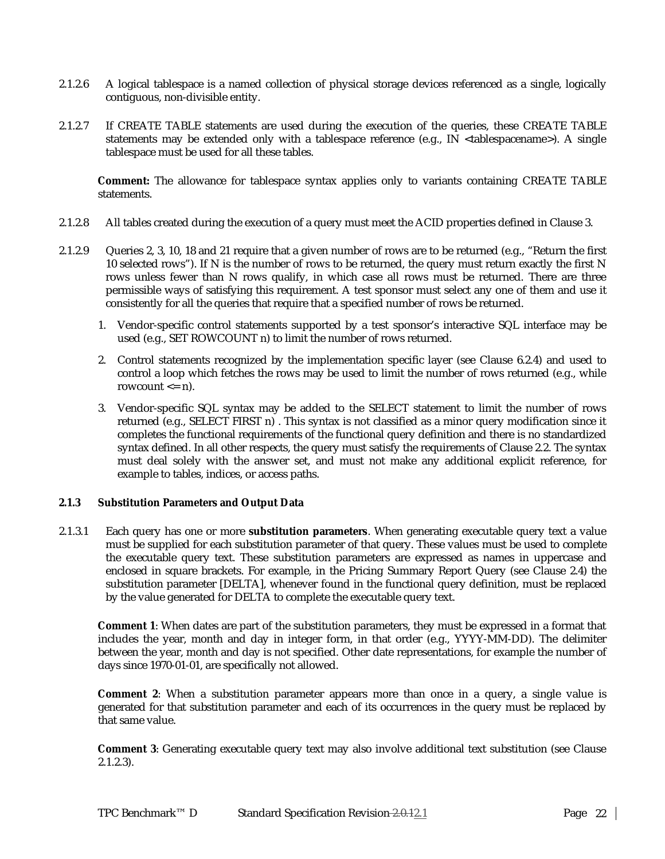- 2.1.2.6 A logical tablespace is a named collection of physical storage devices referenced as a single, logically contiguous, non-divisible entity.
- 2.1.2.7 If CREATE TABLE statements are used during the execution of the queries, these CREATE TABLE statements may be extended only with a tablespace reference (e.g., IN <tablespacename>). A single tablespace must be used for all these tables.

**Comment:** The allowance for tablespace syntax applies only to variants containing CREATE TABLE statements.

- 2.1.2.8 All tables created during the execution of a query must meet the ACID properties defined in Clause 3.
- 2.1.2.9 Queries 2, 3, 10, 18 and 21 require that a given number of rows are to be returned (e.g., "Return the first 10 selected rows"). If N is the number of rows to be returned, the query must return exactly the first N rows unless fewer than N rows qualify, in which case all rows must be returned. There are three permissible ways of satisfying this requirement. A test sponsor must select any one of them and use it consistently for all the queries that require that a specified number of rows be returned.
	- 1. Vendor-specific control statements supported by a test sponsor's interactive SQL interface may be used (e.g., SET ROWCOUNT n) to limit the number of rows returned.
	- 2. Control statements recognized by the implementation specific layer (see Clause 6.2.4) and used to control a loop which fetches the rows may be used to limit the number of rows returned (e.g., while rowcount  $\leq$  n).
	- 3. Vendor-specific SQL syntax may be added to the SELECT statement to limit the number of rows returned (e.g., SELECT FIRST n) . This syntax is not classified as a minor query modification since it completes the functional requirements of the functional query definition and there is no standardized syntax defined. In all other respects, the query must satisfy the requirements of Clause 2.2. The syntax must deal solely with the answer set, and must not make any additional explicit reference, for example to tables, indices, or access paths.

#### **2.1.3 Substitution Parameters and Output Data**

2.1.3.1 Each query has one or more **substitution parameters**. When generating executable query text a value must be supplied for each substitution parameter of that query. These values must be used to complete the executable query text. These substitution parameters are expressed as names in uppercase and enclosed in square brackets. For example, in the Pricing Summary Report Query (see Clause 2.4) the substitution parameter [DELTA], whenever found in the functional query definition, must be replaced by the value generated for DELTA to complete the executable query text.

**Comment 1**: When dates are part of the substitution parameters, they must be expressed in a format that includes the year, month and day in integer form, in that order (e.g., YYYY-MM-DD). The delimiter between the year, month and day is not specified. Other date representations, for example the number of days since 1970-01-01, are specifically not allowed.

**Comment 2**: When a substitution parameter appears more than once in a query, a single value is generated for that substitution parameter and each of its occurrences in the query must be replaced by that same value.

**Comment 3**: Generating executable query text may also involve additional text substitution (see Clause 2.1.2.3).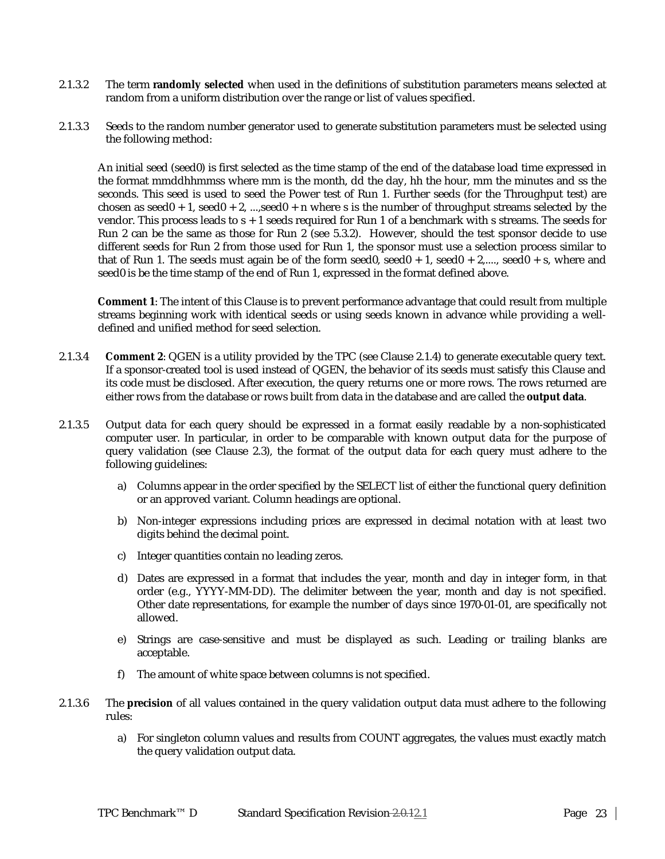- 2.1.3.2 The term **randomly selected** when used in the definitions of substitution parameters means selected at random from a uniform distribution over the range or list of values specified.
- 2.1.3.3 Seeds to the random number generator used to generate substitution parameters must be selected using the following method:

An initial seed (seed0) is first selected as the time stamp of the end of the database load time expressed in the format mmddhhmmss where mm is the month, dd the day, hh the hour, mm the minutes and ss the seconds. This seed is used to seed the Power test of Run 1. Further seeds (for the Throughput test) are chosen as seed0 + 1, seed0 + 2, ...,seed0 + n where s is the number of throughput streams selected by the vendor. This process leads to s + 1 seeds required for Run 1 of a benchmark with s streams. The seeds for Run 2 can be the same as those for Run 2 (see 5.3.2). However, should the test sponsor decide to use different seeds for Run 2 from those used for Run 1, the sponsor must use a selection process similar to that of Run 1. The seeds must again be of the form seed0, seed0 + 1, seed0 + 2,...., seed0 + s, where and seed0 is be the time stamp of the end of Run 1, expressed in the format defined above.

**Comment 1**: The intent of this Clause is to prevent performance advantage that could result from multiple streams beginning work with identical seeds or using seeds known in advance while providing a welldefined and unified method for seed selection.

- 2.1.3.4 **Comment 2**: QGEN is a utility provided by the TPC (see Clause 2.1.4) to generate executable query text. If a sponsor-created tool is used instead of QGEN, the behavior of its seeds must satisfy this Clause and its code must be disclosed. After execution, the query returns one or more rows. The rows returned are either rows from the database or rows built from data in the database and are called the **output data**.
- 2.1.3.5 Output data for each query should be expressed in a format easily readable by a non-sophisticated computer user. In particular, in order to be comparable with known output data for the purpose of query validation (see Clause 2.3), the format of the output data for each query must adhere to the following guidelines:
	- a) Columns appear in the order specified by the SELECT list of either the functional query definition or an approved variant. Column headings are optional.
	- b) Non-integer expressions including prices are expressed in decimal notation with at least two digits behind the decimal point.
	- c) Integer quantities contain no leading zeros.
	- d) Dates are expressed in a format that includes the year, month and day in integer form, in that order (e.g., YYYY-MM-DD). The delimiter between the year, month and day is not specified. Other date representations, for example the number of days since 1970-01-01, are specifically not allowed.
	- e) Strings are case-sensitive and must be displayed as such. Leading or trailing blanks are acceptable.
	- f) The amount of white space between columns is not specified.
- 2.1.3.6 The **precision** of all values contained in the query validation output data must adhere to the following rules:
	- a) For singleton column values and results from COUNT aggregates, the values must exactly match the query validation output data.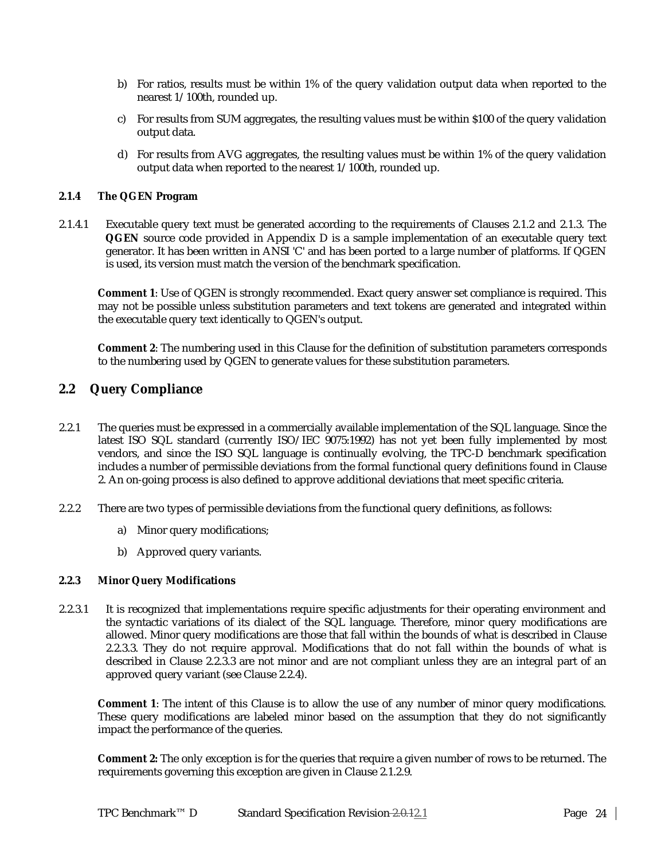- b) For ratios, results must be within 1% of the query validation output data when reported to the nearest 1/100th, rounded up.
- c) For results from SUM aggregates, the resulting values must be within \$100 of the query validation output data.
- d) For results from AVG aggregates, the resulting values must be within 1% of the query validation output data when reported to the nearest 1/100th, rounded up.

#### **2.1.4 The QGEN Program**

2.1.4.1 Executable query text must be generated according to the requirements of Clauses 2.1.2 and 2.1.3. The **QGEN** source code provided in Appendix D is a sample implementation of an executable query text generator. It has been written in ANSI 'C' and has been ported to a large number of platforms. If QGEN is used, its version must match the version of the benchmark specification.

**Comment 1**: Use of QGEN is strongly recommended. Exact query answer set compliance is required. This may not be possible unless substitution parameters and text tokens are generated and integrated within the executable query text identically to QGEN's output.

**Comment 2**: The numbering used in this Clause for the definition of substitution parameters corresponds to the numbering used by QGEN to generate values for these substitution parameters.

## **2.2 Query Compliance**

- 2.2.1 The queries must be expressed in a commercially available implementation of the SQL language. Since the latest ISO SQL standard (currently ISO/IEC 9075:1992) has not yet been fully implemented by most vendors, and since the ISO SQL language is continually evolving, the TPC-D benchmark specification includes a number of permissible deviations from the formal functional query definitions found in Clause 2. An on-going process is also defined to approve additional deviations that meet specific criteria.
- 2.2.2 There are two types of permissible deviations from the functional query definitions, as follows:
	- a) Minor query modifications;
	- b) Approved query variants.

#### **2.2.3 Minor Query Modifications**

2.2.3.1 It is recognized that implementations require specific adjustments for their operating environment and the syntactic variations of its dialect of the SQL language. Therefore, minor query modifications are allowed. Minor query modifications are those that fall within the bounds of what is described in Clause 2.2.3.3. They do not require approval. Modifications that do not fall within the bounds of what is described in Clause 2.2.3.3 are not minor and are not compliant unless they are an integral part of an approved query variant (see Clause 2.2.4).

**Comment 1**: The intent of this Clause is to allow the use of any number of minor query modifications. These query modifications are labeled minor based on the assumption that they do not significantly impact the performance of the queries.

**Comment 2:** The only exception is for the queries that require a given number of rows to be returned. The requirements governing this exception are given in Clause 2.1.2.9.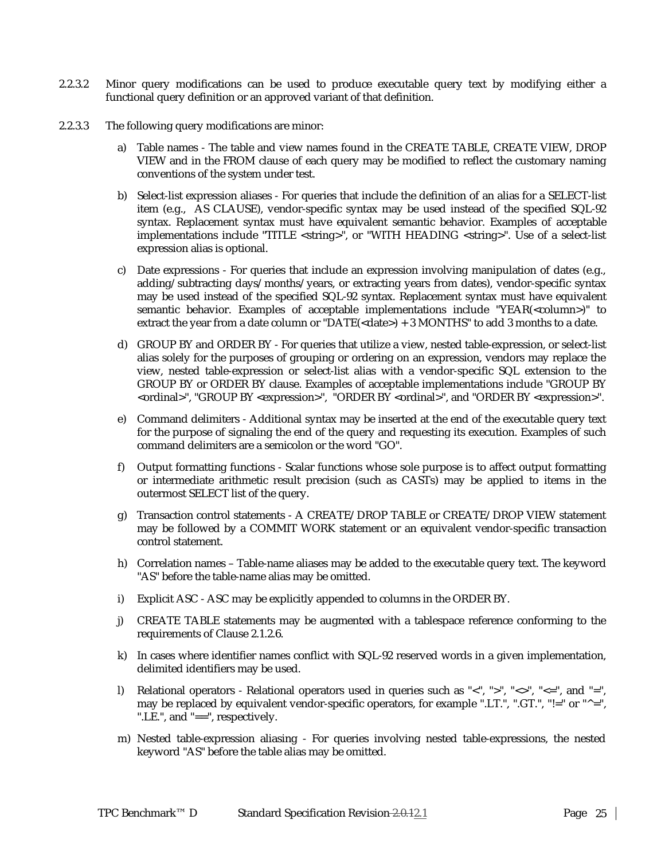- 2.2.3.2 Minor query modifications can be used to produce executable query text by modifying either a functional query definition or an approved variant of that definition.
- 2.2.3.3 The following query modifications are minor:
	- a) Table names The table and view names found in the CREATE TABLE, CREATE VIEW, DROP VIEW and in the FROM clause of each query may be modified to reflect the customary naming conventions of the system under test.
	- b) Select-list expression aliases For queries that include the definition of an alias for a SELECT-list item (e.g., AS CLAUSE), vendor-specific syntax may be used instead of the specified SQL-92 syntax. Replacement syntax must have equivalent semantic behavior. Examples of acceptable implementations include "TITLE <string>", or "WITH HEADING <string>". Use of a select-list expression alias is optional.
	- c) Date expressions For queries that include an expression involving manipulation of dates (e.g., adding/subtracting days/months/years, or extracting years from dates), vendor-specific syntax may be used instead of the specified SQL-92 syntax. Replacement syntax must have equivalent semantic behavior. Examples of acceptable implementations include "YEAR(<column>)" to extract the year from a date column or "DATE(<date>) + 3 MONTHS" to add 3 months to a date.
	- d) GROUP BY and ORDER BY For queries that utilize a view, nested table-expression, or select-list alias solely for the purposes of grouping or ordering on an expression, vendors may replace the view, nested table-expression or select-list alias with a vendor-specific SQL extension to the GROUP BY or ORDER BY clause. Examples of acceptable implementations include "GROUP BY <ordinal>", "GROUP BY <expression>", "ORDER BY <ordinal>", and "ORDER BY <expression>".
	- e) Command delimiters Additional syntax may be inserted at the end of the executable query text for the purpose of signaling the end of the query and requesting its execution. Examples of such command delimiters are a semicolon or the word "GO".
	- f) Output formatting functions Scalar functions whose sole purpose is to affect output formatting or intermediate arithmetic result precision (such as CASTs) may be applied to items in the outermost SELECT list of the query.
	- g) Transaction control statements A CREATE/DROP TABLE or CREATE/DROP VIEW statement may be followed by a COMMIT WORK statement or an equivalent vendor-specific transaction control statement.
	- h) Correlation names Table-name aliases may be added to the executable query text. The keyword "AS" before the table-name alias may be omitted.
	- i) Explicit ASC ASC may be explicitly appended to columns in the ORDER BY.
	- j) CREATE TABLE statements may be augmented with a tablespace reference conforming to the requirements of Clause 2.1.2.6.
	- k) In cases where identifier names conflict with SQL-92 reserved words in a given implementation, delimited identifiers may be used.
	- l) Relational operators Relational operators used in queries such as "<", ">", "<>", "<=", and "=", may be replaced by equivalent vendor-specific operators, for example ".LT.", ".GT.", "!=" or "^=", ".LE.", and "==", respectively.
	- m) Nested table-expression aliasing For queries involving nested table-expressions, the nested keyword "AS" before the table alias may be omitted.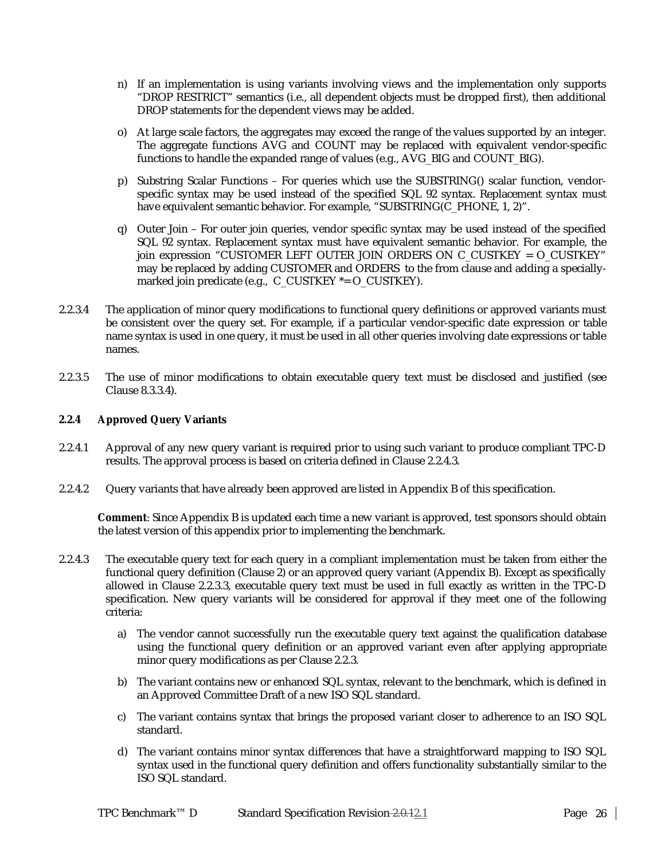- n) If an implementation is using variants involving views and the implementation only supports "DROP RESTRICT" semantics (i.e., all dependent objects must be dropped first), then additional DROP statements for the dependent views may be added.
- o) At large scale factors, the aggregates may exceed the range of the values supported by an integer. The aggregate functions AVG and COUNT may be replaced with equivalent vendor-specific functions to handle the expanded range of values (e.g., AVG\_BIG and COUNT\_BIG).
- p) Substring Scalar Functions For queries which use the SUBSTRING() scalar function, vendorspecific syntax may be used instead of the specified SQL 92 syntax. Replacement syntax must have equivalent semantic behavior. For example, "SUBSTRING(C\_PHONE, 1, 2)".
- q) Outer Join For outer join queries, vendor specific syntax may be used instead of the specified SQL 92 syntax. Replacement syntax must have equivalent semantic behavior. For example, the join expression "CUSTOMER LEFT OUTER JOIN ORDERS ON C\_CUSTKEY = O\_CUSTKEY" may be replaced by adding CUSTOMER and ORDERS to the from clause and adding a speciallymarked join predicate (e.g., C\_CUSTKEY \*= O\_CUSTKEY).
- 2.2.3.4 The application of minor query modifications to functional query definitions or approved variants must be consistent over the query set. For example, if a particular vendor-specific date expression or table name syntax is used in one query, it must be used in all other queries involving date expressions or table names.
- 2.2.3.5 The use of minor modifications to obtain executable query text must be disclosed and justified (see Clause 8.3.3.4).

#### **2.2.4 Approved Query Variants**

- 2.2.4.1 Approval of any new query variant is required prior to using such variant to produce compliant TPC-D results. The approval process is based on criteria defined in Clause 2.2.4.3.
- 2.2.4.2 Query variants that have already been approved are listed in Appendix B of this specification.

**Comment**: Since Appendix B is updated each time a new variant is approved, test sponsors should obtain the latest version of this appendix prior to implementing the benchmark.

- 2.2.4.3 The executable query text for each query in a compliant implementation must be taken from either the functional query definition (Clause 2) or an approved query variant (Appendix B). Except as specifically allowed in Clause 2.2.3.3, executable query text must be used in full exactly as written in the TPC-D specification. New query variants will be considered for approval if they meet one of the following criteria:
	- a) The vendor cannot successfully run the executable query text against the qualification database using the functional query definition or an approved variant even after applying appropriate minor query modifications as per Clause 2.2.3.
	- b) The variant contains new or enhanced SQL syntax, relevant to the benchmark, which is defined in an Approved Committee Draft of a new ISO SQL standard.
	- c) The variant contains syntax that brings the proposed variant closer to adherence to an ISO SQL standard.
	- d) The variant contains minor syntax differences that have a straightforward mapping to ISO SQL syntax used in the functional query definition and offers functionality substantially similar to the ISO SQL standard.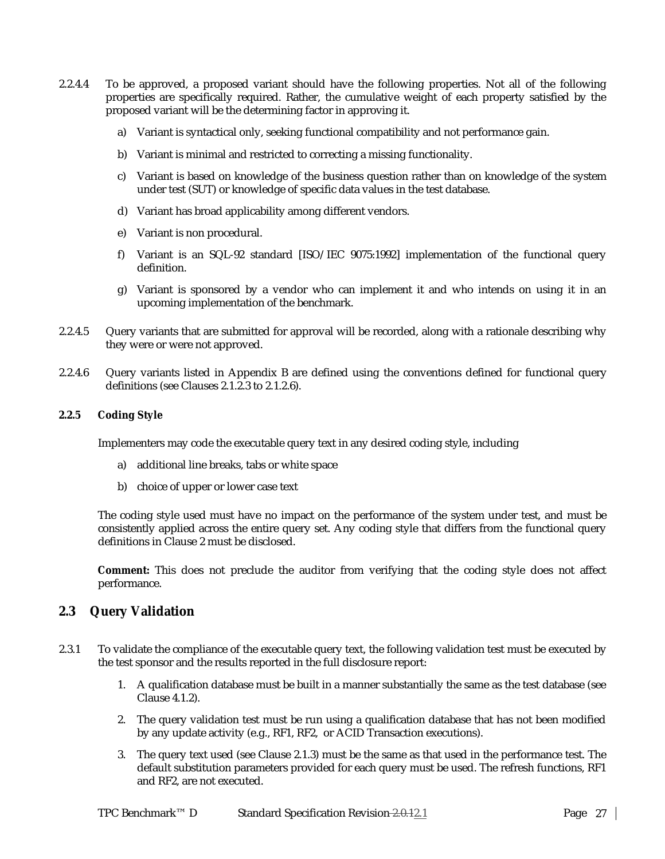- 2.2.4.4 To be approved, a proposed variant should have the following properties. Not all of the following properties are specifically required. Rather, the cumulative weight of each property satisfied by the proposed variant will be the determining factor in approving it.
	- a) Variant is syntactical only, seeking functional compatibility and not performance gain.
	- b) Variant is minimal and restricted to correcting a missing functionality.
	- c) Variant is based on knowledge of the business question rather than on knowledge of the system under test (SUT) or knowledge of specific data values in the test database.
	- d) Variant has broad applicability among different vendors.
	- e) Variant is non procedural.
	- f) Variant is an SQL-92 standard [ISO/IEC 9075:1992] implementation of the functional query definition.
	- g) Variant is sponsored by a vendor who can implement it and who intends on using it in an upcoming implementation of the benchmark.
- 2.2.4.5 Query variants that are submitted for approval will be recorded, along with a rationale describing why they were or were not approved.
- 2.2.4.6 Query variants listed in Appendix B are defined using the conventions defined for functional query definitions (see Clauses 2.1.2.3 to 2.1.2.6).

#### **2.2.5 Coding Style**

Implementers may code the executable query text in any desired coding style, including

- a) additional line breaks, tabs or white space
- b) choice of upper or lower case text

The coding style used must have no impact on the performance of the system under test, and must be consistently applied across the entire query set. Any coding style that differs from the functional query definitions in Clause 2 must be disclosed.

**Comment:** This does not preclude the auditor from verifying that the coding style does not affect performance.

### **2.3 Query Validation**

- 2.3.1 To validate the compliance of the executable query text, the following validation test must be executed by the test sponsor and the results reported in the full disclosure report:
	- 1. A qualification database must be built in a manner substantially the same as the test database (see Clause 4.1.2).
	- 2. The query validation test must be run using a qualification database that has not been modified by any update activity (e.g., RF1, RF2, or ACID Transaction executions).
	- 3. The query text used (see Clause 2.1.3) must be the same as that used in the performance test. The default substitution parameters provided for each query must be used. The refresh functions, RF1 and RF2, are not executed.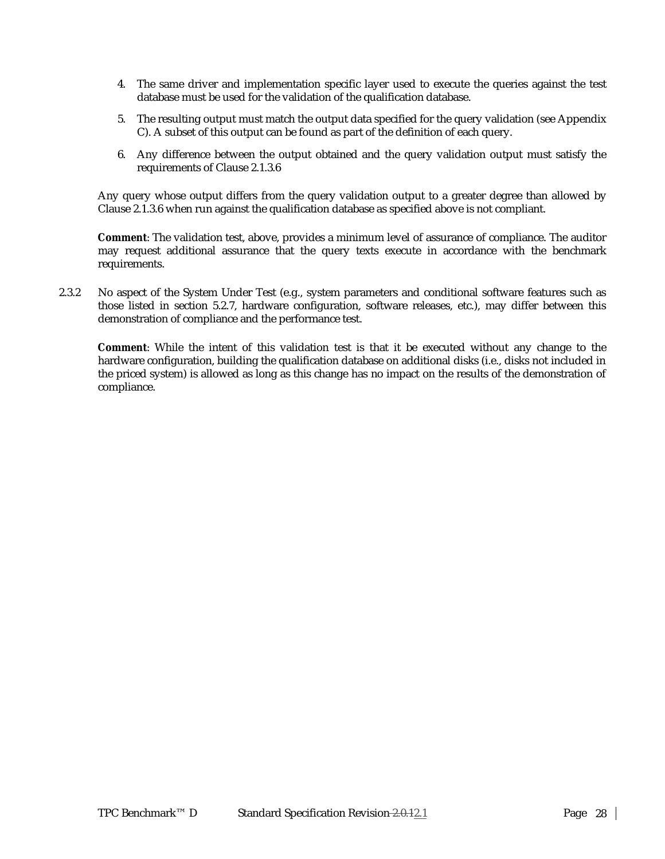- 4. The same driver and implementation specific layer used to execute the queries against the test database must be used for the validation of the qualification database.
- 5. The resulting output must match the output data specified for the query validation (see Appendix C). A subset of this output can be found as part of the definition of each query.
- 6. Any difference between the output obtained and the query validation output must satisfy the requirements of Clause 2.1.3.6

Any query whose output differs from the query validation output to a greater degree than allowed by Clause 2.1.3.6 when run against the qualification database as specified above is not compliant.

**Comment**: The validation test, above, provides a minimum level of assurance of compliance. The auditor may request additional assurance that the query texts execute in accordance with the benchmark requirements.

2.3.2 No aspect of the System Under Test (e.g., system parameters and conditional software features such as those listed in section 5.2.7, hardware configuration, software releases, etc.), may differ between this demonstration of compliance and the performance test.

**Comment**: While the intent of this validation test is that it be executed without any change to the hardware configuration, building the qualification database on additional disks (i.e., disks not included in the priced system) is allowed as long as this change has no impact on the results of the demonstration of compliance.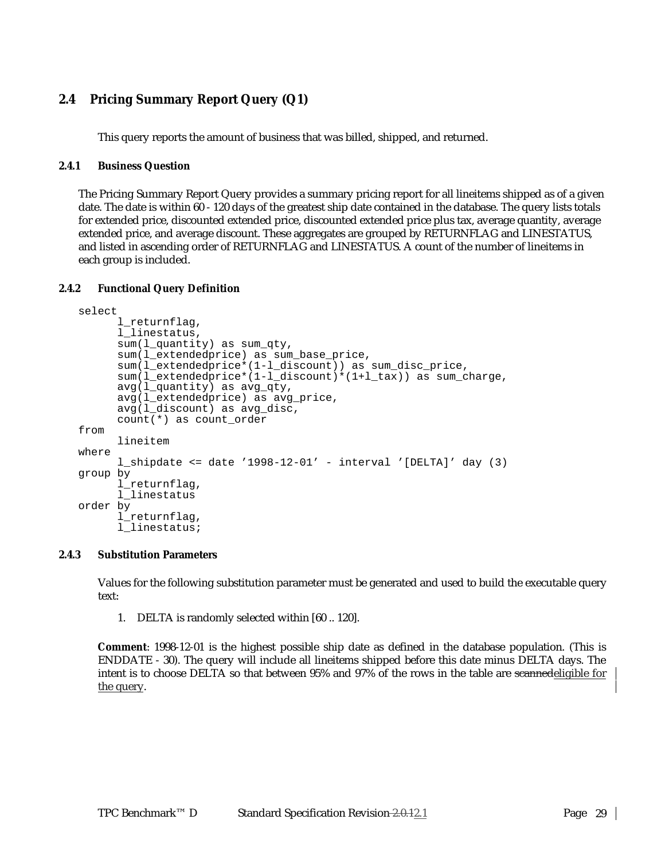# **2.4 Pricing Summary Report Query (Q1)**

This query reports the amount of business that was billed, shipped, and returned.

#### **2.4.1 Business Question**

The Pricing Summary Report Query provides a summary pricing report for all lineitems shipped as of a given date. The date is within 60 - 120 days of the greatest ship date contained in the database. The query lists totals for extended price, discounted extended price, discounted extended price plus tax, average quantity, average extended price, and average discount. These aggregates are grouped by RETURNFLAG and LINESTATUS, and listed in ascending order of RETURNFLAG and LINESTATUS. A count of the number of lineitems in each group is included.

#### **2.4.2 Functional Query Definition**

```
select
      l_returnflag,
      l_linestatus,
      sum(l_quantity) as sum_qty,
      sum(l_extendedprice) as sum_base_price,
      sum(1 extendedprice*(1-l discount)) as sum disc price,
      sum(l_extendedprice*(1-l_discount)*(1+l_tax)) as sum_charge,
      avg(1<sup>q</sup>uantity) as avg_qty,
      avg(1 extendedprice) as avg price,
      avg(l_discount) as avg_disc,
      count(*) as count_order
from
      lineitem
where
      l_shipdate <= date '1998-12-01' - interval '[DELTA]' day (3)
group by
      l_returnflag,
      l_linestatus
order by
      l_returnflag,
      l_linestatus;
```
#### **2.4.3 Substitution Parameters**

Values for the following substitution parameter must be generated and used to build the executable query text:

1. DELTA is randomly selected within [60 .. 120].

**Comment**: 1998-12-01 is the highest possible ship date as defined in the database population. (This is ENDDATE - 30). The query will include all lineitems shipped before this date minus DELTA days. The intent is to choose DELTA so that between 95% and 97% of the rows in the table are scannedeligible for the query.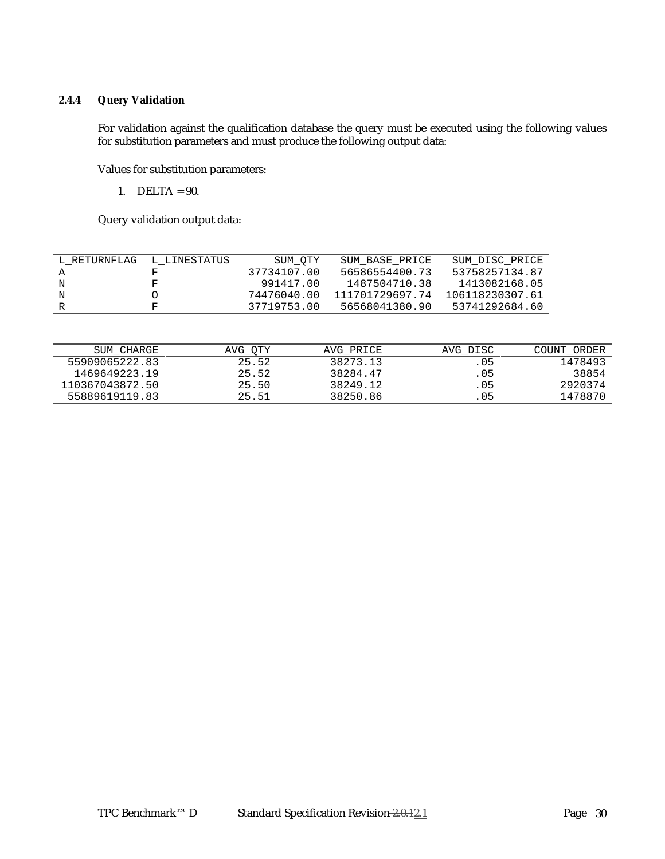### **2.4.4 Query Validation**

For validation against the qualification database the query must be executed using the following values for substitution parameters and must produce the following output data:

Values for substitution parameters:

1. DELTA = 90.

Query validation output data:

| L RETURNFLAG | L LINESTATUS | SUM OTY     | SUM BASE PRICE  | SUM DISC PRICE  |
|--------------|--------------|-------------|-----------------|-----------------|
| Α            |              | 37734107.00 | 56586554400.73  | 53758257134.87  |
| N            |              | 991417.00   | 1487504710.38   | 1413082168.05   |
| N            |              | 74476040.00 | 111701729697.74 | 106118230307.61 |
|              |              | 37719753.00 | 56568041380.90  | 53741292684.60  |

| SUM CHARGE      | AVG OTY | AVG PRICE | AVG DISC | COUNT ORDER |
|-----------------|---------|-----------|----------|-------------|
| 55909065222.83  | 25.52   | 38273.13  | 05       | 1478493     |
| 1469649223.19   | 25.52   | 38284.47  | 05       | 38854       |
| 110367043872.50 | 25.50   | 38249.12  | . 05     | 2920374     |
| 55889619119.83  | 25.51   | 38250.86  | 05       | 1478870     |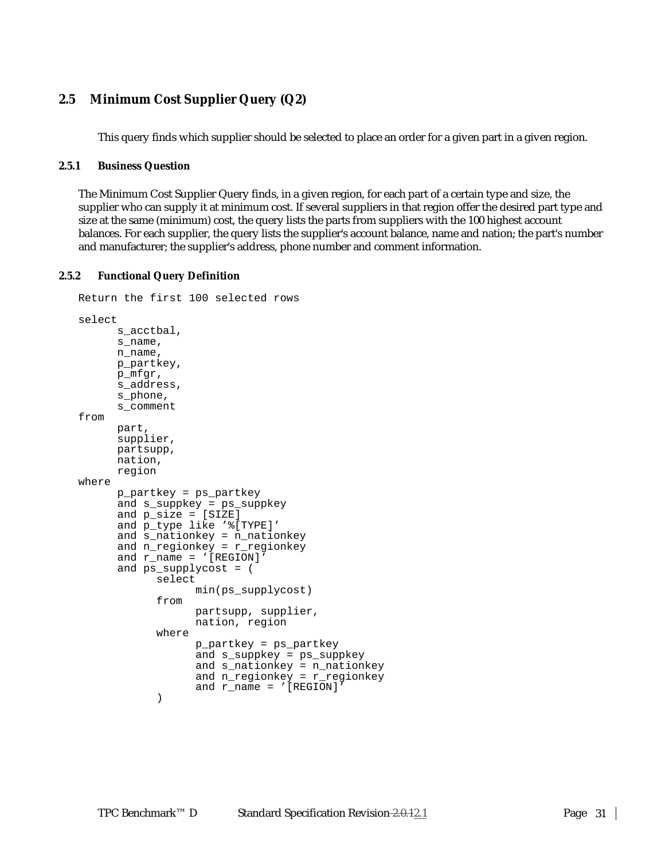# **2.5 Minimum Cost Supplier Query (Q2)**

This query finds which supplier should be selected to place an order for a given part in a given region.

#### **2.5.1 Business Question**

The Minimum Cost Supplier Query finds, in a given region, for each part of a certain type and size, the supplier who can supply it at minimum cost. If several suppliers in that region offer the desired part type and size at the same (minimum) cost, the query lists the parts from suppliers with the 100 highest account balances. For each supplier, the query lists the supplier's account balance, name and nation; the part's number and manufacturer; the supplier's address, phone number and comment information.

#### **2.5.2 Functional Query Definition**

```
Return the first 100 selected rows
select
      s_acctbal,
      s_name,
     n_name,
     p_partkey,
     p_mfgr,
      s_address,
      s_phone,
      s_comment
from
      part,
      supplier,
     partsupp,
     nation,
     region
where
      p_partkey = ps_partkey
      and s suppkey = ps suppkey
      and p size = [SIZE]and p_type like '%[TYPE]'
      and s_nationkey = n_nationkey
      and n regionkey = r regionkey
      and r_name = '[REGION]'and ps_supplycost = (
            select
                  min(ps_supplycost)
            from
                  partsupp, supplier,
                  nation, region
            where
                  p_partkey = ps_partkey
                  and s_suppkey = ps_suppkey
                  and s_nationkey = n_nationkey
                  and n_regionkey = r_regionkey
                  and r name = '[REGION]'
            )
```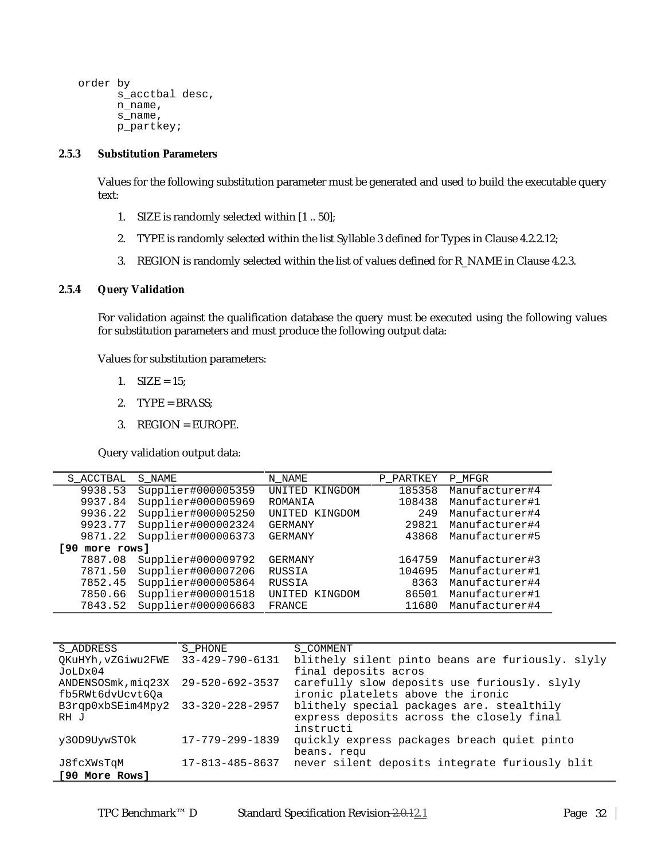order by s\_acctbal desc, n\_name, s\_name, p\_partkey;

#### **2.5.3 Substitution Parameters**

Values for the following substitution parameter must be generated and used to build the executable query text:

- 1. SIZE is randomly selected within [1 .. 50];
- 2. TYPE is randomly selected within the list Syllable 3 defined for Types in Clause 4.2.2.12;
- 3. REGION is randomly selected within the list of values defined for R\_NAME in Clause 4.2.3.

#### **2.5.4 Query Validation**

For validation against the qualification database the query must be executed using the following values for substitution parameters and must produce the following output data:

Values for substitution parameters:

- 1.  $SIZE = 15$ ;
- 2. TYPE = BRASS;
- 3. REGION = EUROPE.

Query validation output data:

| S ACCTBAL           | S NAME             | N NAME            | P PARTKEY | P MFGR         |
|---------------------|--------------------|-------------------|-----------|----------------|
| 9938.53             | Supplier#000005359 | KINGDOM<br>UNITED | 185358    | Manufacturer#4 |
| 9937.84             | Supplier#000005969 | ROMANIA           | 108438    | Manufacturer#1 |
| 9936.22             | Supplier#000005250 | UNITED<br>KINGDOM | 249       | Manufacturer#4 |
| 9923.77             | Supplier#000002324 | <b>GERMANY</b>    | 29821     | Manufacturer#4 |
| 9871.22             | Supplier#000006373 | <b>GERMANY</b>    | 43868     | Manufacturer#5 |
| more rows]<br>T 90. |                    |                   |           |                |
| 7887.08             | Supplier#000009792 | GERMANY           | 164759    | Manufacturer#3 |
| 7871.50             | Supplier#000007206 | RUSSIA            | 104695    | Manufacturer#1 |
| 7852.45             | Supplier#000005864 | RUSSIA            | 8363      | Manufacturer#4 |
| 7850.66             | Supplier#000001518 | UNITED<br>KINGDOM | 86501     | Manufacturer#1 |
| 7843.52             | Supplier#000006683 | FRANCE            | 11680     | Manufacturer#4 |

| S ADDRESS                         | S PHONE                 | S COMMENT                                        |
|-----------------------------------|-------------------------|--------------------------------------------------|
| OKuHYh, vZGiwu2FWE                | $33 - 429 - 790 - 6131$ | blithely silent pinto beans are furiously. slyly |
| JoLDx04                           |                         | final deposits acros                             |
| ANDENSOSmk, mig23X                | 29-520-692-3537         | carefully slow deposits use furiously. slyly     |
| fb5RWt6dvUcvt60a                  |                         | ironic platelets above the ironic                |
| B3rqp0xbSEim4Mpy2 33-320-228-2957 |                         | blithely special packages are. stealthily        |
| RH J                              |                         | express deposits across the closely final        |
|                                   |                         | instructi                                        |
| y30D9UywSTOk                      | $17 - 779 - 299 - 1839$ | quickly express packages breach quiet pinto      |
|                                   |                         | beans. regu                                      |
| J8fcXWsTqM                        | $17 - 813 - 485 - 8637$ | never silent deposits integrate furiously blit   |
| [90 More Rows]                    |                         |                                                  |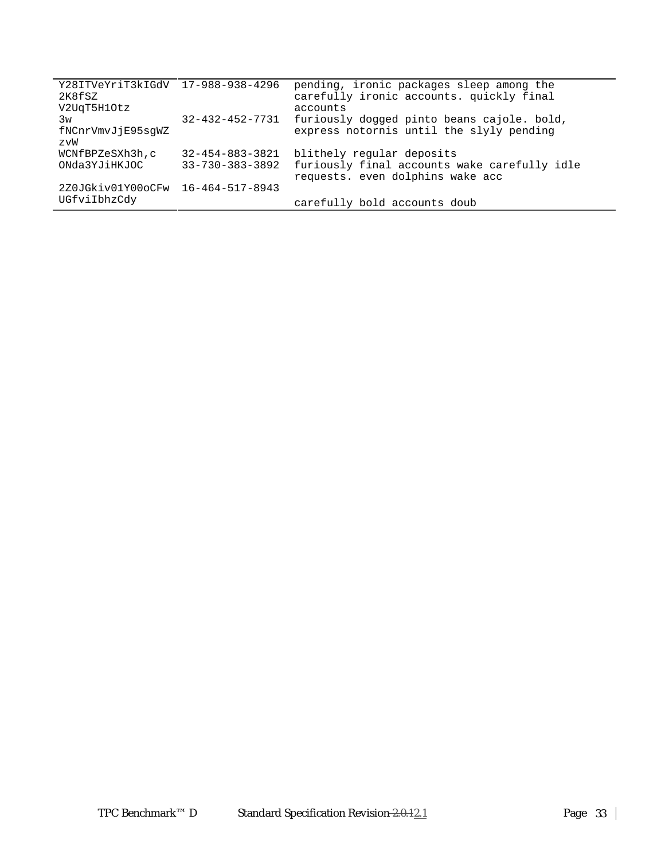| Y28ITVeYriT3kIGdV 17-988-938-4296<br>2K8fSZ<br>V2UqT5H1Otz |                         | pending, ironic packages sleep among the<br>carefully ironic accounts. quickly final<br>accounts |
|------------------------------------------------------------|-------------------------|--------------------------------------------------------------------------------------------------|
|                                                            |                         |                                                                                                  |
| 3w                                                         | $32 - 432 - 452 - 7731$ | furiously dogged pinto beans cajole. bold,                                                       |
| fNCnrVmvJjE95sqWZ                                          |                         | express notornis until the slyly pending                                                         |
| zvW                                                        |                         |                                                                                                  |
| WCNfBPZeSXh3h,c                                            | $32 - 454 - 883 - 3821$ | blithely regular deposits                                                                        |
| ONda3YJiHKJOC                                              | $33 - 730 - 383 - 3892$ | furiously final accounts wake carefully idle<br>requests. even dolphins wake acc                 |
| 2Z0JGkiv01Y00oCFw 16-464-517-8943                          |                         |                                                                                                  |
| UGfviIbhzCdy                                               |                         | carefully bold accounts doub                                                                     |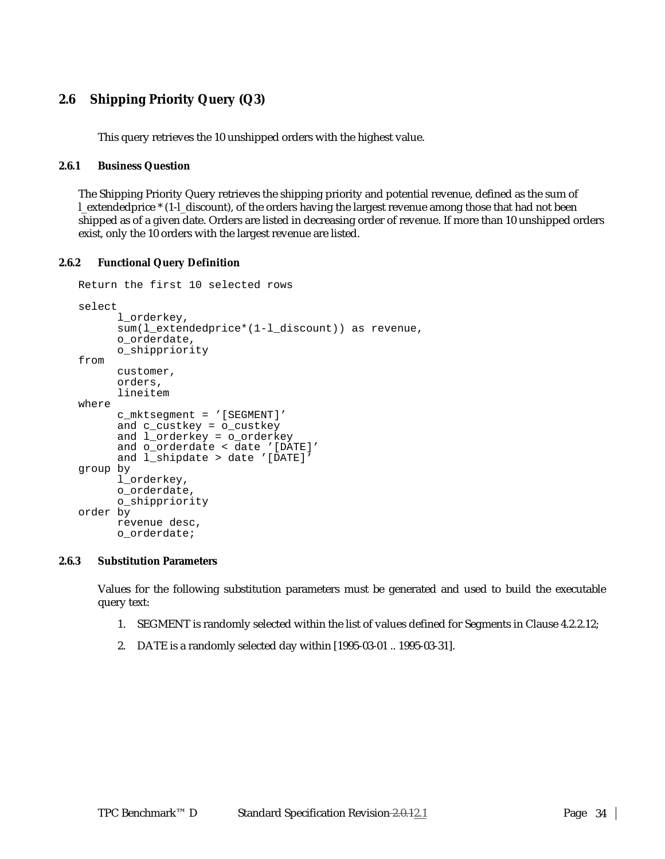# **2.6 Shipping Priority Query (Q3)**

This query retrieves the 10 unshipped orders with the highest value.

#### **2.6.1 Business Question**

The Shipping Priority Query retrieves the shipping priority and potential revenue, defined as the sum of l\_extendedprice \* (1-l\_discount), of the orders having the largest revenue among those that had not been shipped as of a given date. Orders are listed in decreasing order of revenue. If more than 10 unshipped orders exist, only the 10 orders with the largest revenue are listed.

#### **2.6.2 Functional Query Definition**

```
Return the first 10 selected rows
select
      l_orderkey,
      sum(l_extendedprice*(1-l_discount)) as revenue,
      o_orderdate,
      o_shippriority
from
      customer,
      orders,
      lineitem
where
      c_mktsegment = '[SEGMENT]'
      and c_custkey = o_custkey
      and l_orderkey = o_orderkey
      and o_orderdate < date '[DATE]'
      and l_shipdate > date '[DATE]'
group by
      l_orderkey,
      o_orderdate,
      o_shippriority
order by
      revenue desc,
      o_orderdate;
```
#### **2.6.3 Substitution Parameters**

Values for the following substitution parameters must be generated and used to build the executable query text:

- 1. SEGMENT is randomly selected within the list of values defined for Segments in Clause 4.2.2.12;
- 2. DATE is a randomly selected day within [1995-03-01 .. 1995-03-31].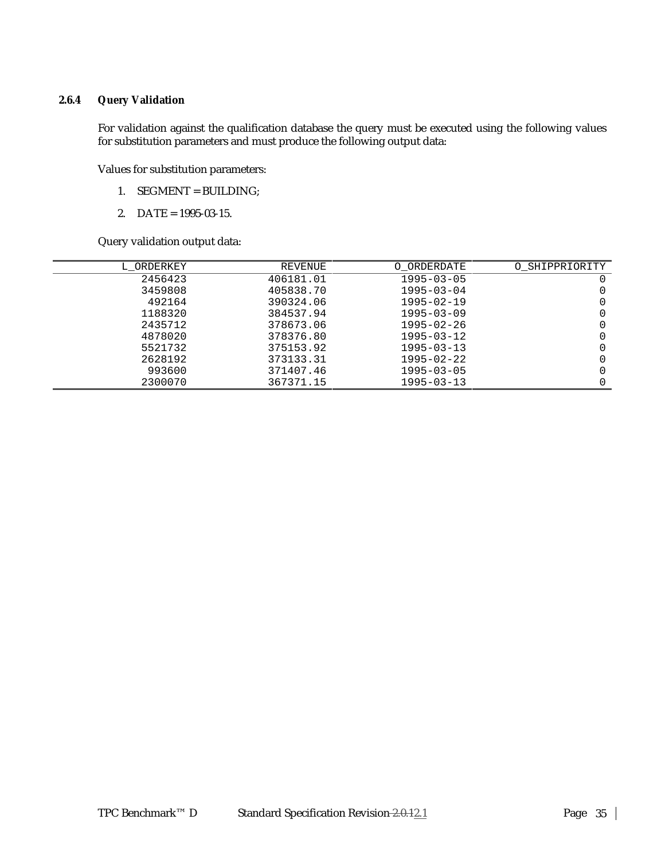### **2.6.4 Query Validation**

For validation against the qualification database the query must be executed using the following values for substitution parameters and must produce the following output data:

Values for substitution parameters:

- 1. SEGMENT = BUILDING;
- 2. DATE = 1995-03-15.

Query validation output data:

| O SHIPPRIORITY | O ORDERDATE      | REVENUE   | L ORDERKEY |
|----------------|------------------|-----------|------------|
|                | $1995 - 03 - 05$ | 406181.01 | 2456423    |
|                | $1995 - 03 - 04$ | 405838.70 | 3459808    |
|                | $1995 - 02 - 19$ | 390324.06 | 492164     |
|                | $1995 - 03 - 09$ | 384537.94 | 1188320    |
|                | $1995 - 02 - 26$ | 378673.06 | 2435712    |
|                | $1995 - 03 - 12$ | 378376.80 | 4878020    |
|                | $1995 - 03 - 13$ | 375153.92 | 5521732    |
|                | $1995 - 02 - 22$ | 373133.31 | 2628192    |
|                | $1995 - 03 - 05$ | 371407.46 | 993600     |
|                | $1995 - 03 - 13$ | 367371.15 | 2300070    |
|                |                  |           |            |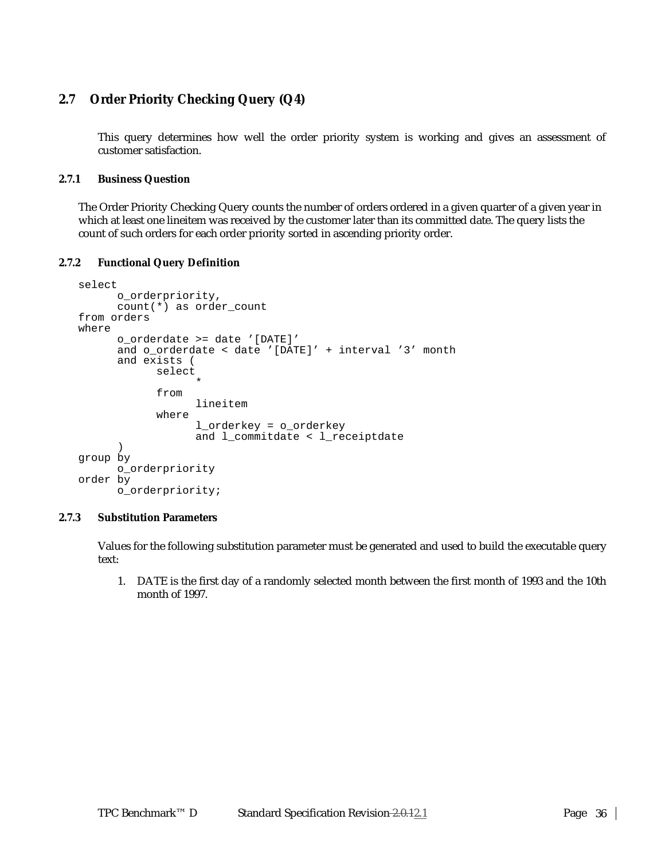## **2.7 Order Priority Checking Query (Q4)**

This query determines how well the order priority system is working and gives an assessment of customer satisfaction.

#### **2.7.1 Business Question**

The Order Priority Checking Query counts the number of orders ordered in a given quarter of a given year in which at least one lineitem was received by the customer later than its committed date. The query lists the count of such orders for each order priority sorted in ascending priority order.

#### **2.7.2 Functional Query Definition**

```
select
      o_orderpriority,
      count(*) as order_count
from orders
where
      o_orderdate >= date '[DATE]'
      and o_orderdate < date '[DATE]' + interval '3' month
      and exists (
            select
                   * from
                  lineitem
            where
                  l_orderkey = o_orderkey
                  and l_commitdate < l_receiptdate
      )
group by
      o_orderpriority
order by
      o_orderpriority;
```
#### **2.7.3 Substitution Parameters**

Values for the following substitution parameter must be generated and used to build the executable query text:

1. DATE is the first day of a randomly selected month between the first month of 1993 and the 10th month of 1997.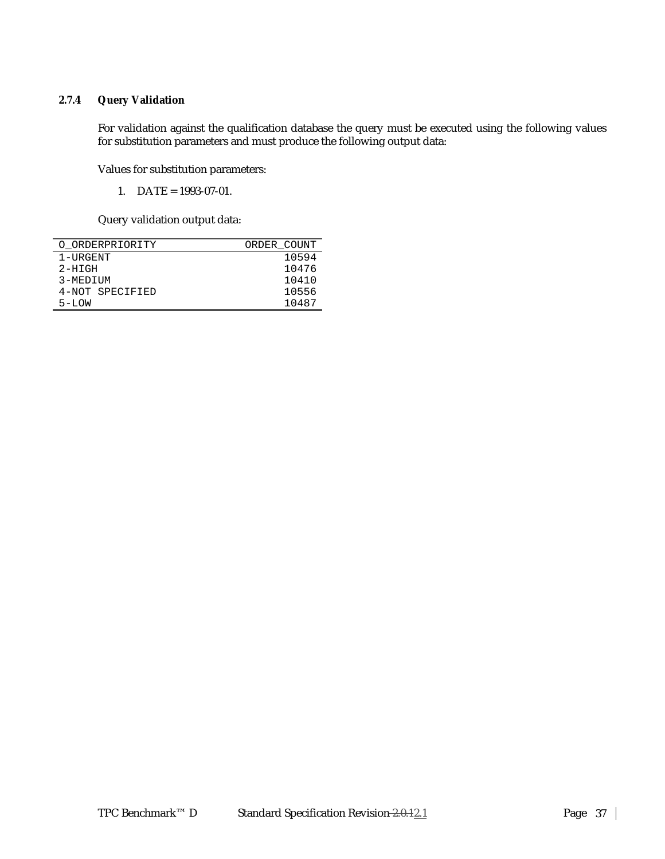## **2.7.4 Query Validation**

For validation against the qualification database the query must be executed using the following values for substitution parameters and must produce the following output data:

Values for substitution parameters:

1.  $DATA = 1993-07-01$ .

| O ORDERPRIORITY | ORDER COUNT |
|-----------------|-------------|
| $1$ -URGENT     | 10594       |
| $2-HIGH$        | 10476       |
| 3-MEDIUM        | 10410       |
| 4-NOT SPECIFIED | 10556       |
| $5 - LOW$       | 10487       |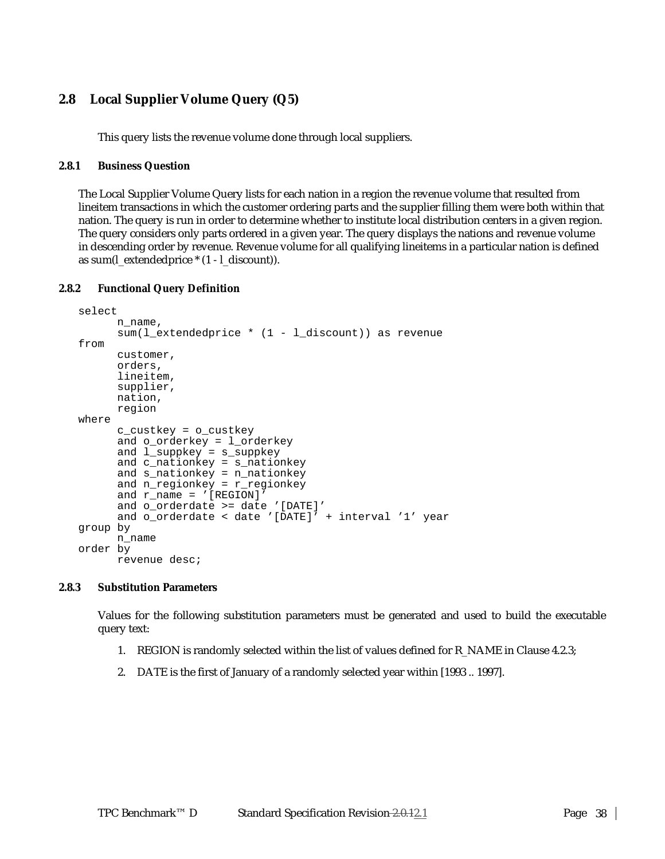# **2.8 Local Supplier Volume Query (Q5)**

This query lists the revenue volume done through local suppliers.

#### **2.8.1 Business Question**

The Local Supplier Volume Query lists for each nation in a region the revenue volume that resulted from lineitem transactions in which the customer ordering parts and the supplier filling them were both within that nation. The query is run in order to determine whether to institute local distribution centers in a given region. The query considers only parts ordered in a given year. The query displays the nations and revenue volume in descending order by revenue. Revenue volume for all qualifying lineitems in a particular nation is defined as sum(l\_extendedprice  $*(1 - l \text{ discount})).$ 

### **2.8.2 Functional Query Definition**

```
select
      n_name,
      sum(l_extendedprice * (1 - l_discount)) as revenue
from
      customer,
      orders,
      lineitem,
      supplier,
      nation,
      region
where
      c_custkey = o_custkey
      and o_orderkey = l_orderkey
      and l_suppkey = s_suppkey
      and c_nationkey = s_nationkey
      and s_nationkey = n_nationkey
      and n<sub>regionkey</sub> = r<sub>regionkey</sub>
      and r name = '[REGION]'
      and o_orderdate >= date '[DATE]'
      and o_orderdate < date '[DATE]' + interval '1' year
group by
      n_name
order by
      revenue desc;
```
#### **2.8.3 Substitution Parameters**

Values for the following substitution parameters must be generated and used to build the executable query text:

- 1. REGION is randomly selected within the list of values defined for R\_NAME in Clause 4.2.3;
- 2. DATE is the first of January of a randomly selected year within [1993 .. 1997].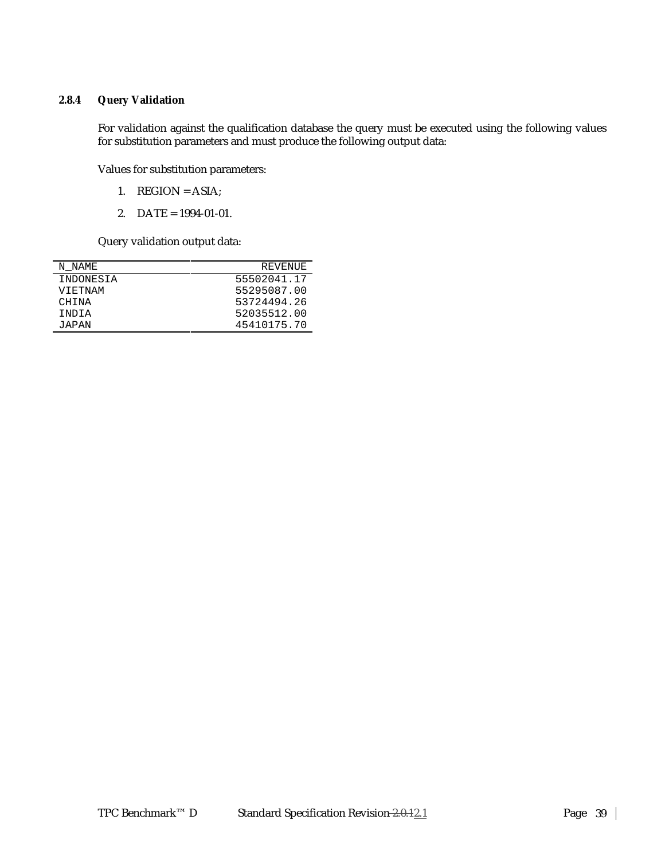## **2.8.4 Query Validation**

For validation against the qualification database the query must be executed using the following values for substitution parameters and must produce the following output data:

Values for substitution parameters:

- 1.  $REGION = ASIA;$
- 2. DATE = 1994-01-01.

| N NAME       | REVENUE     |
|--------------|-------------|
| INDONESIA    | 55502041.17 |
| VIETNAM      | 55295087.00 |
| <b>CHINA</b> | 53724494.26 |
| TNDTA        | 52035512.00 |
| JAPAN        | 45410175.70 |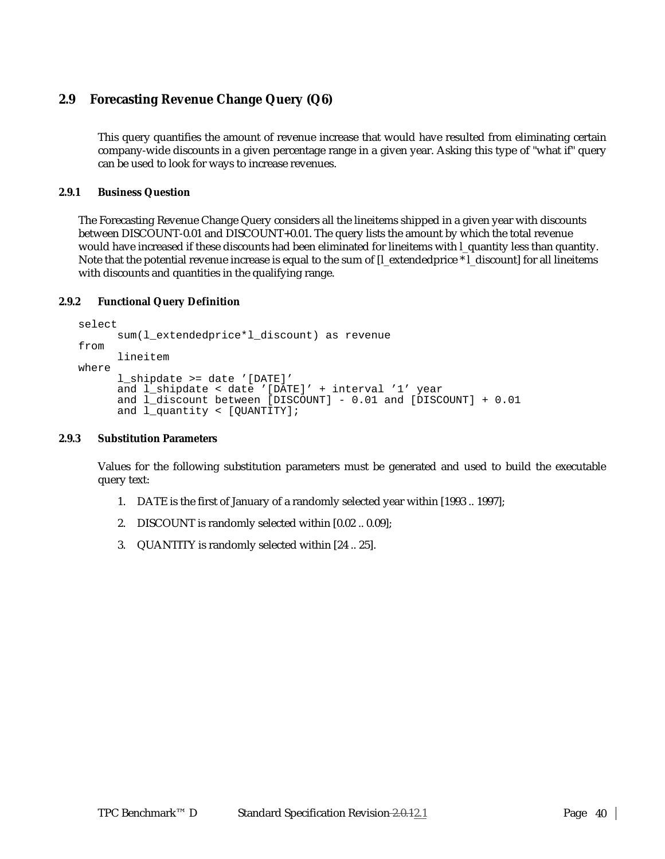## **2.9 Forecasting Revenue Change Query (Q6)**

This query quantifies the amount of revenue increase that would have resulted from eliminating certain company-wide discounts in a given percentage range in a given year. Asking this type of "what if" query can be used to look for ways to increase revenues.

### **2.9.1 Business Question**

The Forecasting Revenue Change Query considers all the lineitems shipped in a given year with discounts between DISCOUNT-0.01 and DISCOUNT+0.01. The query lists the amount by which the total revenue would have increased if these discounts had been eliminated for lineitems with l\_quantity less than quantity. Note that the potential revenue increase is equal to the sum of [L\_extendedprice \* l\_discount] for all lineitems with discounts and quantities in the qualifying range.

### **2.9.2 Functional Query Definition**

```
select
      sum(l_extendedprice*l_discount) as revenue
from
      lineitem
where
      l_shipdate >= date '[DATE]'
      and l_shipdate < date '[DATE]' + interval '1' year
      and l_discount between [DISCOUNT] - 0.01 and [DISCOUNT] + 0.01
      and l_qquantity < [QUANTITY];
```
#### **2.9.3 Substitution Parameters**

Values for the following substitution parameters must be generated and used to build the executable query text:

- 1. DATE is the first of January of a randomly selected year within [1993 .. 1997];
- 2. DISCOUNT is randomly selected within [0.02 .. 0.09];
- 3. QUANTITY is randomly selected within [24 .. 25].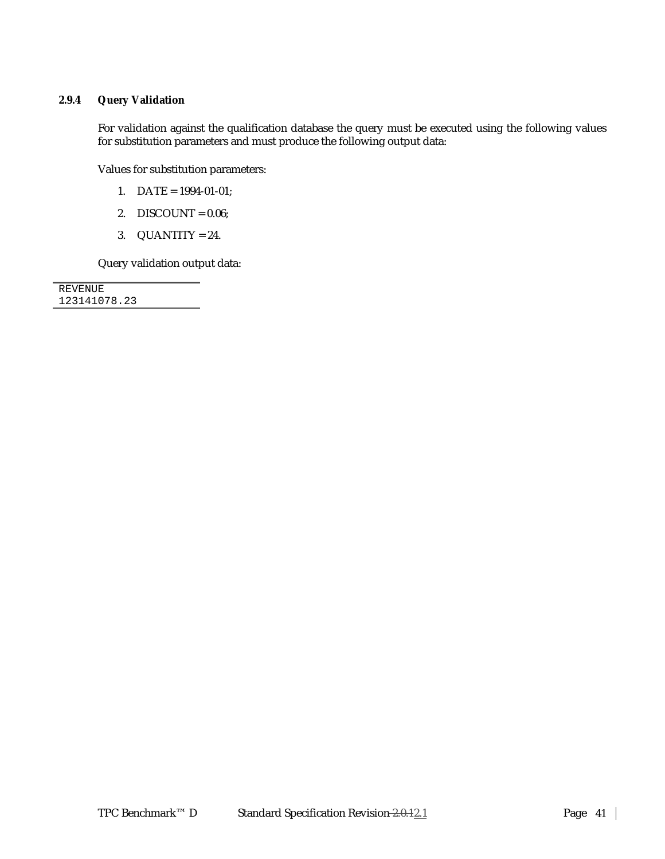## **2.9.4 Query Validation**

For validation against the qualification database the query must be executed using the following values for substitution parameters and must produce the following output data:

Values for substitution parameters:

- 1. DATE = 1994-01-01;
- 2. DISCOUNT =  $0.06$ ;
- 3.  $QUANTITY = 24$ .

Query validation output data:

REVENUE 123141078.23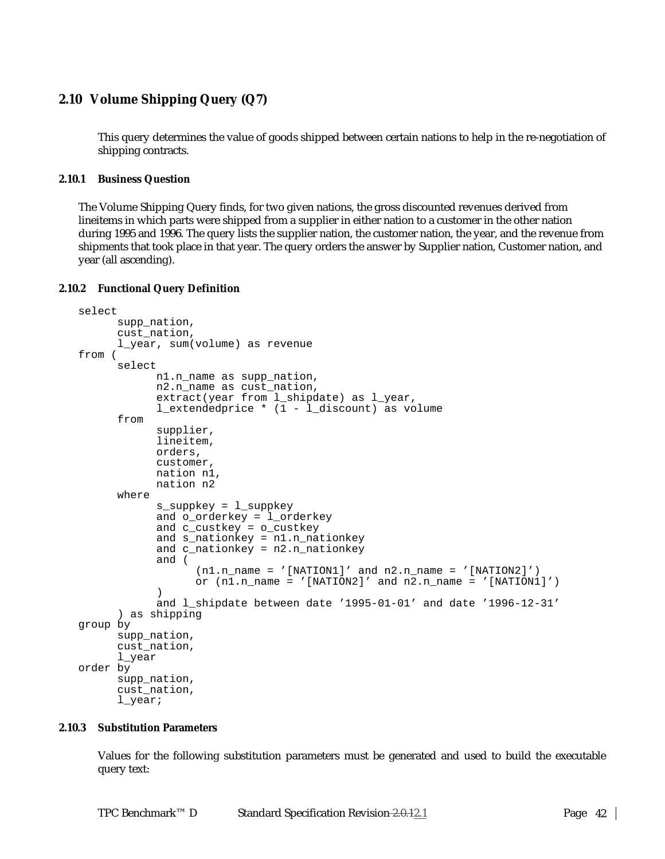# **2.10 Volume Shipping Query (Q7)**

This query determines the value of goods shipped between certain nations to help in the re-negotiation of shipping contracts.

#### **2.10.1 Business Question**

The Volume Shipping Query finds, for two given nations, the gross discounted revenues derived from lineitems in which parts were shipped from a supplier in either nation to a customer in the other nation during 1995 and 1996. The query lists the supplier nation, the customer nation, the year, and the revenue from shipments that took place in that year. The query orders the answer by Supplier nation, Customer nation, and year (all ascending).

### **2.10.2 Functional Query Definition**

```
select
      supp_nation,
      cust_nation,
      l_year, sum(volume) as revenue
from (
      select
            n1.n_name as supp_nation,
            n2.n_name as cust_nation,
            extract(year from 1 shipdate) as 1 year,
            l_extendedprice * (1 - l_discount) as volume
      from
            supplier,
            lineitem,
            orders,
            customer,
            nation n1,
            nation n2
      where
            s_suppkey = l_suppkey
            and o_orderkey = l_orderkey
            and c_custkey = o_custkey
            and s_nationkey = n1.n_nationkey
            and c_nationkey = n2.n_nationkey
            and (
                   (n1.n_name = '[NATION1]' and n2.n_name = '[NATION2]')
                  or (n1.n_name = '[NATION2]' and n2.n_name = '[NATION1]')
            )
            and l_shipdate between date '1995-01-01' and date '1996-12-31'
      ) as shipping
group by
      supp_nation,
      cust_nation,
      l_year
order by
      supp_nation,
      cust_nation,
      l_year;
```
#### **2.10.3 Substitution Parameters**

Values for the following substitution parameters must be generated and used to build the executable query text: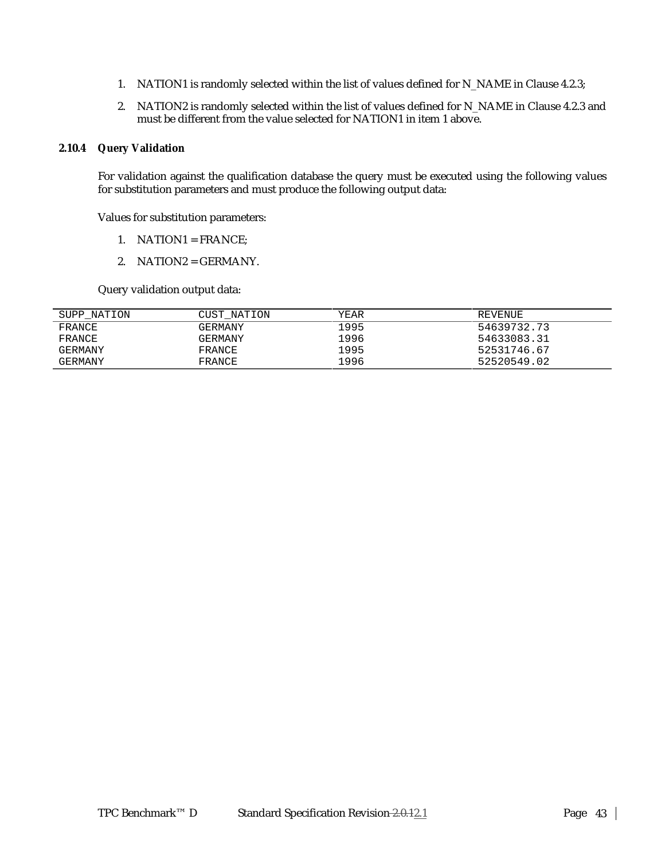- 1. NATION1 is randomly selected within the list of values defined for N\_NAME in Clause 4.2.3;
- 2. NATION2 is randomly selected within the list of values defined for N\_NAME in Clause 4.2.3 and must be different from the value selected for NATION1 in item 1 above.

### **2.10.4 Query Validation**

For validation against the qualification database the query must be executed using the following values for substitution parameters and must produce the following output data:

Values for substitution parameters:

- 1. NATION1 = FRANCE;
- 2. NATION2 = GERMANY.

| SUPP NATION | CUST NATION | YEAR | REVENUE     |
|-------------|-------------|------|-------------|
| FRANCE      | GERMANY     | 1995 | 54639732.73 |
| FRANCE      | GERMANY     | 1996 | 54633083.31 |
| GERMANY     | FRANCE      | 1995 | 52531746.67 |
| GERMANY     | FRANCE      | 1996 | 52520549.02 |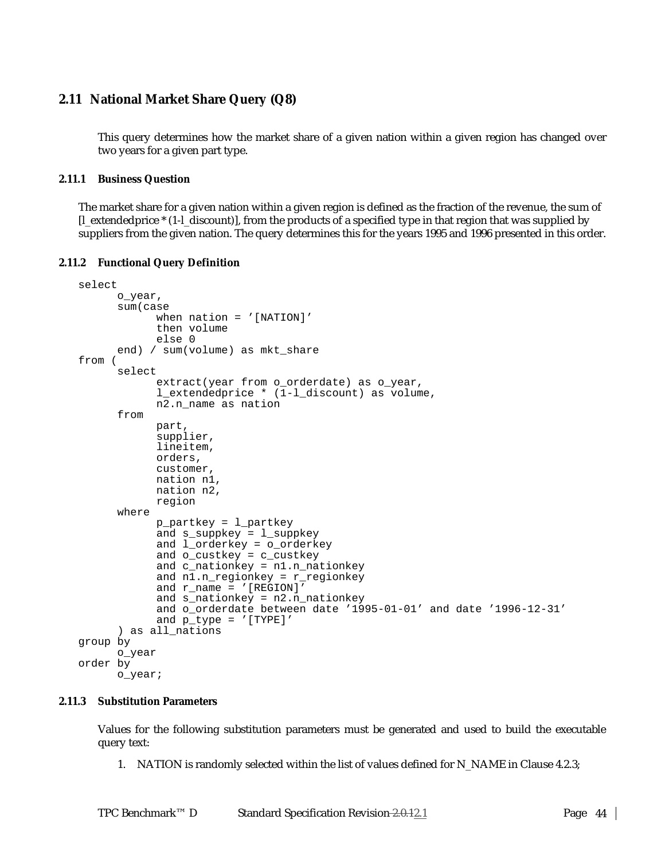## **2.11 National Market Share Query (Q8)**

This query determines how the market share of a given nation within a given region has changed over two years for a given part type.

#### **2.11.1 Business Question**

The market share for a given nation within a given region is defined as the fraction of the revenue, the sum of [l\_extendedprice \* (1-l\_discount)], from the products of a specified type in that region that was supplied by suppliers from the given nation. The query determines this for the years 1995 and 1996 presented in this order.

### **2.11.2 Functional Query Definition**

```
select
      o_year,
      sum(case
            when nation = '[NATION]'
            then volume
            else 0
      end) / sum(volume) as mkt share
from (
      select
            extract(year from o_orderdate) as o_year,
            l_extendedprice * (1-l_discount) as volume,
            n2.n_name as nation
      from
            part,
            supplier,
            lineitem,
            orders,
            customer,
            nation n1,
            nation n2,
            region
      where
            p_partkey = l_partkey
            and s_suppkey = l_suppkey
            and l_orderkey = o_orderkey
            and o_custkey = c_custkey
            and c_nationkey = n1.n_nationkey
            and n1.n_regionkey = r_regionkey
            and r_name = '[REGION]'and s nationkey = n2.n_nationkey
            and o_orderdate between date '1995-01-01' and date '1996-12-31'
            and p_type = '[TYPE]') as all_nations
group by
      o_year
order by
      o_year;
```
#### **2.11.3 Substitution Parameters**

Values for the following substitution parameters must be generated and used to build the executable query text:

1. NATION is randomly selected within the list of values defined for N\_NAME in Clause 4.2.3;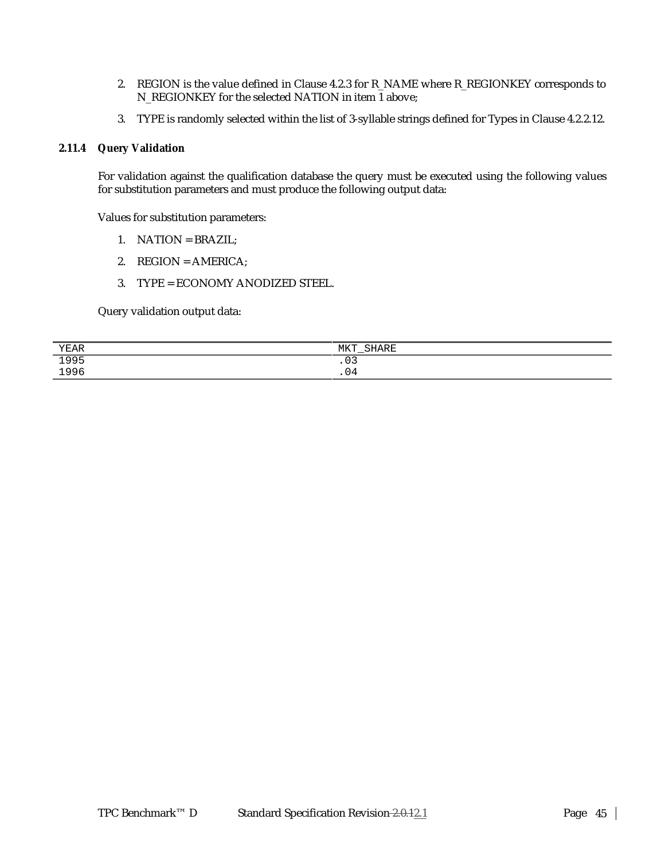- 2. REGION is the value defined in Clause 4.2.3 for R\_NAME where R\_REGIONKEY corresponds to N\_REGIONKEY for the selected NATION in item 1 above;
- 3. TYPE is randomly selected within the list of 3-syllable strings defined for Types in Clause 4.2.2.12.

### **2.11.4 Query Validation**

For validation against the qualification database the query must be executed using the following values for substitution parameters and must produce the following output data:

Values for substitution parameters:

- 1. NATION = BRAZIL;
- 2. REGION = AMERICA;
- 3. TYPE = ECONOMY ANODIZED STEEL.

| YEAR         | MKT<br>CUADE<br>ananc |  |
|--------------|-----------------------|--|
| 1995<br>1996 | ັບ ປ                  |  |
|              | בי<br>                |  |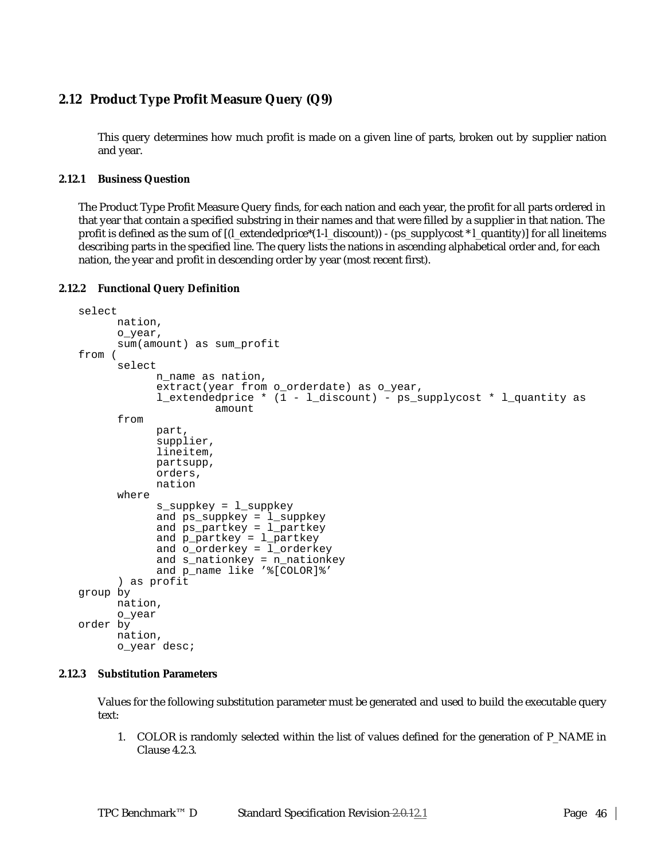## **2.12 Product Type Profit Measure Query (Q9)**

This query determines how much profit is made on a given line of parts, broken out by supplier nation and year.

### **2.12.1 Business Question**

The Product Type Profit Measure Query finds, for each nation and each year, the profit for all parts ordered in that year that contain a specified substring in their names and that were filled by a supplier in that nation. The profit is defined as the sum of  $[$ ( $]$  extendedprice<sup>\*</sup>(1- $]$  discount)) - (ps\_supplycost  $*$  l\_quantity)] for all lineitems describing parts in the specified line. The query lists the nations in ascending alphabetical order and, for each nation, the year and profit in descending order by year (most recent first).

#### **2.12.2 Functional Query Definition**

```
select
      nation,
      o_year,
      sum(amount) as sum_profit
from (
      select
            n_name as nation,
            extract(year from o_orderdate) as o_year,
            l_extendedprice * (1 - l_discount) - ps_supplycost * l_quantity as
                      amount
      from
            part,
            supplier,
            lineitem,
            partsupp,
            orders,
            nation
      where
            s_suppkey = l_suppkey
            and ps_suppkey = l_suppkey
            and ps_partkey = l_partkey
            and p_partkey = l_partkey
            and o_orderkey = l_orderkey
            and s_nationkey = n_nationkey
            and p_name like '%[COLOR]%'
      ) as profit
group by
      nation,
      o_year
order by
      nation,
      o_year desc;
```
#### **2.12.3 Substitution Parameters**

Values for the following substitution parameter must be generated and used to build the executable query text:

1. COLOR is randomly selected within the list of values defined for the generation of P\_NAME in Clause 4.2.3.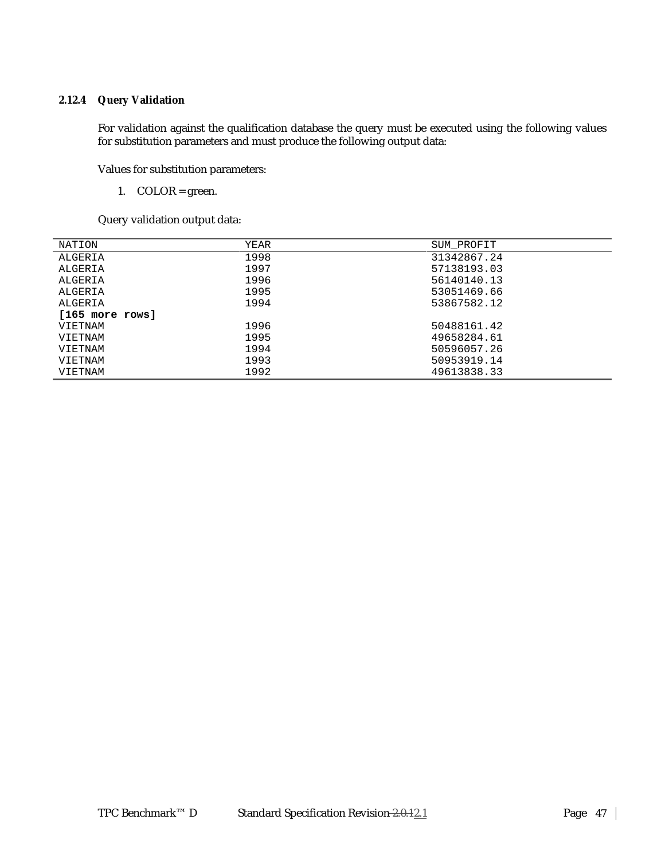## **2.12.4 Query Validation**

For validation against the qualification database the query must be executed using the following values for substitution parameters and must produce the following output data:

Values for substitution parameters:

1. COLOR = green.

| NATION            | YEAR | SUM PROFIT  |
|-------------------|------|-------------|
| ALGERIA           | 1998 | 31342867.24 |
| ALGERIA           | 1997 | 57138193.03 |
| ALGERIA           | 1996 | 56140140.13 |
| ALGERIA           | 1995 | 53051469.66 |
| ALGERIA           | 1994 | 53867582.12 |
| $[165$ more rows] |      |             |
| VIETNAM           | 1996 | 50488161.42 |
| VIETNAM           | 1995 | 49658284.61 |
| VIETNAM           | 1994 | 50596057.26 |
| VIETNAM           | 1993 | 50953919.14 |
| VIETNAM           | 1992 | 49613838.33 |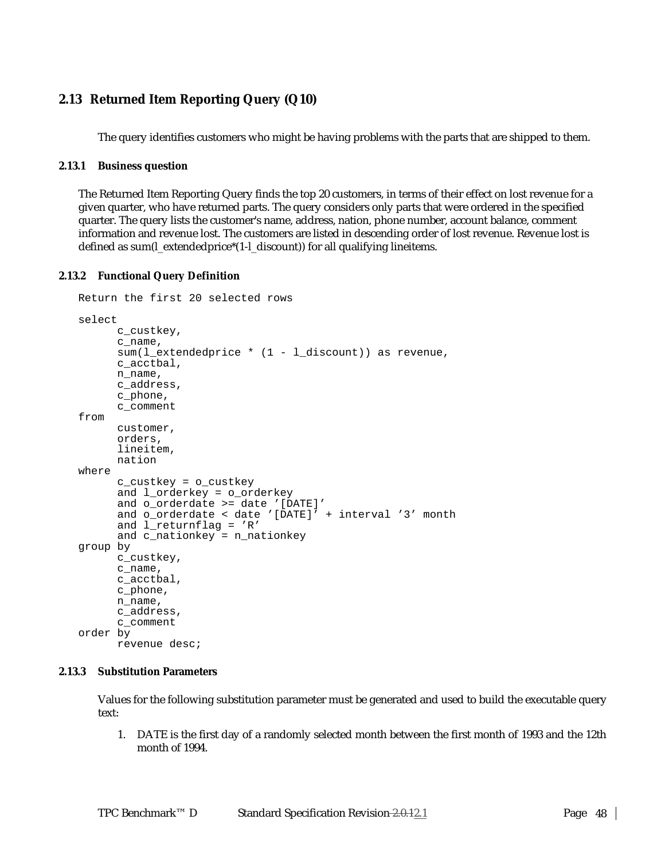# **2.13 Returned Item Reporting Query (Q10)**

The query identifies customers who might be having problems with the parts that are shipped to them.

#### **2.13.1 Business question**

The Returned Item Reporting Query finds the top 20 customers, in terms of their effect on lost revenue for a given quarter, who have returned parts. The query considers only parts that were ordered in the specified quarter. The query lists the customer's name, address, nation, phone number, account balance, comment information and revenue lost. The customers are listed in descending order of lost revenue. Revenue lost is defined as sum(l\_extendedprice\*(1-l\_discount)) for all qualifying lineitems.

### **2.13.2 Functional Query Definition**

```
Return the first 20 selected rows
select
      c_custkey,
      c_name,
      sum(1 extendedprice * (1 - l discount)) as revenue,
      c_acctbal,
      n_name,
      c_address,
      c_phone,
      c_comment
from
      customer,
      orders,
      lineitem,
     nation
where
      c_custkey = o_custkey
      and l_orderkey = o_orderkey
      and o orderdate >= date '[DATE]'
      and o_orderdate < date '[DATE]' + interval '3' month
      and l_returnflag = 'R'
      and c_nationkey = n_nationkey
group by
      c_custkey,
      c_name,
      c_acctbal,
      c_phone,
      n_name,
      c_address,
      c_comment
order by
      revenue desc;
```
#### **2.13.3 Substitution Parameters**

Values for the following substitution parameter must be generated and used to build the executable query text:

1. DATE is the first day of a randomly selected month between the first month of 1993 and the 12th month of 1994.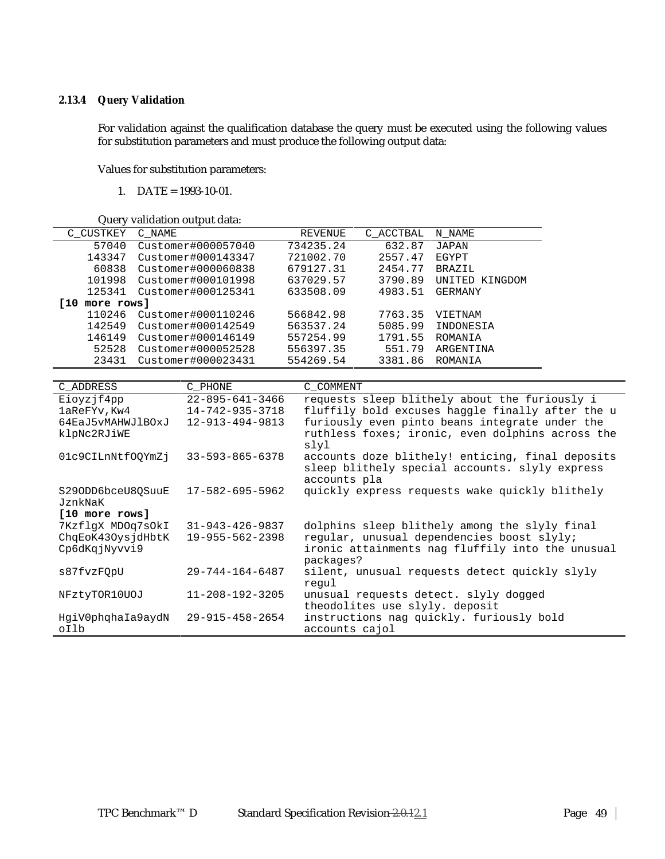## **2.13.4 Query Validation**

For validation against the qualification database the query must be executed using the following values for substitution parameters and must produce the following output data:

Values for substitution parameters:

1.  $DATA = 1993-10-01$ .

| C CUSTKEY          | C NAME             | REVENUE   | C ACCTBAL | N NAME            |
|--------------------|--------------------|-----------|-----------|-------------------|
| 57040              | Customer#000057040 | 734235.24 | 632.87    | <b>JAPAN</b>      |
| 143347             | Customer#000143347 | 721002.70 | 2557.47   | EGYPT             |
| 60838              | Customer#000060838 | 679127.31 | 2454.77   | <b>BRAZIL</b>     |
| 101998             | Customer#000101998 | 637029.57 | 3790.89   | UNITED<br>KINGDOM |
| 125341             | Customer#000125341 | 633508.09 | 4983.51   | GERMANY           |
| more rows]<br>T 10 |                    |           |           |                   |
| 110246             | Customer#000110246 | 566842.98 | 7763.35   | VIETNAM           |
| 142549             | Customer#000142549 | 563537.24 | 5085.99   | INDONESIA         |
| 146149             | Customer#000146149 | 557254.99 | 1791.55   | ROMANIA           |
| 52528              | Customer#000052528 | 556397.35 | 551.79    | ARGENTINA         |
| 23431              | Customer#000023431 | 554269.54 | 3381.86   | ROMANIA           |

| C ADDRESS         | C PHONE                 | C COMMENT                                                      |
|-------------------|-------------------------|----------------------------------------------------------------|
| Eioyzjf4pp        | $22 - 895 - 641 - 3466$ | requests sleep blithely about the furiously i                  |
| laReFYv, Kw4      | 14-742-935-3718         | fluffily bold excuses haggle finally after the u               |
| 64EaJ5vMAHWJ1BOxJ | $12 - 913 - 494 - 9813$ | furiously even pinto beans integrate under the                 |
| klpNc2RJiWE       |                         | ruthless foxes; ironic, even dolphins across the<br>slyl       |
| 01c9CILnNtf00YmZj | $33 - 593 - 865 - 6378$ | accounts doze blithely! enticing, final deposits               |
|                   |                         | sleep blithely special accounts. slyly express<br>accounts pla |
| S290DD6bceU80SuuE | 17-582-695-5962         | quickly express requests wake quickly blithely                 |
| JznkNaK           |                         |                                                                |
| [10 more rows]    |                         |                                                                |
| 7KzflgX MDOg7sOkI | $31 - 943 - 426 - 9837$ | dolphins sleep blithely among the slyly final                  |
| ChqEoK430ysjdHbtK | $19 - 955 - 562 - 2398$ | regular, unusual dependencies boost slyly;                     |
| Cp6dKqjNyvvi9     |                         | ironic attainments nag fluffily into the unusual<br>packages?  |
| s87fvzF0pU        | $29 - 744 - 164 - 6487$ | silent, unusual requests detect quickly slyly<br>regul         |
| NFztyTOR10UOJ     | $11 - 208 - 192 - 3205$ | unusual requests detect. slyly dogged                          |
|                   |                         | theodolites use slyly. deposit                                 |
| HgiV0phqhaIa9aydN | $29 - 915 - 458 - 2654$ | instructions nag quickly. furiously bold                       |
| oIlb              |                         | accounts cajol                                                 |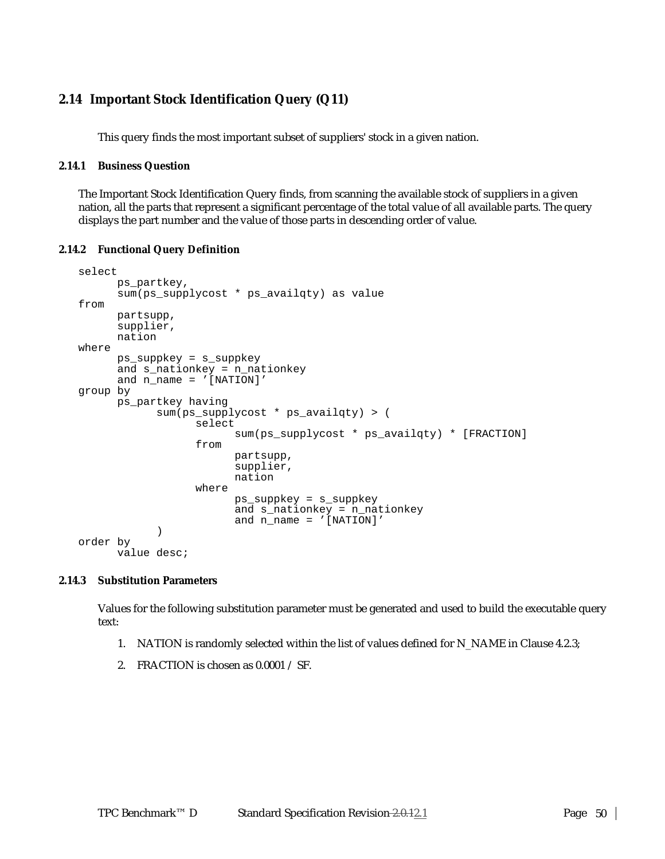# **2.14 Important Stock Identification Query (Q11)**

This query finds the most important subset of suppliers' stock in a given nation.

### **2.14.1 Business Question**

The Important Stock Identification Query finds, from scanning the available stock of suppliers in a given nation, all the parts that represent a significant percentage of the total value of all available parts. The query displays the part number and the value of those parts in descending order of value.

## **2.14.2 Functional Query Definition**

```
select
      ps_partkey,
      sum(ps_supplycost * ps_availqty) as value
from
      partsupp,
      supplier,
      nation
where
      ps_suppkey = s_suppkey
      and s_nationkey = n_nationkey
      and n<sup>n</sup> name = \sqrt{NATION}group by
      ps_partkey having
            sum(ps_supplycost * ps_availqty) > (
                   select
                         sum(ps_supplycost * ps_availqty) * [FRACTION]
                   from
                         partsupp,
                         supplier,
                         nation
                   where
                         ps_suppkey = s_suppkey
                         and s_nationkey = n_nationkey
                         and n name = '[NATION]')
order by
      value desc;
```
#### **2.14.3 Substitution Parameters**

Values for the following substitution parameter must be generated and used to build the executable query text:

- 1. NATION is randomly selected within the list of values defined for N\_NAME in Clause 4.2.3;
- 2. FRACTION is chosen as 0.0001 / SF.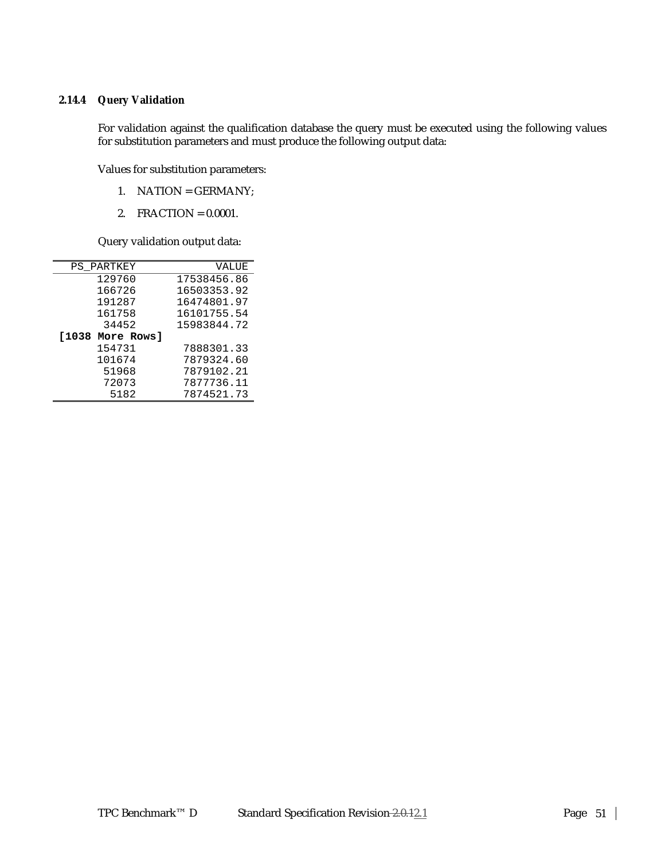## **2.14.4 Query Validation**

For validation against the qualification database the query must be executed using the following values for substitution parameters and must produce the following output data:

Values for substitution parameters:

- 1. NATION = GERMANY;
- 2. FRACTION = 0.0001.

| PS PARTKEY           | VALUE       |
|----------------------|-------------|
| 129760               | 17538456.86 |
| 166726               | 16503353.92 |
| 191287               | 16474801.97 |
| 161758               | 16101755.54 |
| 34452                | 15983844.72 |
| More Rows]<br>I 1038 |             |
| 154731               | 7888301.33  |
| 101674               | 7879324.60  |
| 51968                | 7879102.21  |
| 72073                | 7877736.11  |
| 5182                 | 7874521.73  |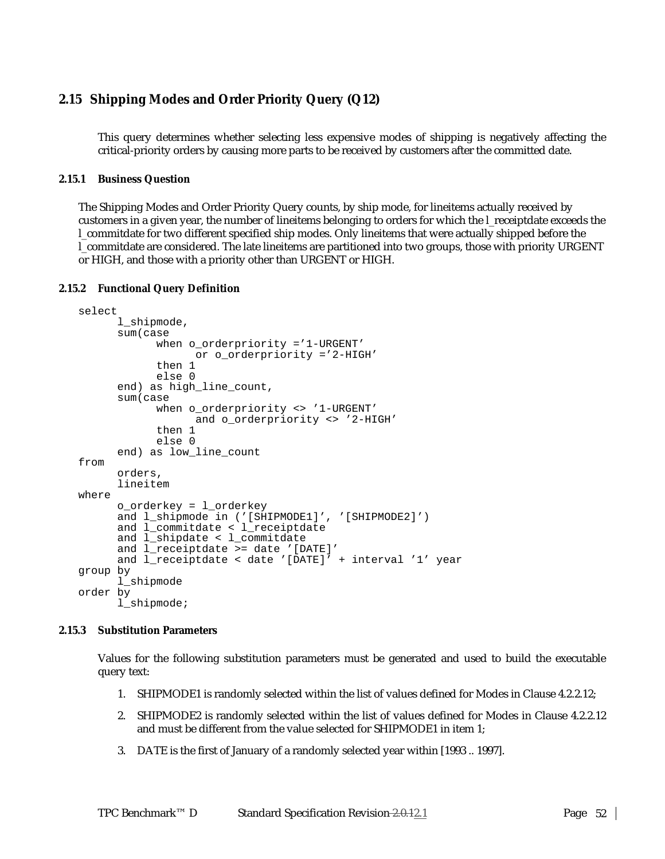# **2.15 Shipping Modes and Order Priority Query (Q12)**

This query determines whether selecting less expensive modes of shipping is negatively affecting the critical-priority orders by causing more parts to be received by customers after the committed date.

#### **2.15.1 Business Question**

The Shipping Modes and Order Priority Query counts, by ship mode, for lineitems actually received by customers in a given year, the number of lineitems belonging to orders for which the l\_receiptdate exceeds the l\_commitdate for two different specified ship modes. Only lineitems that were actually shipped before the l\_commitdate are considered. The late lineitems are partitioned into two groups, those with priority URGENT or HIGH, and those with a priority other than URGENT or HIGH.

### **2.15.2 Functional Query Definition**

```
select
      l_shipmode,
      sum(case
            when o orderpriority ='1-URGENT'
                  or o_orderpriority ='2-HIGH'
            then 1
            else 0
      end) as high_line_count,
      sum(case
            when o_orderpriority <> '1-URGENT'
                  and o orderpriority <> '2-HIGH'
            then 1
            else 0
      end) as low_line_count
from
      orders,
      lineitem
where
      o_orderkey = l_orderkey
      and l_shipmode in ('[SHIPMODE1]', '[SHIPMODE2]')
      and l_commitdate < l_receiptdate
      and l_shipdate < l_commitdate
      and l_receiptdate >= date '[DATE]'
      and l_receiptdate < date '[DATE]' + interval '1' year
group by
      l_shipmode
order by
      l_shipmode;
```
#### **2.15.3 Substitution Parameters**

Values for the following substitution parameters must be generated and used to build the executable query text:

- 1. SHIPMODE1 is randomly selected within the list of values defined for Modes in Clause 4.2.2.12;
- 2. SHIPMODE2 is randomly selected within the list of values defined for Modes in Clause 4.2.2.12 and must be different from the value selected for SHIPMODE1 in item 1;
- 3. DATE is the first of January of a randomly selected year within [1993 .. 1997].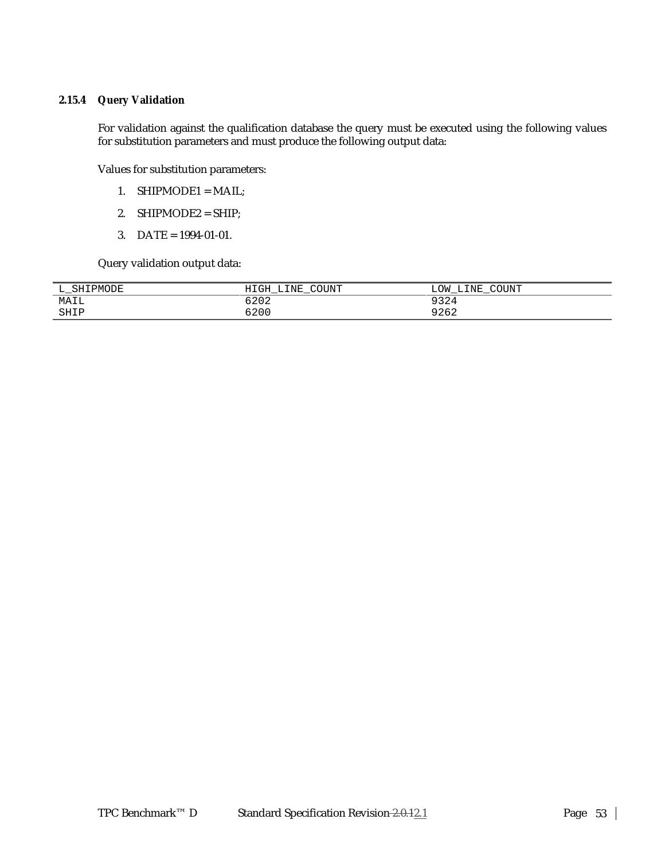## **2.15.4 Query Validation**

For validation against the qualification database the query must be executed using the following values for substitution parameters and must produce the following output data:

Values for substitution parameters:

- 1. SHIPMODE1 = MAIL;
- 2. SHIPMODE2 = SHIP;
- 3.  $DATA = 1994-01-01$ .

| -             | ΝF<br>TNTT<br>ЗF<br>ᅲ<br>◡      | TNT<br>∩™<br><b>NH</b><br>_   |
|---------------|---------------------------------|-------------------------------|
| MATT          | $\sim$ $\sim$ $\sim$<br>ے ت ک ب | ົາ ົ<br>24د -                 |
| -----<br>SHIP | $\sim$ $\sim$ $\sim$            | $\Omega$<br>' 4 0 4<br>$\sim$ |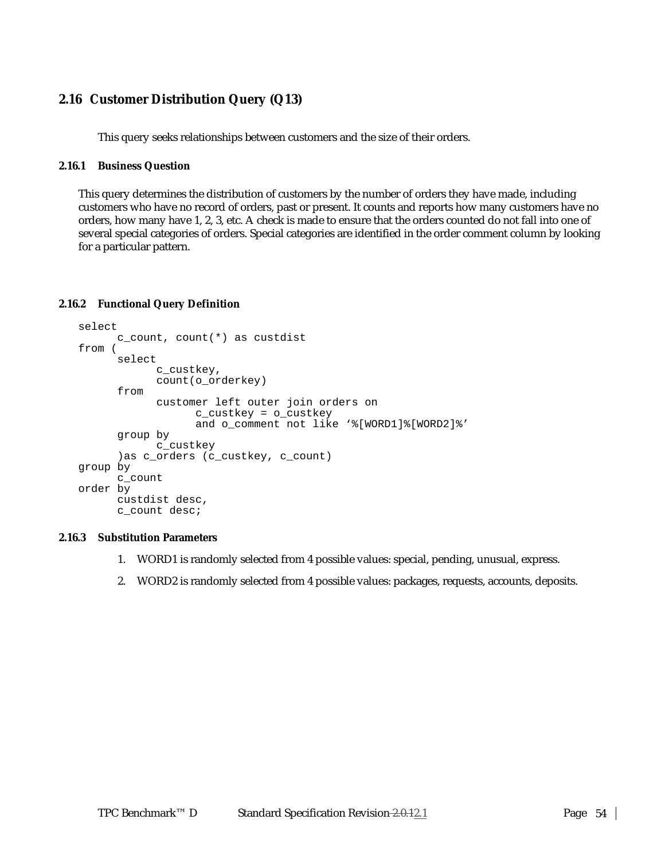# **2.16 Customer Distribution Query (Q13)**

This query seeks relationships between customers and the size of their orders.

### **2.16.1 Business Question**

This query determines the distribution of customers by the number of orders they have made, including customers who have no record of orders, past or present. It counts and reports how many customers have no orders, how many have 1, 2, 3, etc. A check is made to ensure that the orders counted do not fall into one of several special categories of orders. Special categories are identified in the order comment column by looking for a particular pattern.

### **2.16.2 Functional Query Definition**

```
select
      c_count, count(*) as custdist
from (
      select
            c_custkey,
            count(o_orderkey)
      from
            customer left outer join orders on
                  c_custkey = o_custkey
                  and o_comment not like '%[WORD1]%[WORD2]%'
      group by
            c_custkey
      )as c_orders (c_custkey, c_count)
group by
      c_count
order by
      custdist desc,
      c_count desc;
```
#### **2.16.3 Substitution Parameters**

- 1. WORD1 is randomly selected from 4 possible values: special, pending, unusual, express.
- 2. WORD2 is randomly selected from 4 possible values: packages, requests, accounts, deposits.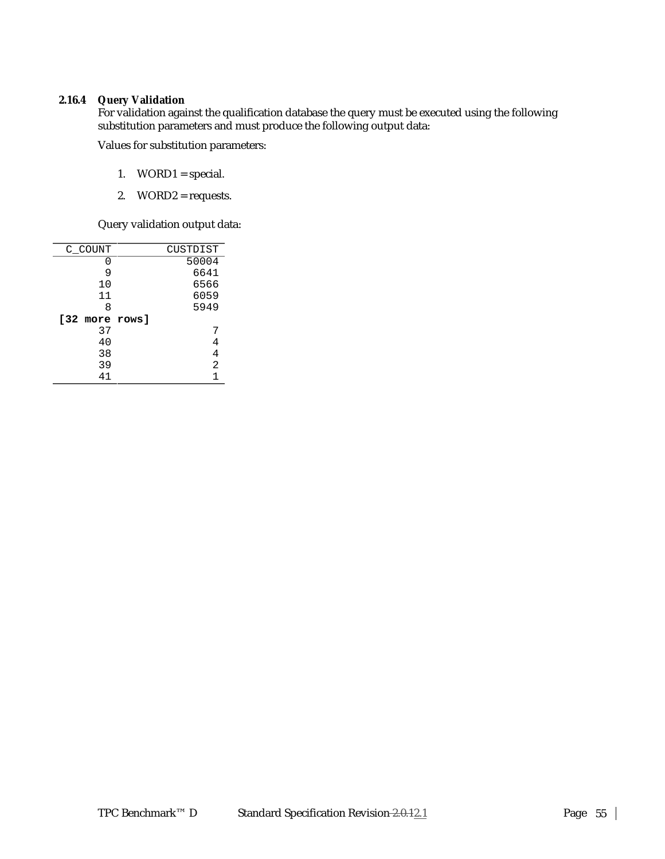## **2.16.4 Query Validation**

For validation against the qualification database the query must be executed using the following substitution parameters and must produce the following output data:

Values for substitution parameters:

- 1. WORD1 = special.
- 2. WORD2 = requests.

| C COUNT        | CUSTDIST |
|----------------|----------|
| O              | 50004    |
| 9              | 6641     |
| 10             | 6566     |
| 11             | 6059     |
| 8              | 5949     |
| [32 more rows] |          |
| 37             | 7        |
| 40             |          |
| 38             | 4        |
| 39             | 2        |
| 41             |          |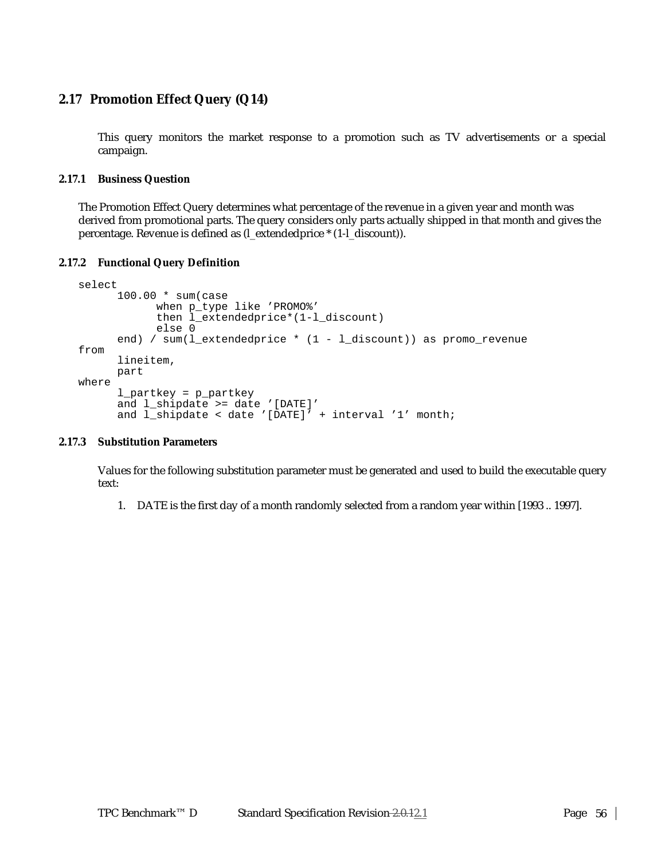## **2.17 Promotion Effect Query (Q14)**

This query monitors the market response to a promotion such as TV advertisements or a special campaign.

### **2.17.1 Business Question**

The Promotion Effect Query determines what percentage of the revenue in a given year and month was derived from promotional parts. The query considers only parts actually shipped in that month and gives the percentage. Revenue is defined as (l\_extendedprice \* (1-l\_discount)).

## **2.17.2 Functional Query Definition**

```
select
      100.00 * sum(case
            when p type like 'PROMO%'
            then l_extendedprice*(1-l_discount)
            else 0
      end) / sum(l_extendedprice * (1 - l_discount)) as promo_revenue
from
      lineitem,
      part
where
      l_partkey = p_partkey
      and l_shipdate >= date '[DATE]'
      and l shipdate < date '[DATE]' + interval '1' month;
```
## **2.17.3 Substitution Parameters**

Values for the following substitution parameter must be generated and used to build the executable query text:

1. DATE is the first day of a month randomly selected from a random year within [1993 .. 1997].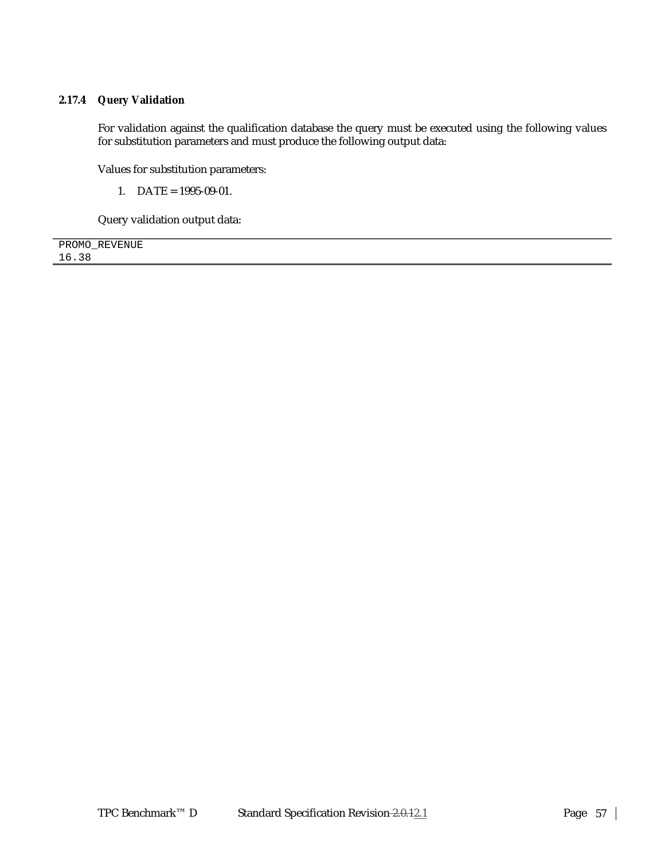## **2.17.4 Query Validation**

For validation against the qualification database the query must be executed using the following values for substitution parameters and must produce the following output data:

Values for substitution parameters:

1.  $DATA = 1995-09-01$ .

Query validation output data:

PROMO\_REVENUE 16.38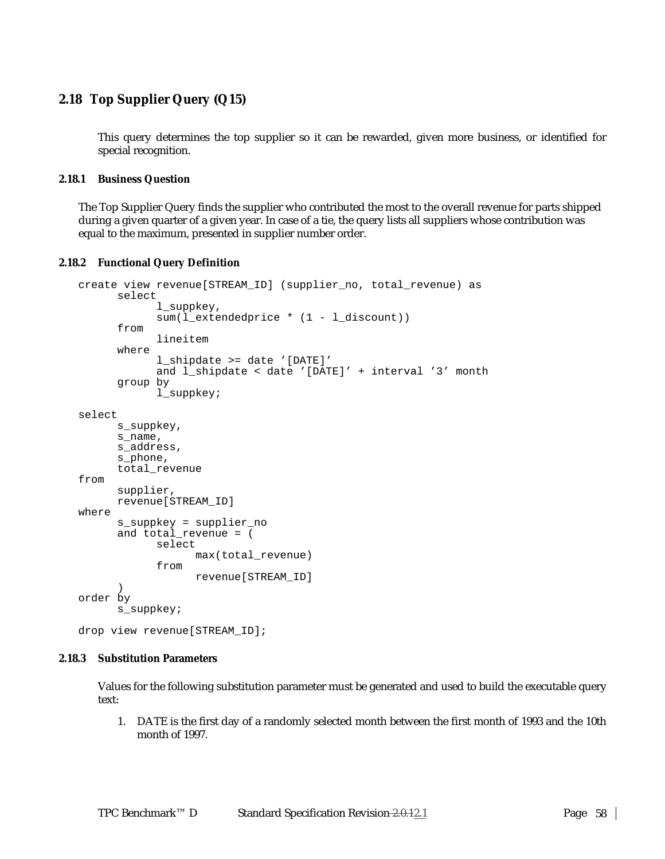# **2.18 Top Supplier Query (Q15)**

This query determines the top supplier so it can be rewarded, given more business, or identified for special recognition.

### **2.18.1 Business Question**

The Top Supplier Query finds the supplier who contributed the most to the overall revenue for parts shipped during a given quarter of a given year. In case of a tie, the query lists all suppliers whose contribution was equal to the maximum, presented in supplier number order.

### **2.18.2 Functional Query Definition**

```
create view revenue[STREAM_ID] (supplier_no, total_revenue) as
      select
            l_suppkey,
            sum(l_extendedprice * (1 - l_discount))
      from
            lineitem
      where
            l_shipdate >= date '[DATE]'
            and l shipdate < date '[DATE]' + interval '3' month
      group by
            l_suppkey;
select
      s_suppkey,
      s_name,
      s_address,
      s_phone,
      total_revenue
from
      supplier,
      revenue[STREAM_ID]
where
      s_suppkey = supplier_no
      and total_revenue = (
            select
                  max(total_revenue)
            from
                  revenue[STREAM_ID]
      )
order by
      s_suppkey;
drop view revenue[STREAM_ID];
```
#### **2.18.3 Substitution Parameters**

Values for the following substitution parameter must be generated and used to build the executable query text:

1. DATE is the first day of a randomly selected month between the first month of 1993 and the 10th month of 1997.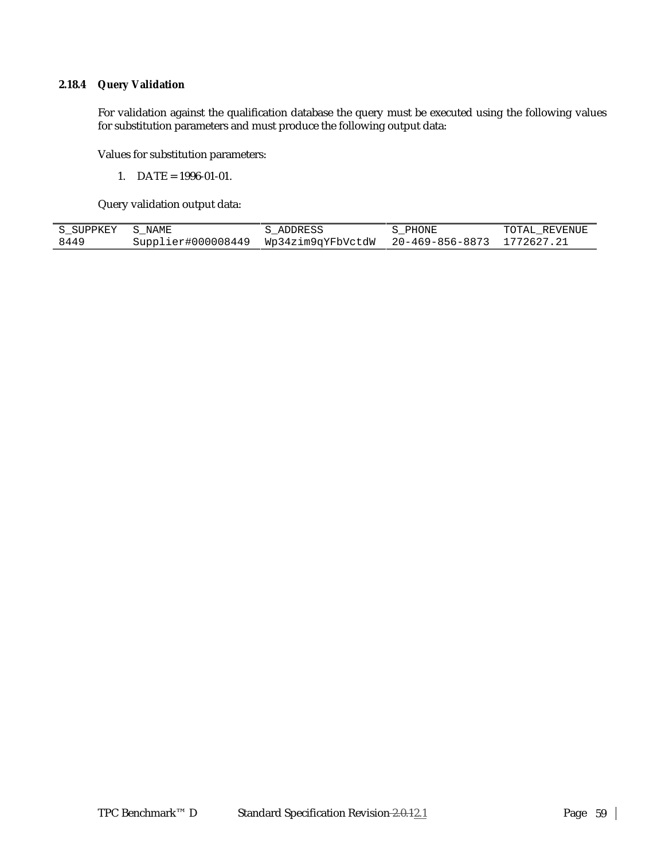## **2.18.4 Query Validation**

For validation against the qualification database the query must be executed using the following values for substitution parameters and must produce the following output data:

Values for substitution parameters:

1.  $DATA = 1996-01-01$ .

| S SUPPKEY S NAME | S ADDRESS | S PHONE | TOTAL REVENUE |
|------------------|-----------|---------|---------------|
| 8449             |           |         |               |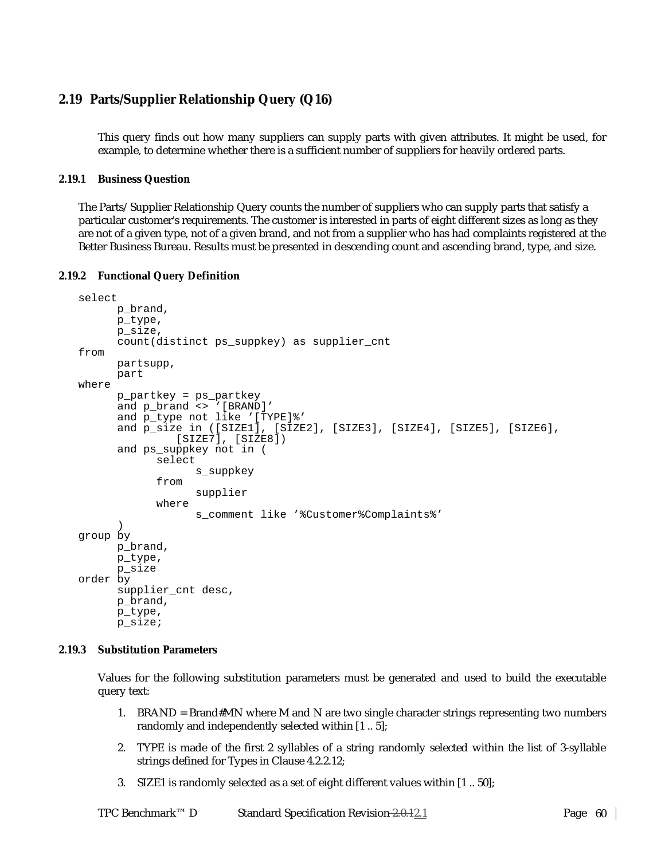# **2.19 Parts/Supplier Relationship Query (Q16)**

This query finds out how many suppliers can supply parts with given attributes. It might be used, for example, to determine whether there is a sufficient number of suppliers for heavily ordered parts.

#### **2.19.1 Business Question**

The Parts/Supplier Relationship Query counts the number of suppliers who can supply parts that satisfy a particular customer's requirements. The customer is interested in parts of eight different sizes as long as they are not of a given type, not of a given brand, and not from a supplier who has had complaints registered at the Better Business Bureau. Results must be presented in descending count and ascending brand, type, and size.

### **2.19.2 Functional Query Definition**

```
select
      p_brand,
      p_type,
      p_size,
      count(distinct ps_suppkey) as supplier_cnt
from
      partsupp,
      part
where
      p_partkey = ps_partkey
      and p_brand <> '[BRAND]'
      and p_type not like '[TYPE]%'
      and p_size in ([SIZE1], [SIZE2], [SIZE3], [SIZE4], [SIZE5], [SIZE6],
               [SIZE7], [SIZE8])
      and ps_suppkey not in (
            select
                  s_suppkey
            from
                  supplier
            where
                  s_comment like '%Customer%Complaints%'
      )
group by
      p_brand,
      p_type,
      p_size
order by
      supplier cnt desc,
      p_brand,
      p_type,
      p_size;
```
#### **2.19.3 Substitution Parameters**

Values for the following substitution parameters must be generated and used to build the executable query text:

- 1. BRAND = Brand#MN where M and N are two single character strings representing two numbers randomly and independently selected within [1 .. 5];
- 2. TYPE is made of the first 2 syllables of a string randomly selected within the list of 3-syllable strings defined for Types in Clause 4.2.2.12;
- 3. SIZE1 is randomly selected as a set of eight different values within [1 .. 50];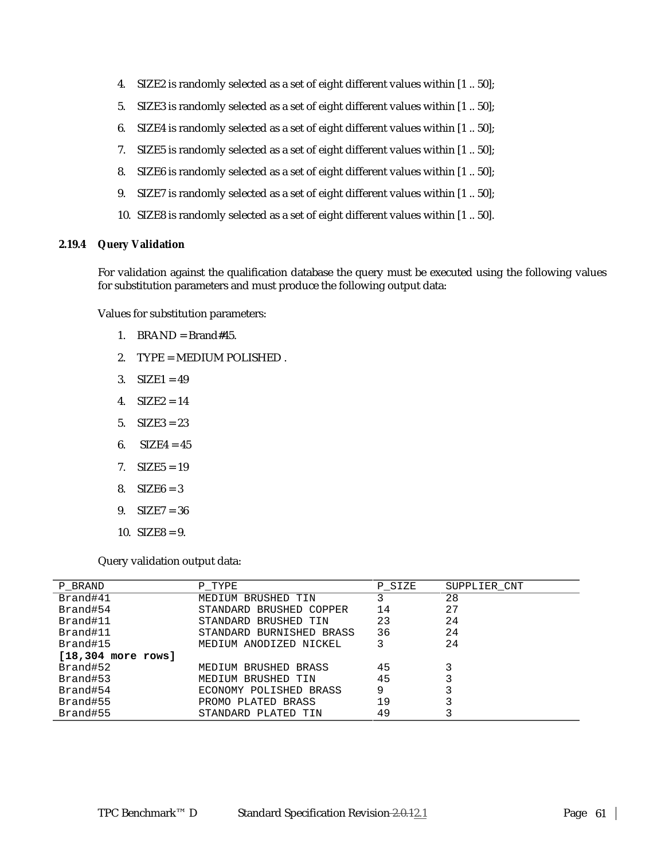- 4. SIZE2 is randomly selected as a set of eight different values within [1 .. 50];
- 5. SIZE3 is randomly selected as a set of eight different values within [1 .. 50];
- 6. SIZE4 is randomly selected as a set of eight different values within [1 .. 50];
- 7. SIZE5 is randomly selected as a set of eight different values within [1 .. 50];
- 8. SIZE6 is randomly selected as a set of eight different values within [1 .. 50];
- 9. SIZE7 is randomly selected as a set of eight different values within [1 .. 50];
- 10. SIZE8 is randomly selected as a set of eight different values within [1 .. 50].

## **2.19.4 Query Validation**

For validation against the qualification database the query must be executed using the following values for substitution parameters and must produce the following output data:

Values for substitution parameters:

- 1.  $BRAND = Brand#45$ .
- 2. TYPE = MEDIUM POLISHED .
- 3.  $SIZE1 = 49$
- 4.  $SIZE2 = 14$
- 5.  $SIZE3 = 23$
- 6.  $SIZE4 = 45$
- 7.  $SIZE5 = 19$
- 8.  $SIZE6 = 3$
- 9.  $SIZE7 = 36$
- 10.  $SIZE8 = 9$ .

| P BRAND               | P TYPE                   | P SIZE | SUPPLIER CNT |
|-----------------------|--------------------------|--------|--------------|
| Brand#41              | MEDIUM BRUSHED TIN       |        | 28           |
| Brand#54              | STANDARD BRUSHED COPPER  | 14     | 27           |
| Brand#11              | STANDARD BRUSHED TIN     | 23     | 24           |
| Brand#11              | STANDARD BURNISHED BRASS | 36     | 24           |
| Brand#15              | MEDIUM ANODIZED NICKEL   | 3      | 24           |
| $[18, 304$ more rows] |                          |        |              |
| Brand#52              | MEDIUM BRUSHED BRASS     | 45     |              |
| Brand#53              | MEDIUM BRUSHED TIN       | 45     |              |
| Brand#54              | ECONOMY POLISHED BRASS   | 9      |              |
| Brand#55              | PROMO PLATED BRASS       | 19     |              |
| Brand#55              | STANDARD PLATED TIN      | 49     |              |
|                       |                          |        |              |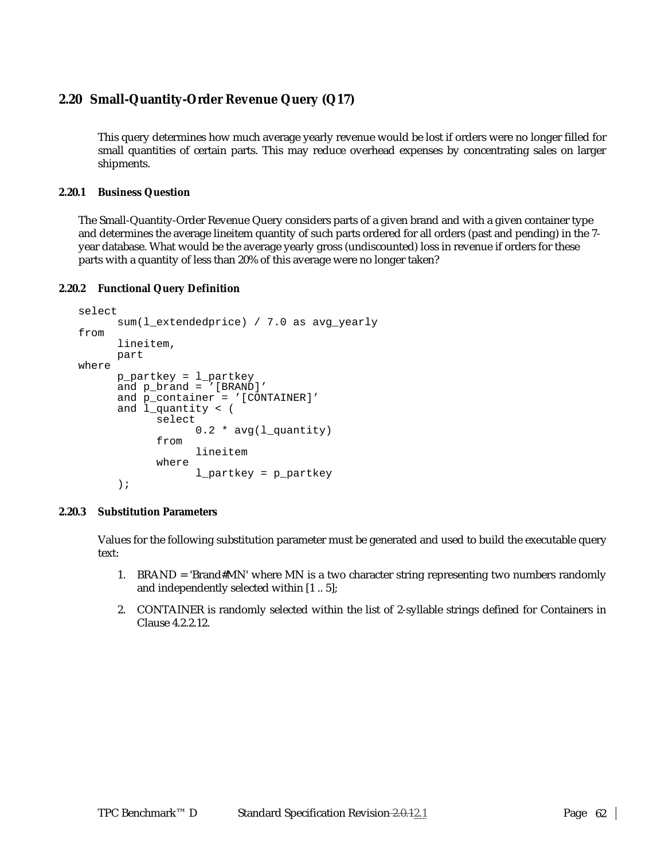# **2.20 Small-Quantity-Order Revenue Query (Q17)**

This query determines how much average yearly revenue would be lost if orders were no longer filled for small quantities of certain parts. This may reduce overhead expenses by concentrating sales on larger shipments.

## **2.20.1 Business Question**

The Small-Quantity-Order Revenue Query considers parts of a given brand and with a given container type and determines the average lineitem quantity of such parts ordered for all orders (past and pending) in the 7 year database. What would be the average yearly gross (undiscounted) loss in revenue if orders for these parts with a quantity of less than 20% of this average were no longer taken?

### **2.20.2 Functional Query Definition**

```
select
      sum(l_extendedprice) / 7.0 as avg_yearly
from
      lineitem,
      part
where
      p_partkey = l_partkey
      and p\_brand = ' [BRAND]'and p container = '[CONTAINER]'
      and l_quantity < (
            select
                  0.2 * avg(1_quantity)from
                  lineitem
            where
                  l_partkey = p_partkey
      );
```
## **2.20.3 Substitution Parameters**

Values for the following substitution parameter must be generated and used to build the executable query text:

- 1. BRAND = 'Brand#MN' where MN is a two character string representing two numbers randomly and independently selected within [1 .. 5];
- 2. CONTAINER is randomly selected within the list of 2-syllable strings defined for Containers in Clause 4.2.2.12.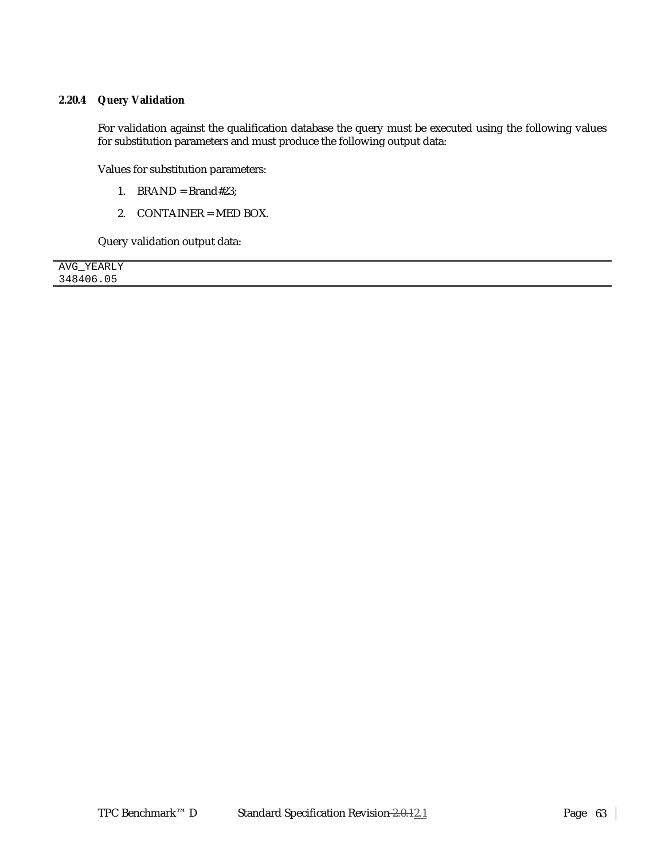## **2.20.4 Query Validation**

For validation against the qualification database the query must be executed using the following values for substitution parameters and must produce the following output data:

Values for substitution parameters:

- 1.  $BRAND = Brand#23;$
- 2. CONTAINER = MED BOX.

Query validation output data:

AVG\_YEARLY 348406.05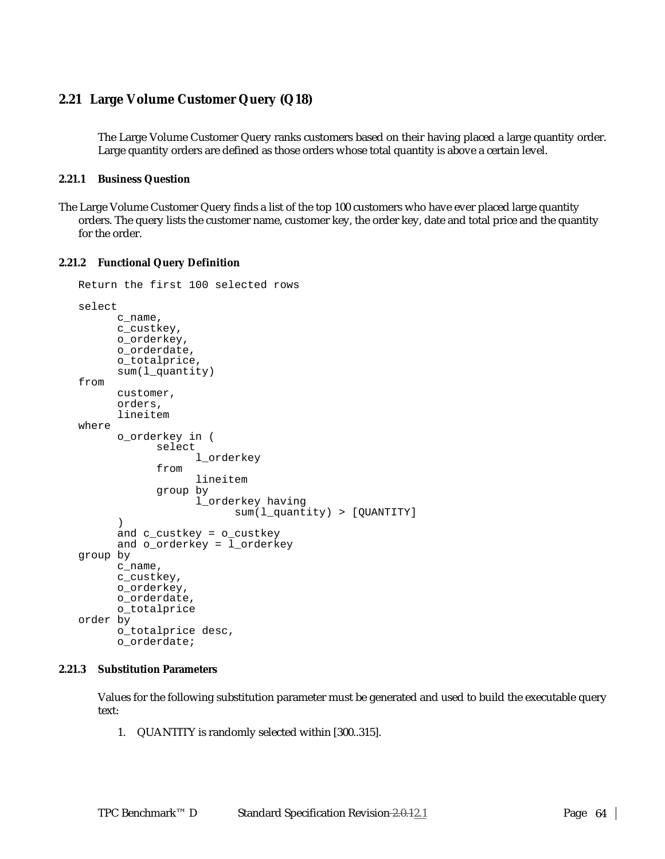## **2.21 Large Volume Customer Query (Q18)**

The Large Volume Customer Query ranks customers based on their having placed a large quantity order. Large quantity orders are defined as those orders whose total quantity is above a certain level.

#### **2.21.1 Business Question**

The Large Volume Customer Query finds a list of the top 100 customers who have ever placed large quantity orders. The query lists the customer name, customer key, the order key, date and total price and the quantity for the order.

### **2.21.2 Functional Query Definition**

```
Return the first 100 selected rows
select
      c_name,
      c_custkey,
      o_orderkey,
      o_orderdate,
      o_totalprice,
      sum(1 quantity)
from
      customer,
      orders,
      lineitem
where
      o_orderkey in (
            select
                   l_orderkey
            from
                  lineitem
            group by
                  l_orderkey having
                        sum(l_quantity) > [QUANTITY]
      )
      and c_custkey = o_custkey
      and o orderkey = 1 orderkey
group by
      c_name,
      c_custkey,
      o_orderkey,
      o_orderdate,
      o_totalprice
order by
      o_totalprice desc,
      o_orderdate;
```
## **2.21.3 Substitution Parameters**

Values for the following substitution parameter must be generated and used to build the executable query text:

1. QUANTITY is randomly selected within [300..315].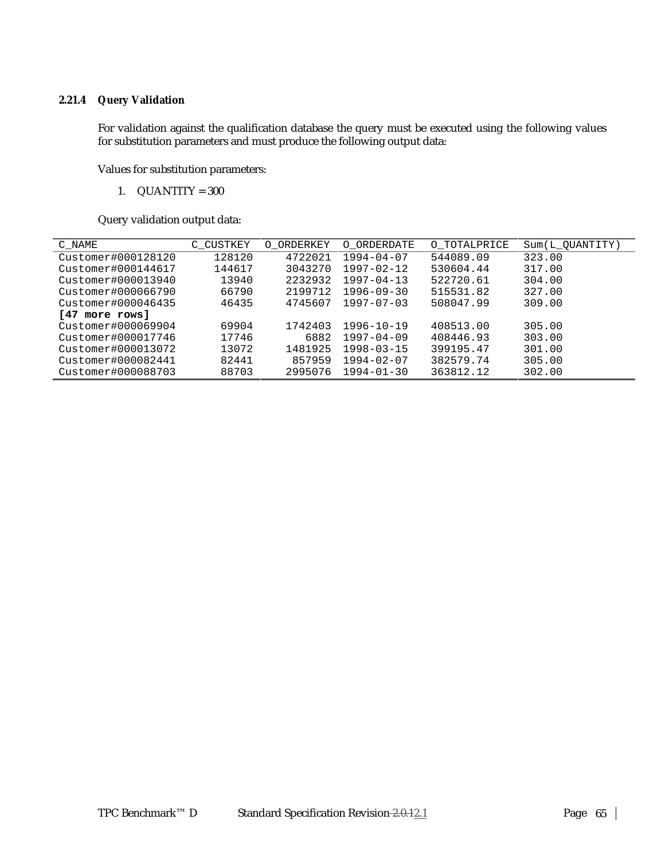## **2.21.4 Query Validation**

For validation against the qualification database the query must be executed using the following values for substitution parameters and must produce the following output data:

Values for substitution parameters:

1.  $QUANTITY = 300$ 

| C NAME             | C CUSTKEY | O ORDERKEY | O ORDERDATE      | O TOTALPRICE | Sum(L OUANTITY) |
|--------------------|-----------|------------|------------------|--------------|-----------------|
| Customer#000128120 | 128120    | 4722021    | $1994 - 04 - 07$ | 544089.09    | 323.00          |
| Customer#000144617 | 144617    | 3043270    | $1997 - 02 - 12$ | 530604.44    | 317.00          |
| Customer#000013940 | 13940     | 2232932    | $1997 - 04 - 13$ | 522720.61    | 304.00          |
| Customer#000066790 | 66790     | 2199712    | $1996 - 09 - 30$ | 515531.82    | 327.00          |
| Customer#000046435 | 46435     | 4745607    | $1997 - 07 - 03$ | 508047.99    | 309.00          |
| [47 more rows]     |           |            |                  |              |                 |
| Customer#000069904 | 69904     | 1742403    | $1996 - 10 - 19$ | 408513.00    | 305.00          |
| Customer#000017746 | 17746     | 6882       | $1997 - 04 - 09$ | 408446.93    | 303.00          |
| Customer#000013072 | 13072     | 1481925    | $1998 - 03 - 15$ | 399195.47    | 301.00          |
| Customer#000082441 | 82441     | 857959     | $1994 - 02 - 07$ | 382579.74    | 305.00          |
| Customer#000088703 | 88703     | 2995076    | $1994 - 01 - 30$ | 363812.12    | 302.00          |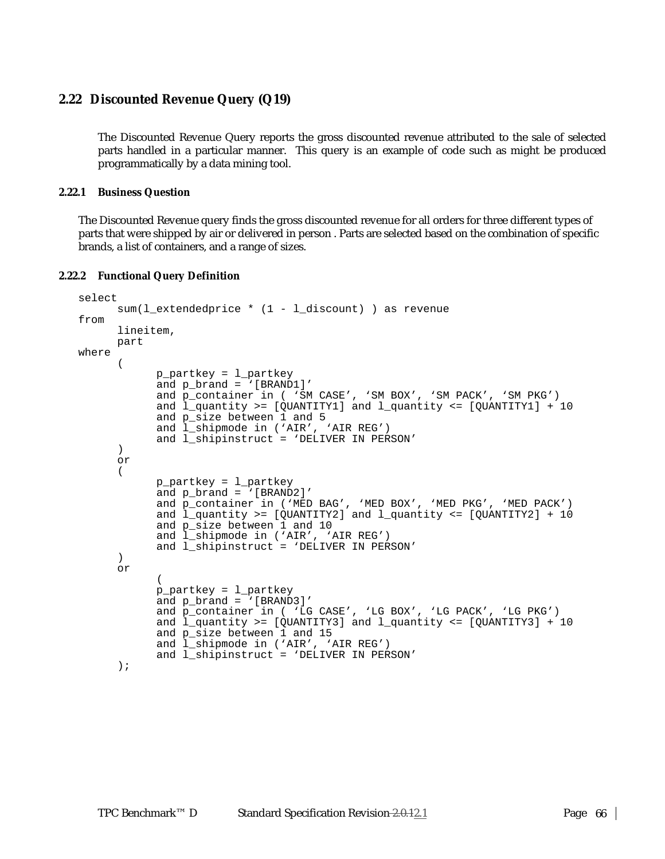## **2.22 Discounted Revenue Query (Q19)**

The Discounted Revenue Query reports the gross discounted revenue attributed to the sale of selected parts handled in a particular manner. This query is an example of code such as might be produced programmatically by a data mining tool.

### **2.22.1 Business Question**

The Discounted Revenue query finds the gross discounted revenue for all orders for three different types of parts that were shipped by air or delivered in person . Parts are selected based on the combination of specific brands, a list of containers, and a range of sizes.

### **2.22.2 Functional Query Definition**

```
select
      sum(l_extendedprice * (1 - l_discount) ) as revenue
from
      lineitem,
      part
where
      (
            p_partkey = l_partkey
            and p_brand = '[BRAND1]'
            and p_container in ( 'SM CASE', 'SM BOX', 'SM PACK', 'SM PKG')
            and l_quantity >= [QUANTITY1] and l_quantity <= [QUANTITY1] + 10
            and p_size between 1 and 5
            and l_shipmode in ('AIR', 'AIR REG')
            and l_shipinstruct = 'DELIVER IN PERSON'
      )
      or
      (
            p_partkey = l_partkey
            and p brand = '[BRAND2]'and p_container in ('MED BAG', 'MED BOX', 'MED PKG', 'MED PACK')
            and l_quantity >= [QUANTITY2] and l_quantity <= [QUANTITY2] + 10
            and p_size between 1 and 10
            and l_shipmode in ('AIR', 'AIR REG')
            and 1 shipinstruct = 'DELIVER IN PERSON'
      )
      or
            (
            p_partkey = l_partkey
            and p brand = '[BRAND3]'and p_container in ( 'LG CASE', 'LG BOX', 'LG PACK', 'LG PKG')
            and 1 quantity >= [QUANTITY3] and 1 quantity <= [QUANTITY3] + 10
            and p_size between 1 and 15
            and l_shipmode in ('AIR', 'AIR REG')
            and l_shipinstruct = 'DELIVER IN PERSON'
      );
```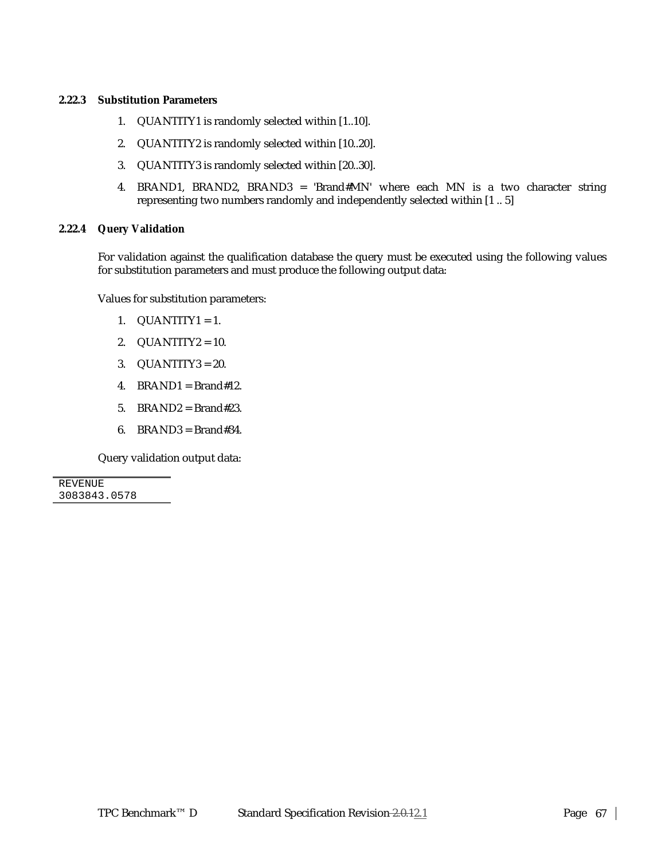#### **2.22.3 Substitution Parameters**

- 1. QUANTITY1 is randomly selected within [1..10].
- 2. QUANTITY2 is randomly selected within [10..20].
- 3. QUANTITY3 is randomly selected within [20..30].
- 4. BRAND1, BRAND2, BRAND3 = 'Brand#MN' where each MN is a two character string representing two numbers randomly and independently selected within [1 .. 5]

#### **2.22.4 Query Validation**

For validation against the qualification database the query must be executed using the following values for substitution parameters and must produce the following output data:

Values for substitution parameters:

- 1.  $QUANTITY1 = 1$ .
- 2. QUANTITY2 = 10.
- 3. QUANTITY3 = 20.
- 4.  $BRAND1 = Brand#12$ .
- 5.  $BRAND2 = Brand#23$ .
- 6. BRAND3 = Brand#34.

Query validation output data:

REVENUE 3083843.0578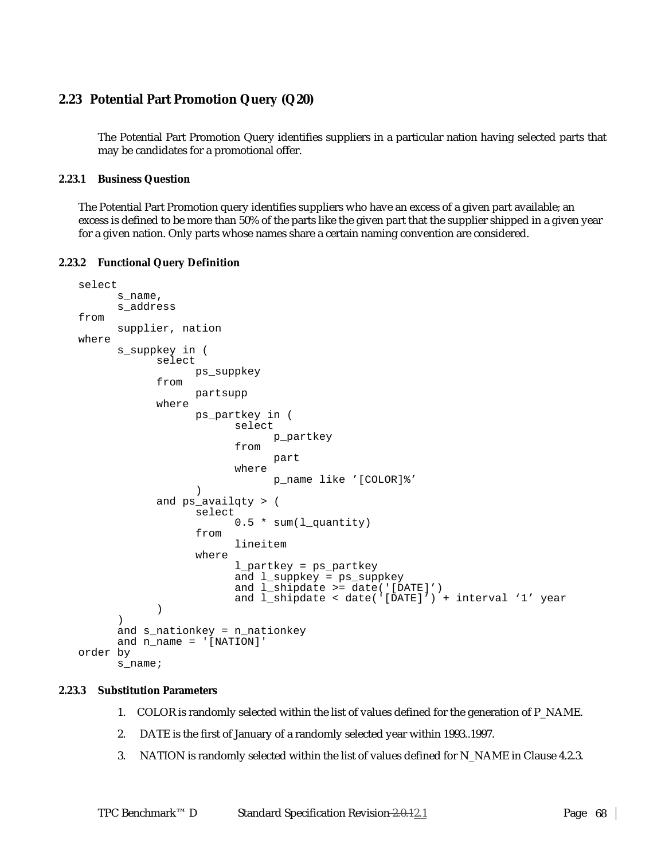## **2.23 Potential Part Promotion Query (Q20)**

The Potential Part Promotion Query identifies suppliers in a particular nation having selected parts that may be candidates for a promotional offer.

#### **2.23.1 Business Question**

The Potential Part Promotion query identifies suppliers who have an excess of a given part available; an excess is defined to be more than 50% of the parts like the given part that the supplier shipped in a given year for a given nation. Only parts whose names share a certain naming convention are considered.

## **2.23.2 Functional Query Definition**

```
select
      s_name,
      s_address
from
      supplier, nation
where
      s_suppkey in (
            select
                   ps_suppkey
            from
                   partsupp
            where
                  ps_partkey in (
                         select
                               p_partkey
                         from
                               part
                         where
                               p_name like '[COLOR]%'
                   )
            and ps_availqty > (
                   select
                         0.5 * sum(l_quantity)
                   from
                         lineitem
                   where
                         l_partkey = ps_partkey
                         and l_suppkey = ps_suppkey
                         and l_shipdate >= date('[DATE]')
                         and l shipdate < date('[DATE]') + interval '1' year
            )
      )
      and s_nationkey = n_nationkey
      and n name = '[NATION]'
order by
      s_name;
```
### **2.23.3 Substitution Parameters**

- 1. COLOR is randomly selected within the list of values defined for the generation of P\_NAME.
- 2. DATE is the first of January of a randomly selected year within 1993..1997.
- 3. NATION is randomly selected within the list of values defined for N\_NAME in Clause 4.2.3.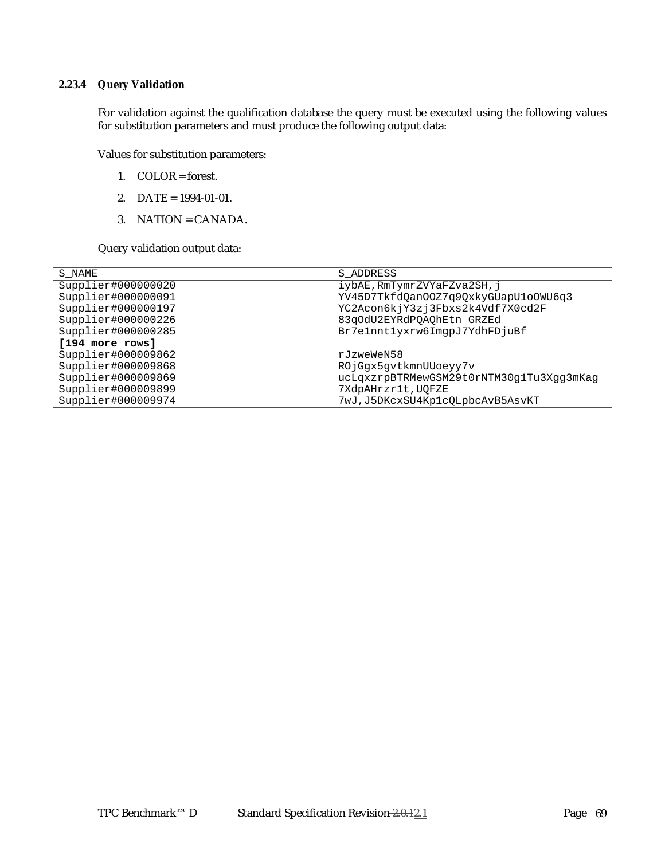## **2.23.4 Query Validation**

For validation against the qualification database the query must be executed using the following values for substitution parameters and must produce the following output data:

Values for substitution parameters:

- 1. COLOR = forest.
- 2. DATE = 1994-01-01.
- 3. NATION = CANADA.

| S NAME             | S ADDRESS                                |
|--------------------|------------------------------------------|
| Supplier#000000020 | iybAE, RmTymrZVYaFZva2SH, j              |
| Supplier#000000091 | YV45D7TkfdQan00Z7q9QxkyGUapU1o0WU6q3     |
| Supplier#000000197 | YC2Acon6kjY3zj3Fbxs2k4Vdf7X0cd2F         |
| Supplier#000000226 | 83qOdU2EYRdPQAQhEtn GRZEd                |
| Supplier#000000285 | Br7e1nnt1yxrw6ImgpJ7YdhFDjuBf            |
| [194 more rows]    |                                          |
| Supplier#000009862 | rJzweWeN58                               |
| Supplier#000009868 | ROjGgx5gvtkmnUUoeyy7v                    |
| Supplier#000009869 | ucLqxzrpBTRMewGSM29t0rNTM30g1Tu3Xgg3mKag |
| Supplier#000009899 | 7XdpAHrzr1t, UOFZE                       |
| Supplier#000009974 | 7wJ, J5DKcxSU4Kp1cQLpbcAvB5AsvKT         |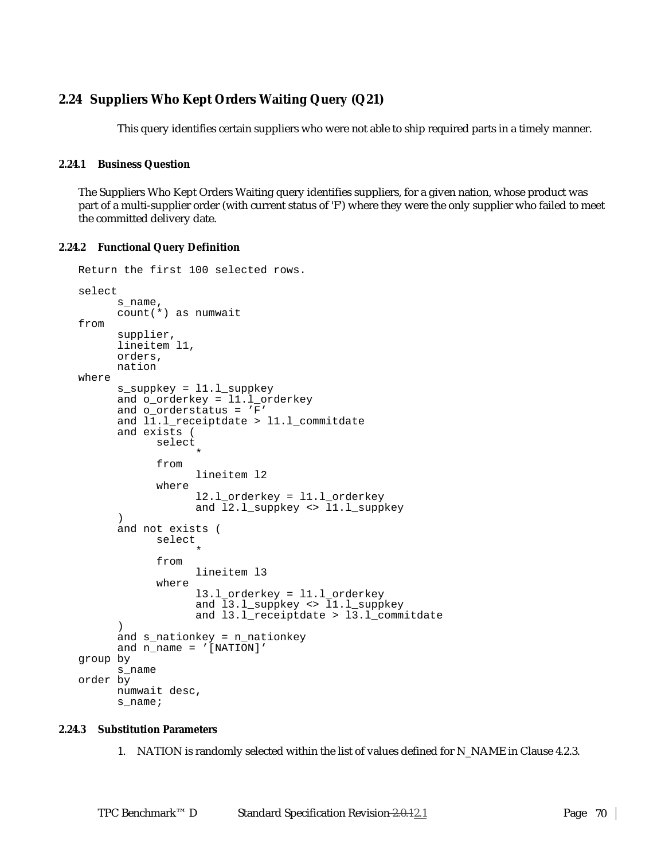## **2.24 Suppliers Who Kept Orders Waiting Query (Q21)**

This query identifies certain suppliers who were not able to ship required parts in a timely manner.

#### **2.24.1 Business Question**

The Suppliers Who Kept Orders Waiting query identifies suppliers, for a given nation, whose product was part of a multi-supplier order (with current status of 'F') where they were the only supplier who failed to meet the committed delivery date.

#### **2.24.2 Functional Query Definition**

```
Return the first 100 selected rows.
select
      s_name,
      count(*) as numwait
from
      supplier,
      lineitem l1,
      orders,
      nation
where
      s_suppkey = l1.l_suppkey
      and o_orderkey = l1.l_orderkey
      and o_orderstatus = '\overline{F}'
      and l1.l_receiptdate > l1.l_commitdate
      and exists (
             select
                    *
             from
                   lineitem l2
             where
                   l2.l_orderkey = l1.l_orderkey
                   and \overline{1}2.1_suppkey <> \overline{1}1.1_suppkey
      )
      and not exists (
             select*
             from
                   lineitem l3
             where
                   l3.l_orderkey = l1.l_orderkey
                   and 13.1_suppkey <> 11.1_suppkey
                   and 13.1 receiptdate > 13.1 commitdate
      )
      and s_nationkey = n_nationkey
      and n_name = '[NATION]'
group by
      s_name
order by
      numwait desc,
      s name;
```
#### **2.24.3 Substitution Parameters**

1. NATION is randomly selected within the list of values defined for N\_NAME in Clause 4.2.3.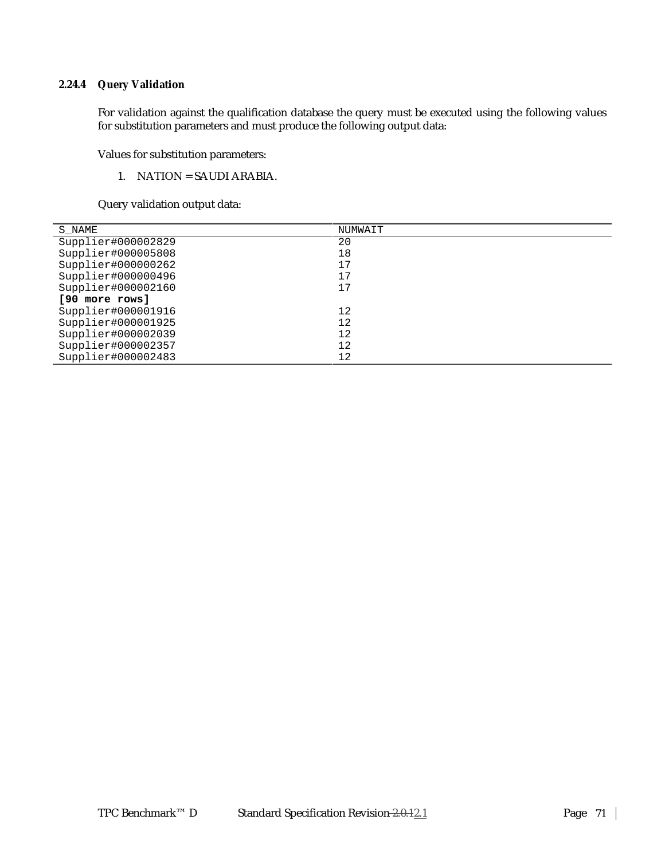## **2.24.4 Query Validation**

For validation against the qualification database the query must be executed using the following values for substitution parameters and must produce the following output data:

Values for substitution parameters:

1. NATION = SAUDI ARABIA.

| S NAME             | NUMWAIT |
|--------------------|---------|
| Supplier#000002829 | 20      |
| Supplier#000005808 | 18      |
| Supplier#000000262 | 17      |
| Supplier#000000496 | 17      |
| Supplier#000002160 | 17      |
| [90 more rows]     |         |
| Supplier#000001916 | 12      |
| Supplier#000001925 | 12      |
| Supplier#000002039 | 12      |
| Supplier#000002357 | 12      |
| Supplier#000002483 | 12      |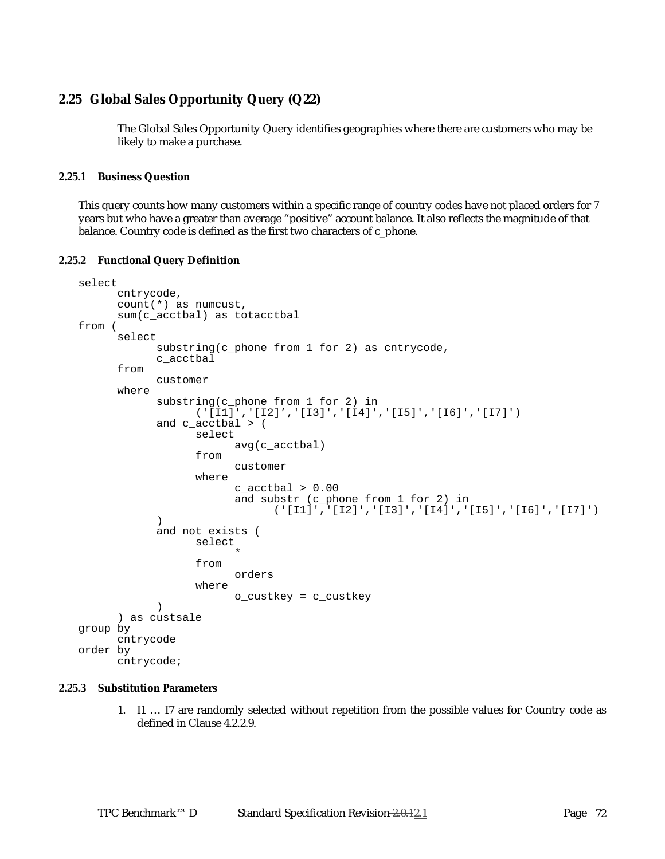## **2.25 Global Sales Opportunity Query (Q22)**

The Global Sales Opportunity Query identifies geographies where there are customers who may be likely to make a purchase.

#### **2.25.1 Business Question**

This query counts how many customers within a specific range of country codes have not placed orders for 7 years but who have a greater than average "positive" account balance. It also reflects the magnitude of that balance. Country code is defined as the first two characters of c\_phone.

#### **2.25.2 Functional Query Definition**

```
select
      cntrycode,
      count(*) as numcust,
      sum(c_acctbal) as totacctbal
from (
      select
            substring(c_phone from 1 for 2) as cntrycode,
            c_acctbal
      from
            customer
      where
            substring(c_phone from 1 for 2) in
                   ('[I1]','[I2]','[I3]','[I4]','[I5]','[I6]','[I7]')
            and c_acctbal > (
                   select
                         avg(c_acctbal)
                  from
                         customer
                   where
                         c_acctbal > 0.00and substr (c_phone from 1 for 2) in
                               ('[I1]','[I2]','[I3]','[I4]','[I5]','[I6]','[I7]')
            )
            and not exists (
                   select*
                   from
                         orders
                   where
                         o_custkey = c_custkey
            \lambda) as custsale
group by
      cntrycode
order by
      cntrycode;
```
#### **2.25.3 Substitution Parameters**

1. I1 … I7 are randomly selected without repetition from the possible values for Country code as defined in Clause 4.2.2.9.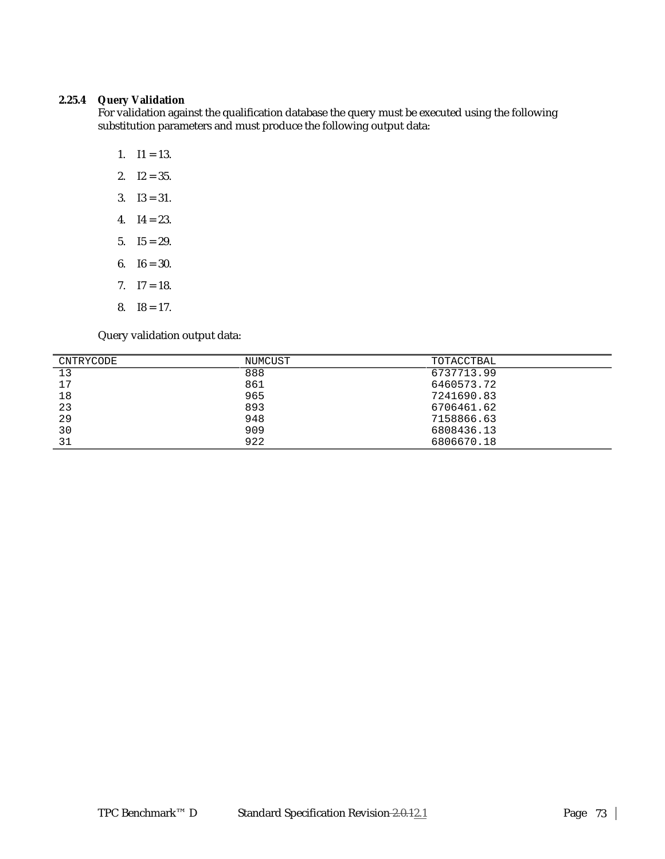## **2.25.4 Query Validation**

For validation against the qualification database the query must be executed using the following substitution parameters and must produce the following output data:

- 1.  $I1 = 13$ .
- 2.  $I2 = 35$ .
- 3.  $I3 = 31$ .
- 4.  $I4 = 23$ .
- 5.  $I5 = 29$ .
- 6.  $I6 = 30$ .
- 7.  $I7 = 18$ .
- 8.  $I8 = 17$ .

Query validation output data:

| CNTRYCODE | NUMCUST | TOTACCTBAL |  |
|-----------|---------|------------|--|
| 13        | 888     | 6737713.99 |  |
| 17        | 861     | 6460573.72 |  |
| 18        | 965     | 7241690.83 |  |
| 23        | 893     | 6706461.62 |  |
| 29        | 948     | 7158866.63 |  |
| 30        | 909     | 6808436.13 |  |
| 31        | 922     | 6806670.18 |  |
|           |         |            |  |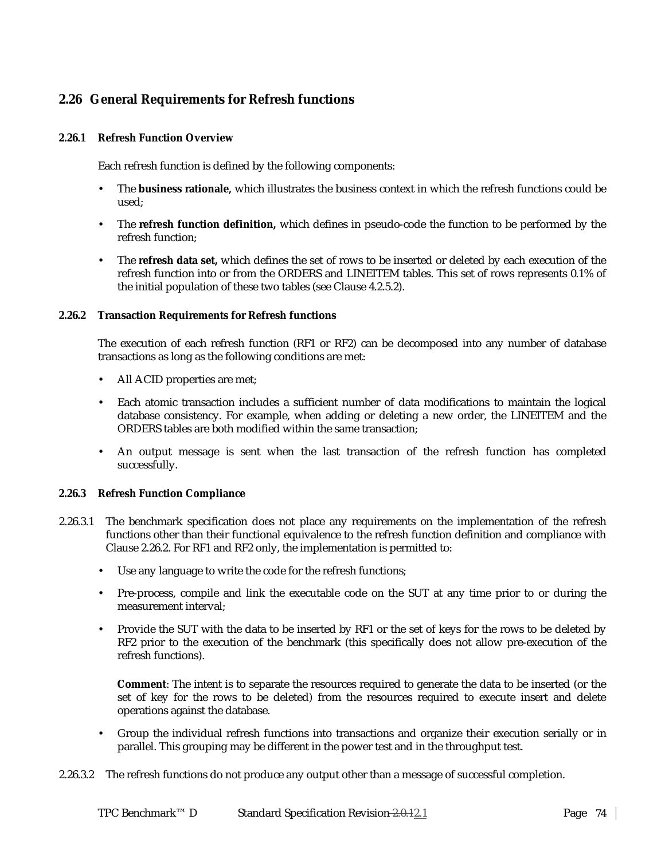# **2.26 General Requirements for Refresh functions**

## **2.26.1 Refresh Function Overview**

Each refresh function is defined by the following components:

- The **business rationale,** which illustrates the business context in which the refresh functions could be used;
- The **refresh function definition,** which defines in pseudo-code the function to be performed by the refresh function;
- The **refresh data set,** which defines the set of rows to be inserted or deleted by each execution of the refresh function into or from the ORDERS and LINEITEM tables. This set of rows represents 0.1% of the initial population of these two tables (see Clause 4.2.5.2).

## **2.26.2 Transaction Requirements for Refresh functions**

The execution of each refresh function (RF1 or RF2) can be decomposed into any number of database transactions as long as the following conditions are met:

- All ACID properties are met;
- Each atomic transaction includes a sufficient number of data modifications to maintain the logical database consistency. For example, when adding or deleting a new order, the LINEITEM and the ORDERS tables are both modified within the same transaction;
- An output message is sent when the last transaction of the refresh function has completed successfully.

#### **2.26.3 Refresh Function Compliance**

- 2.26.3.1 The benchmark specification does not place any requirements on the implementation of the refresh functions other than their functional equivalence to the refresh function definition and compliance with Clause 2.26.2. For RF1 and RF2 only, the implementation is permitted to:
	- Use any language to write the code for the refresh functions;
	- Pre-process, compile and link the executable code on the SUT at any time prior to or during the measurement interval;
	- Provide the SUT with the data to be inserted by RF1 or the set of keys for the rows to be deleted by RF2 prior to the execution of the benchmark (this specifically does not allow pre-execution of the refresh functions).

**Comment**: The intent is to separate the resources required to generate the data to be inserted (or the set of key for the rows to be deleted) from the resources required to execute insert and delete operations against the database.

• Group the individual refresh functions into transactions and organize their execution serially or in parallel. This grouping may be different in the power test and in the throughput test.

2.26.3.2 The refresh functions do not produce any output other than a message of successful completion.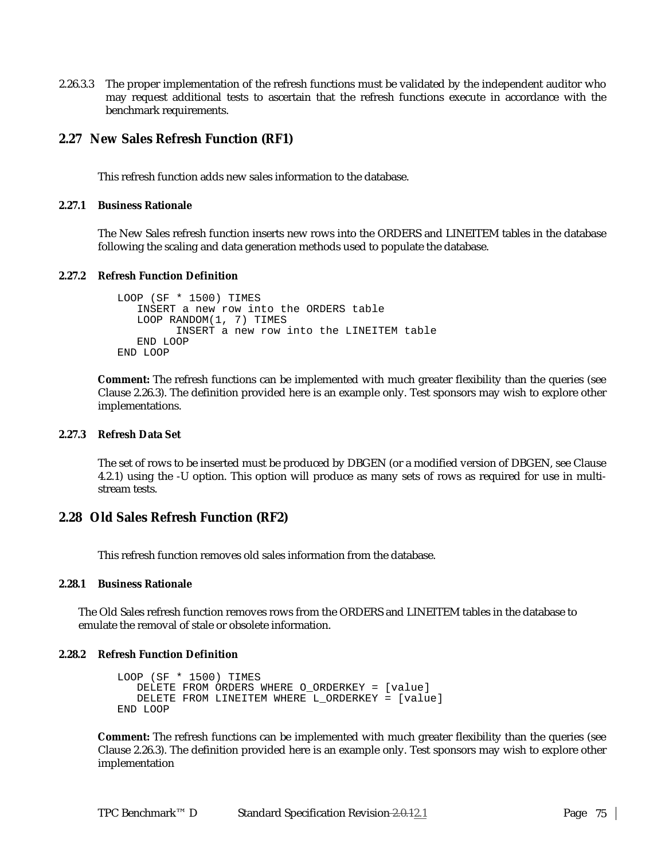2.26.3.3 The proper implementation of the refresh functions must be validated by the independent auditor who may request additional tests to ascertain that the refresh functions execute in accordance with the benchmark requirements.

## **2.27 New Sales Refresh Function (RF1)**

This refresh function adds new sales information to the database.

#### **2.27.1 Business Rationale**

The New Sales refresh function inserts new rows into the ORDERS and LINEITEM tables in the database following the scaling and data generation methods used to populate the database.

#### **2.27.2 Refresh Function Definition**

```
LOOP (SF * 1500) TIMES
   INSERT a new row into the ORDERS table
  LOOP RANDOM(1, 7) TIMES
        INSERT a new row into the LINEITEM table
  END LOOP
END LOOP
```
**Comment:** The refresh functions can be implemented with much greater flexibility than the queries (see Clause 2.26.3). The definition provided here is an example only. Test sponsors may wish to explore other implementations.

## **2.27.3 Refresh Data Set**

The set of rows to be inserted must be produced by DBGEN (or a modified version of DBGEN, see Clause 4.2.1) using the -U option. This option will produce as many sets of rows as required for use in multistream tests.

## **2.28 Old Sales Refresh Function (RF2)**

This refresh function removes old sales information from the database.

## **2.28.1 Business Rationale**

The Old Sales refresh function removes rows from the ORDERS and LINEITEM tables in the database to emulate the removal of stale or obsolete information.

#### **2.28.2 Refresh Function Definition**

```
LOOP (SF * 1500) TIMES
  DELETE FROM ORDERS WHERE O_ORDERKEY = [value]
  DELETE FROM LINEITEM WHERE L ORDERKEY = [value]
END LOOP
```
**Comment:** The refresh functions can be implemented with much greater flexibility than the queries (see Clause 2.26.3). The definition provided here is an example only. Test sponsors may wish to explore other implementation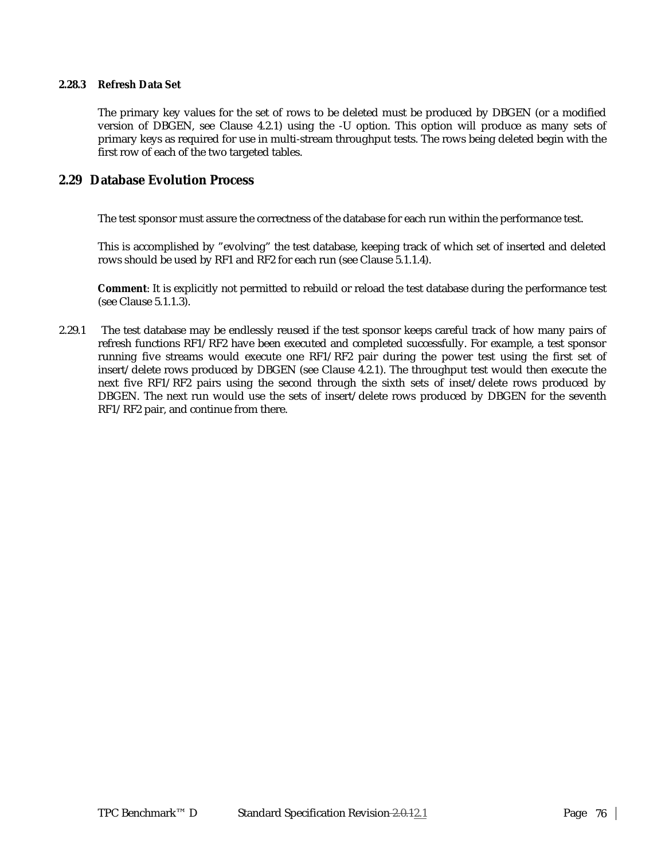## **2.28.3 Refresh Data Set**

The primary key values for the set of rows to be deleted must be produced by DBGEN (or a modified version of DBGEN, see Clause 4.2.1) using the -U option. This option will produce as many sets of primary keys as required for use in multi-stream throughput tests. The rows being deleted begin with the first row of each of the two targeted tables.

## **2.29 Database Evolution Process**

The test sponsor must assure the correctness of the database for each run within the performance test.

This is accomplished by "evolving" the test database, keeping track of which set of inserted and deleted rows should be used by RF1 and RF2 for each run (see Clause 5.1.1.4).

**Comment**: It is explicitly not permitted to rebuild or reload the test database during the performance test (see Clause 5.1.1.3).

2.29.1 The test database may be endlessly reused if the test sponsor keeps careful track of how many pairs of refresh functions RF1/RF2 have been executed and completed successfully. For example, a test sponsor running five streams would execute one RF1/RF2 pair during the power test using the first set of insert/delete rows produced by DBGEN (see Clause 4.2.1). The throughput test would then execute the next five RF1/RF2 pairs using the second through the sixth sets of inset/delete rows produced by DBGEN. The next run would use the sets of insert/delete rows produced by DBGEN for the seventh RF1/RF2 pair, and continue from there.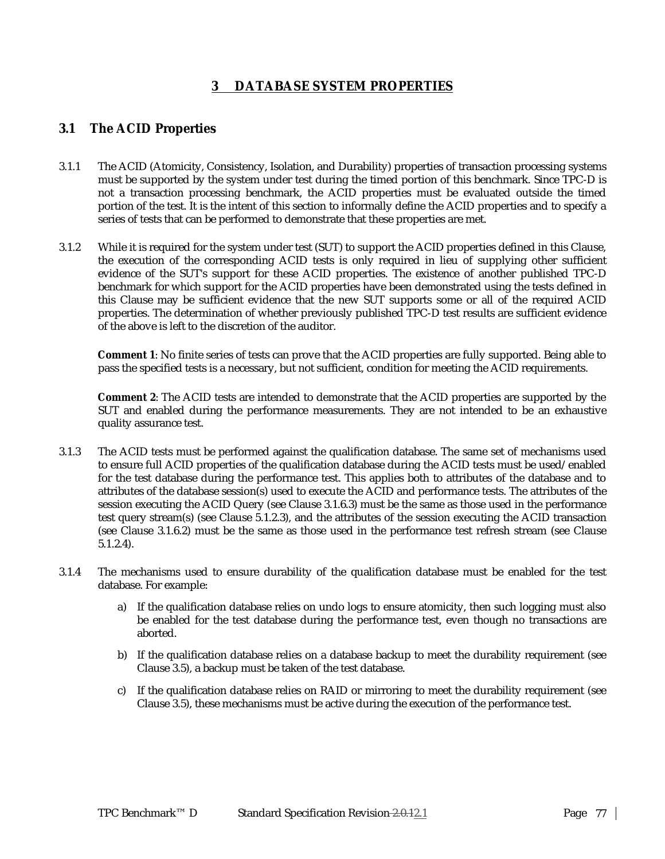# **3 DATABASE SYSTEM PROPERTIES**

# **3.1 The ACID Properties**

- 3.1.1 The ACID (Atomicity, Consistency, Isolation, and Durability) properties of transaction processing systems must be supported by the system under test during the timed portion of this benchmark. Since TPC-D is not a transaction processing benchmark, the ACID properties must be evaluated outside the timed portion of the test. It is the intent of this section to informally define the ACID properties and to specify a series of tests that can be performed to demonstrate that these properties are met.
- 3.1.2 While it is required for the system under test (SUT) to support the ACID properties defined in this Clause, the execution of the corresponding ACID tests is only required in lieu of supplying other sufficient evidence of the SUT's support for these ACID properties. The existence of another published TPC-D benchmark for which support for the ACID properties have been demonstrated using the tests defined in this Clause may be sufficient evidence that the new SUT supports some or all of the required ACID properties. The determination of whether previously published TPC-D test results are sufficient evidence of the above is left to the discretion of the auditor.

**Comment 1**: No finite series of tests can prove that the ACID properties are fully supported. Being able to pass the specified tests is a necessary, but not sufficient, condition for meeting the ACID requirements.

**Comment 2**: The ACID tests are intended to demonstrate that the ACID properties are supported by the SUT and enabled during the performance measurements. They are not intended to be an exhaustive quality assurance test.

- 3.1.3 The ACID tests must be performed against the qualification database. The same set of mechanisms used to ensure full ACID properties of the qualification database during the ACID tests must be used/enabled for the test database during the performance test. This applies both to attributes of the database and to attributes of the database session(s) used to execute the ACID and performance tests. The attributes of the session executing the ACID Query (see Clause 3.1.6.3) must be the same as those used in the performance test query stream(s) (see Clause 5.1.2.3), and the attributes of the session executing the ACID transaction (see Clause 3.1.6.2) must be the same as those used in the performance test refresh stream (see Clause 5.1.2.4).
- 3.1.4 The mechanisms used to ensure durability of the qualification database must be enabled for the test database. For example:
	- a) If the qualification database relies on undo logs to ensure atomicity, then such logging must also be enabled for the test database during the performance test, even though no transactions are aborted.
	- b) If the qualification database relies on a database backup to meet the durability requirement (see Clause 3.5), a backup must be taken of the test database.
	- c) If the qualification database relies on RAID or mirroring to meet the durability requirement (see Clause 3.5), these mechanisms must be active during the execution of the performance test.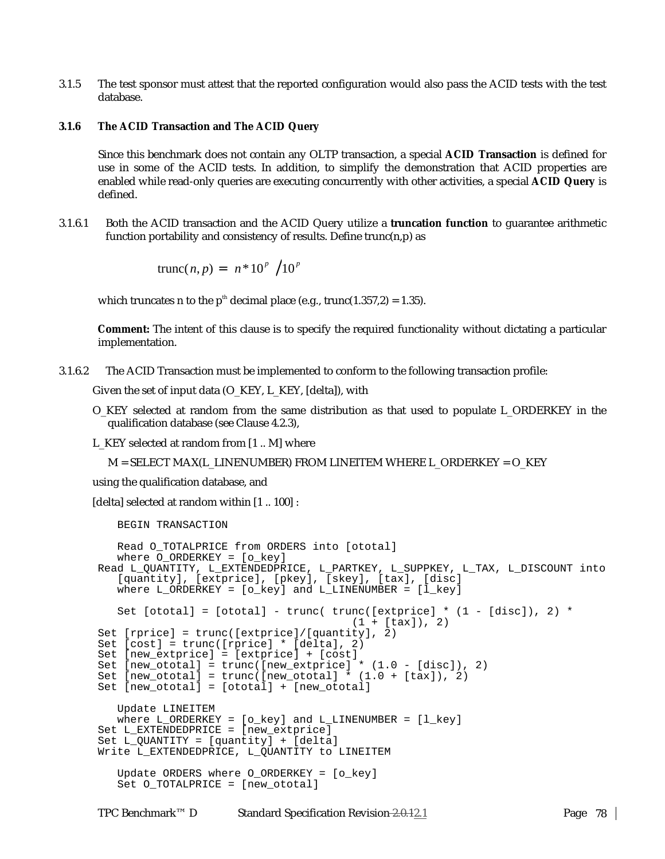3.1.5 The test sponsor must attest that the reported configuration would also pass the ACID tests with the test database.

### **3.1.6 The ACID Transaction and The ACID Query**

Since this benchmark does not contain any OLTP transaction, a special **ACID Transaction** is defined for use in some of the ACID tests. In addition, to simplify the demonstration that ACID properties are enabled while read-only queries are executing concurrently with other activities, a special **ACID Query** is defined.

3.1.6.1 Both the ACID transaction and the ACID Query utilize a **truncation function** to guarantee arithmetic function portability and consistency of results. Define trunc(n,p) as

$$
trunc(n, p) = \left\lfloor n^* 10^p \, \text{J} \right\rfloor 10^p
$$

which truncates n to the p<sup>th</sup> decimal place (e.g., trunc(1.357,2) = 1.35).

**Comment:** The intent of this clause is to specify the required functionality without dictating a particular implementation.

3.1.6.2 The ACID Transaction must be implemented to conform to the following transaction profile:

Given the set of input data (O\_KEY, L\_KEY, [delta]), with

- O\_KEY selected at random from the same distribution as that used to populate L\_ORDERKEY in the qualification database (see Clause 4.2.3),
- L KEY selected at random from [1 .. M] where

 $M =$  SELECT MAX(L\_LINENUMBER) FROM LINEITEM WHERE L\_ORDERKEY = O\_KEY

using the qualification database, and

[delta] selected at random within [1 .. 100] :

```
BEGIN TRANSACTION
```

```
Read O TOTALPRICE from ORDERS into [ototal]
   where O ORDERKEY = [o \text{key}]Read L_QUANTITY, L_EXTENDEDPRICE, L_PARTKEY, L_SUPPKEY, L_TAX, L_DISCOUNT into
   [quantity], [extprice], [pkey], [skey], [tax], [disc]
   where L_ORDERKEY = [o key] and L_LINENUMBER = [1 \text{ key}]Set [ototal] = [ototal] - trunc( trunc([extprice] * (1 - [disc]), 2) *(1 + [tax]), 2)Set [rprice] = trunc([extprice]/[quantity], 2)
Set [cost] = trunc([rprice] * [delta], 2)Set [new_extprice] = [extprice] + [cost]
Set [new\_ototal] = trunc([new\_extprice] * (1.0 - [disc]), 2)Set [new\_ototal] = trunc([new\_ototal] * (1.0 + [tax]), 2)Set [new_ototal] = [ototal] + [new_ototal]
   Update LINEITEM
   where L<sup>ORDERKEY = [o_ke_y] and L<sup>LINENUMBER = [1_ke_y]</sup></sup>
Set L EXTENDEDPRICE = [new extprice]
Set L QUANTITY = [quantity] + [delta]Write L_EXTENDEDPRICE, L_QUANTITY to LINEITEM
   Update ORDERS where O_ORDERKEY = [o\;key]Set O TOTALPRICE = [new ototal]
```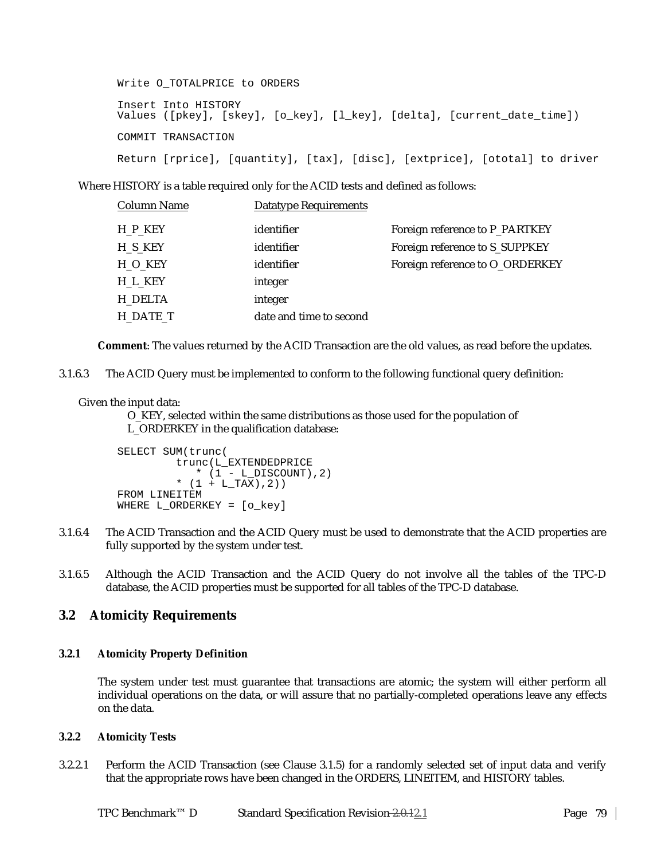```
Write O_TOTALPRICE to ORDERS
Insert Into HISTORY
Values ([pkey], [skey], [o_key], [l_key], [delta], [current_date_time])
COMMIT TRANSACTION
Return [rprice], [quantity], [tax], [disc], [extprice], [ototal] to driver
```
Where HISTORY is a table required only for the ACID tests and defined as follows:

| <b>Column Name</b> | <b>Datatype Requirements</b> |                                 |
|--------------------|------------------------------|---------------------------------|
| H_P_KEY            | identifier                   | Foreign reference to P_PARTKEY  |
| H S KEY            | identifier                   | Foreign reference to S_SUPPKEY  |
| H O KEY            | identifier                   | Foreign reference to O_ORDERKEY |
| <b>H_L_KEY</b>     | integer                      |                                 |
| H DELTA            | integer                      |                                 |
| H DATE T           | date and time to second      |                                 |

**Comment**: The values returned by the ACID Transaction are the old values, as read before the updates.

3.1.6.3 The ACID Query must be implemented to conform to the following functional query definition:

## Given the input data:

O\_KEY, selected within the same distributions as those used for the population of L\_ORDERKEY in the qualification database:

```
SELECT SUM(trunc(
         trunc(L_EXTENDEDPRICE
            * (1 - L DISCOUNT), 2)
         * (1 + L TAX), 2))
FROM LINEITEM
WHERE L_ORDERKEY = [o_key]
```
- 3.1.6.4 The ACID Transaction and the ACID Query must be used to demonstrate that the ACID properties are fully supported by the system under test.
- 3.1.6.5 Although the ACID Transaction and the ACID Query do not involve all the tables of the TPC-D database, the ACID properties must be supported for all tables of the TPC-D database.

## **3.2 Atomicity Requirements**

## **3.2.1 Atomicity Property Definition**

The system under test must guarantee that transactions are atomic; the system will either perform all individual operations on the data, or will assure that no partially-completed operations leave any effects on the data.

## **3.2.2 Atomicity Tests**

3.2.2.1 Perform the ACID Transaction (see Clause 3.1.5) for a randomly selected set of input data and verify that the appropriate rows have been changed in the ORDERS, LINEITEM, and HISTORY tables.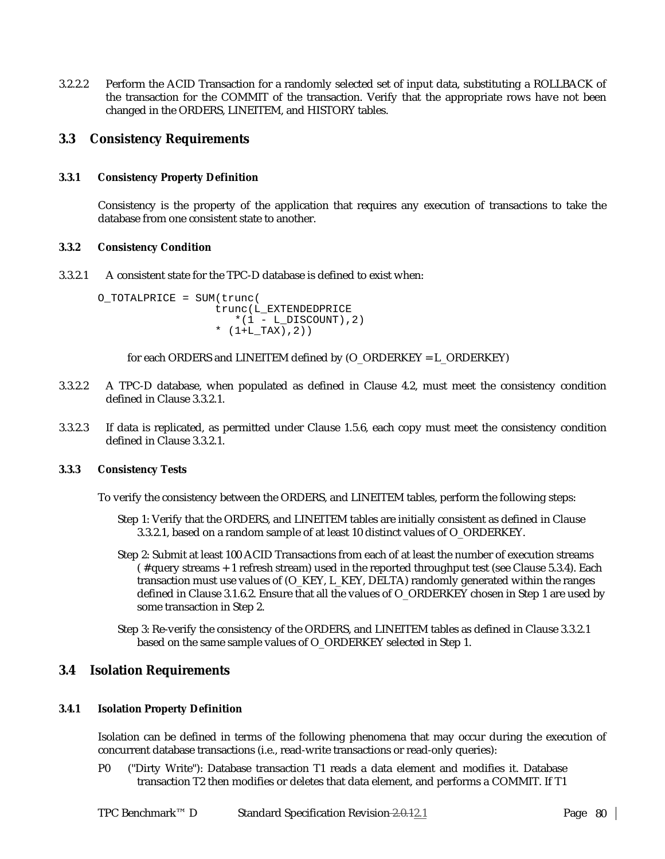3.2.2.2 Perform the ACID Transaction for a randomly selected set of input data, substituting a ROLLBACK of the transaction for the COMMIT of the transaction. Verify that the appropriate rows have not been changed in the ORDERS, LINEITEM, and HISTORY tables.

## **3.3 Consistency Requirements**

## **3.3.1 Consistency Property Definition**

Consistency is the property of the application that requires any execution of transactions to take the database from one consistent state to another.

## **3.3.2 Consistency Condition**

3.3.2.1 A consistent state for the TPC-D database is defined to exist when:

```
O_TOTALPRICE = SUM(trunc(
                   trunc(L_EXTENDEDPRICE
                      *(1 - L_{DISCOUNT}), 2)* (1+L TAX), 2))
```
for each ORDERS and LINEITEM defined by (O\_ORDERKEY = L\_ORDERKEY)

- 3.3.2.2 A TPC-D database, when populated as defined in Clause 4.2, must meet the consistency condition defined in Clause 3.3.2.1.
- 3.3.2.3 If data is replicated, as permitted under Clause 1.5.6, each copy must meet the consistency condition defined in Clause 3.3.2.1.

## **3.3.3 Consistency Tests**

To verify the consistency between the ORDERS, and LINEITEM tables, perform the following steps:

- Step 1: Verify that the ORDERS, and LINEITEM tables are initially consistent as defined in Clause 3.3.2.1, based on a random sample of at least 10 distinct values of O\_ORDERKEY.
- Step 2: Submit at least 100 ACID Transactions from each of at least the number of execution streams ( # query streams + 1 refresh stream) used in the reported throughput test (see Clause 5.3.4). Each transaction must use values of (O\_KEY, L\_KEY, DELTA) randomly generated within the ranges defined in Clause 3.1.6.2. Ensure that all the values of O\_ORDERKEY chosen in Step 1 are used by some transaction in Step 2.
- Step 3: Re-verify the consistency of the ORDERS, and LINEITEM tables as defined in Clause 3.3.2.1 based on the same sample values of O\_ORDERKEY selected in Step 1.

## **3.4 Isolation Requirements**

## **3.4.1 Isolation Property Definition**

Isolation can be defined in terms of the following phenomena that may occur during the execution of concurrent database transactions (i.e., read-write transactions or read-only queries):

P0 ("Dirty Write"): Database transaction T1 reads a data element and modifies it. Database transaction T2 then modifies or deletes that data element, and performs a COMMIT. If T1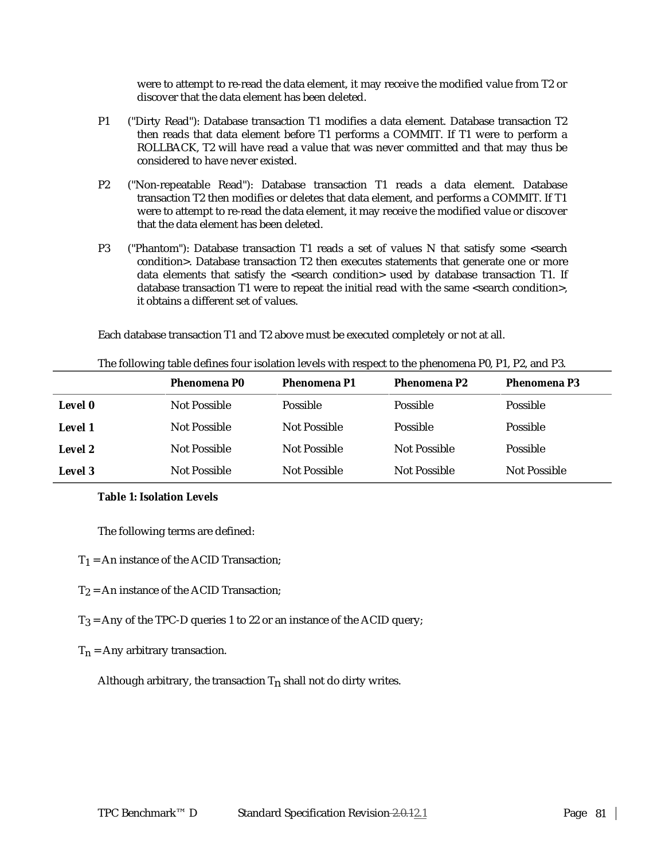were to attempt to re-read the data element, it may receive the modified value from T2 or discover that the data element has been deleted.

- P1 ("Dirty Read"): Database transaction T1 modifies a data element. Database transaction T2 then reads that data element before T1 performs a COMMIT. If T1 were to perform a ROLLBACK, T2 will have read a value that was never committed and that may thus be considered to have never existed.
- P2 ("Non-repeatable Read"): Database transaction T1 reads a data element. Database transaction T2 then modifies or deletes that data element, and performs a COMMIT. If T1 were to attempt to re-read the data element, it may receive the modified value or discover that the data element has been deleted.
- P3 ("Phantom"): Database transaction T1 reads a set of values N that satisfy some <search condition>. Database transaction T2 then executes statements that generate one or more data elements that satisfy the <search condition> used by database transaction T1. If database transaction T1 were to repeat the initial read with the same <search condition>, it obtains a different set of values.

Each database transaction T1 and T2 above must be executed completely or not at all.

|                | <b>Phenomena PO</b> | <b>Phenomena P1</b> | <b>Phenomena P2</b> | <b>Phenomena P3</b> |
|----------------|---------------------|---------------------|---------------------|---------------------|
| Level 0        | Not Possible        | Possible            | Possible            | Possible            |
| Level 1        | Not Possible        | Not Possible        | Possible            | Possible            |
| <b>Level 2</b> | Not Possible        | Not Possible        | Not Possible        | Possible            |
| Level 3        | Not Possible        | Not Possible        | Not Possible        | Not Possible        |

The following table defines four isolation levels with respect to the phenomena P0, P1, P2, and P3.

## **Table 1: Isolation Levels**

The following terms are defined:

- $T_1$  = An instance of the ACID Transaction;
- $T_2$  = An instance of the ACID Transaction;
- $T_3$  = Any of the TPC-D queries 1 to 22 or an instance of the ACID query;
- $T_n$  = Any arbitrary transaction.

Although arbitrary, the transaction  $T_n$  shall not do dirty writes.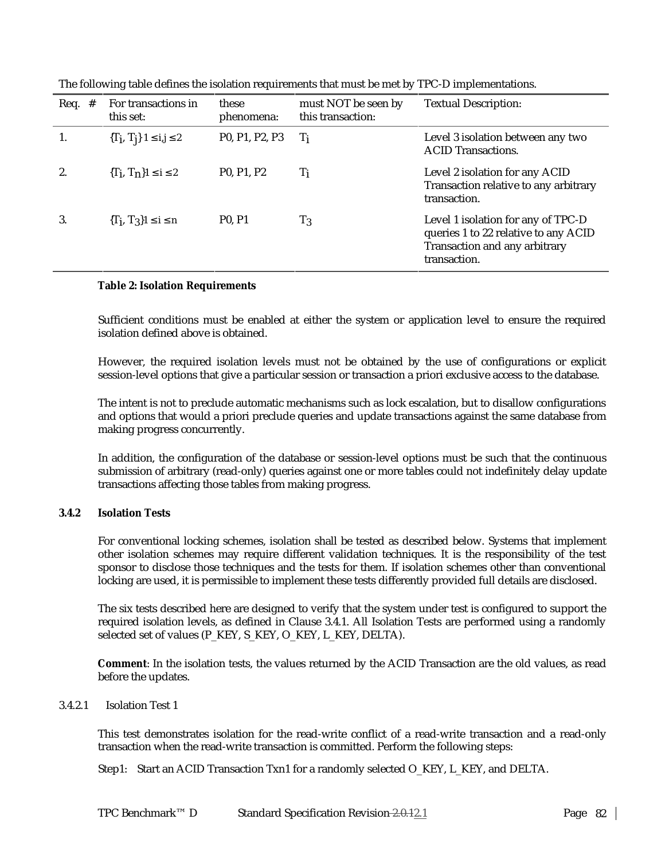| Req. $#$ | For transactions in<br>this set: | these<br>phenomena:                                               | must NOT be seen by<br>this transaction: | <b>Textual Description:</b>                                                                                                 |
|----------|----------------------------------|-------------------------------------------------------------------|------------------------------------------|-----------------------------------------------------------------------------------------------------------------------------|
| 1.       | ${T_i, T_j} 1 \le i, j \le 2$    | P <sub>0</sub> , P <sub>1</sub> , P <sub>2</sub> , P <sub>3</sub> | Ti                                       | Level 3 isolation between any two<br><b>ACID</b> Transactions.                                                              |
| 2.       | ${T_i, T_n}1 \le i \le 2$        | P0, P1, P2                                                        | $T_i$                                    | Level 2 isolation for any ACID<br>Transaction relative to any arbitrary<br>transaction.                                     |
| 3.       | ${T_i, T_3}1 \le i \le n$        | <b>PO. P1</b>                                                     | $T_3$                                    | Level 1 isolation for any of TPC-D<br>queries 1 to 22 relative to any ACID<br>Transaction and any arbitrary<br>transaction. |

The following table defines the isolation requirements that must be met by TPC-D implementations.

#### **Table 2: Isolation Requirements**

Sufficient conditions must be enabled at either the system or application level to ensure the required isolation defined above is obtained.

However, the required isolation levels must not be obtained by the use of configurations or explicit session-level options that give a particular session or transaction a priori exclusive access to the database.

The intent is not to preclude automatic mechanisms such as lock escalation, but to disallow configurations and options that would a priori preclude queries and update transactions against the same database from making progress concurrently.

In addition, the configuration of the database or session-level options must be such that the continuous submission of arbitrary (read-only) queries against one or more tables could not indefinitely delay update transactions affecting those tables from making progress.

#### **3.4.2 Isolation Tests**

For conventional locking schemes, isolation shall be tested as described below. Systems that implement other isolation schemes may require different validation techniques. It is the responsibility of the test sponsor to disclose those techniques and the tests for them. If isolation schemes other than conventional locking are used, it is permissible to implement these tests differently provided full details are disclosed.

The six tests described here are designed to verify that the system under test is configured to support the required isolation levels, as defined in Clause 3.4.1. All Isolation Tests are performed using a randomly selected set of values (P\_KEY, S\_KEY, O\_KEY, L\_KEY, DELTA).

**Comment**: In the isolation tests, the values returned by the ACID Transaction are the old values, as read before the updates.

## 3.4.2.1 Isolation Test 1

This test demonstrates isolation for the read-write conflict of a read-write transaction and a read-only transaction when the read-write transaction is committed. Perform the following steps:

Step1: Start an ACID Transaction Txn1 for a randomly selected O\_KEY, L\_KEY, and DELTA.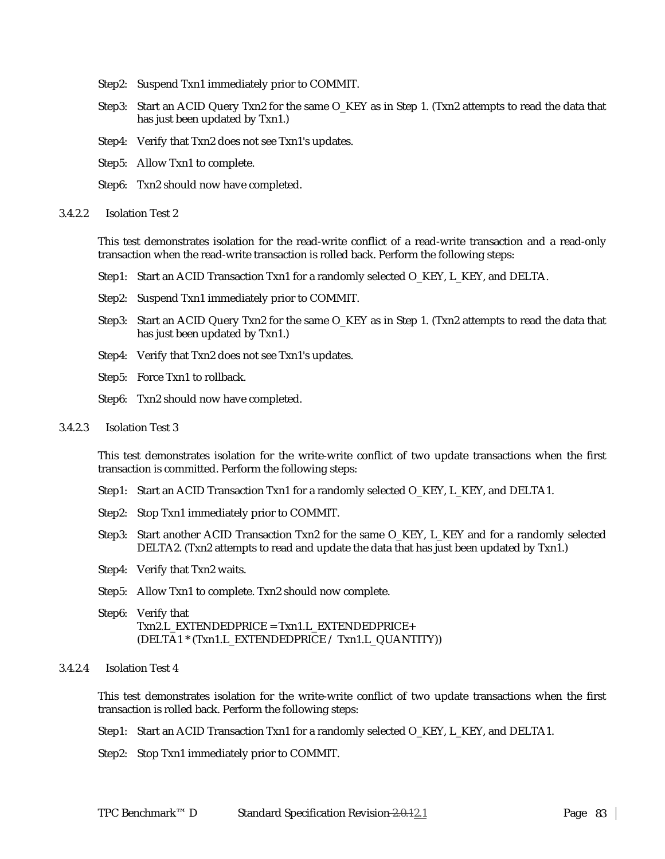- Step2: Suspend Txn1 immediately prior to COMMIT.
- Step3: Start an ACID Query Txn2 for the same O\_KEY as in Step 1. (Txn2 attempts to read the data that has just been updated by Txn1.)
- Step4: Verify that Txn2 does not see Txn1's updates.
- Step5: Allow Txn1 to complete.
- Step6: Txn2 should now have completed.

#### 3.4.2.2 Isolation Test 2

This test demonstrates isolation for the read-write conflict of a read-write transaction and a read-only transaction when the read-write transaction is rolled back. Perform the following steps:

- Step1: Start an ACID Transaction Txn1 for a randomly selected O\_KEY, L\_KEY, and DELTA.
- Step2: Suspend Txn1 immediately prior to COMMIT.
- Step3: Start an ACID Query Txn2 for the same O\_KEY as in Step 1. (Txn2 attempts to read the data that has just been updated by Txn1.)
- Step4: Verify that Txn2 does not see Txn1's updates.
- Step5: Force Txn1 to rollback.
- Step6: Txn2 should now have completed.

#### 3.4.2.3 Isolation Test 3

This test demonstrates isolation for the write-write conflict of two update transactions when the first transaction is committed. Perform the following steps:

- Step1: Start an ACID Transaction Txn1 for a randomly selected O\_KEY, L\_KEY, and DELTA1.
- Step2: Stop Txn1 immediately prior to COMMIT.
- Step3: Start another ACID Transaction Txn2 for the same O\_KEY, L\_KEY and for a randomly selected DELTA2. (Txn2 attempts to read and update the data that has just been updated by Txn1.)
- Step4: Verify that Txn2 waits.
- Step5: Allow Txn1 to complete. Txn2 should now complete.
- Step6: Verify that Txn2.L\_EXTENDEDPRICE = Txn1.L\_EXTENDEDPRICE+ (DELTA1 \* (Txn1.L\_EXTENDEDPRICE / Txn1.L\_QUANTITY))

## 3.4.2.4 Isolation Test 4

This test demonstrates isolation for the write-write conflict of two update transactions when the first transaction is rolled back. Perform the following steps:

- Step1: Start an ACID Transaction Txn1 for a randomly selected O\_KEY, L\_KEY, and DELTA1.
- Step2: Stop Txn1 immediately prior to COMMIT.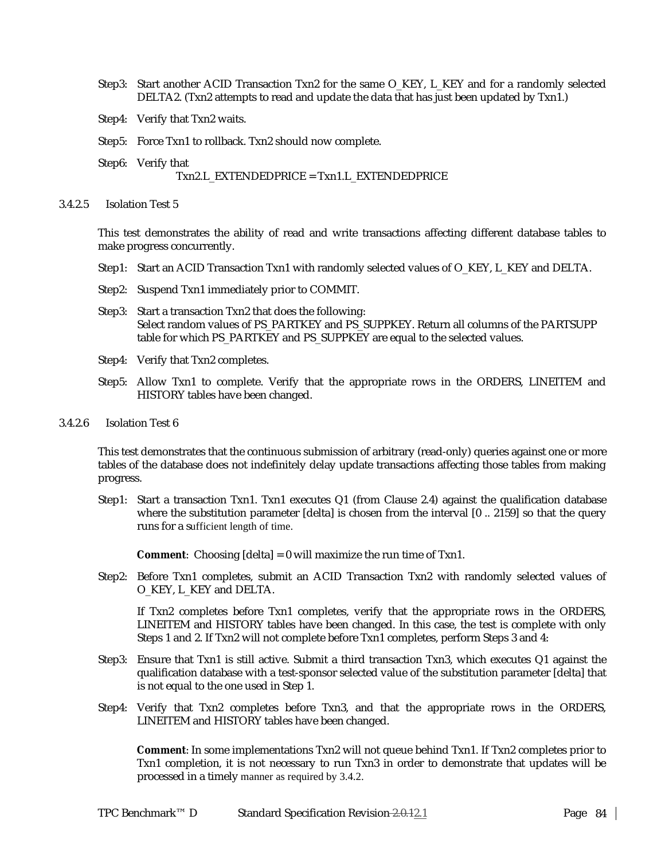- Step3: Start another ACID Transaction Txn2 for the same O\_KEY, L\_KEY and for a randomly selected DELTA2. (Txn2 attempts to read and update the data that has just been updated by Txn1.)
- Step4: Verify that Txn2 waits.
- Step5: Force Txn1 to rollback. Txn2 should now complete.
- Step6: Verify that Txn2.L\_EXTENDEDPRICE = Txn1.L\_EXTENDEDPRICE
- 3.4.2.5 Isolation Test 5

This test demonstrates the ability of read and write transactions affecting different database tables to make progress concurrently.

- Step1: Start an ACID Transaction Txn1 with randomly selected values of O\_KEY, L\_KEY and DELTA.
- Step2: Suspend Txn1 immediately prior to COMMIT.
- Step3: Start a transaction Txn2 that does the following: Select random values of PS\_PARTKEY and PS\_SUPPKEY. Return all columns of the PARTSUPP table for which PS\_PARTKEY and PS\_SUPPKEY are equal to the selected values.
- Step4: Verify that Txn2 completes.
- Step5: Allow Txn1 to complete. Verify that the appropriate rows in the ORDERS, LINEITEM and HISTORY tables have been changed.
- 3.4.2.6 Isolation Test 6

This test demonstrates that the continuous submission of arbitrary (read-only) queries against one or more tables of the database does not indefinitely delay update transactions affecting those tables from making progress.

Step1: Start a transaction Txn1. Txn1 executes Q1 (from Clause 2.4) against the qualification database where the substitution parameter [delta] is chosen from the interval [0 .. 2159] so that the query runs for a sufficient length of time.

**Comment**: Choosing [delta] = 0 will maximize the run time of Txn1.

Step2: Before Txn1 completes, submit an ACID Transaction Txn2 with randomly selected values of O\_KEY, L\_KEY and DELTA.

If Txn2 completes before Txn1 completes, verify that the appropriate rows in the ORDERS, LINEITEM and HISTORY tables have been changed. In this case, the test is complete with only Steps 1 and 2. If Txn2 will not complete before Txn1 completes, perform Steps 3 and 4:

- Step3: Ensure that Txn1 is still active. Submit a third transaction Txn3, which executes Q1 against the qualification database with a test-sponsor selected value of the substitution parameter [delta] that is not equal to the one used in Step 1.
- Step4: Verify that Txn2 completes before Txn3, and that the appropriate rows in the ORDERS, LINEITEM and HISTORY tables have been changed.

**Comment**: In some implementations Txn2 will not queue behind Txn1. If Txn2 completes prior to Txn1 completion, it is not necessary to run Txn3 in order to demonstrate that updates will be processed in a timely manner as required by 3.4.2.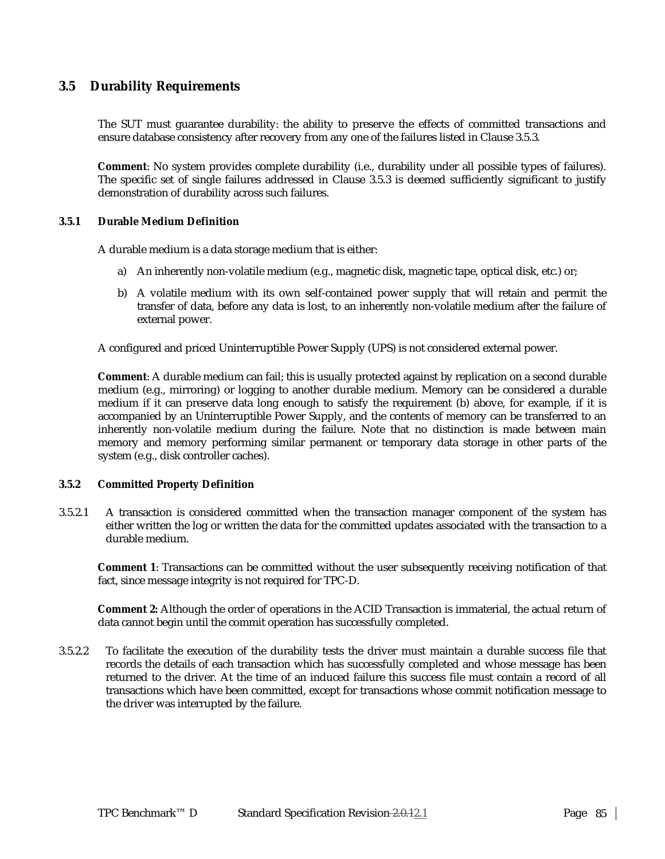# **3.5 Durability Requirements**

The SUT must guarantee durability: the ability to preserve the effects of committed transactions and ensure database consistency after recovery from any one of the failures listed in Clause 3.5.3.

**Comment**: No system provides complete durability (i.e., durability under all possible types of failures). The specific set of single failures addressed in Clause 3.5.3 is deemed sufficiently significant to justify demonstration of durability across such failures.

## **3.5.1 Durable Medium Definition**

A durable medium is a data storage medium that is either:

- a) An inherently non-volatile medium (e.g., magnetic disk, magnetic tape, optical disk, etc.) or;
- b) A volatile medium with its own self-contained power supply that will retain and permit the transfer of data, before any data is lost, to an inherently non-volatile medium after the failure of external power.

A configured and priced Uninterruptible Power Supply (UPS) is not considered external power.

**Comment**: A durable medium can fail; this is usually protected against by replication on a second durable medium (e.g., mirroring) or logging to another durable medium. Memory can be considered a durable medium if it can preserve data long enough to satisfy the requirement (b) above, for example, if it is accompanied by an Uninterruptible Power Supply, and the contents of memory can be transferred to an inherently non-volatile medium during the failure. Note that no distinction is made between main memory and memory performing similar permanent or temporary data storage in other parts of the system (e.g., disk controller caches).

#### **3.5.2 Committed Property Definition**

3.5.2.1 A transaction is considered committed when the transaction manager component of the system has either written the log or written the data for the committed updates associated with the transaction to a durable medium.

**Comment 1**: Transactions can be committed without the user subsequently receiving notification of that fact, since message integrity is not required for TPC-D.

**Comment 2:** Although the order of operations in the ACID Transaction is immaterial, the actual return of data cannot begin until the commit operation has successfully completed.

3.5.2.2 To facilitate the execution of the durability tests the driver must maintain a durable success file that records the details of each transaction which has successfully completed and whose message has been returned to the driver. At the time of an induced failure this success file must contain a record of all transactions which have been committed, except for transactions whose commit notification message to the driver was interrupted by the failure.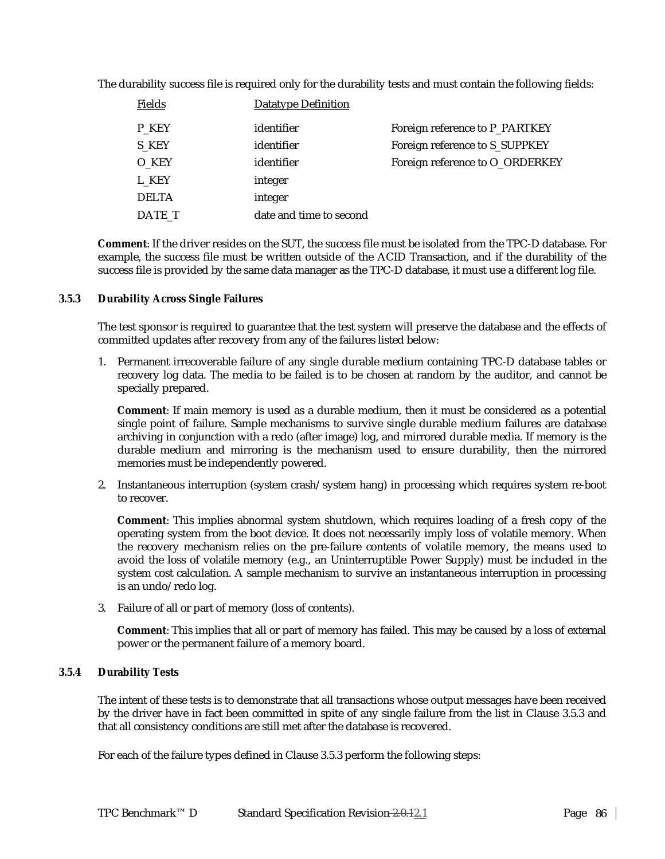The durability success file is required only for the durability tests and must contain the following fields:

| Fields       | <b>Datatype Definition</b> |                                 |
|--------------|----------------------------|---------------------------------|
| P_KEY        | identifier                 | Foreign reference to P_PARTKEY  |
| S KEY        | identifier                 | Foreign reference to S_SUPPKEY  |
| O KEY        | identifier                 | Foreign reference to O_ORDERKEY |
| L KEY        | integer                    |                                 |
| <b>DELTA</b> | integer                    |                                 |
| DATE T       | date and time to second    |                                 |

**Comment**: If the driver resides on the SUT, the success file must be isolated from the TPC-D database. For example, the success file must be written outside of the ACID Transaction, and if the durability of the success file is provided by the same data manager as the TPC-D database, it must use a different log file.

## **3.5.3 Durability Across Single Failures**

The test sponsor is required to guarantee that the test system will preserve the database and the effects of committed updates after recovery from any of the failures listed below:

1. Permanent irrecoverable failure of any single durable medium containing TPC-D database tables or recovery log data. The media to be failed is to be chosen at random by the auditor, and cannot be specially prepared.

**Comment**: If main memory is used as a durable medium, then it must be considered as a potential single point of failure. Sample mechanisms to survive single durable medium failures are database archiving in conjunction with a redo (after image) log, and mirrored durable media. If memory is the durable medium and mirroring is the mechanism used to ensure durability, then the mirrored memories must be independently powered.

2. Instantaneous interruption (system crash/system hang) in processing which requires system re-boot to recover.

**Comment**: This implies abnormal system shutdown, which requires loading of a fresh copy of the operating system from the boot device. It does not necessarily imply loss of volatile memory. When the recovery mechanism relies on the pre-failure contents of volatile memory, the means used to avoid the loss of volatile memory (e.g., an Uninterruptible Power Supply) must be included in the system cost calculation. A sample mechanism to survive an instantaneous interruption in processing is an undo/redo log.

3. Failure of all or part of memory (loss of contents).

**Comment**: This implies that all or part of memory has failed. This may be caused by a loss of external power or the permanent failure of a memory board.

## **3.5.4 Durability Tests**

The intent of these tests is to demonstrate that all transactions whose output messages have been received by the driver have in fact been committed in spite of any single failure from the list in Clause 3.5.3 and that all consistency conditions are still met after the database is recovered.

For each of the failure types defined in Clause 3.5.3 perform the following steps: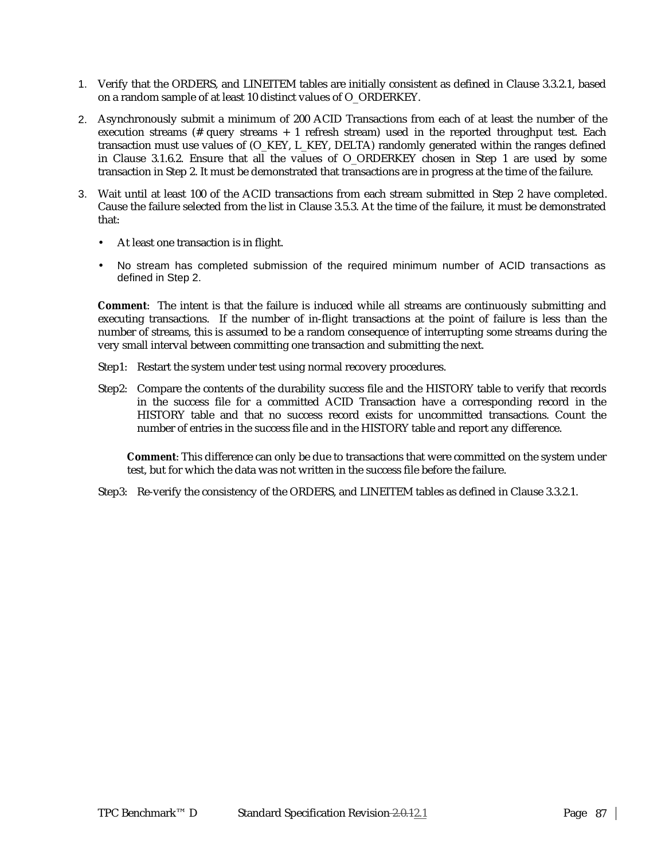- 1. Verify that the ORDERS, and LINEITEM tables are initially consistent as defined in Clause 3.3.2.1, based on a random sample of at least 10 distinct values of O\_ORDERKEY.
- 2. Asynchronously submit a minimum of 200 ACID Transactions from each of at least the number of the execution streams (# query streams + 1 refresh stream) used in the reported throughput test. Each transaction must use values of (O\_KEY, L\_KEY, DELTA) randomly generated within the ranges defined in Clause 3.1.6.2. Ensure that all the values of O\_ORDERKEY chosen in Step 1 are used by some transaction in Step 2. It must be demonstrated that transactions are in progress at the time of the failure.
- 3. Wait until at least 100 of the ACID transactions from each stream submitted in Step 2 have completed. Cause the failure selected from the list in Clause 3.5.3. At the time of the failure, it must be demonstrated that:
	- At least one transaction is in flight.
	- No stream has completed submission of the required minimum number of ACID transactions as defined in Step 2.

**Comment**: The intent is that the failure is induced while all streams are continuously submitting and executing transactions. If the number of in-flight transactions at the point of failure is less than the number of streams, this is assumed to be a random consequence of interrupting some streams during the very small interval between committing one transaction and submitting the next.

- Step1: Restart the system under test using normal recovery procedures.
- Step2: Compare the contents of the durability success file and the HISTORY table to verify that records in the success file for a committed ACID Transaction have a corresponding record in the HISTORY table and that no success record exists for uncommitted transactions. Count the number of entries in the success file and in the HISTORY table and report any difference.

**Comment**: This difference can only be due to transactions that were committed on the system under test, but for which the data was not written in the success file before the failure.

Step3: Re-verify the consistency of the ORDERS, and LINEITEM tables as defined in Clause 3.3.2.1.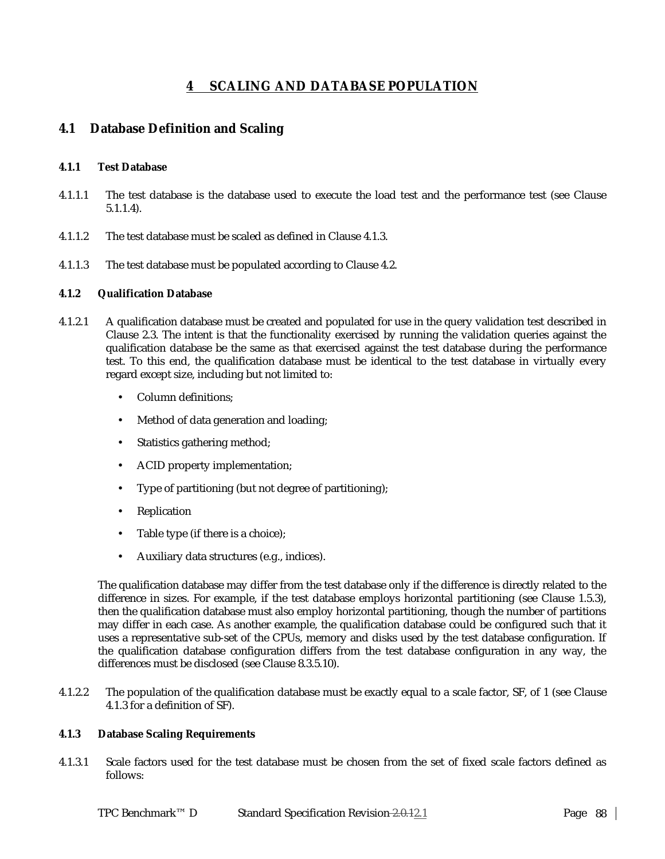# **4 SCALING AND DATABASE POPULATION**

# **4.1 Database Definition and Scaling**

## **4.1.1 Test Database**

- 4.1.1.1 The test database is the database used to execute the load test and the performance test (see Clause 5.1.1.4).
- 4.1.1.2 The test database must be scaled as defined in Clause 4.1.3.
- 4.1.1.3 The test database must be populated according to Clause 4.2.

## **4.1.2 Qualification Database**

- 4.1.2.1 A qualification database must be created and populated for use in the query validation test described in Clause 2.3. The intent is that the functionality exercised by running the validation queries against the qualification database be the same as that exercised against the test database during the performance test. To this end, the qualification database must be identical to the test database in virtually every regard except size, including but not limited to:
	- Column definitions;
	- Method of data generation and loading;
	- Statistics gathering method;
	- ACID property implementation;
	- Type of partitioning (but not degree of partitioning);
	- Replication
	- Table type (if there is a choice);
	- Auxiliary data structures (e.g., indices).

The qualification database may differ from the test database only if the difference is directly related to the difference in sizes. For example, if the test database employs horizontal partitioning (see Clause 1.5.3), then the qualification database must also employ horizontal partitioning, though the number of partitions may differ in each case. As another example, the qualification database could be configured such that it uses a representative sub-set of the CPUs, memory and disks used by the test database configuration. If the qualification database configuration differs from the test database configuration in any way, the differences must be disclosed (see Clause 8.3.5.10).

4.1.2.2 The population of the qualification database must be exactly equal to a scale factor, SF, of 1 (see Clause 4.1.3 for a definition of SF).

## **4.1.3 Database Scaling Requirements**

4.1.3.1 Scale factors used for the test database must be chosen from the set of fixed scale factors defined as follows: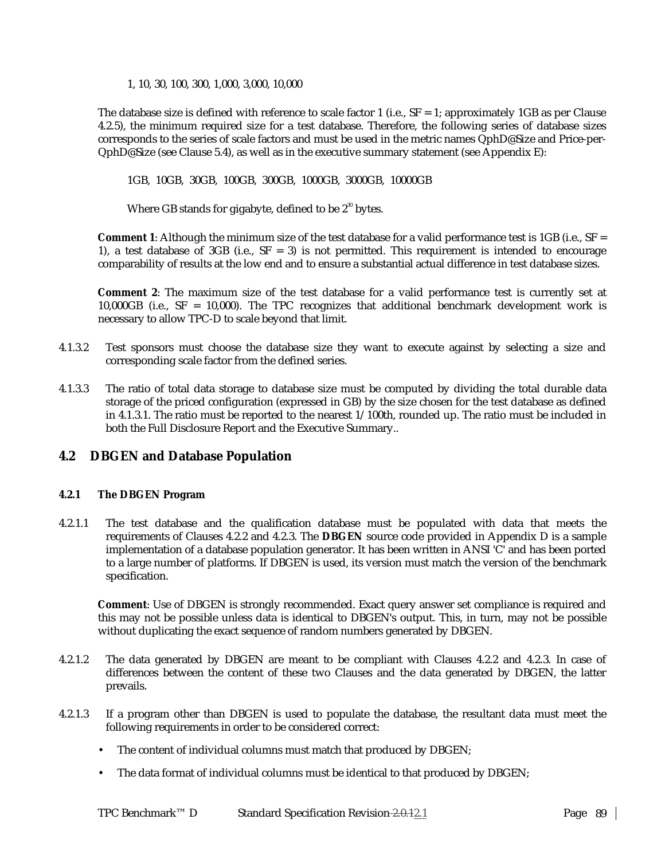1, 10, 30, 100, 300, 1,000, 3,000, 10,000

The database size is defined with reference to scale factor 1 (i.e.,  $SF = 1$ ; approximately 1GB as per Clause 4.2.5), the minimum required size for a test database. Therefore, the following series of database sizes corresponds to the series of scale factors and must be used in the metric names QphD@Size and Price-per-QphD@Size (see Clause 5.4), as well as in the executive summary statement (see Appendix E):

1GB, 10GB, 30GB, 100GB, 300GB, 1000GB, 3000GB, 10000GB

Where GB stands for gigabyte, defined to be  $2^{30}$  bytes.

**Comment 1**: Although the minimum size of the test database for a valid performance test is  $1GB$  (i.e.,  $SF =$ 1), a test database of 3GB (i.e.,  $SF = 3$ ) is not permitted. This requirement is intended to encourage comparability of results at the low end and to ensure a substantial actual difference in test database sizes.

**Comment 2**: The maximum size of the test database for a valid performance test is currently set at 10,000GB (i.e., SF = 10,000). The TPC recognizes that additional benchmark development work is necessary to allow TPC-D to scale beyond that limit.

- 4.1.3.2 Test sponsors must choose the database size they want to execute against by selecting a size and corresponding scale factor from the defined series.
- 4.1.3.3 The ratio of total data storage to database size must be computed by dividing the total durable data storage of the priced configuration (expressed in GB) by the size chosen for the test database as defined in 4.1.3.1. The ratio must be reported to the nearest 1/100th, rounded up. The ratio must be included in both the Full Disclosure Report and the Executive Summary..

## **4.2 DBGEN and Database Population**

## **4.2.1 The DBGEN Program**

4.2.1.1 The test database and the qualification database must be populated with data that meets the requirements of Clauses 4.2.2 and 4.2.3. The **DBGEN** source code provided in Appendix D is a sample implementation of a database population generator. It has been written in ANSI 'C' and has been ported to a large number of platforms. If DBGEN is used, its version must match the version of the benchmark specification.

**Comment**: Use of DBGEN is strongly recommended. Exact query answer set compliance is required and this may not be possible unless data is identical to DBGEN's output. This, in turn, may not be possible without duplicating the exact sequence of random numbers generated by DBGEN.

- 4.2.1.2 The data generated by DBGEN are meant to be compliant with Clauses 4.2.2 and 4.2.3. In case of differences between the content of these two Clauses and the data generated by DBGEN, the latter prevails.
- 4.2.1.3 If a program other than DBGEN is used to populate the database, the resultant data must meet the following requirements in order to be considered correct:
	- The content of individual columns must match that produced by DBGEN;
	- The data format of individual columns must be identical to that produced by DBGEN;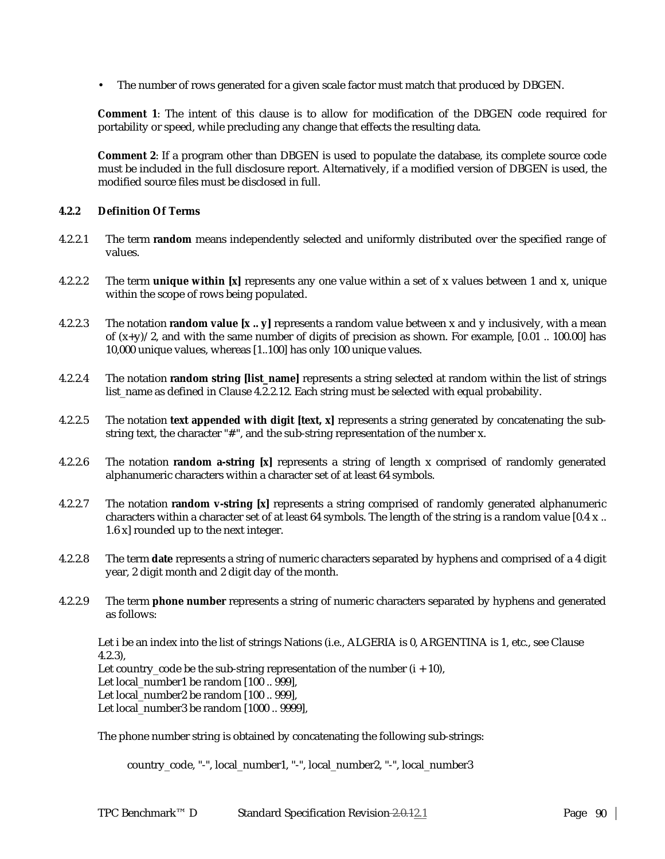• The number of rows generated for a given scale factor must match that produced by DBGEN.

**Comment 1**: The intent of this clause is to allow for modification of the DBGEN code required for portability or speed, while precluding any change that effects the resulting data.

**Comment 2**: If a program other than DBGEN is used to populate the database, its complete source code must be included in the full disclosure report. Alternatively, if a modified version of DBGEN is used, the modified source files must be disclosed in full.

## **4.2.2 Definition Of Terms**

- 4.2.2.1 The term **random** means independently selected and uniformly distributed over the specified range of values.
- 4.2.2.2 The term **unique within [x]** represents any one value within a set of x values between 1 and x, unique within the scope of rows being populated.
- 4.2.2.3 The notation **random value [x .. y]** represents a random value between x and y inclusively, with a mean of  $(x+y)/2$ , and with the same number of digits of precision as shown. For example, [0.01 .. 100.00] has 10,000 unique values, whereas [1..100] has only 100 unique values.
- 4.2.2.4 The notation **random string [list\_name]** represents a string selected at random within the list of strings list name as defined in Clause 4.2.2.12. Each string must be selected with equal probability.
- 4.2.2.5 The notation **text appended with digit [text, x]** represents a string generated by concatenating the substring text, the character "# ", and the sub-string representation of the number x.
- 4.2.2.6 The notation **random a-string [x]** represents a string of length x comprised of randomly generated alphanumeric characters within a character set of at least 64 symbols.
- 4.2.2.7 The notation **random v-string [x]** represents a string comprised of randomly generated alphanumeric characters within a character set of at least 64 symbols. The length of the string is a random value [0.4 x .. 1.6 x] rounded up to the next integer.
- 4.2.2.8 The term **date** represents a string of numeric characters separated by hyphens and comprised of a 4 digit year, 2 digit month and 2 digit day of the month.
- 4.2.2.9 The term **phone number** represents a string of numeric characters separated by hyphens and generated as follows:

Let i be an index into the list of strings Nations (i.e., ALGERIA is 0, ARGENTINA is 1, etc., see Clause 4.2.3), Let country code be the sub-string representation of the number  $(i + 10)$ , Let local\_number1 be random [100 .. 999]. Let local\_number2 be random [100 .. 999], Let local\_number3 be random [1000 .. 9999],

The phone number string is obtained by concatenating the following sub-strings:

country\_code, "-", local\_number1, "-", local\_number2, "-", local\_number3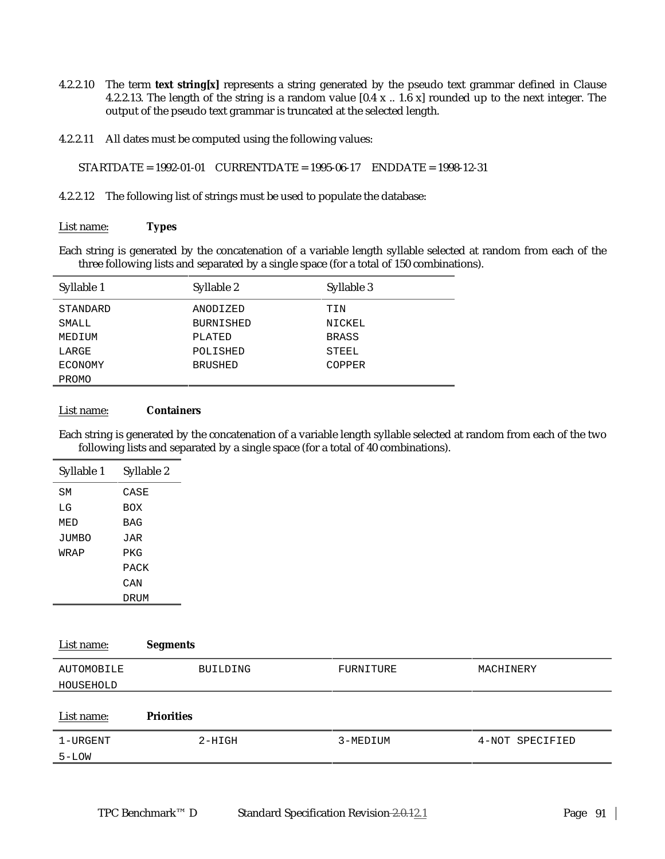- 4.2.2.10 The term **text string[x]** represents a string generated by the pseudo text grammar defined in Clause 4.2.2.13. The length of the string is a random value  $[0.4 \times 0.16 \times 1.6 \times 1.6 \times 1.6 \times 1.6 \times 1.6 \times 1.6 \times 1.6 \times 1.6 \times 1.6 \times 1.6 \times 1.6 \times 1.6 \times 1.6 \times 1.6 \times 1.6 \times 1.6 \times 1.6 \times 1.6 \times 1.6 \times 1.6 \times 1.6 \times 1.6 \times 1.6 \times 1.6 \times 1.6 \times 1.6$ output of the pseudo text grammar is truncated at the selected length.
- 4.2.2.11 All dates must be computed using the following values:

STARTDATE = 1992-01-01 CURRENTDATE = 1995-06-17 ENDDATE = 1998-12-31

4.2.2.12 The following list of strings must be used to populate the database:

## List name: **Types**

Each string is generated by the concatenation of a variable length syllable selected at random from each of the three following lists and separated by a single space (for a total of 150 combinations).

| Syllable 1 | Syllable 2       | Syllable 3   |
|------------|------------------|--------------|
| STANDARD   | ANODIZED         | TIN          |
| SMALL      | <b>BURNISHED</b> | NICKEL       |
| MEDIUM     | PLATED           | <b>BRASS</b> |
| LARGE      | POLISHED         | STEEL        |
| ECONOMY    | <b>BRUSHED</b>   | COPPER       |
| PROMO      |                  |              |

#### List name: **Containers**

Each string is generated by the concatenation of a variable length syllable selected at random from each of the two following lists and separated by a single space (for a total of 40 combinations).

| Syllable 1    | Syllable 2 |
|---------------|------------|
| SΜ            | CASE       |
| T G           | <b>BOX</b> |
| MF.D          | <b>BAG</b> |
| <b>JTIMBO</b> | JAR        |
| WRAP          | PKG        |
|               | PACK       |
|               | CAN        |
|               | DRUM       |

| List name: | <b>Segments</b>   |           |                 |
|------------|-------------------|-----------|-----------------|
| AUTOMOBILE | BUILDING          | FURNITURE | MACHINERY       |
| HOUSEHOLD  |                   |           |                 |
|            |                   |           |                 |
| List name: | <b>Priorities</b> |           |                 |
| 1-URGENT   | $2-HIGH$          | 3-MEDIUM  | 4-NOT SPECIFIED |
| $5 - LOW$  |                   |           |                 |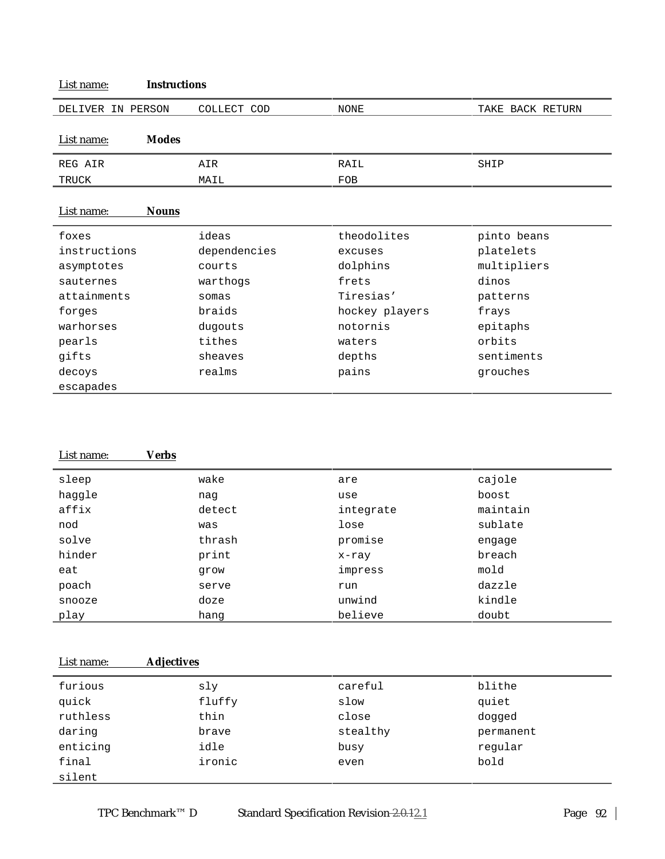| List name:        | <b>Instructions</b> |              |                |                  |
|-------------------|---------------------|--------------|----------------|------------------|
| DELIVER IN PERSON |                     | COLLECT COD  | NONE           | TAKE BACK RETURN |
| List name:        | <b>Modes</b>        |              |                |                  |
| REG AIR           |                     | AIR          | RAIL           | SHIP             |
| TRUCK             |                     | MAIL         | FOB            |                  |
| List name:        | <b>Nouns</b>        |              |                |                  |
| foxes             |                     | ideas        | theodolites    | pinto beans      |
| instructions      |                     | dependencies | excuses        | platelets        |
| asymptotes        |                     | courts       | dolphins       | multipliers      |
| sauternes         |                     | warthogs     | frets          | dinos            |
| attainments       |                     | somas        | Tiresias'      | patterns         |
| forges            |                     | braids       | hockey players | frays            |
| warhorses         |                     | dugouts      | notornis       | epitaphs         |
| pearls            |                     | tithes       | waters         | orbits           |
| gifts             |                     | sheaves      | depths         | sentiments       |
| decoys            |                     | realms       | pains          | grouches         |
| escapades         |                     |              |                |                  |

| Verbs<br>List name: |        |           |          |
|---------------------|--------|-----------|----------|
| sleep               | wake   | are       | cajole   |
| haqqle              | naq    | use       | boost    |
| affix               | detect | integrate | maintain |
| nod                 | was    | lose      | sublate  |
| solve               | thrash | promise   | engage   |
| hinder              | print  | x-ray     | breach   |
| eat                 | grow   | impress   | mold     |
| poach               | serve  | run       | dazzle   |
| snooze              | doze   | unwind    | kindle   |
| play                | hang   | believe   | doubt    |

# List name: **Adjectives**

| furious  | sly    | careful  | blithe    |
|----------|--------|----------|-----------|
| quick    | fluffy | slow     | quiet     |
| ruthless | thin   | close    | dogged    |
| daring   | brave  | stealthy | permanent |
| enticing | idle   | busy     | regular   |
| final    | ironic | even     | bold      |
| silent   |        |          |           |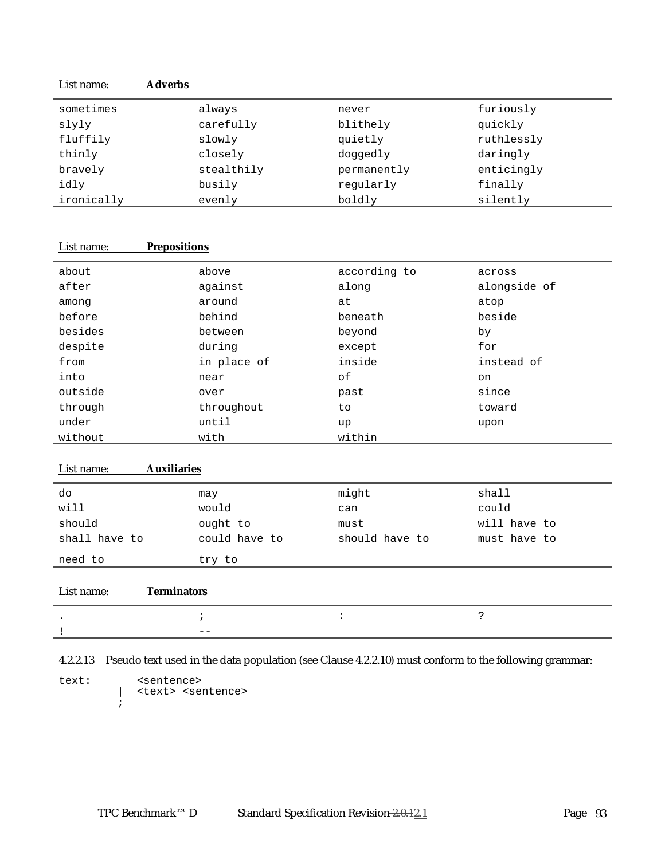| List name: | <b>Adverbs</b> |             |            |  |
|------------|----------------|-------------|------------|--|
| sometimes  | always         | never       | furiously  |  |
| slyly      | carefully      | blithely    | quickly    |  |
| fluffily   | slowly         | quietly     | ruthlessly |  |
| thinly     | closely        | doggedly    | daringly   |  |
| bravely    | stealthily     | permanently | enticingly |  |
| idly       | busily         | regularly   | finally    |  |
| ironically | evenly         | boldly      | silently   |  |

| List name:    | <b>Prepositions</b> |                |              |  |
|---------------|---------------------|----------------|--------------|--|
| about         | above               | according to   | across       |  |
| after         | against             | along          | alongside of |  |
| among         | around              | at             | atop         |  |
| before        | behind              | beneath        | beside       |  |
| besides       | between             | beyond         | by           |  |
| despite       | during              | except         | for          |  |
| from          | in place of         | inside         | instead of   |  |
| into          | near                | оf             | on           |  |
| outside       | over                | past           | since        |  |
| through       | throughout          | to             | toward       |  |
| under         | until               | up             | upon         |  |
| without       | with                | within         |              |  |
| List name:    | <b>Auxiliaries</b>  |                |              |  |
| do            | may                 | might          | shall        |  |
| will          | would               | can            | could        |  |
| should        | ought to            | must           | will have to |  |
| shall have to | could have to       | should have to | must have to |  |
| need to       | try to              |                |              |  |

| List name: | <b>Terminators</b> |  |  |
|------------|--------------------|--|--|
|            |                    |  |  |
|            | $- -$              |  |  |

4.2.2.13 Pseudo text used in the data population (see Clause 4.2.2.10) must conform to the following grammar:

text: <sentence> <sentence> <sent> <sent>> <sent>> <sent> | <text> <sentence> ;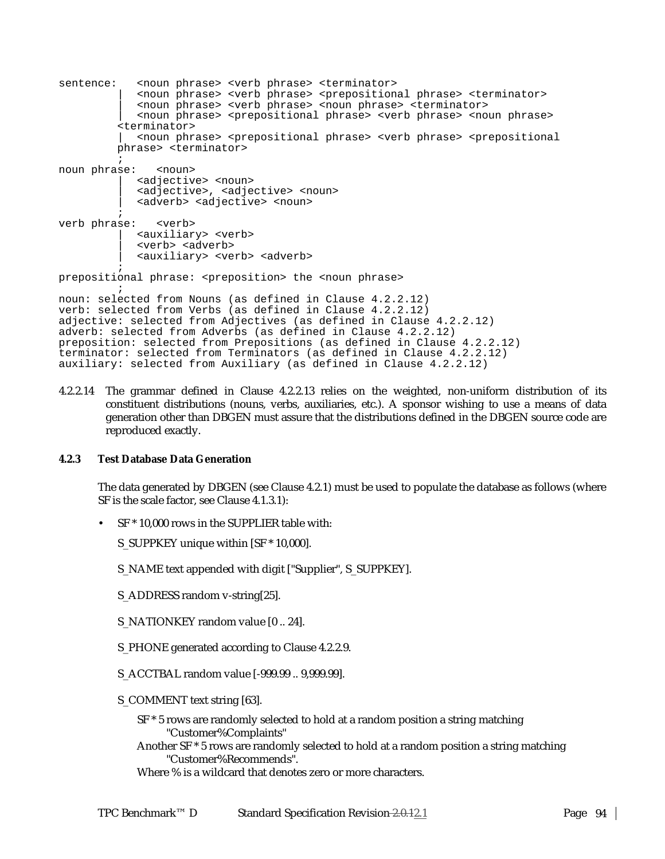sentence: <noun phrase> <verb phrase> <terminator> | <noun phrase> <verb phrase> <prepositional phrase> <terminator> | <noun phrase> <verb phrase> <noun phrase> <terminator> | <noun phrase> <prepositional phrase> <verb phrase> <noun phrase> <terminator> | <noun phrase> <prepositional phrase> <verb phrase> <prepositional phrase> <terminator> ; noun phrase: <noun> | <adjective> <noun> | <adjective>, <adjective> <noun> | <adverb> <adjective> <noun> ; verb phrase: <verb> | <auxiliary> <verb> | <verb> <adverb> | <auxiliary> <verb> <adverb> ; prepositional phrase: <preposition> the <noun phrase> ; noun: selected from Nouns (as defined in Clause 4.2.2.12) verb: selected from Verbs (as defined in Clause 4.2.2.12)

adjective: selected from Adjectives (as defined in Clause 4.2.2.12) adverb: selected from Adverbs (as defined in Clause 4.2.2.12) preposition: selected from Prepositions (as defined in Clause 4.2.2.12) terminator: selected from Terminators (as defined in Clause 4.2.2.12) auxiliary: selected from Auxiliary (as defined in Clause 4.2.2.12)

4.2.2.14 The grammar defined in Clause 4.2.2.13 relies on the weighted, non-uniform distribution of its constituent distributions (nouns, verbs, auxiliaries, etc.). A sponsor wishing to use a means of data generation other than DBGEN must assure that the distributions defined in the DBGEN source code are reproduced exactly.

## **4.2.3 Test Database Data Generation**

The data generated by DBGEN (see Clause 4.2.1) must be used to populate the database as follows (where SF is the scale factor, see Clause 4.1.3.1):

• SF \* 10,000 rows in the SUPPLIER table with:

S\_SUPPKEY unique within [SF \* 10,000].

S\_NAME text appended with digit ["Supplier", S\_SUPPKEY].

S\_ADDRESS random v-string[25].

S\_NATIONKEY random value  $[0.. 24]$ .

- S\_PHONE generated according to Clause 4.2.2.9.
- S\_ACCTBAL random value [-999.99 .. 9,999.99].

S\_COMMENT text string [63].

- $SF * 5$  rows are randomly selected to hold at a random position a string matching "Customer%Complaints"
- Another SF \* 5 rows are randomly selected to hold at a random position a string matching "Customer%Recommends".

Where % is a wildcard that denotes zero or more characters.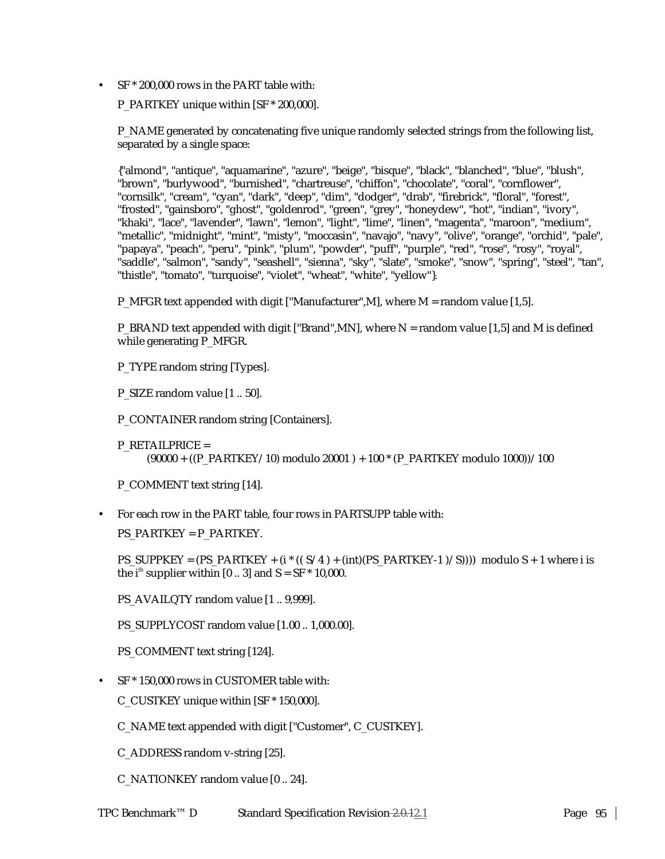• SF \* 200,000 rows in the PART table with:

P\_PARTKEY unique within [SF \* 200,000].

P\_NAME generated by concatenating five unique randomly selected strings from the following list, separated by a single space:

{"almond", "antique", "aquamarine", "azure", "beige", "bisque", "black", "blanched", "blue", "blush", "brown", "burlywood", "burnished", "chartreuse", "chiffon", "chocolate", "coral", "cornflower", "cornsilk", "cream", "cyan", "dark", "deep", "dim", "dodger", "drab", "firebrick", "floral", "forest", "frosted", "gainsboro", "ghost", "goldenrod", "green", "grey", "honeydew", "hot", "indian", "ivory", "khaki", "lace", "lavender", "lawn", "lemon", "light", "lime", "linen", "magenta", "maroon", "medium", "metallic", "midnight", "mint", "misty", "moccasin", "navajo", "navy", "olive", "orange", "orchid", "pale", "papaya", "peach", "peru", "pink", "plum", "powder", "puff", "purple", "red", "rose", "rosy", "royal", "saddle", "salmon", "sandy", "seashell", "sienna", "sky", "slate", "smoke", "snow", "spring", "steel", "tan", "thistle", "tomato", "turquoise", "violet", "wheat", "white", "yellow"}.

P\_MFGR text appended with digit ["Manufacturer",M], where M = random value [1,5].

P\_BRAND text appended with digit ["Brand", MN], where  $N =$  random value [1,5] and M is defined while generating P\_MFGR.

P\_TYPE random string [Types].

P\_SIZE random value [1 .. 50].

P\_CONTAINER random string [Containers].

 $P$  RETAILPRICE = (90000 + ((P\_PARTKEY/10) modulo 20001 ) + 100 \* (P\_PARTKEY modulo 1000))/100

P\_COMMENT text string [14].

• For each row in the PART table, four rows in PARTSUPP table with:

PS\_PARTKEY = P\_PARTKEY.

PS\_SUPPKEY =  $(PS_PARTKEY + (i * ((S/4) + (int) (PS_PARTKEY - 1)/S))))$  modulo S + 1 where i is the i<sup>th</sup> supplier within  $[0 \, . \, 3]$  and  $S = SF * 10,000$ .

PS\_AVAILQTY random value [1 .. 9,999].

PS\_SUPPLYCOST random value [1.00 .. 1,000.00].

PS\_COMMENT text string [124].

• SF \* 150,000 rows in CUSTOMER table with:

C\_CUSTKEY unique within [SF \* 150,000].

C\_NAME text appended with digit ["Customer", C\_CUSTKEY].

C\_ADDRESS random v-string [25].

C\_NATIONKEY random value [0 .. 24].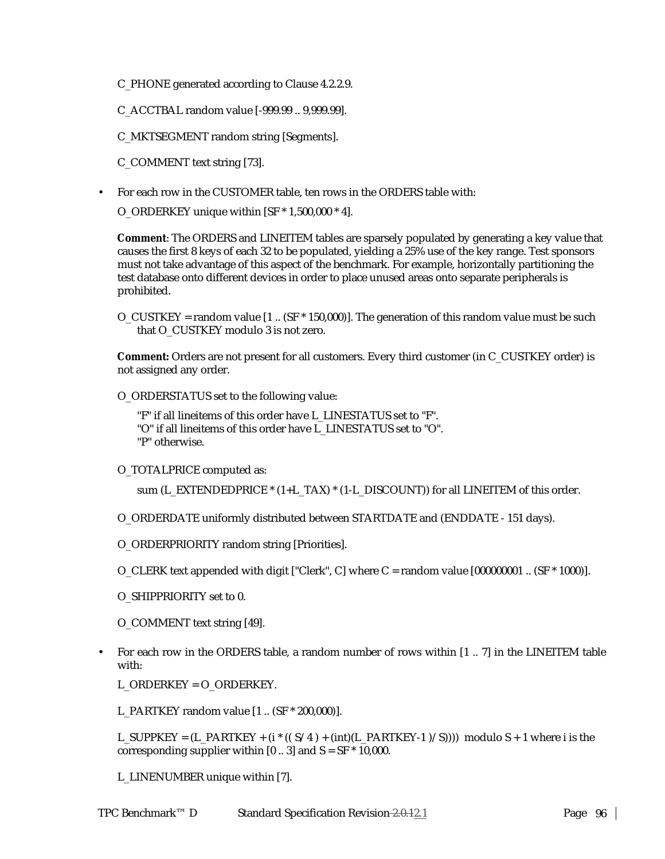C\_PHONE generated according to Clause 4.2.2.9.

C\_ACCTBAL random value [-999.99 .. 9,999.99].

C\_MKTSEGMENT random string [Segments].

C\_COMMENT text string [73].

• For each row in the CUSTOMER table, ten rows in the ORDERS table with:

O\_ORDERKEY unique within [SF \* 1,500,000 \* 4].

**Comment**: The ORDERS and LINEITEM tables are sparsely populated by generating a key value that causes the first 8 keys of each 32 to be populated, yielding a 25% use of the key range. Test sponsors must not take advantage of this aspect of the benchmark. For example, horizontally partitioning the test database onto different devices in order to place unused areas onto separate peripherals is prohibited.

O\_CUSTKEY = random value [1 .. (SF \* 150,000)]. The generation of this random value must be such that O\_CUSTKEY modulo 3 is not zero.

**Comment:** Orders are not present for all customers. Every third customer (in C\_CUSTKEY order) is not assigned any order.

O\_ORDERSTATUS set to the following value:

"F" if all lineitems of this order have L\_LINESTATUS set to "F". "O" if all lineitems of this order have L\_LINESTATUS set to "O". "P" otherwise.

O\_TOTALPRICE computed as:

sum (L\_EXTENDEDPRICE  $*(1+L_TAX) * (1-L_DISCOUNT)$ ) for all LINEITEM of this order.

O\_ORDERDATE uniformly distributed between STARTDATE and (ENDDATE - 151 days).

O\_ORDERPRIORITY random string [Priorities].

O\_CLERK text appended with digit ["Clerk", C] where  $C =$  random value  $[000000001$  .. (SF  $*$  1000)].

O\_SHIPPRIORITY set to 0.

O\_COMMENT text string [49].

• For each row in the ORDERS table, a random number of rows within [1 .. 7] in the LINEITEM table with:

L\_ORDERKEY = O\_ORDERKEY.

L\_PARTKEY random value  $[1$  .. (SF  $*$  200,000)].

L\_SUPPKEY =  $(L$ \_PARTKEY +  $(i^* ((S/4) + (int)(L$ \_PARTKEY-1 $)/S$ )))) modulo S + 1 where i is the corresponding supplier within  $[0 \, . \, 3]$  and  $S = SF * 10,000$ .

L\_LINENUMBER unique within [7].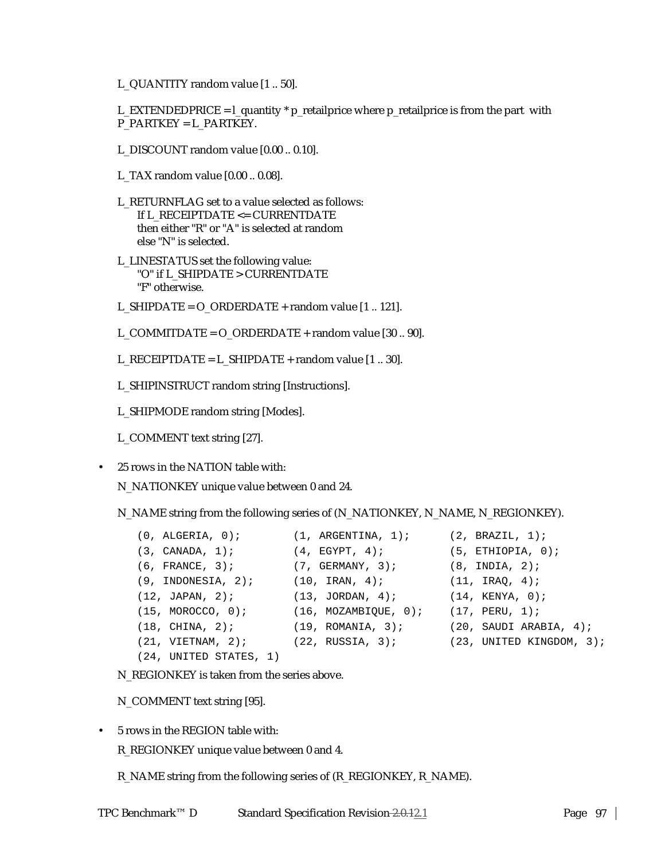L\_QUANTITY random value [1 .. 50].

L\_EXTENDEDPRICE =  $l$ \_quantity \* p\_retailprice where p\_retailprice is from the part with P\_PARTKEY = L\_PARTKEY.

- L\_DISCOUNT random value  $[0.00.. 0.10]$ .
- L\_TAX random value [0.00 .. 0.08].
- L\_RETURNFLAG set to a value selected as follows: If L\_RECEIPTDATE <= CURRENTDATE then either "R" or "A" is selected at random else "N" is selected.
- L\_LINESTATUS set the following value: "O" if L\_SHIPDATE > CURRENTDATE "F" otherwise.
- L\_SHIPDATE = O\_ORDERDATE + random value  $[1.. 121]$ .
- L\_COMMITDATE = O\_ORDERDATE + random value [30 .. 90].
- L\_RECEIPTDATE = L\_SHIPDATE + random value  $[1..30]$ .
- L\_SHIPINSTRUCT random string [Instructions].
- L\_SHIPMODE random string [Modes].
- L\_COMMENT text string [27].
- 25 rows in the NATION table with:

N\_NATIONKEY unique value between 0 and 24.

N\_NAME string from the following series of (N\_NATIONKEY, N\_NAME, N\_REGIONKEY).

```
(0, ALGERIA, 0); (1, ARGENTINA, 1); (2, BRAZIL, 1);
(3, CANADA, 1); (4, EGYPT, 4); (5, ETHIOPIA, 0);
(6, FRANCE, 3); (7, GERMANY, 3); (8, INDIA, 2);
(9, INDONESIA, 2); (10, IRAN, 4); (11, IRAQ, 4);
(12, JAPAN, 2); (13, JORDAN, 4); (14, KENYA, 0);
(15, MOROCCO, 0); (16, MOZAMBIOUE, 0); (17, PERU, 1);(18, CHINA, 2); (19, ROMANIA, 3); (20, SAUDI ARABIA, 4);
(21, VIETNAM, 2); (22, RUSSIA, 3); (23, UNITED KINGDOM, 3);(24, UNITED STATES, 1)
```
N\_REGIONKEY is taken from the series above.

N\_COMMENT text string [95].

• 5 rows in the REGION table with:

R\_REGIONKEY unique value between 0 and 4.

R\_NAME string from the following series of (R\_REGIONKEY, R\_NAME).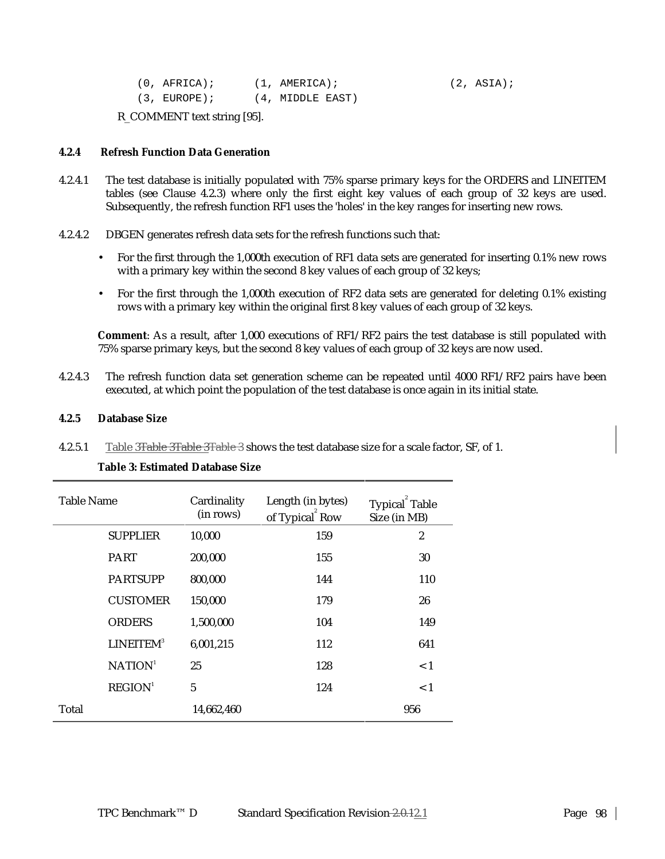| (0. AFRICA);   | $(1, AMERICA)$ ; |  |
|----------------|------------------|--|
| $(3,$ EUROPE); | (4, MIDDLE EAST) |  |

 $(2, ASIA);$ 

R\_COMMENT text string [95].

### **4.2.4 Refresh Function Data Generation**

- 4.2.4.1 The test database is initially populated with 75% sparse primary keys for the ORDERS and LINEITEM tables (see Clause 4.2.3) where only the first eight key values of each group of 32 keys are used. Subsequently, the refresh function RF1 uses the 'holes' in the key ranges for inserting new rows.
- 4.2.4.2 DBGEN generates refresh data sets for the refresh functions such that:
	- For the first through the 1,000th execution of RF1 data sets are generated for inserting 0.1% new rows with a primary key within the second 8 key values of each group of 32 keys;
	- For the first through the 1,000th execution of RF2 data sets are generated for deleting 0.1% existing rows with a primary key within the original first 8 key values of each group of 32 keys.

**Comment**: As a result, after 1,000 executions of RF1/RF2 pairs the test database is still populated with 75% sparse primary keys, but the second 8 key values of each group of 32 keys are now used.

4.2.4.3 The refresh function data set generation scheme can be repeated until 4000 RF1/RF2 pairs have been executed, at which point the population of the test database is once again in its initial state.

## **4.2.5 Database Size**

4.2.5.1 Table 3Table 3Table 3Table 3 shows the test database size for a scale factor, SF, of 1.

#### **Table 3: Estimated Database Size**

| <b>Table Name</b> |                       | Cardinality<br>(in rows) | Length (in bytes)<br>of Typical Row | Typical <sup>2</sup> Table<br>Size (in MB) |
|-------------------|-----------------------|--------------------------|-------------------------------------|--------------------------------------------|
|                   | <b>SUPPLIER</b>       | 10,000                   | 159                                 | $\boldsymbol{2}$                           |
|                   | <b>PART</b>           | 200,000                  | 155                                 | 30                                         |
|                   | <b>PARTSUPP</b>       | 800,000                  | 144                                 | 110                                        |
|                   | <b>CUSTOMER</b>       | 150,000                  | 179                                 | 26                                         |
|                   | <b>ORDERS</b>         | 1,500,000                | 104                                 | 149                                        |
|                   | LINEITEM <sup>3</sup> | 6,001,215                | 112                                 | 641                                        |
|                   | NATION <sup>1</sup>   | 25                       | 128                                 | < 1                                        |
|                   | REGION <sup>1</sup>   | 5                        | 124                                 | < 1                                        |
| Total             |                       | 14,662,460               |                                     | 956                                        |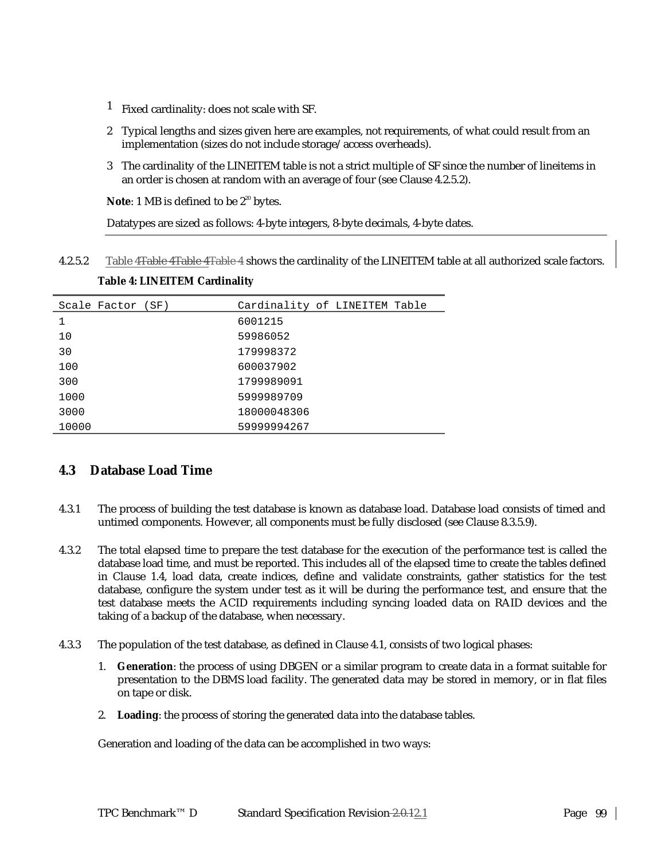- 1 Fixed cardinality: does not scale with SF.
- 2 Typical lengths and sizes given here are examples, not requirements, of what could result from an implementation (sizes do not include storage/access overheads).
- 3 The cardinality of the LINEITEM table is not a strict multiple of SF since the number of lineitems in an order is chosen at random with an average of four (see Clause 4.2.5.2).

**Note:** 1 MB is defined to be  $2^{20}$  bytes.

Datatypes are sized as follows: 4-byte integers, 8-byte decimals, 4-byte dates.

4.2.5.2 Table 4Table 4Table 4Table 4 shows the cardinality of the LINEITEM table at all authorized scale factors.

| Scale Factor (SF) | Cardinality of LINEITEM Table |
|-------------------|-------------------------------|
|                   | 6001215                       |
| 10                | 59986052                      |
| 30                | 179998372                     |
| 100               | 600037902                     |
| 300               | 1799989091                    |
| 1000              | 5999989709                    |
| 3000              | 18000048306                   |
| 10000             | 59999994267                   |

## **Table 4: LINEITEM Cardinality**

## **4.3 Database Load Time**

- 4.3.1 The process of building the test database is known as database load. Database load consists of timed and untimed components. However, all components must be fully disclosed (see Clause 8.3.5.9).
- 4.3.2 The total elapsed time to prepare the test database for the execution of the performance test is called the database load time, and must be reported. This includes all of the elapsed time to create the tables defined in Clause 1.4, load data, create indices, define and validate constraints, gather statistics for the test database, configure the system under test as it will be during the performance test, and ensure that the test database meets the ACID requirements including syncing loaded data on RAID devices and the taking of a backup of the database, when necessary.
- 4.3.3 The population of the test database, as defined in Clause 4.1, consists of two logical phases:
	- 1. **Generation**: the process of using DBGEN or a similar program to create data in a format suitable for presentation to the DBMS load facility. The generated data may be stored in memory, or in flat files on tape or disk.
	- 2. **Loading**: the process of storing the generated data into the database tables.

Generation and loading of the data can be accomplished in two ways: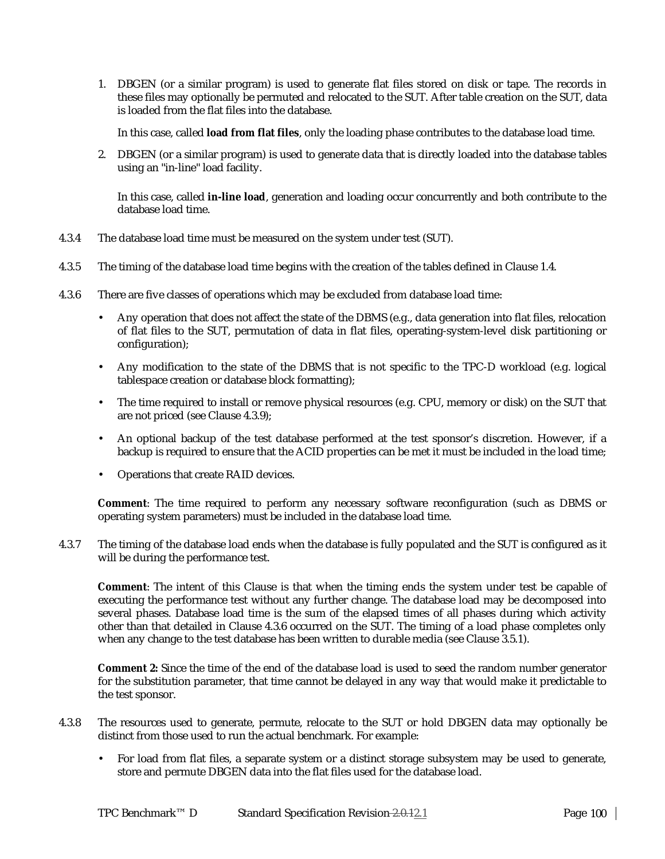1. DBGEN (or a similar program) is used to generate flat files stored on disk or tape. The records in these files may optionally be permuted and relocated to the SUT. After table creation on the SUT, data is loaded from the flat files into the database.

In this case, called **load from flat files**, only the loading phase contributes to the database load time.

2. DBGEN (or a similar program) is used to generate data that is directly loaded into the database tables using an "in-line" load facility.

In this case, called **in-line load**, generation and loading occur concurrently and both contribute to the database load time.

- 4.3.4 The database load time must be measured on the system under test (SUT).
- 4.3.5 The timing of the database load time begins with the creation of the tables defined in Clause 1.4.
- 4.3.6 There are five classes of operations which may be excluded from database load time:
	- Any operation that does not affect the state of the DBMS (e.g., data generation into flat files, relocation of flat files to the SUT, permutation of data in flat files, operating-system-level disk partitioning or configuration);
	- Any modification to the state of the DBMS that is not specific to the TPC-D workload (e.g. logical tablespace creation or database block formatting);
	- The time required to install or remove physical resources (e.g. CPU, memory or disk) on the SUT that are not priced (see Clause 4.3.9);
	- An optional backup of the test database performed at the test sponsor's discretion. However, if a backup is required to ensure that the ACID properties can be met it must be included in the load time;
	- Operations that create RAID devices.

**Comment**: The time required to perform any necessary software reconfiguration (such as DBMS or operating system parameters) must be included in the database load time.

4.3.7 The timing of the database load ends when the database is fully populated and the SUT is configured as it will be during the performance test.

**Comment**: The intent of this Clause is that when the timing ends the system under test be capable of executing the performance test without any further change. The database load may be decomposed into several phases. Database load time is the sum of the elapsed times of all phases during which activity other than that detailed in Clause 4.3.6 occurred on the SUT. The timing of a load phase completes only when any change to the test database has been written to durable media (see Clause 3.5.1).

**Comment 2:** Since the time of the end of the database load is used to seed the random number generator for the substitution parameter, that time cannot be delayed in any way that would make it predictable to the test sponsor.

- 4.3.8 The resources used to generate, permute, relocate to the SUT or hold DBGEN data may optionally be distinct from those used to run the actual benchmark. For example:
	- For load from flat files, a separate system or a distinct storage subsystem may be used to generate, store and permute DBGEN data into the flat files used for the database load.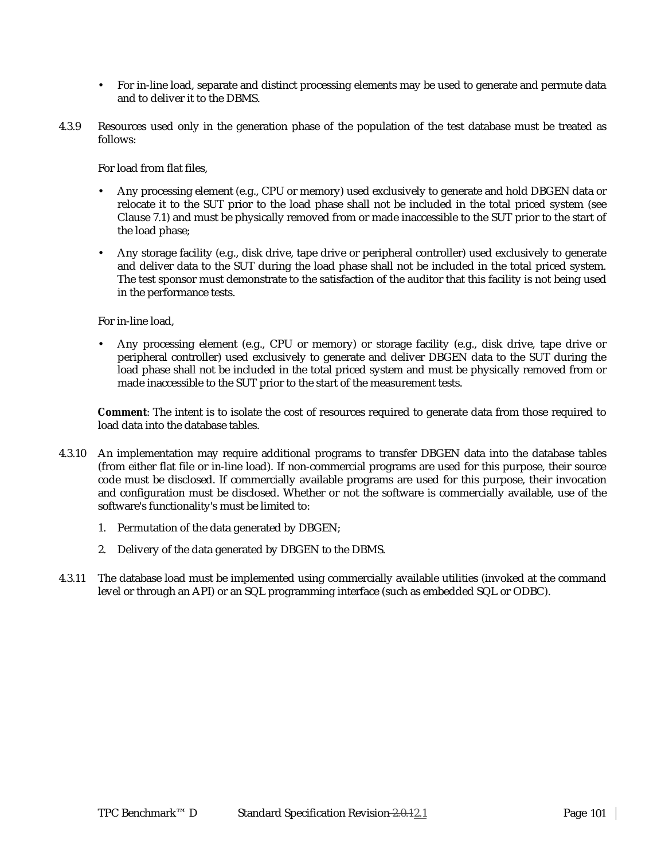- For in-line load, separate and distinct processing elements may be used to generate and permute data and to deliver it to the DBMS.
- 4.3.9 Resources used only in the generation phase of the population of the test database must be treated as follows:

For load from flat files,

- Any processing element (e.g., CPU or memory) used exclusively to generate and hold DBGEN data or relocate it to the SUT prior to the load phase shall not be included in the total priced system (see Clause 7.1) and must be physically removed from or made inaccessible to the SUT prior to the start of the load phase;
- Any storage facility (e.g., disk drive, tape drive or peripheral controller) used exclusively to generate and deliver data to the SUT during the load phase shall not be included in the total priced system. The test sponsor must demonstrate to the satisfaction of the auditor that this facility is not being used in the performance tests.

For in-line load,

• Any processing element (e.g., CPU or memory) or storage facility (e.g., disk drive, tape drive or peripheral controller) used exclusively to generate and deliver DBGEN data to the SUT during the load phase shall not be included in the total priced system and must be physically removed from or made inaccessible to the SUT prior to the start of the measurement tests.

**Comment**: The intent is to isolate the cost of resources required to generate data from those required to load data into the database tables.

- 4.3.10 An implementation may require additional programs to transfer DBGEN data into the database tables (from either flat file or in-line load). If non-commercial programs are used for this purpose, their source code must be disclosed. If commercially available programs are used for this purpose, their invocation and configuration must be disclosed. Whether or not the software is commercially available, use of the software's functionality's must be limited to:
	- 1. Permutation of the data generated by DBGEN;
	- 2. Delivery of the data generated by DBGEN to the DBMS.
- 4.3.11 The database load must be implemented using commercially available utilities (invoked at the command level or through an API) or an SQL programming interface (such as embedded SQL or ODBC).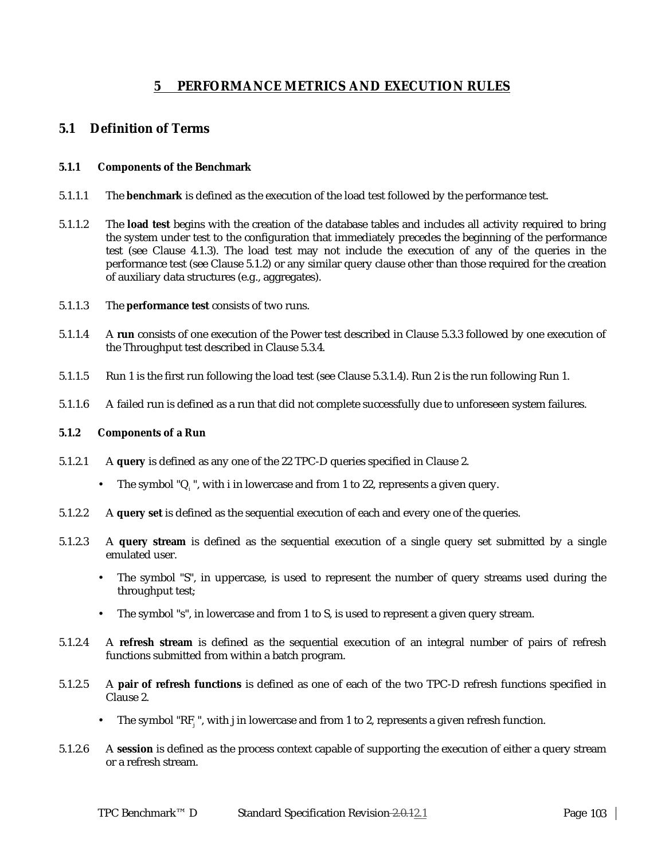# **5 PERFORMANCE METRICS AND EXECUTION RULES**

# **5.1 Definition of Terms**

## **5.1.1 Components of the Benchmark**

- 5.1.1.1 The **benchmark** is defined as the execution of the load test followed by the performance test.
- 5.1.1.2 The **load test** begins with the creation of the database tables and includes all activity required to bring the system under test to the configuration that immediately precedes the beginning of the performance test (see Clause 4.1.3). The load test may not include the execution of any of the queries in the performance test (see Clause 5.1.2) or any similar query clause other than those required for the creation of auxiliary data structures (e.g., aggregates).
- 5.1.1.3 The **performance test** consists of two runs.
- 5.1.1.4 A **run** consists of one execution of the Power test described in Clause 5.3.3 followed by one execution of the Throughput test described in Clause 5.3.4.
- 5.1.1.5 Run 1 is the first run following the load test (see Clause 5.3.1.4). Run 2 is the run following Run 1.
- 5.1.1.6 A failed run is defined as a run that did not complete successfully due to unforeseen system failures.

## **5.1.2 Components of a Run**

- 5.1.2.1 A **query** is defined as any one of the 22 TPC-D queries specified in Clause 2.
	- The symbol " $Q_i$ ", with i in lowercase and from 1 to 22, represents a given query.
- 5.1.2.2 A **query set** is defined as the sequential execution of each and every one of the queries.
- 5.1.2.3 A **query stream** is defined as the sequential execution of a single query set submitted by a single emulated user.
	- The symbol "S", in uppercase, is used to represent the number of query streams used during the throughput test;
	- The symbol "s", in lowercase and from 1 to S, is used to represent a given query stream.
- 5.1.2.4 A **refresh stream** is defined as the sequential execution of an integral number of pairs of refresh functions submitted from within a batch program.
- 5.1.2.5 A **pair of refresh functions** is defined as one of each of the two TPC-D refresh functions specified in Clause 2.
	- The symbol "RF $_j$ ", with j in lowercase and from 1 to 2, represents a given refresh function.
- 5.1.2.6 A **session** is defined as the process context capable of supporting the execution of either a query stream or a refresh stream.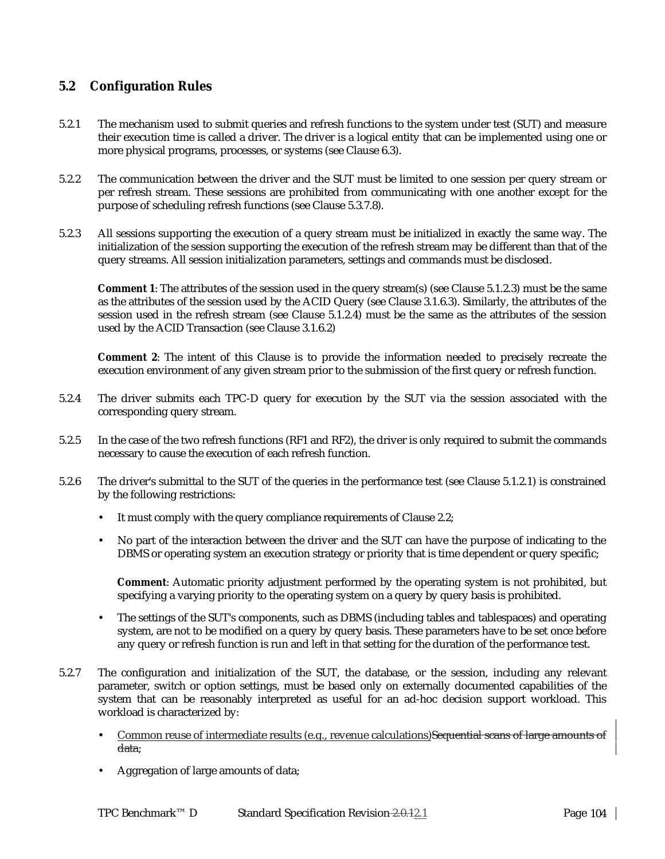# **5.2 Configuration Rules**

- 5.2.1 The mechanism used to submit queries and refresh functions to the system under test (SUT) and measure their execution time is called a driver. The driver is a logical entity that can be implemented using one or more physical programs, processes, or systems (see Clause 6.3).
- 5.2.2 The communication between the driver and the SUT must be limited to one session per query stream or per refresh stream. These sessions are prohibited from communicating with one another except for the purpose of scheduling refresh functions (see Clause 5.3.7.8).
- 5.2.3 All sessions supporting the execution of a query stream must be initialized in exactly the same way. The initialization of the session supporting the execution of the refresh stream may be different than that of the query streams. All session initialization parameters, settings and commands must be disclosed.

**Comment 1**: The attributes of the session used in the query stream(s) (see Clause 5.1.2.3) must be the same as the attributes of the session used by the ACID Query (see Clause 3.1.6.3). Similarly, the attributes of the session used in the refresh stream (see Clause 5.1.2.4) must be the same as the attributes of the session used by the ACID Transaction (see Clause 3.1.6.2)

**Comment 2**: The intent of this Clause is to provide the information needed to precisely recreate the execution environment of any given stream prior to the submission of the first query or refresh function.

- 5.2.4 The driver submits each TPC-D query for execution by the SUT via the session associated with the corresponding query stream.
- 5.2.5 In the case of the two refresh functions (RF1 and RF2), the driver is only required to submit the commands necessary to cause the execution of each refresh function.
- 5.2.6 The driver's submittal to the SUT of the queries in the performance test (see Clause 5.1.2.1) is constrained by the following restrictions:
	- It must comply with the query compliance requirements of Clause 2.2;
	- No part of the interaction between the driver and the SUT can have the purpose of indicating to the DBMS or operating system an execution strategy or priority that is time dependent or query specific;

**Comment**: Automatic priority adjustment performed by the operating system is not prohibited, but specifying a varying priority to the operating system on a query by query basis is prohibited.

- The settings of the SUT's components, such as DBMS (including tables and tablespaces) and operating system, are not to be modified on a query by query basis. These parameters have to be set once before any query or refresh function is run and left in that setting for the duration of the performance test.
- 5.2.7 The configuration and initialization of the SUT, the database, or the session, including any relevant parameter, switch or option settings, must be based only on externally documented capabilities of the system that can be reasonably interpreted as useful for an ad-hoc decision support workload. This workload is characterized by:
	- Common reuse of intermediate results (e.g., revenue calculations) Sequential scans of large amounts of data;
	- Aggregation of large amounts of data;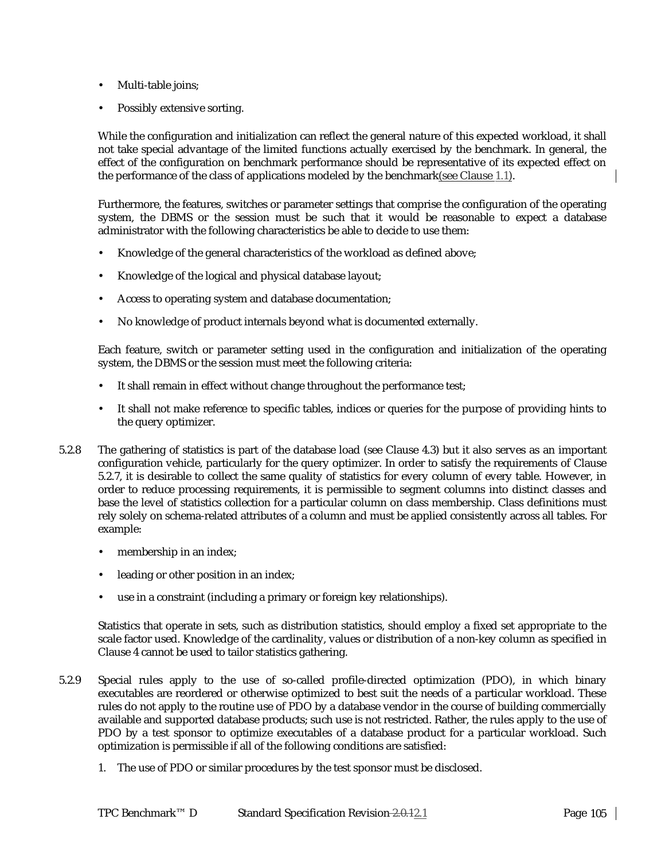- Multi-table joins;
- Possibly extensive sorting.

While the configuration and initialization can reflect the general nature of this expected workload, it shall not take special advantage of the limited functions actually exercised by the benchmark. In general, the effect of the configuration on benchmark performance should be representative of its expected effect on the performance of the class of applications modeled by the benchmark(see Clause 1.1).

Furthermore, the features, switches or parameter settings that comprise the configuration of the operating system, the DBMS or the session must be such that it would be reasonable to expect a database administrator with the following characteristics be able to decide to use them:

- Knowledge of the general characteristics of the workload as defined above;
- Knowledge of the logical and physical database layout;
- Access to operating system and database documentation;
- No knowledge of product internals beyond what is documented externally.

Each feature, switch or parameter setting used in the configuration and initialization of the operating system, the DBMS or the session must meet the following criteria:

- It shall remain in effect without change throughout the performance test;
- It shall not make reference to specific tables, indices or queries for the purpose of providing hints to the query optimizer.
- 5.2.8 The gathering of statistics is part of the database load (see Clause 4.3) but it also serves as an important configuration vehicle, particularly for the query optimizer. In order to satisfy the requirements of Clause 5.2.7, it is desirable to collect the same quality of statistics for every column of every table. However, in order to reduce processing requirements, it is permissible to segment columns into distinct classes and base the level of statistics collection for a particular column on class membership. Class definitions must rely solely on schema-related attributes of a column and must be applied consistently across all tables. For example:
	- membership in an index;
	- leading or other position in an index;
	- use in a constraint (including a primary or foreign key relationships).

Statistics that operate in sets, such as distribution statistics, should employ a fixed set appropriate to the scale factor used. Knowledge of the cardinality, values or distribution of a non-key column as specified in Clause 4 cannot be used to tailor statistics gathering.

- 5.2.9 Special rules apply to the use of so-called profile-directed optimization (PDO), in which binary executables are reordered or otherwise optimized to best suit the needs of a particular workload. These rules do not apply to the routine use of PDO by a database vendor in the course of building commercially available and supported database products; such use is not restricted. Rather, the rules apply to the use of PDO by a test sponsor to optimize executables of a database product for a particular workload. Such optimization is permissible if all of the following conditions are satisfied:
	- 1. The use of PDO or similar procedures by the test sponsor must be disclosed.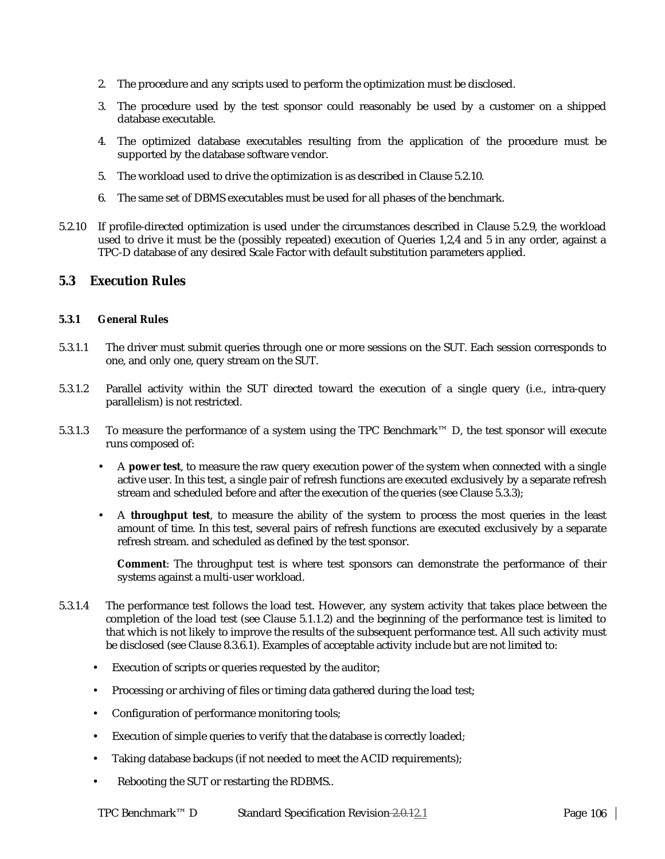- 2. The procedure and any scripts used to perform the optimization must be disclosed.
- 3. The procedure used by the test sponsor could reasonably be used by a customer on a shipped database executable.
- 4. The optimized database executables resulting from the application of the procedure must be supported by the database software vendor.
- 5. The workload used to drive the optimization is as described in Clause 5.2.10.
- 6. The same set of DBMS executables must be used for all phases of the benchmark.
- 5.2.10 If profile-directed optimization is used under the circumstances described in Clause 5.2.9, the workload used to drive it must be the (possibly repeated) execution of Queries 1,2,4 and 5 in any order, against a TPC-D database of any desired Scale Factor with default substitution parameters applied.

## **5.3 Execution Rules**

#### **5.3.1 General Rules**

- 5.3.1.1 The driver must submit queries through one or more sessions on the SUT. Each session corresponds to one, and only one, query stream on the SUT.
- 5.3.1.2 Parallel activity within the SUT directed toward the execution of a single query (i.e., intra-query parallelism) is not restricted.
- 5.3.1.3 To measure the performance of a system using the TPC Benchmark™ D, the test sponsor will execute runs composed of:
	- A **power test**, to measure the raw query execution power of the system when connected with a single active user. In this test, a single pair of refresh functions are executed exclusively by a separate refresh stream and scheduled before and after the execution of the queries (see Clause 5.3.3);
	- A **throughput test**, to measure the ability of the system to process the most queries in the least amount of time. In this test, several pairs of refresh functions are executed exclusively by a separate refresh stream. and scheduled as defined by the test sponsor.

**Comment**: The throughput test is where test sponsors can demonstrate the performance of their systems against a multi-user workload.

- 5.3.1.4 The performance test follows the load test. However, any system activity that takes place between the completion of the load test (see Clause 5.1.1.2) and the beginning of the performance test is limited to that which is not likely to improve the results of the subsequent performance test. All such activity must be disclosed (see Clause 8.3.6.1). Examples of acceptable activity include but are not limited to:
	- Execution of scripts or queries requested by the auditor;
	- Processing or archiving of files or timing data gathered during the load test;
	- Configuration of performance monitoring tools;
	- Execution of simple queries to verify that the database is correctly loaded;
	- Taking database backups (if not needed to meet the ACID requirements);
	- Rebooting the SUT or restarting the RDBMS..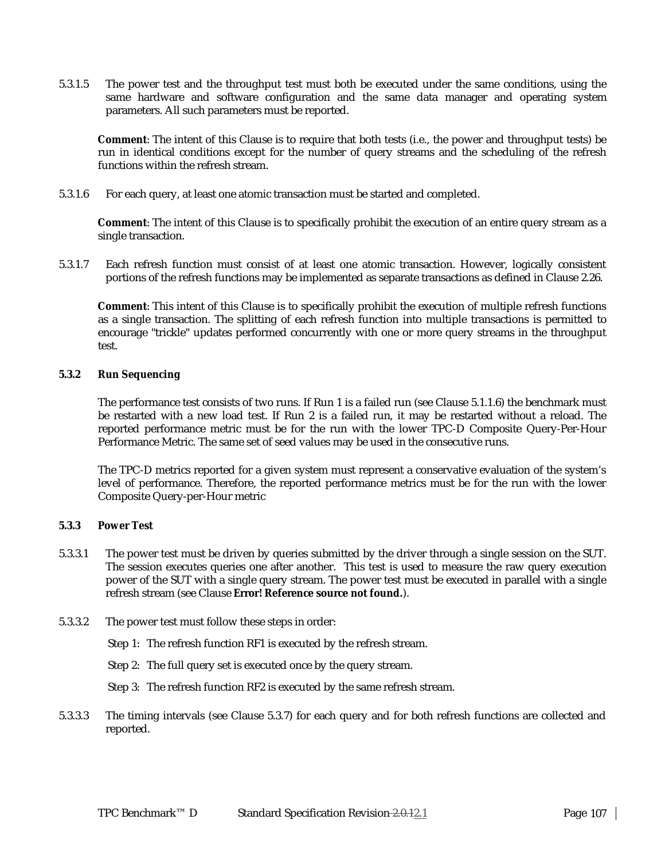5.3.1.5 The power test and the throughput test must both be executed under the same conditions, using the same hardware and software configuration and the same data manager and operating system parameters. All such parameters must be reported.

**Comment**: The intent of this Clause is to require that both tests (i.e., the power and throughput tests) be run in identical conditions except for the number of query streams and the scheduling of the refresh functions within the refresh stream.

5.3.1.6 For each query, at least one atomic transaction must be started and completed.

**Comment**: The intent of this Clause is to specifically prohibit the execution of an entire query stream as a single transaction.

5.3.1.7 Each refresh function must consist of at least one atomic transaction. However, logically consistent portions of the refresh functions may be implemented as separate transactions as defined in Clause 2.26.

**Comment**: This intent of this Clause is to specifically prohibit the execution of multiple refresh functions as a single transaction. The splitting of each refresh function into multiple transactions is permitted to encourage "trickle" updates performed concurrently with one or more query streams in the throughput test.

## **5.3.2 Run Sequencing**

The performance test consists of two runs. If Run 1 is a failed run (see Clause 5.1.1.6) the benchmark must be restarted with a new load test. If Run 2 is a failed run, it may be restarted without a reload. The reported performance metric must be for the run with the lower TPC-D Composite Query-Per-Hour Performance Metric. The same set of seed values may be used in the consecutive runs.

The TPC-D metrics reported for a given system must represent a conservative evaluation of the system's level of performance. Therefore, the reported performance metrics must be for the run with the lower Composite Query-per-Hour metric

## **5.3.3 Power Test**

- 5.3.3.1 The power test must be driven by queries submitted by the driver through a single session on the SUT. The session executes queries one after another. This test is used to measure the raw query execution power of the SUT with a single query stream. The power test must be executed in parallel with a single refresh stream (see Clause **Error! Reference source not found.**).
- 5.3.3.2 The power test must follow these steps in order:
	- Step 1: The refresh function RF1 is executed by the refresh stream.
	- Step 2: The full query set is executed once by the query stream.
	- Step 3: The refresh function RF2 is executed by the same refresh stream.
- 5.3.3.3 The timing intervals (see Clause 5.3.7) for each query and for both refresh functions are collected and reported.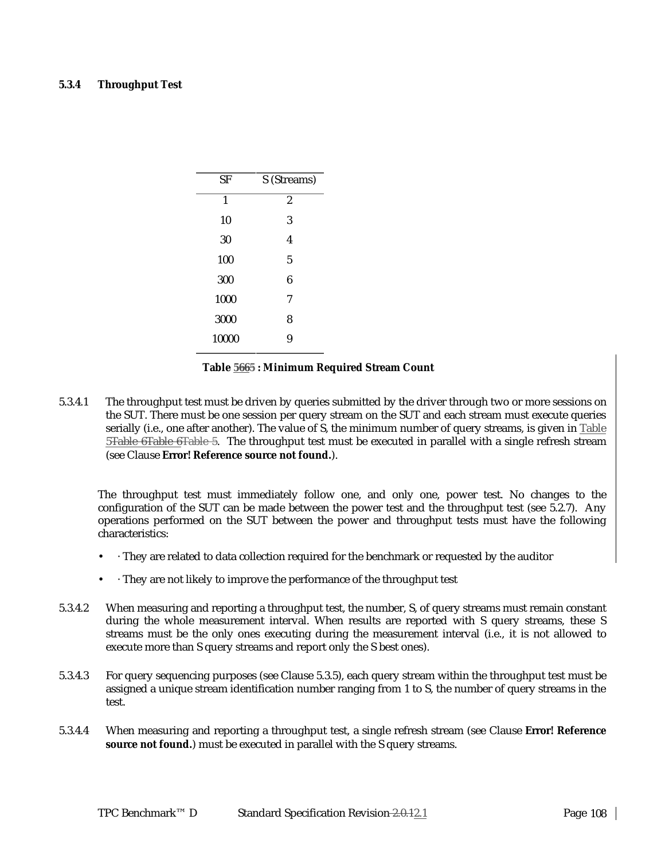### **5.3.4 Throughput Test**

| SF    | S (Streams)    |
|-------|----------------|
| 1     | $\overline{2}$ |
| 10    | 3              |
| 30    | 4              |
| 100   | 5              |
| 300   | 6              |
| 1000  | 7              |
| 3000  | 8              |
| 10000 | 9              |
|       |                |

**Table 5665 : Minimum Required Stream Count**

5.3.4.1 The throughput test must be driven by queries submitted by the driver through two or more sessions on the SUT. There must be one session per query stream on the SUT and each stream must execute queries serially (i.e., one after another). The value of S, the minimum number of query streams, is given in Table 5Table 6Table 6Table 5. The throughput test must be executed in parallel with a single refresh stream (see Clause **Error! Reference source not found.**).

The throughput test must immediately follow one, and only one, power test. No changes to the configuration of the SUT can be made between the power test and the throughput test (see 5.2.7). Any operations performed on the SUT between the power and throughput tests must have the following characteristics:

- · They are related to data collection required for the benchmark or requested by the auditor
- · They are not likely to improve the performance of the throughput test
- 5.3.4.2 When measuring and reporting a throughput test, the number, S, of query streams must remain constant during the whole measurement interval. When results are reported with S query streams, these S streams must be the only ones executing during the measurement interval (i.e., it is not allowed to execute more than S query streams and report only the S best ones).
- 5.3.4.3 For query sequencing purposes (see Clause 5.3.5), each query stream within the throughput test must be assigned a unique stream identification number ranging from 1 to S, the number of query streams in the test.
- 5.3.4.4 When measuring and reporting a throughput test, a single refresh stream (see Clause **Error! Reference source not found.**) must be executed in parallel with the S query streams.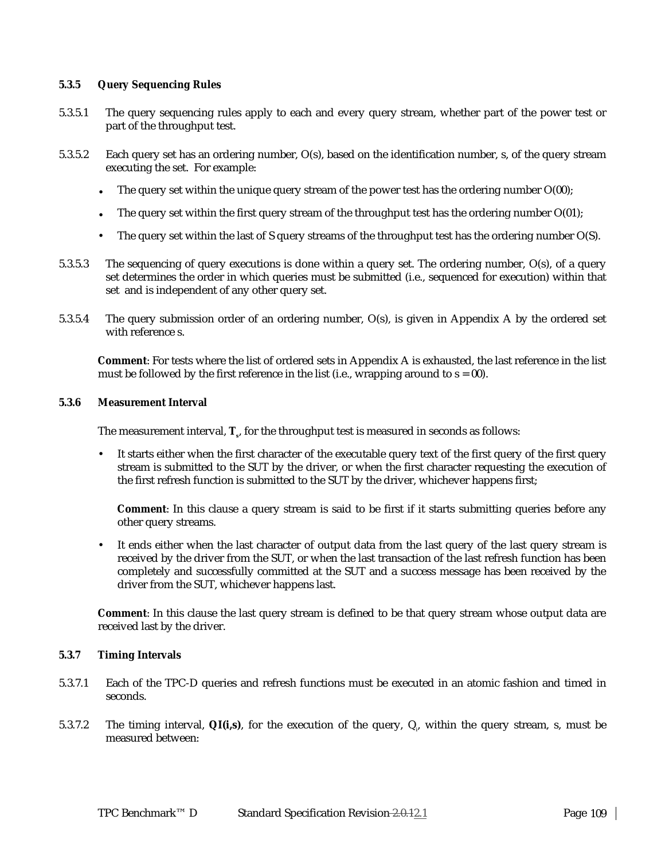#### **5.3.5 Query Sequencing Rules**

- 5.3.5.1 The query sequencing rules apply to each and every query stream, whether part of the power test or part of the throughput test.
- 5.3.5.2 Each query set has an ordering number, O(s), based on the identification number, s, of the query stream executing the set. For example:
	- The query set within the unique query stream of the power test has the ordering number  $O(00)$ ;
	- The query set within the first query stream of the throughput test has the ordering number  $O(01)$ ;
	- The query set within the last of S query streams of the throughput test has the ordering number O(S).
- 5.3.5.3 The sequencing of query executions is done within a query set. The ordering number, O(s), of a query set determines the order in which queries must be submitted (i.e., sequenced for execution) within that set and is independent of any other query set.
- 5.3.5.4 The query submission order of an ordering number, O(s), is given in Appendix A by the ordered set with reference s.

**Comment**: For tests where the list of ordered sets in Appendix A is exhausted, the last reference in the list must be followed by the first reference in the list (i.e., wrapping around to  $s = 00$ ).

#### **5.3.6 Measurement Interval**

The measurement interval, **T**<sub>,</sub>, for the throughput test is measured in seconds as follows:

It starts either when the first character of the executable query text of the first query of the first query stream is submitted to the SUT by the driver, or when the first character requesting the execution of the first refresh function is submitted to the SUT by the driver, whichever happens first;

**Comment**: In this clause a query stream is said to be first if it starts submitting queries before any other query streams.

• It ends either when the last character of output data from the last query of the last query stream is received by the driver from the SUT, or when the last transaction of the last refresh function has been completely and successfully committed at the SUT and a success message has been received by the driver from the SUT, whichever happens last.

**Comment**: In this clause the last query stream is defined to be that query stream whose output data are received last by the driver.

### **5.3.7 Timing Intervals**

- 5.3.7.1 Each of the TPC-D queries and refresh functions must be executed in an atomic fashion and timed in seconds.
- 5.3.7.2 The timing interval,  $QI(i,s)$ , for the execution of the query,  $Q_{\!\shortparallel}$ , within the query stream, s, must be measured between: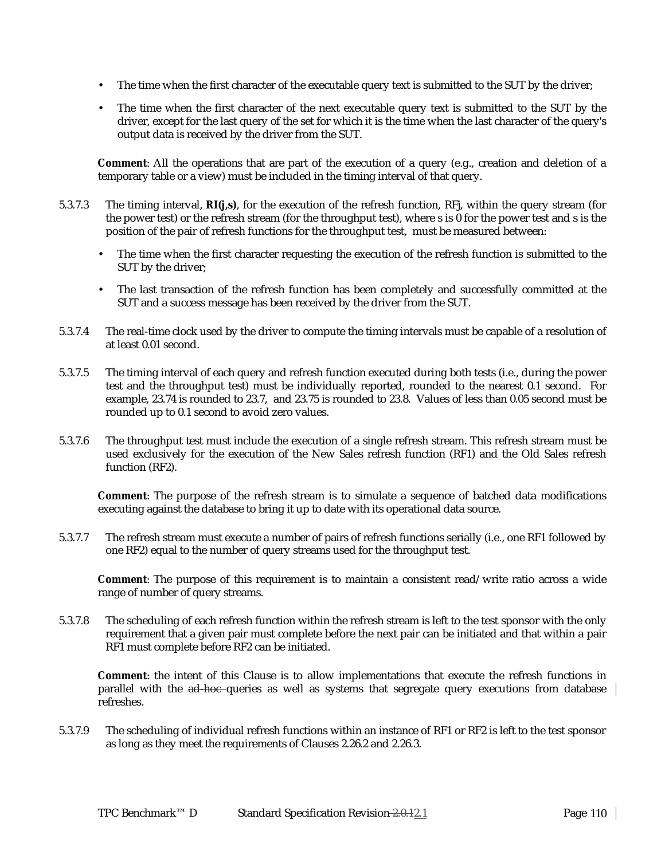- The time when the first character of the executable query text is submitted to the SUT by the driver;
- The time when the first character of the next executable query text is submitted to the SUT by the driver, except for the last query of the set for which it is the time when the last character of the query's output data is received by the driver from the SUT.

**Comment**: All the operations that are part of the execution of a query (e.g., creation and deletion of a temporary table or a view) must be included in the timing interval of that query.

- 5.3.7.3 The timing interval, **RI(j,s)**, for the execution of the refresh function, RFj, within the query stream (for the power test) or the refresh stream (for the throughput test), where s is 0 for the power test and s is the position of the pair of refresh functions for the throughput test, must be measured between:
	- The time when the first character requesting the execution of the refresh function is submitted to the SUT by the driver;
	- The last transaction of the refresh function has been completely and successfully committed at the SUT and a success message has been received by the driver from the SUT.
- 5.3.7.4 The real-time clock used by the driver to compute the timing intervals must be capable of a resolution of at least 0.01 second.
- 5.3.7.5 The timing interval of each query and refresh function executed during both tests (i.e., during the power test and the throughput test) must be individually reported, rounded to the nearest 0.1 second. For example, 23.74 is rounded to 23.7, and 23.75 is rounded to 23.8. Values of less than 0.05 second must be rounded up to 0.1 second to avoid zero values.
- 5.3.7.6 The throughput test must include the execution of a single refresh stream. This refresh stream must be used exclusively for the execution of the New Sales refresh function (RF1) and the Old Sales refresh function (RF2).

**Comment**: The purpose of the refresh stream is to simulate a sequence of batched data modifications executing against the database to bring it up to date with its operational data source.

5.3.7.7 The refresh stream must execute a number of pairs of refresh functions serially (i.e., one RF1 followed by one RF2) equal to the number of query streams used for the throughput test.

**Comment**: The purpose of this requirement is to maintain a consistent read/write ratio across a wide range of number of query streams.

5.3.7.8 The scheduling of each refresh function within the refresh stream is left to the test sponsor with the only requirement that a given pair must complete before the next pair can be initiated and that within a pair RF1 must complete before RF2 can be initiated.

**Comment**: the intent of this Clause is to allow implementations that execute the refresh functions in parallel with the  $ad$ -hoc-queries as well as systems that segregate query executions from database refreshes.

5.3.7.9 The scheduling of individual refresh functions within an instance of RF1 or RF2 is left to the test sponsor as long as they meet the requirements of Clauses 2.26.2 and 2.26.3.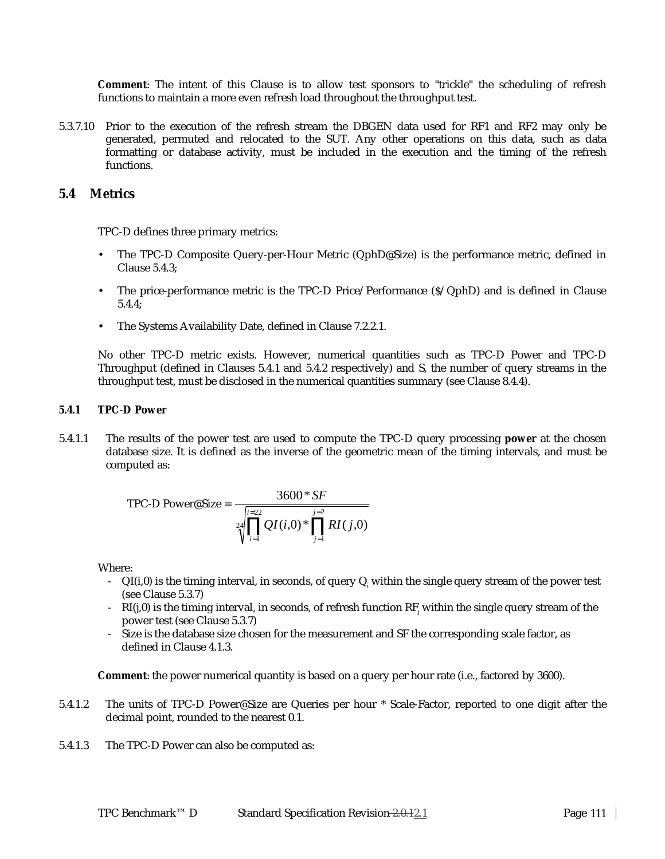**Comment**: The intent of this Clause is to allow test sponsors to "trickle" the scheduling of refresh functions to maintain a more even refresh load throughout the throughput test.

5.3.7.10 Prior to the execution of the refresh stream the DBGEN data used for RF1 and RF2 may only be generated, permuted and relocated to the SUT. Any other operations on this data, such as data formatting or database activity, must be included in the execution and the timing of the refresh functions.

## **5.4 Metrics**

TPC-D defines three primary metrics:

- The TPC-D Composite Query-per-Hour Metric (QphD@Size) is the performance metric, defined in Clause 5.4.3;
- The price-performance metric is the TPC-D Price/Performance (\$/QphD) and is defined in Clause 5.4.4;
- The Systems Availability Date, defined in Clause 7.2.2.1.

No other TPC-D metric exists. However, numerical quantities such as TPC-D Power and TPC-D Throughput (defined in Clauses 5.4.1 and 5.4.2 respectively) and S, the number of query streams in the throughput test, must be disclosed in the numerical quantities summary (see Clause 8.4.4).

#### **5.4.1 TPC**-**D Power**

5.4.1.1 The results of the power test are used to compute the TPC-D query processing **power** at the chosen database size. It is defined as the inverse of the geometric mean of the timing intervals, and must be computed as:

TPC-D Power@Size = 
$$
\frac{3600 * SF}{\sqrt[2n]{\prod_{i=1}^{i=22} QI(i,0) * \prod_{j=1}^{i=2} RI(j,0)}}
$$

Where:

- $\rm QI(i,0)$  is the timing interval, in seconds, of query  $\rm Q_{i}$  within the single query stream of the power test (see Clause 5.3.7)
- $\;$  RI(j,0) is the timing interval, in seconds, of refresh function  $\rm RF_j$  within the single query stream of the power test (see Clause 5.3.7)
- Size is the database size chosen for the measurement and SF the corresponding scale factor, as defined in Clause 4.1.3.

**Comment**: the power numerical quantity is based on a query per hour rate (i.e., factored by 3600).

- 5.4.1.2 The units of TPC-D Power@Size are Queries per hour \* Scale-Factor, reported to one digit after the decimal point, rounded to the nearest 0.1.
- 5.4.1.3 The TPC-D Power can also be computed as: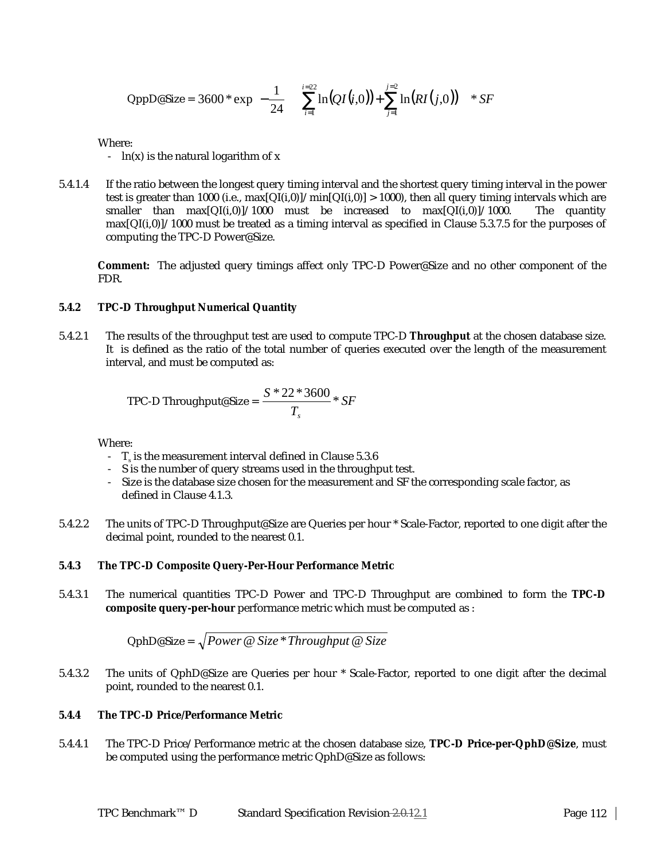$$
QppD@Size = 3600 * exp \left\{ -\frac{1}{24} \left[ \sum_{i=1}^{i=22} \ln(QI(i,0)) + \sum_{j=1}^{j=2} \ln(RI(j,0)) \right] \right\} * SF
$$

Where:

-  $ln(x)$  is the natural logarithm of x

5.4.1.4 If the ratio between the longest query timing interval and the shortest query timing interval in the power test is greater than 1000 (i.e.,  $max[QI(i,0)]/min[QI(i,0)] > 1000$ ), then all query timing intervals which are smaller than  $max[QI(i,0)]/1000$  must be increased to  $max[QI(i,0)]/1000$ . The quantity max[QI(i,0)]/1000 must be treated as a timing interval as specified in Clause 5.3.7.5 for the purposes of computing the TPC-D Power@Size.

**Comment:** The adjusted query timings affect only TPC-D Power@Size and no other component of the FDR.

#### **5.4.2 TPC-D Throughput Numerical Quantity**

5.4.2.1 The results of the throughput test are used to compute TPC-D **Throughput** at the chosen database size. It is defined as the ratio of the total number of queries executed over the length of the measurement interval, and must be computed as:

TPC-D Throughput@Size = 
$$
\frac{S * 22 * 3600}{T_s} * SF
$$

Where:

- $\,$  T $_{\rm s}$  is the measurement interval defined in Clause 5.3.6
- S is the number of query streams used in the throughput test.
- Size is the database size chosen for the measurement and SF the corresponding scale factor, as defined in Clause 4.1.3.
- 5.4.2.2 The units of TPC-D Throughput@Size are Queries per hour \* Scale-Factor, reported to one digit after the decimal point, rounded to the nearest 0.1.

#### **5.4.3 The TPC-D Composite Query-Per-Hour Performance Metric**

5.4.3.1 The numerical quantities TPC-D Power and TPC-D Throughput are combined to form the **TPC-D composite query-per-hour** performance metric which must be computed as :

QphD@Size = *Power*@ *Size* \**Throughput* @ *Size*

5.4.3.2 The units of QphD@Size are Queries per hour \* Scale-Factor, reported to one digit after the decimal point, rounded to the nearest 0.1.

#### **5.4.4 The TPC-D Price/Performance Metric**

5.4.4.1 The TPC-D Price/Performance metric at the chosen database size, **TPC-D Price-per-QphD@Size**, must be computed using the performance metric QphD@Size as follows: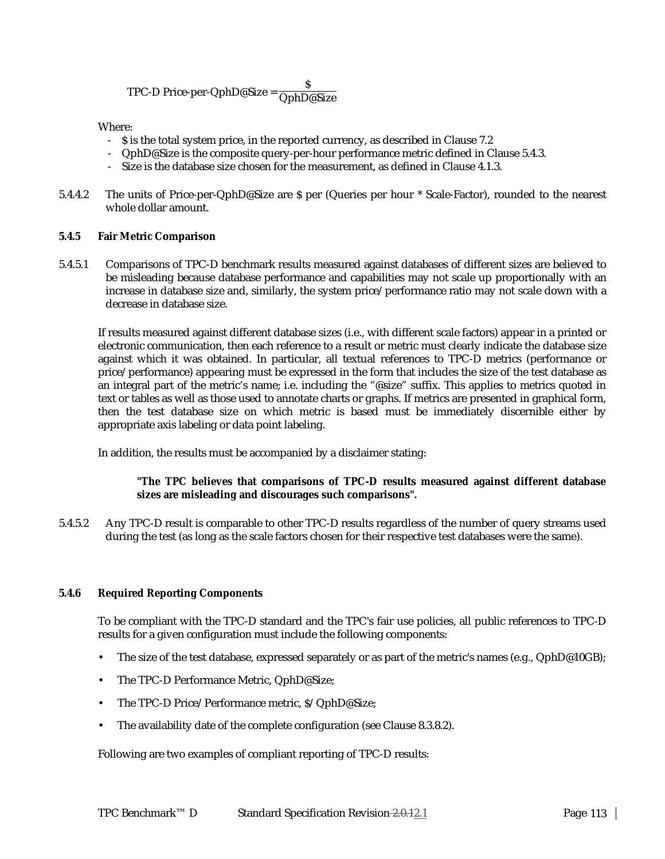TPC-D Price-per-QphD@Size =  $\frac{\$}{\rm QphD@Size}$ 

Where:

- \$ is the total system price, in the reported currency, as described in Clause 7.2
- QphD@Size is the composite query-per-hour performance metric defined in Clause 5.4.3.
- Size is the database size chosen for the measurement, as defined in Clause 4.1.3.
- 5.4.4.2 The units of Price-per-QphD@Size are \$ per (Queries per hour \* Scale-Factor), rounded to the nearest whole dollar amount.

#### **5.4.5 Fair Metric Comparison**

5.4.5.1 Comparisons of TPC-D benchmark results measured against databases of different sizes are believed to be misleading because database performance and capabilities may not scale up proportionally with an increase in database size and, similarly, the system price/performance ratio may not scale down with a decrease in database size.

If results measured against different database sizes (i.e., with different scale factors) appear in a printed or electronic communication, then each reference to a result or metric must clearly indicate the database size against which it was obtained. In particular, all textual references to TPC-D metrics (performance or price/performance) appearing must be expressed in the form that includes the size of the test database as an integral part of the metric's name; i.e. including the "@size" suffix. This applies to metrics quoted in text or tables as well as those used to annotate charts or graphs. If metrics are presented in graphical form, then the test database size on which metric is based must be immediately discernible either by appropriate axis labeling or data point labeling.

In addition, the results must be accompanied by a disclaimer stating:

#### **"The TPC believes that comparisons of TPC-D results measured against different database sizes are misleading and discourages such comparisons".**

5.4.5.2 Any TPC-D result is comparable to other TPC-D results regardless of the number of query streams used during the test (as long as the scale factors chosen for their respective test databases were the same).

#### **5.4.6 Required Reporting Components**

To be compliant with the TPC-D standard and the TPC's fair use policies, all public references to TPC-D results for a given configuration must include the following components:

- The size of the test database, expressed separately or as part of the metric's names (e.g., QphD@10GB);
- The TPC-D Performance Metric, QphD@Size;
- The TPC-D Price/Performance metric, \$/QphD@Size;
- The availability date of the complete configuration (see Clause 8.3.8.2).

Following are two examples of compliant reporting of TPC-D results: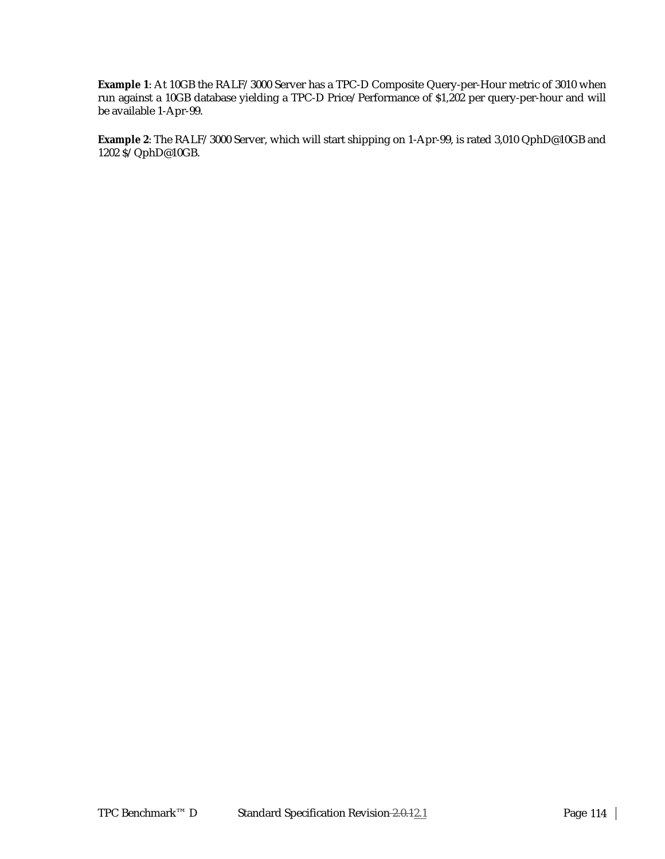**Example 1**: At 10GB the RALF/3000 Server has a TPC-D Composite Query-per-Hour metric of 3010 when run against a 10GB database yielding a TPC-D Price/Performance of \$1,202 per query-per-hour and will be available 1-Apr-99.

**Example 2**: The RALF/3000 Server, which will start shipping on 1-Apr-99, is rated 3,010 QphD@10GB and 1202 \$/QphD@10GB.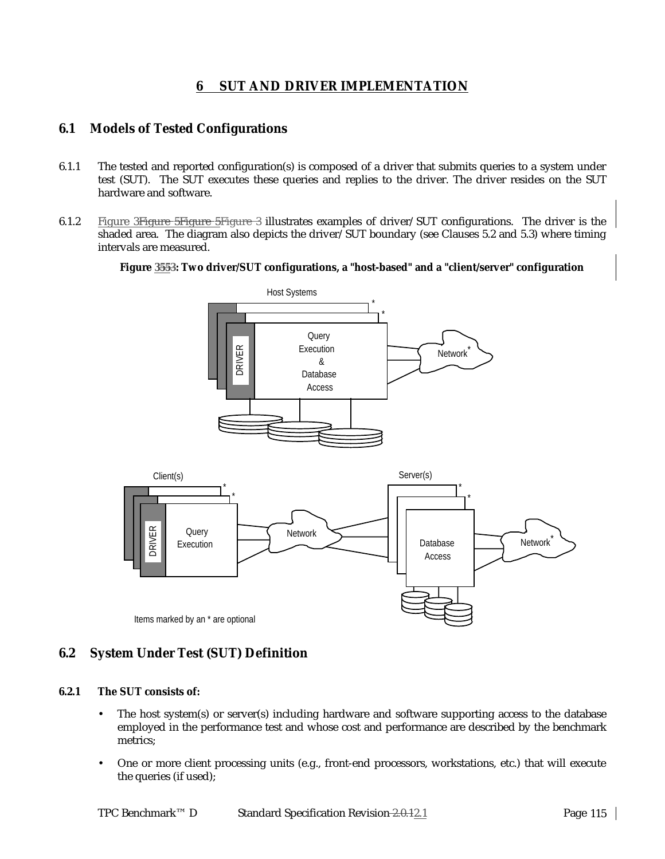# **6 SUT AND DRIVER IMPLEMENTATION**

# **6.1 Models of Tested Configurations**

- 6.1.1 The tested and reported configuration(s) is composed of a driver that submits queries to a system under test (SUT). The SUT executes these queries and replies to the driver. The driver resides on the SUT hardware and software.
- 6.1.2 Figure 3Figure 5Figure 5Figure 3 illustrates examples of driver/SUT configurations. The driver is the shaded area. The diagram also depicts the driver/SUT boundary (see Clauses 5.2 and 5.3) where timing intervals are measured.



**Figure 3553: Two driver/SUT configurations, a "host-based" and a "client/server" configuration**

# **6.2 System Under Test (SUT) Definition**

## **6.2.1 The SUT consists of:**

- The host system(s) or server(s) including hardware and software supporting access to the database employed in the performance test and whose cost and performance are described by the benchmark metrics;
- One or more client processing units (e.g., front-end processors, workstations, etc.) that will execute the queries (if used);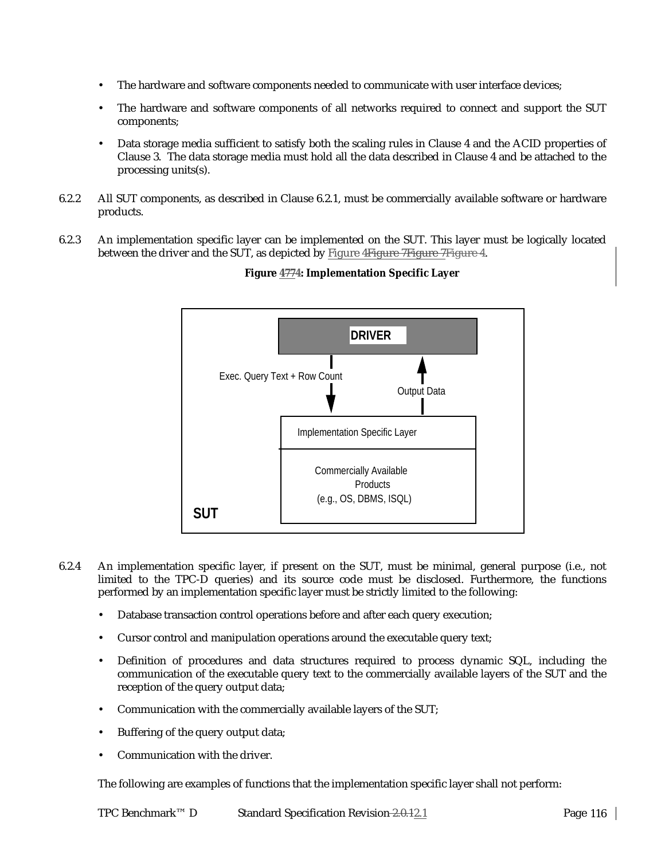- The hardware and software components needed to communicate with user interface devices;
- The hardware and software components of all networks required to connect and support the SUT components;
- Data storage media sufficient to satisfy both the scaling rules in Clause 4 and the ACID properties of Clause 3. The data storage media must hold all the data described in Clause 4 and be attached to the processing units(s).
- 6.2.2 All SUT components, as described in Clause 6.2.1, must be commercially available software or hardware products.
- 6.2.3 An implementation specific layer can be implemented on the SUT. This layer must be logically located between the driver and the SUT, as depicted by Figure 4Figure 7Figure 7Figure 4.



**Figure 4774: Implementation Specific Layer**

- 6.2.4 An implementation specific layer, if present on the SUT, must be minimal, general purpose (i.e., not limited to the TPC-D queries) and its source code must be disclosed. Furthermore, the functions performed by an implementation specific layer must be strictly limited to the following:
	- Database transaction control operations before and after each query execution;
	- Cursor control and manipulation operations around the executable query text;
	- Definition of procedures and data structures required to process dynamic SQL, including the communication of the executable query text to the commercially available layers of the SUT and the reception of the query output data;
	- Communication with the commercially available layers of the SUT;
	- Buffering of the query output data;
	- Communication with the driver.

The following are examples of functions that the implementation specific layer shall not perform: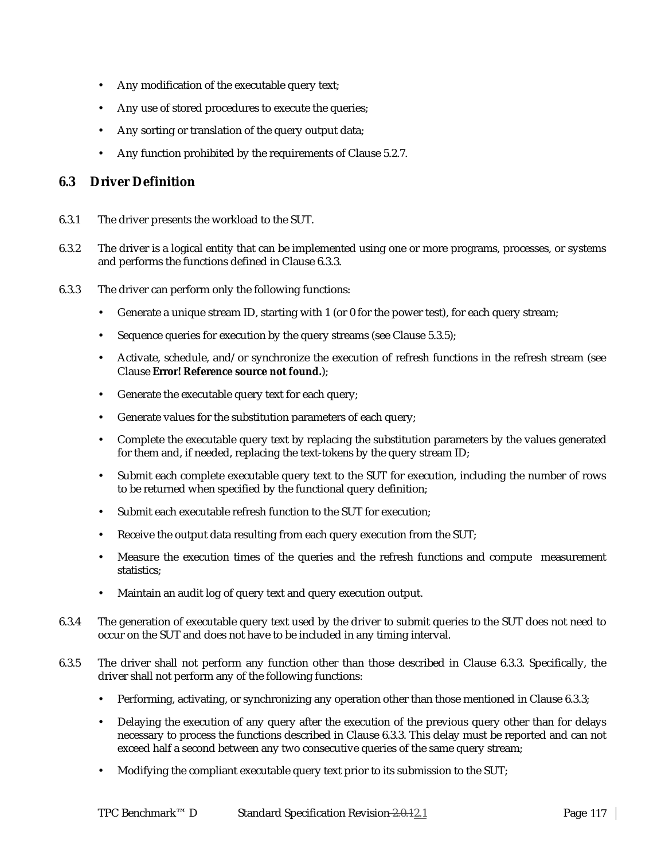- Any modification of the executable query text;
- Any use of stored procedures to execute the queries;
- Any sorting or translation of the query output data;
- Any function prohibited by the requirements of Clause 5.2.7.

## **6.3 Driver Definition**

- 6.3.1 The driver presents the workload to the SUT.
- 6.3.2 The driver is a logical entity that can be implemented using one or more programs, processes, or systems and performs the functions defined in Clause 6.3.3.
- 6.3.3 The driver can perform only the following functions:
	- Generate a unique stream ID, starting with 1 (or 0 for the power test), for each query stream;
	- Sequence queries for execution by the query streams (see Clause 5.3.5);
	- Activate, schedule, and/or synchronize the execution of refresh functions in the refresh stream (see Clause **Error! Reference source not found.**);
	- Generate the executable query text for each query;
	- Generate values for the substitution parameters of each query;
	- Complete the executable query text by replacing the substitution parameters by the values generated for them and, if needed, replacing the text-tokens by the query stream ID;
	- Submit each complete executable query text to the SUT for execution, including the number of rows to be returned when specified by the functional query definition;
	- Submit each executable refresh function to the SUT for execution;
	- Receive the output data resulting from each query execution from the SUT;
	- Measure the execution times of the queries and the refresh functions and compute measurement statistics;
	- Maintain an audit log of query text and query execution output.
- 6.3.4 The generation of executable query text used by the driver to submit queries to the SUT does not need to occur on the SUT and does not have to be included in any timing interval.
- 6.3.5 The driver shall not perform any function other than those described in Clause 6.3.3. Specifically, the driver shall not perform any of the following functions:
	- Performing, activating, or synchronizing any operation other than those mentioned in Clause 6.3.3;
	- Delaying the execution of any query after the execution of the previous query other than for delays necessary to process the functions described in Clause 6.3.3. This delay must be reported and can not exceed half a second between any two consecutive queries of the same query stream;
	- Modifying the compliant executable query text prior to its submission to the SUT;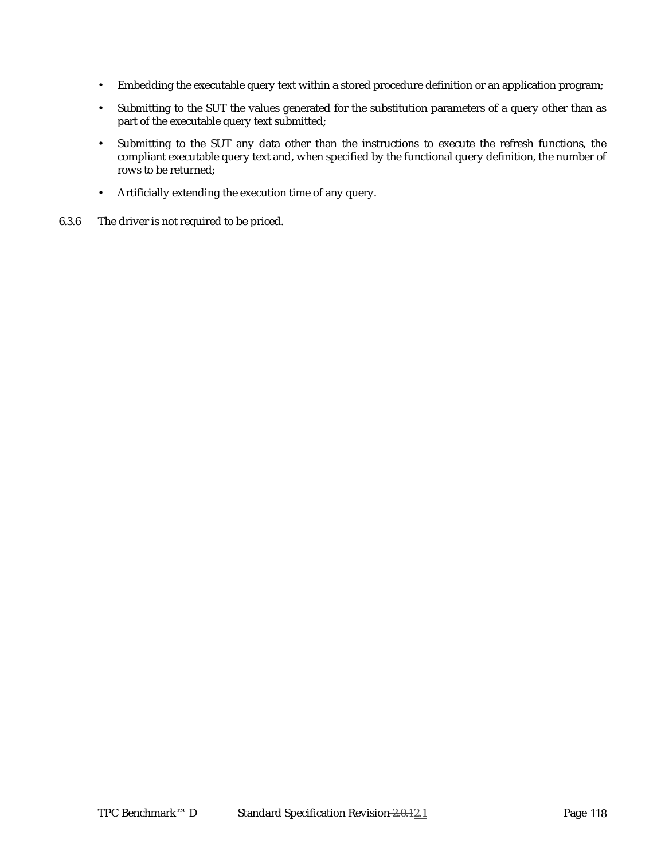- Embedding the executable query text within a stored procedure definition or an application program;
- Submitting to the SUT the values generated for the substitution parameters of a query other than as part of the executable query text submitted;
- Submitting to the SUT any data other than the instructions to execute the refresh functions, the compliant executable query text and, when specified by the functional query definition, the number of rows to be returned;
- Artificially extending the execution time of any query.
- 6.3.6 The driver is not required to be priced.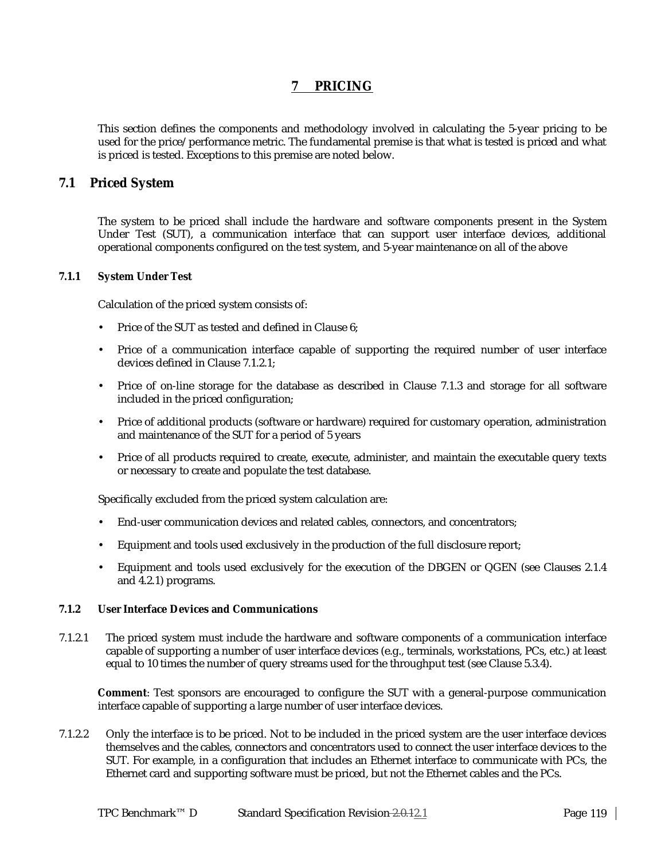## **7 PRICING**

This section defines the components and methodology involved in calculating the 5-year pricing to be used for the price/performance metric. The fundamental premise is that what is tested is priced and what is priced is tested. Exceptions to this premise are noted below.

### **7.1 Priced System**

The system to be priced shall include the hardware and software components present in the System Under Test (SUT), a communication interface that can support user interface devices, additional operational components configured on the test system, and 5-year maintenance on all of the above

#### **7.1.1 System Under Test**

Calculation of the priced system consists of:

- Price of the SUT as tested and defined in Clause 6;
- Price of a communication interface capable of supporting the required number of user interface devices defined in Clause 7.1.2.1;
- Price of on-line storage for the database as described in Clause 7.1.3 and storage for all software included in the priced configuration;
- Price of additional products (software or hardware) required for customary operation, administration and maintenance of the SUT for a period of 5 years
- Price of all products required to create, execute, administer, and maintain the executable query texts or necessary to create and populate the test database.

Specifically excluded from the priced system calculation are:

- End-user communication devices and related cables, connectors, and concentrators;
- Equipment and tools used exclusively in the production of the full disclosure report;
- Equipment and tools used exclusively for the execution of the DBGEN or QGEN (see Clauses 2.1.4 and 4.2.1) programs.

#### **7.1.2 User Interface Devices and Communications**

7.1.2.1 The priced system must include the hardware and software components of a communication interface capable of supporting a number of user interface devices (e.g., terminals, workstations, PCs, etc.) at least equal to 10 times the number of query streams used for the throughput test (see Clause 5.3.4).

**Comment**: Test sponsors are encouraged to configure the SUT with a general-purpose communication interface capable of supporting a large number of user interface devices.

7.1.2.2 Only the interface is to be priced. Not to be included in the priced system are the user interface devices themselves and the cables, connectors and concentrators used to connect the user interface devices to the SUT. For example, in a configuration that includes an Ethernet interface to communicate with PCs, the Ethernet card and supporting software must be priced, but not the Ethernet cables and the PCs.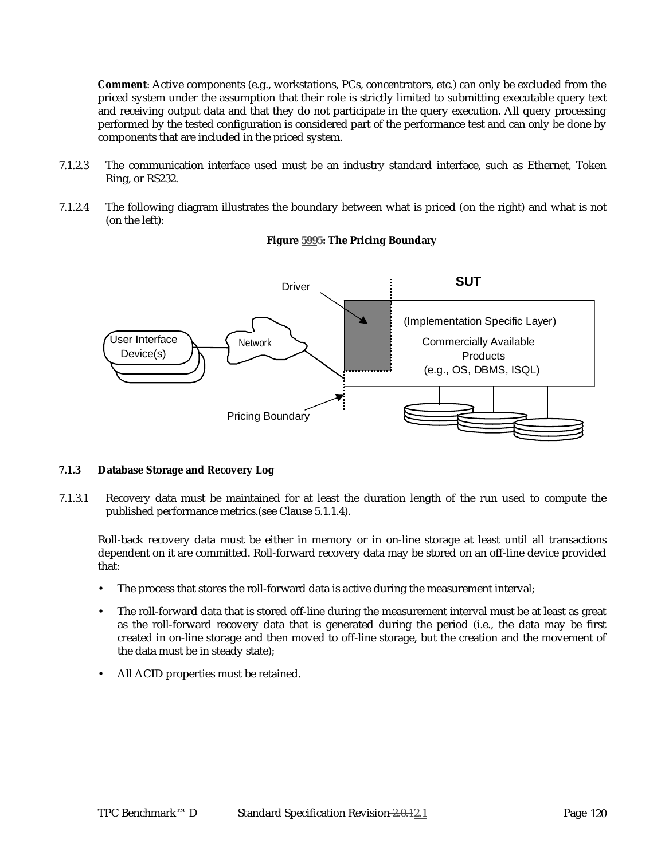**Comment**: Active components (e.g., workstations, PCs, concentrators, etc.) can only be excluded from the priced system under the assumption that their role is strictly limited to submitting executable query text and receiving output data and that they do not participate in the query execution. All query processing performed by the tested configuration is considered part of the performance test and can only be done by components that are included in the priced system.

- 7.1.2.3 The communication interface used must be an industry standard interface, such as Ethernet, Token Ring, or RS232.
- 7.1.2.4 The following diagram illustrates the boundary between what is priced (on the right) and what is not (on the left):



### **Figure 5995: The Pricing Boundary**

### **7.1.3 Database Storage and Recovery Log**

7.1.3.1 Recovery data must be maintained for at least the duration length of the run used to compute the published performance metrics.(see Clause 5.1.1.4).

Roll-back recovery data must be either in memory or in on-line storage at least until all transactions dependent on it are committed. Roll-forward recovery data may be stored on an off-line device provided that:

- The process that stores the roll-forward data is active during the measurement interval;
- The roll-forward data that is stored off-line during the measurement interval must be at least as great as the roll-forward recovery data that is generated during the period (i.e., the data may be first created in on-line storage and then moved to off-line storage, but the creation and the movement of the data must be in steady state);
- All ACID properties must be retained.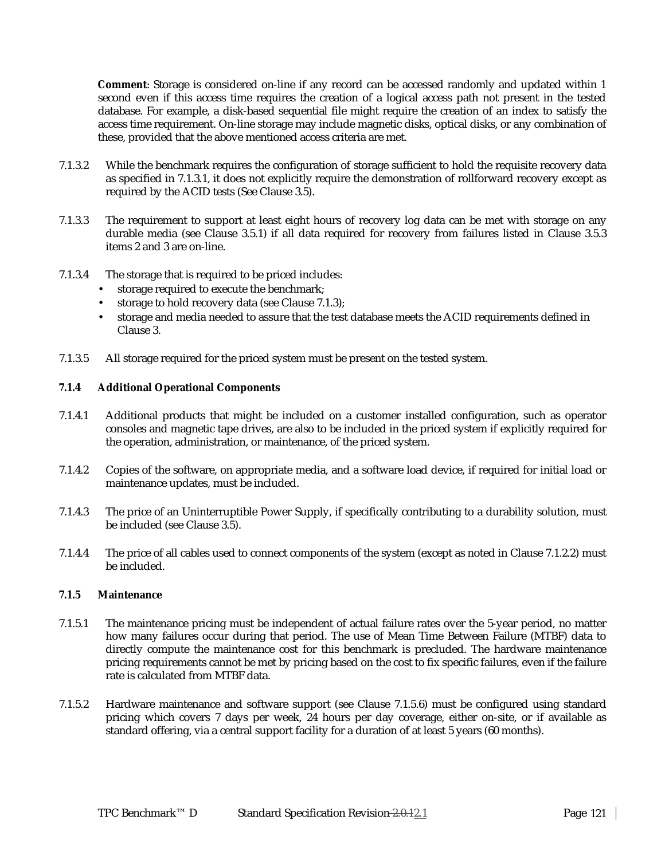**Comment**: Storage is considered on-line if any record can be accessed randomly and updated within 1 second even if this access time requires the creation of a logical access path not present in the tested database. For example, a disk-based sequential file might require the creation of an index to satisfy the access time requirement. On-line storage may include magnetic disks, optical disks, or any combination of these, provided that the above mentioned access criteria are met.

- 7.1.3.2 While the benchmark requires the configuration of storage sufficient to hold the requisite recovery data as specified in 7.1.3.1, it does not explicitly require the demonstration of rollforward recovery except as required by the ACID tests (See Clause 3.5).
- 7.1.3.3 The requirement to support at least eight hours of recovery log data can be met with storage on any durable media (see Clause 3.5.1) if all data required for recovery from failures listed in Clause 3.5.3 items 2 and 3 are on-line.
- 7.1.3.4 The storage that is required to be priced includes:
	- storage required to execute the benchmark;
	- storage to hold recovery data (see Clause 7.1.3);
	- storage and media needed to assure that the test database meets the ACID requirements defined in Clause 3.
- 7.1.3.5 All storage required for the priced system must be present on the tested system.

#### **7.1.4 Additional Operational Components**

- 7.1.4.1 Additional products that might be included on a customer installed configuration, such as operator consoles and magnetic tape drives, are also to be included in the priced system if explicitly required for the operation, administration, or maintenance, of the priced system.
- 7.1.4.2 Copies of the software, on appropriate media, and a software load device, if required for initial load or maintenance updates, must be included.
- 7.1.4.3 The price of an Uninterruptible Power Supply, if specifically contributing to a durability solution, must be included (see Clause 3.5).
- 7.1.4.4 The price of all cables used to connect components of the system (except as noted in Clause 7.1.2.2) must be included.

#### **7.1.5 Maintenance**

- 7.1.5.1 The maintenance pricing must be independent of actual failure rates over the 5-year period, no matter how many failures occur during that period. The use of Mean Time Between Failure (MTBF) data to directly compute the maintenance cost for this benchmark is precluded. The hardware maintenance pricing requirements cannot be met by pricing based on the cost to fix specific failures, even if the failure rate is calculated from MTBF data.
- 7.1.5.2 Hardware maintenance and software support (see Clause 7.1.5.6) must be configured using standard pricing which covers 7 days per week, 24 hours per day coverage, either on-site, or if available as standard offering, via a central support facility for a duration of at least 5 years (60 months).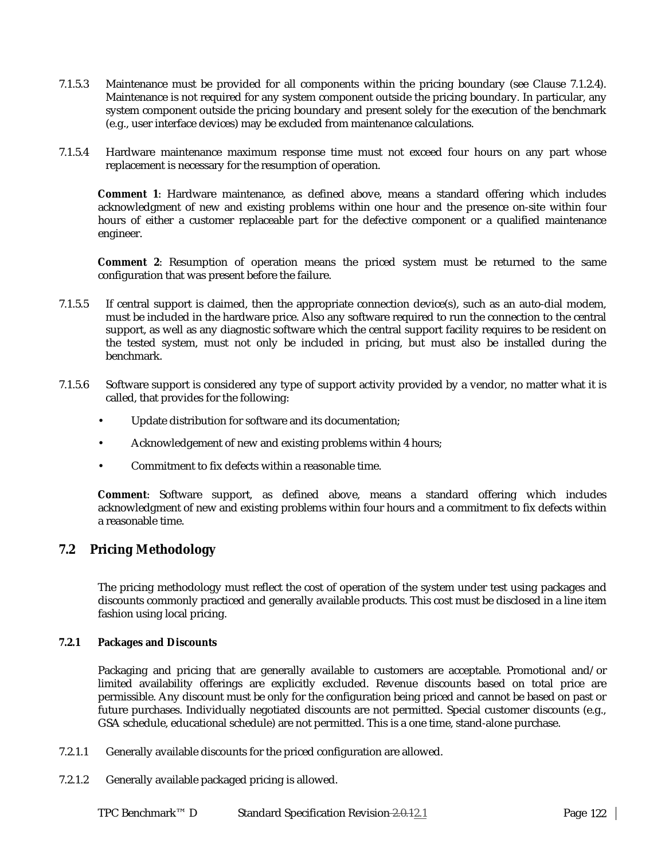- 7.1.5.3 Maintenance must be provided for all components within the pricing boundary (see Clause 7.1.2.4). Maintenance is not required for any system component outside the pricing boundary. In particular, any system component outside the pricing boundary and present solely for the execution of the benchmark (e.g., user interface devices) may be excluded from maintenance calculations.
- 7.1.5.4 Hardware maintenance maximum response time must not exceed four hours on any part whose replacement is necessary for the resumption of operation.

**Comment 1**: Hardware maintenance, as defined above, means a standard offering which includes acknowledgment of new and existing problems within one hour and the presence on-site within four hours of either a customer replaceable part for the defective component or a qualified maintenance engineer.

**Comment 2**: Resumption of operation means the priced system must be returned to the same configuration that was present before the failure.

- 7.1.5.5 If central support is claimed, then the appropriate connection device(s), such as an auto-dial modem, must be included in the hardware price. Also any software required to run the connection to the central support, as well as any diagnostic software which the central support facility requires to be resident on the tested system, must not only be included in pricing, but must also be installed during the benchmark.
- 7.1.5.6 Software support is considered any type of support activity provided by a vendor, no matter what it is called, that provides for the following:
	- Update distribution for software and its documentation;
	- Acknowledgement of new and existing problems within 4 hours;
	- Commitment to fix defects within a reasonable time.

**Comment**: Software support, as defined above, means a standard offering which includes acknowledgment of new and existing problems within four hours and a commitment to fix defects within a reasonable time.

# **7.2 Pricing Methodology**

The pricing methodology must reflect the cost of operation of the system under test using packages and discounts commonly practiced and generally available products. This cost must be disclosed in a line item fashion using local pricing.

### **7.2.1 Packages and Discounts**

Packaging and pricing that are generally available to customers are acceptable. Promotional and/or limited availability offerings are explicitly excluded. Revenue discounts based on total price are permissible. Any discount must be only for the configuration being priced and cannot be based on past or future purchases. Individually negotiated discounts are not permitted. Special customer discounts (e.g., GSA schedule, educational schedule) are not permitted. This is a one time, stand-alone purchase.

- 7.2.1.1 Generally available discounts for the priced configuration are allowed.
- 7.2.1.2 Generally available packaged pricing is allowed.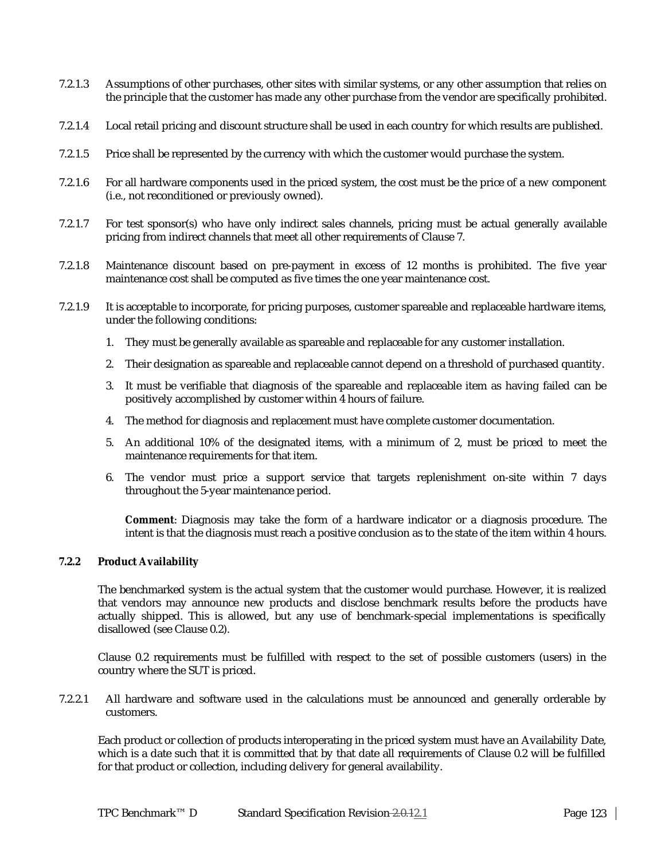- 7.2.1.3 Assumptions of other purchases, other sites with similar systems, or any other assumption that relies on the principle that the customer has made any other purchase from the vendor are specifically prohibited.
- 7.2.1.4 Local retail pricing and discount structure shall be used in each country for which results are published.
- 7.2.1.5 Price shall be represented by the currency with which the customer would purchase the system.
- 7.2.1.6 For all hardware components used in the priced system, the cost must be the price of a new component (i.e., not reconditioned or previously owned).
- 7.2.1.7 For test sponsor(s) who have only indirect sales channels, pricing must be actual generally available pricing from indirect channels that meet all other requirements of Clause 7.
- 7.2.1.8 Maintenance discount based on pre-payment in excess of 12 months is prohibited. The five year maintenance cost shall be computed as five times the one year maintenance cost.
- 7.2.1.9 It is acceptable to incorporate, for pricing purposes, customer spareable and replaceable hardware items, under the following conditions:
	- 1. They must be generally available as spareable and replaceable for any customer installation.
	- 2. Their designation as spareable and replaceable cannot depend on a threshold of purchased quantity.
	- 3. It must be verifiable that diagnosis of the spareable and replaceable item as having failed can be positively accomplished by customer within 4 hours of failure.
	- 4. The method for diagnosis and replacement must have complete customer documentation.
	- 5. An additional 10% of the designated items, with a minimum of 2, must be priced to meet the maintenance requirements for that item.
	- 6. The vendor must price a support service that targets replenishment on-site within 7 days throughout the 5-year maintenance period.

**Comment**: Diagnosis may take the form of a hardware indicator or a diagnosis procedure. The intent is that the diagnosis must reach a positive conclusion as to the state of the item within 4 hours.

#### **7.2.2 Product Availability**

The benchmarked system is the actual system that the customer would purchase. However, it is realized that vendors may announce new products and disclose benchmark results before the products have actually shipped. This is allowed, but any use of benchmark-special implementations is specifically disallowed (see Clause 0.2).

Clause 0.2 requirements must be fulfilled with respect to the set of possible customers (users) in the country where the SUT is priced.

7.2.2.1 All hardware and software used in the calculations must be announced and generally orderable by customers.

Each product or collection of products interoperating in the priced system must have an Availability Date, which is a date such that it is committed that by that date all requirements of Clause 0.2 will be fulfilled for that product or collection, including delivery for general availability.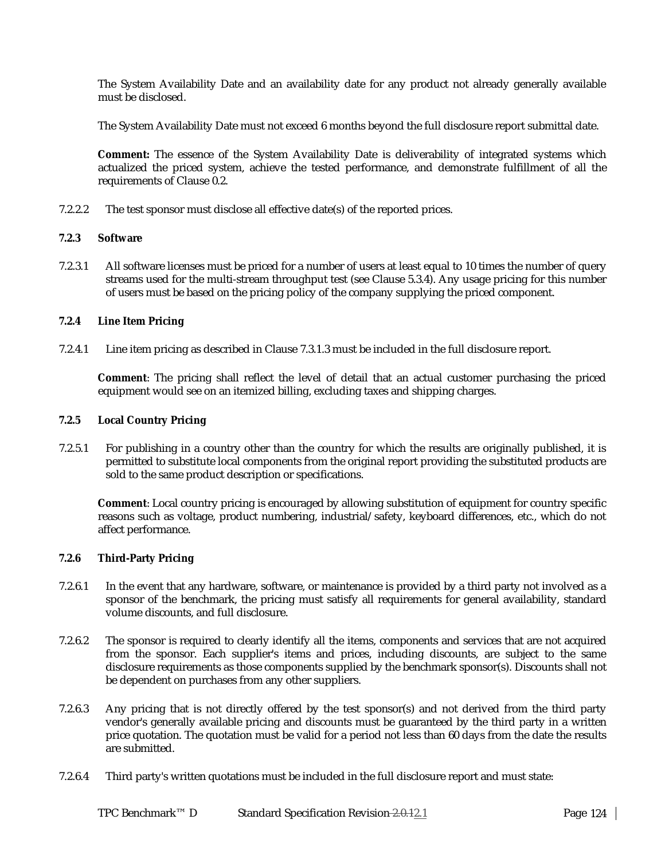The System Availability Date and an availability date for any product not already generally available must be disclosed.

The System Availability Date must not exceed 6 months beyond the full disclosure report submittal date.

**Comment:** The essence of the System Availability Date is deliverability of integrated systems which actualized the priced system, achieve the tested performance, and demonstrate fulfillment of all the requirements of Clause 0.2.

7.2.2.2 The test sponsor must disclose all effective date(s) of the reported prices.

#### **7.2.3 Software**

7.2.3.1 All software licenses must be priced for a number of users at least equal to 10 times the number of query streams used for the multi-stream throughput test (see Clause 5.3.4). Any usage pricing for this number of users must be based on the pricing policy of the company supplying the priced component.

## **7.2.4 Line Item Pricing**

7.2.4.1 Line item pricing as described in Clause 7.3.1.3 must be included in the full disclosure report.

**Comment**: The pricing shall reflect the level of detail that an actual customer purchasing the priced equipment would see on an itemized billing, excluding taxes and shipping charges.

#### **7.2.5 Local Country Pricing**

7.2.5.1 For publishing in a country other than the country for which the results are originally published, it is permitted to substitute local components from the original report providing the substituted products are sold to the same product description or specifications.

**Comment**: Local country pricing is encouraged by allowing substitution of equipment for country specific reasons such as voltage, product numbering, industrial/safety, keyboard differences, etc., which do not affect performance.

#### **7.2.6 Third-Party Pricing**

- 7.2.6.1 In the event that any hardware, software, or maintenance is provided by a third party not involved as a sponsor of the benchmark, the pricing must satisfy all requirements for general availability, standard volume discounts, and full disclosure.
- 7.2.6.2 The sponsor is required to clearly identify all the items, components and services that are not acquired from the sponsor. Each supplier's items and prices, including discounts, are subject to the same disclosure requirements as those components supplied by the benchmark sponsor(s). Discounts shall not be dependent on purchases from any other suppliers.
- 7.2.6.3 Any pricing that is not directly offered by the test sponsor(s) and not derived from the third party vendor's generally available pricing and discounts must be guaranteed by the third party in a written price quotation. The quotation must be valid for a period not less than 60 days from the date the results are submitted.
- 7.2.6.4 Third party's written quotations must be included in the full disclosure report and must state: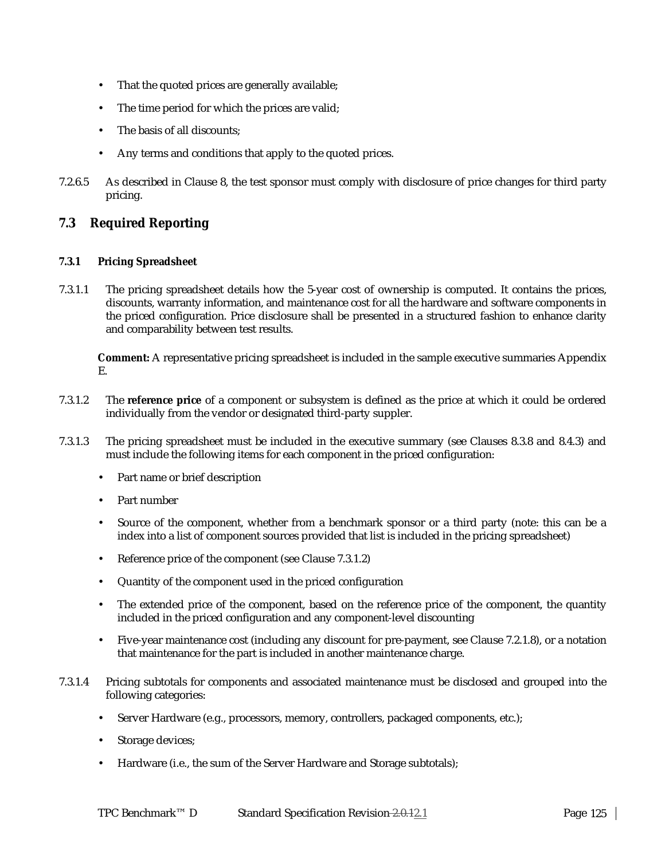- That the quoted prices are generally available;
- The time period for which the prices are valid;
- The basis of all discounts;
- Any terms and conditions that apply to the quoted prices.
- 7.2.6.5 As described in Clause 8, the test sponsor must comply with disclosure of price changes for third party pricing.

# **7.3 Required Reporting**

#### **7.3.1 Pricing Spreadsheet**

7.3.1.1 The pricing spreadsheet details how the 5-year cost of ownership is computed. It contains the prices, discounts, warranty information, and maintenance cost for all the hardware and software components in the priced configuration. Price disclosure shall be presented in a structured fashion to enhance clarity and comparability between test results.

**Comment:** A representative pricing spreadsheet is included in the sample executive summaries Appendix E.

- 7.3.1.2 The **reference price** of a component or subsystem is defined as the price at which it could be ordered individually from the vendor or designated third-party suppler.
- 7.3.1.3 The pricing spreadsheet must be included in the executive summary (see Clauses 8.3.8 and 8.4.3) and must include the following items for each component in the priced configuration:
	- Part name or brief description
	- Part number
	- Source of the component, whether from a benchmark sponsor or a third party (note: this can be a index into a list of component sources provided that list is included in the pricing spreadsheet)
	- Reference price of the component (see Clause 7.3.1.2)
	- Quantity of the component used in the priced configuration
	- The extended price of the component, based on the reference price of the component, the quantity included in the priced configuration and any component-level discounting
	- Five-year maintenance cost (including any discount for pre-payment, see Clause 7.2.1.8), or a notation that maintenance for the part is included in another maintenance charge.
- 7.3.1.4 Pricing subtotals for components and associated maintenance must be disclosed and grouped into the following categories:
	- Server Hardware (e.g., processors, memory, controllers, packaged components, etc.);
	- Storage devices;
	- Hardware (i.e., the sum of the Server Hardware and Storage subtotals);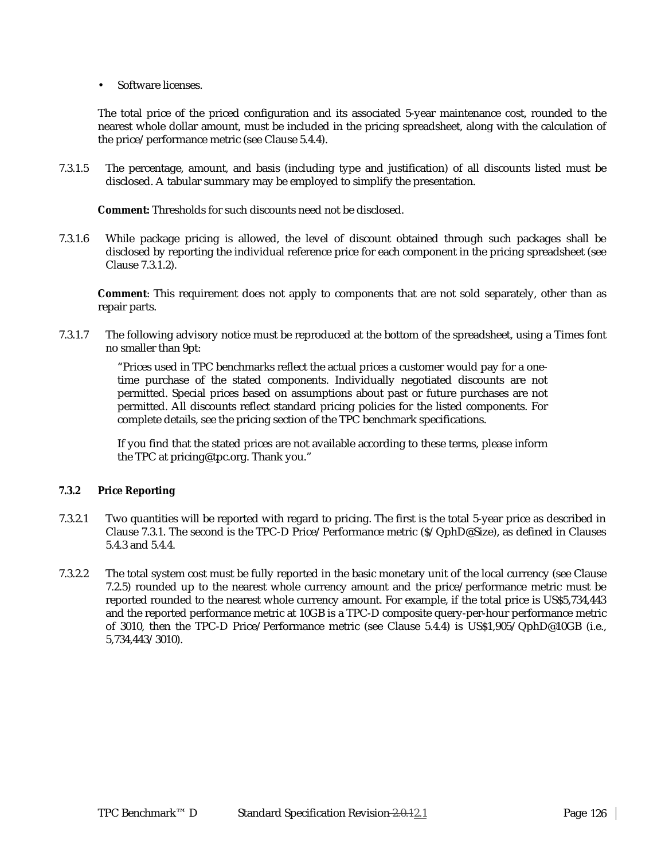• Software licenses.

The total price of the priced configuration and its associated 5-year maintenance cost, rounded to the nearest whole dollar amount, must be included in the pricing spreadsheet, along with the calculation of the price/performance metric (see Clause 5.4.4).

7.3.1.5 The percentage, amount, and basis (including type and justification) of all discounts listed must be disclosed. A tabular summary may be employed to simplify the presentation.

**Comment:** Thresholds for such discounts need not be disclosed.

7.3.1.6 While package pricing is allowed, the level of discount obtained through such packages shall be disclosed by reporting the individual reference price for each component in the pricing spreadsheet (see Clause 7.3.1.2).

**Comment**: This requirement does not apply to components that are not sold separately, other than as repair parts.

7.3.1.7 The following advisory notice must be reproduced at the bottom of the spreadsheet, using a Times font no smaller than 9pt:

> "Prices used in TPC benchmarks reflect the actual prices a customer would pay for a onetime purchase of the stated components. Individually negotiated discounts are not permitted. Special prices based on assumptions about past or future purchases are not permitted. All discounts reflect standard pricing policies for the listed components. For complete details, see the pricing section of the TPC benchmark specifications.

> If you find that the stated prices are not available according to these terms, please inform the TPC at pricing@tpc.org. Thank you."

#### **7.3.2 Price Reporting**

- 7.3.2.1 Two quantities will be reported with regard to pricing. The first is the total 5-year price as described in Clause 7.3.1. The second is the TPC-D Price/Performance metric (\$/QphD@Size), as defined in Clauses 5.4.3 and 5.4.4.
- 7.3.2.2 The total system cost must be fully reported in the basic monetary unit of the local currency (see Clause 7.2.5) rounded up to the nearest whole currency amount and the price/performance metric must be reported rounded to the nearest whole currency amount. For example, if the total price is US\$5,734,443 and the reported performance metric at 10GB is a TPC-D composite query-per-hour performance metric of 3010, then the TPC-D Price/Performance metric (see Clause 5.4.4) is US\$1,905/QphD@10GB (i.e., 5,734,443/3010).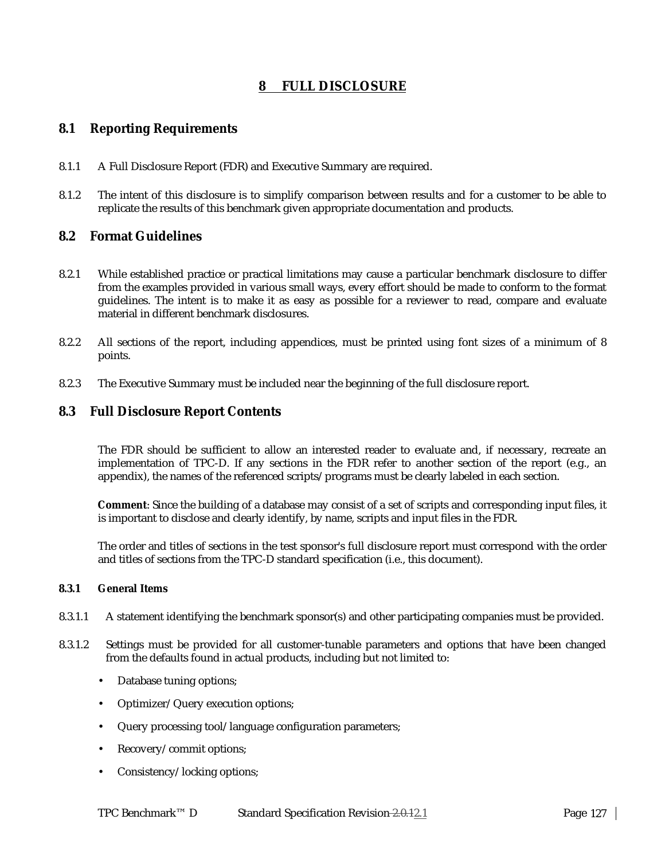# **8 FULL DISCLOSURE**

# **8.1 Reporting Requirements**

- 8.1.1 A Full Disclosure Report (FDR) and Executive Summary are required.
- 8.1.2 The intent of this disclosure is to simplify comparison between results and for a customer to be able to replicate the results of this benchmark given appropriate documentation and products.

## **8.2 Format Guidelines**

- 8.2.1 While established practice or practical limitations may cause a particular benchmark disclosure to differ from the examples provided in various small ways, every effort should be made to conform to the format guidelines. The intent is to make it as easy as possible for a reviewer to read, compare and evaluate material in different benchmark disclosures.
- 8.2.2 All sections of the report, including appendices, must be printed using font sizes of a minimum of 8 points.
- 8.2.3 The Executive Summary must be included near the beginning of the full disclosure report.

## **8.3 Full Disclosure Report Contents**

The FDR should be sufficient to allow an interested reader to evaluate and, if necessary, recreate an implementation of TPC-D. If any sections in the FDR refer to another section of the report (e.g., an appendix), the names of the referenced scripts/programs must be clearly labeled in each section.

**Comment**: Since the building of a database may consist of a set of scripts and corresponding input files, it is important to disclose and clearly identify, by name, scripts and input files in the FDR.

The order and titles of sections in the test sponsor's full disclosure report must correspond with the order and titles of sections from the TPC-D standard specification (i.e., this document).

#### **8.3.1 General Items**

- 8.3.1.1 A statement identifying the benchmark sponsor(s) and other participating companies must be provided.
- 8.3.1.2 Settings must be provided for all customer-tunable parameters and options that have been changed from the defaults found in actual products, including but not limited to:
	- Database tuning options;
	- Optimizer/Query execution options;
	- Query processing tool/language configuration parameters;
	- Recovery/commit options;
	- Consistency/locking options;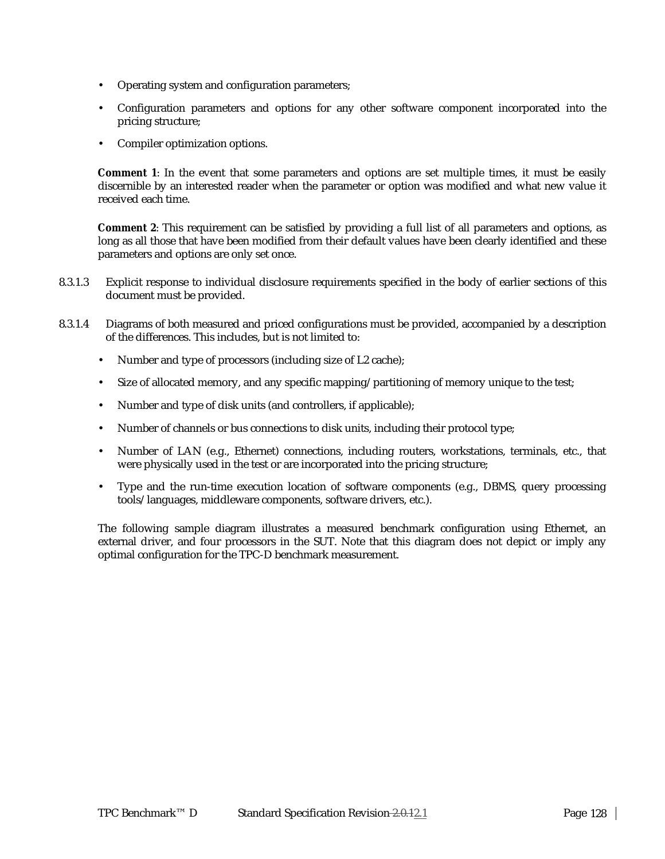- Operating system and configuration parameters;
- Configuration parameters and options for any other software component incorporated into the pricing structure;
- Compiler optimization options.

**Comment 1**: In the event that some parameters and options are set multiple times, it must be easily discernible by an interested reader when the parameter or option was modified and what new value it received each time.

**Comment 2**: This requirement can be satisfied by providing a full list of all parameters and options, as long as all those that have been modified from their default values have been clearly identified and these parameters and options are only set once.

- 8.3.1.3 Explicit response to individual disclosure requirements specified in the body of earlier sections of this document must be provided.
- 8.3.1.4 Diagrams of both measured and priced configurations must be provided, accompanied by a description of the differences. This includes, but is not limited to:
	- Number and type of processors (including size of L2 cache);
	- Size of allocated memory, and any specific mapping/partitioning of memory unique to the test;
	- Number and type of disk units (and controllers, if applicable);
	- Number of channels or bus connections to disk units, including their protocol type;
	- Number of LAN (e.g., Ethernet) connections, including routers, workstations, terminals, etc., that were physically used in the test or are incorporated into the pricing structure;
	- Type and the run-time execution location of software components (e.g., DBMS, query processing tools/languages, middleware components, software drivers, etc.).

The following sample diagram illustrates a measured benchmark configuration using Ethernet, an external driver, and four processors in the SUT. Note that this diagram does not depict or imply any optimal configuration for the TPC-D benchmark measurement.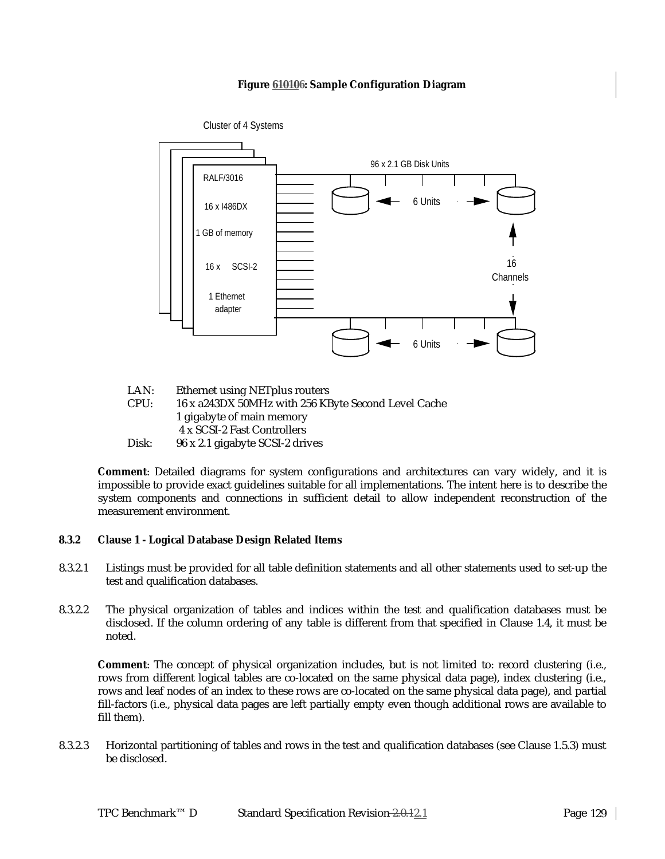#### **Figure 610106: Sample Configuration Diagram**



| LAN:  | <b>Ethernet using NETplus routers</b>               |
|-------|-----------------------------------------------------|
| CPU:  | 16 x a243DX 50MHz with 256 KByte Second Level Cache |
|       | 1 gigabyte of main memory                           |
|       | 4 x SCSI-2 Fast Controllers                         |
| Disk: | 96 x 2.1 gigabyte SCSI-2 drives                     |

**Comment**: Detailed diagrams for system configurations and architectures can vary widely, and it is impossible to provide exact guidelines suitable for all implementations. The intent here is to describe the system components and connections in sufficient detail to allow independent reconstruction of the measurement environment.

#### **8.3.2 Clause 1 - Logical Database Design Related Items**

- 8.3.2.1 Listings must be provided for all table definition statements and all other statements used to set-up the test and qualification databases.
- 8.3.2.2 The physical organization of tables and indices within the test and qualification databases must be disclosed. If the column ordering of any table is different from that specified in Clause 1.4, it must be noted.

**Comment**: The concept of physical organization includes, but is not limited to: record clustering (i.e., rows from different logical tables are co-located on the same physical data page), index clustering (i.e., rows and leaf nodes of an index to these rows are co-located on the same physical data page), and partial fill-factors (i.e., physical data pages are left partially empty even though additional rows are available to fill them).

8.3.2.3 Horizontal partitioning of tables and rows in the test and qualification databases (see Clause 1.5.3) must be disclosed.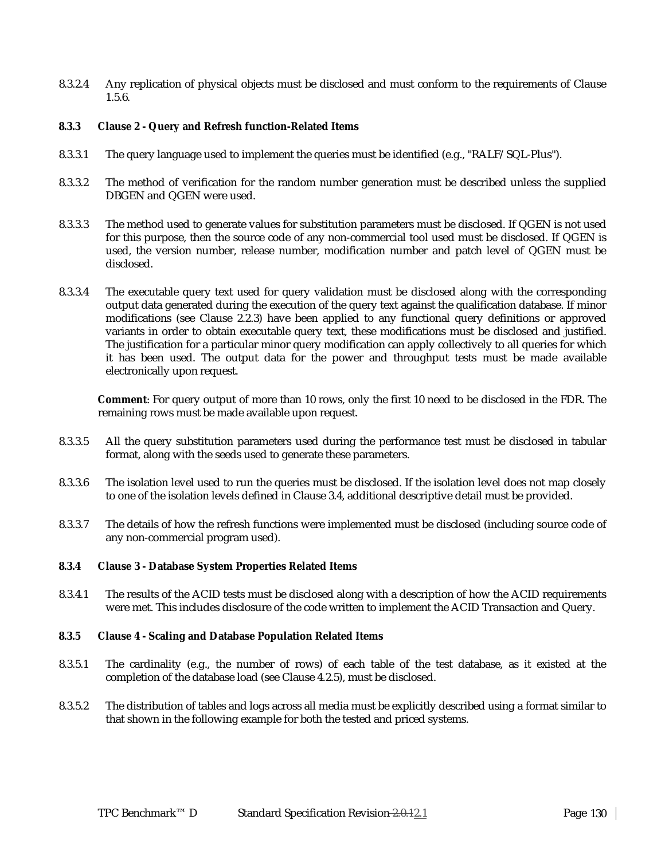8.3.2.4 Any replication of physical objects must be disclosed and must conform to the requirements of Clause 1.5.6.

#### **8.3.3 Clause 2 - Query and Refresh function-Related Items**

- 8.3.3.1 The query language used to implement the queries must be identified (e.g., "RALF/SQL-Plus").
- 8.3.3.2 The method of verification for the random number generation must be described unless the supplied DBGEN and QGEN were used.
- 8.3.3.3 The method used to generate values for substitution parameters must be disclosed. If QGEN is not used for this purpose, then the source code of any non-commercial tool used must be disclosed. If QGEN is used, the version number, release number, modification number and patch level of QGEN must be disclosed.
- 8.3.3.4 The executable query text used for query validation must be disclosed along with the corresponding output data generated during the execution of the query text against the qualification database. If minor modifications (see Clause 2.2.3) have been applied to any functional query definitions or approved variants in order to obtain executable query text, these modifications must be disclosed and justified. The justification for a particular minor query modification can apply collectively to all queries for which it has been used. The output data for the power and throughput tests must be made available electronically upon request.

**Comment**: For query output of more than 10 rows, only the first 10 need to be disclosed in the FDR. The remaining rows must be made available upon request.

- 8.3.3.5 All the query substitution parameters used during the performance test must be disclosed in tabular format, along with the seeds used to generate these parameters.
- 8.3.3.6 The isolation level used to run the queries must be disclosed. If the isolation level does not map closely to one of the isolation levels defined in Clause 3.4, additional descriptive detail must be provided.
- 8.3.3.7 The details of how the refresh functions were implemented must be disclosed (including source code of any non-commercial program used).

#### **8.3.4 Clause 3 - Database System Properties Related Items**

8.3.4.1 The results of the ACID tests must be disclosed along with a description of how the ACID requirements were met. This includes disclosure of the code written to implement the ACID Transaction and Query.

#### **8.3.5 Clause 4 - Scaling and Database Population Related Items**

- 8.3.5.1 The cardinality (e.g., the number of rows) of each table of the test database, as it existed at the completion of the database load (see Clause 4.2.5), must be disclosed.
- 8.3.5.2 The distribution of tables and logs across all media must be explicitly described using a format similar to that shown in the following example for both the tested and priced systems.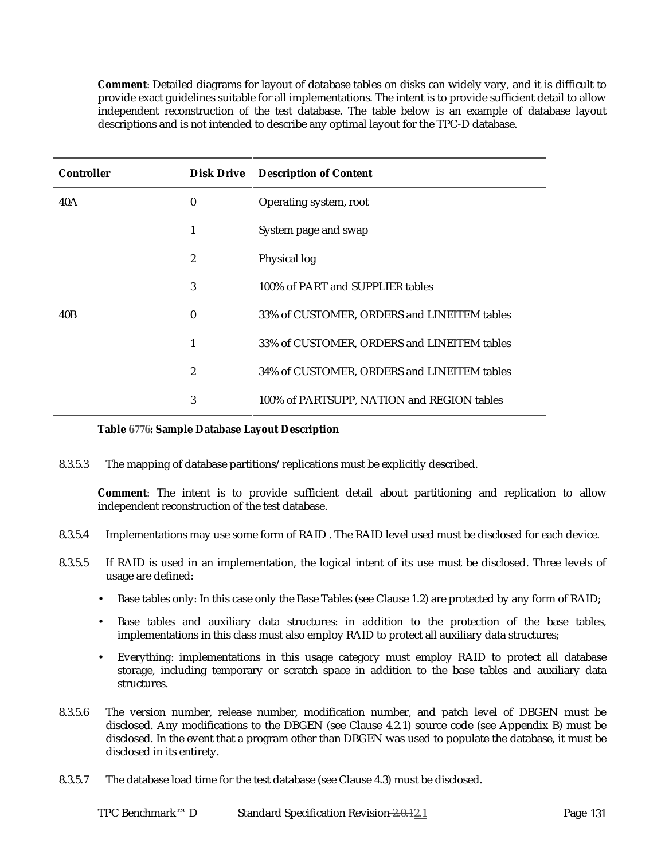**Comment**: Detailed diagrams for layout of database tables on disks can widely vary, and it is difficult to provide exact guidelines suitable for all implementations. The intent is to provide sufficient detail to allow independent reconstruction of the test database. The table below is an example of database layout descriptions and is not intended to describe any optimal layout for the TPC-D database.

| <b>Controller</b> | <b>Disk Drive</b> | <b>Description of Content</b>               |
|-------------------|-------------------|---------------------------------------------|
| 40A               | $\bf{0}$          | Operating system, root                      |
|                   | 1                 | System page and swap                        |
|                   | 2                 | Physical log                                |
|                   | 3                 | 100% of PART and SUPPLIER tables            |
| 40B               | $\boldsymbol{0}$  | 33% of CUSTOMER, ORDERS and LINEITEM tables |
|                   | 1                 | 33% of CUSTOMER, ORDERS and LINEITEM tables |
|                   | $\boldsymbol{2}$  | 34% of CUSTOMER, ORDERS and LINEITEM tables |
|                   | 3                 | 100% of PARTSUPP, NATION and REGION tables  |

#### **Table 6776: Sample Database Layout Description**

8.3.5.3 The mapping of database partitions/replications must be explicitly described.

**Comment**: The intent is to provide sufficient detail about partitioning and replication to allow independent reconstruction of the test database.

- 8.3.5.4 Implementations may use some form of RAID . The RAID level used must be disclosed for each device.
- 8.3.5.5 If RAID is used in an implementation, the logical intent of its use must be disclosed. Three levels of usage are defined:
	- Base tables only: In this case only the Base Tables (see Clause 1.2) are protected by any form of RAID;
	- Base tables and auxiliary data structures: in addition to the protection of the base tables, implementations in this class must also employ RAID to protect all auxiliary data structures;
	- Everything: implementations in this usage category must employ RAID to protect all database storage, including temporary or scratch space in addition to the base tables and auxiliary data structures.
- 8.3.5.6 The version number, release number, modification number, and patch level of DBGEN must be disclosed. Any modifications to the DBGEN (see Clause 4.2.1) source code (see Appendix B) must be disclosed. In the event that a program other than DBGEN was used to populate the database, it must be disclosed in its entirety.
- 8.3.5.7 The database load time for the test database (see Clause 4.3) must be disclosed.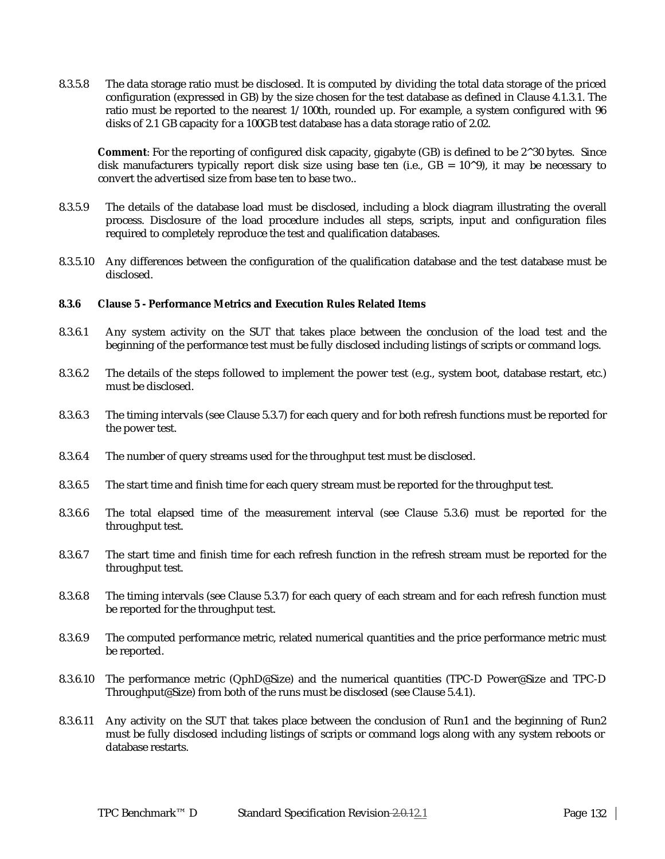8.3.5.8 The data storage ratio must be disclosed. It is computed by dividing the total data storage of the priced configuration (expressed in GB) by the size chosen for the test database as defined in Clause 4.1.3.1. The ratio must be reported to the nearest 1/100th, rounded up. For example, a system configured with 96 disks of 2.1 GB capacity for a 100GB test database has a data storage ratio of 2.02.

**Comment**: For the reporting of configured disk capacity, gigabyte (GB) is defined to be 2^30 bytes. Since disk manufacturers typically report disk size using base ten (i.e.,  $GB = 10^9$ ), it may be necessary to convert the advertised size from base ten to base two..

- 8.3.5.9 The details of the database load must be disclosed, including a block diagram illustrating the overall process. Disclosure of the load procedure includes all steps, scripts, input and configuration files required to completely reproduce the test and qualification databases.
- 8.3.5.10 Any differences between the configuration of the qualification database and the test database must be disclosed.

#### **8.3.6 Clause 5 - Performance Metrics and Execution Rules Related Items**

- 8.3.6.1 Any system activity on the SUT that takes place between the conclusion of the load test and the beginning of the performance test must be fully disclosed including listings of scripts or command logs.
- 8.3.6.2 The details of the steps followed to implement the power test (e.g., system boot, database restart, etc.) must be disclosed.
- 8.3.6.3 The timing intervals (see Clause 5.3.7) for each query and for both refresh functions must be reported for the power test.
- 8.3.6.4 The number of query streams used for the throughput test must be disclosed.
- 8.3.6.5 The start time and finish time for each query stream must be reported for the throughput test.
- 8.3.6.6 The total elapsed time of the measurement interval (see Clause 5.3.6) must be reported for the throughput test.
- 8.3.6.7 The start time and finish time for each refresh function in the refresh stream must be reported for the throughput test.
- 8.3.6.8 The timing intervals (see Clause 5.3.7) for each query of each stream and for each refresh function must be reported for the throughput test.
- 8.3.6.9 The computed performance metric, related numerical quantities and the price performance metric must be reported.
- 8.3.6.10 The performance metric (QphD@Size) and the numerical quantities (TPC-D Power@Size and TPC-D Throughput@Size) from both of the runs must be disclosed (see Clause 5.4.1).
- 8.3.6.11 Any activity on the SUT that takes place between the conclusion of Run1 and the beginning of Run2 must be fully disclosed including listings of scripts or command logs along with any system reboots or database restarts.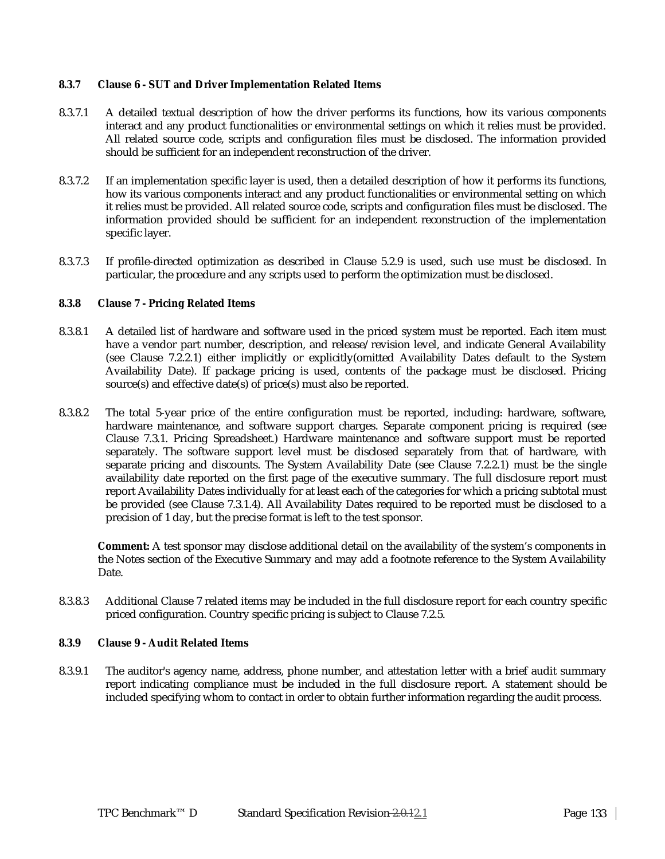#### **8.3.7 Clause 6 - SUT and Driver Implementation Related Items**

- 8.3.7.1 A detailed textual description of how the driver performs its functions, how its various components interact and any product functionalities or environmental settings on which it relies must be provided. All related source code, scripts and configuration files must be disclosed. The information provided should be sufficient for an independent reconstruction of the driver.
- 8.3.7.2 If an implementation specific layer is used, then a detailed description of how it performs its functions, how its various components interact and any product functionalities or environmental setting on which it relies must be provided. All related source code, scripts and configuration files must be disclosed. The information provided should be sufficient for an independent reconstruction of the implementation specific layer.
- 8.3.7.3 If profile-directed optimization as described in Clause 5.2.9 is used, such use must be disclosed. In particular, the procedure and any scripts used to perform the optimization must be disclosed.

#### **8.3.8 Clause 7 - Pricing Related Items**

- 8.3.8.1 A detailed list of hardware and software used in the priced system must be reported. Each item must have a vendor part number, description, and release/revision level, and indicate General Availability (see Clause 7.2.2.1) either implicitly or explicitly(omitted Availability Dates default to the System Availability Date). If package pricing is used, contents of the package must be disclosed. Pricing source(s) and effective date(s) of price(s) must also be reported.
- 8.3.8.2 The total 5-year price of the entire configuration must be reported, including: hardware, software, hardware maintenance, and software support charges. Separate component pricing is required (see Clause 7.3.1. Pricing Spreadsheet.) Hardware maintenance and software support must be reported separately. The software support level must be disclosed separately from that of hardware, with separate pricing and discounts. The System Availability Date (see Clause 7.2.2.1) must be the single availability date reported on the first page of the executive summary. The full disclosure report must report Availability Dates individually for at least each of the categories for which a pricing subtotal must be provided (see Clause 7.3.1.4). All Availability Dates required to be reported must be disclosed to a precision of 1 day, but the precise format is left to the test sponsor.

**Comment:** A test sponsor may disclose additional detail on the availability of the system's components in the Notes section of the Executive Summary and may add a footnote reference to the System Availability Date.

8.3.8.3 Additional Clause 7 related items may be included in the full disclosure report for each country specific priced configuration. Country specific pricing is subject to Clause 7.2.5.

#### **8.3.9 Clause 9 - Audit Related Items**

8.3.9.1 The auditor's agency name, address, phone number, and attestation letter with a brief audit summary report indicating compliance must be included in the full disclosure report. A statement should be included specifying whom to contact in order to obtain further information regarding the audit process.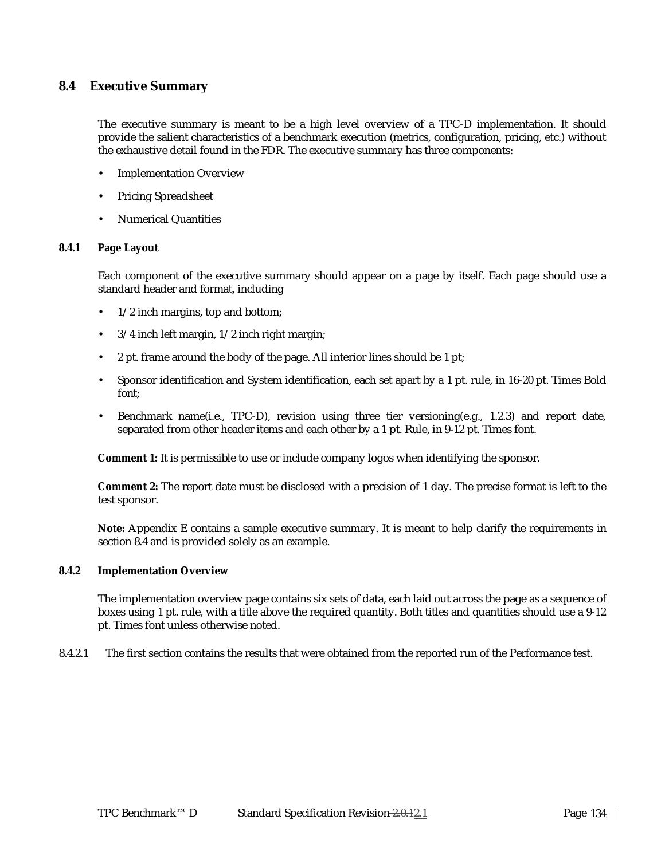## **8.4 Executive Summary**

The executive summary is meant to be a high level overview of a TPC-D implementation. It should provide the salient characteristics of a benchmark execution (metrics, configuration, pricing, etc.) without the exhaustive detail found in the FDR. The executive summary has three components:

- **Implementation Overview**
- Pricing Spreadsheet
- Numerical Quantities

### **8.4.1 Page Layout**

Each component of the executive summary should appear on a page by itself. Each page should use a standard header and format, including

- 1/2 inch margins, top and bottom;
- 3/4 inch left margin, 1/2 inch right margin;
- 2 pt. frame around the body of the page. All interior lines should be 1 pt;
- Sponsor identification and System identification, each set apart by a 1 pt. rule, in 16-20 pt. Times Bold font;
- Benchmark name(i.e., TPC-D), revision using three tier versioning(e.g., 1.2.3) and report date, separated from other header items and each other by a 1 pt. Rule, in 9-12 pt. Times font.

**Comment 1:** It is permissible to use or include company logos when identifying the sponsor.

**Comment 2:** The report date must be disclosed with a precision of 1 day. The precise format is left to the test sponsor.

**Note:** Appendix E contains a sample executive summary. It is meant to help clarify the requirements in section 8.4 and is provided solely as an example.

#### **8.4.2 Implementation Overview**

The implementation overview page contains six sets of data, each laid out across the page as a sequence of boxes using 1 pt. rule, with a title above the required quantity. Both titles and quantities should use a 9-12 pt. Times font unless otherwise noted.

8.4.2.1 The first section contains the results that were obtained from the reported run of the Performance test.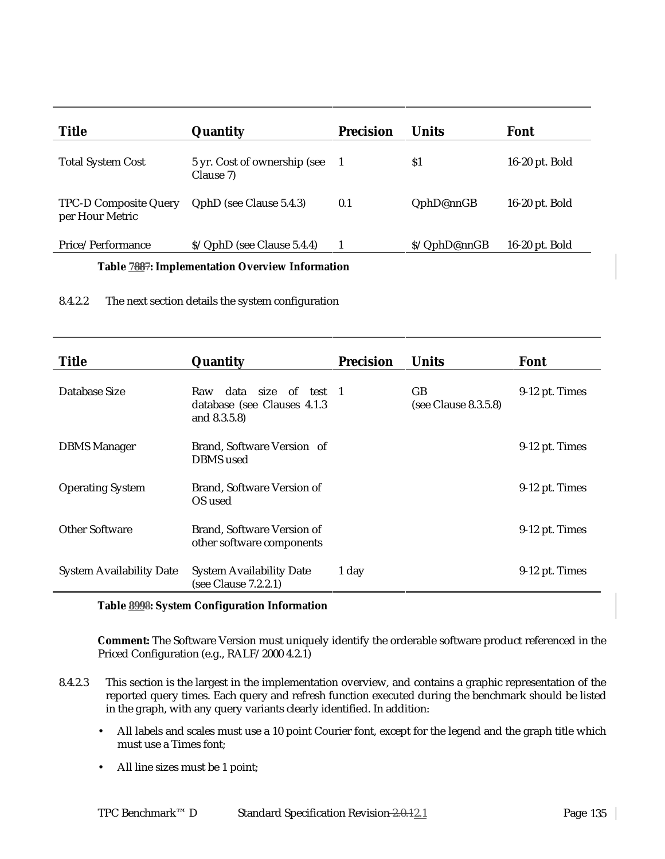| <b>Title</b>                                    | Quantity                                  | <b>Precision</b> | <b>Units</b> | Font           |
|-------------------------------------------------|-------------------------------------------|------------------|--------------|----------------|
| <b>Total System Cost</b>                        | 5 yr. Cost of ownership (see<br>Clause 7) | - 1              | S1           | 16-20 pt. Bold |
| <b>TPC-D Composite Query</b><br>per Hour Metric | QphD (see Clause 5.4.3)                   | 0.1              | QphD@nnGB    | 16-20 pt. Bold |
| Price/Performance                               | $\frac{\cosh(1)}{2}$ (see Clause 5.4.4)   |                  | \$/QphD@nnGB | 16-20 pt. Bold |
| Table 7887: Implementation Overview Information |                                           |                  |              |                |

8.4.2.2 The next section details the system configuration

| <b>Title</b>                    | Quantity                                                                   | <b>Precision</b> | <b>Units</b>                             | Font           |
|---------------------------------|----------------------------------------------------------------------------|------------------|------------------------------------------|----------------|
| Database Size                   | data size of test 1<br>Raw<br>database (see Clauses 4.1.3)<br>and 8.3.5.8) |                  | <b>GB</b><br>(see <b>Clause</b> 8.3.5.8) | 9-12 pt. Times |
| <b>DBMS</b> Manager             | Brand. Software Version of<br>DBMS used                                    |                  |                                          | 9-12 pt. Times |
| <b>Operating System</b>         | Brand, Software Version of<br>OS used                                      |                  |                                          | 9-12 pt. Times |
| <b>Other Software</b>           | Brand, Software Version of<br>other software components                    |                  |                                          | 9-12 pt. Times |
| <b>System Availability Date</b> | <b>System Availability Date</b><br>(see Clause 7.2.2.1)                    | 1 day            |                                          | 9-12 pt. Times |

### **Table 8998: System Configuration Information**

**Comment:** The Software Version must uniquely identify the orderable software product referenced in the Priced Configuration (e.g., RALF/2000 4.2.1)

- 8.4.2.3 This section is the largest in the implementation overview, and contains a graphic representation of the reported query times. Each query and refresh function executed during the benchmark should be listed in the graph, with any query variants clearly identified. In addition:
	- All labels and scales must use a 10 point Courier font, except for the legend and the graph title which must use a Times font;
	- All line sizes must be 1 point;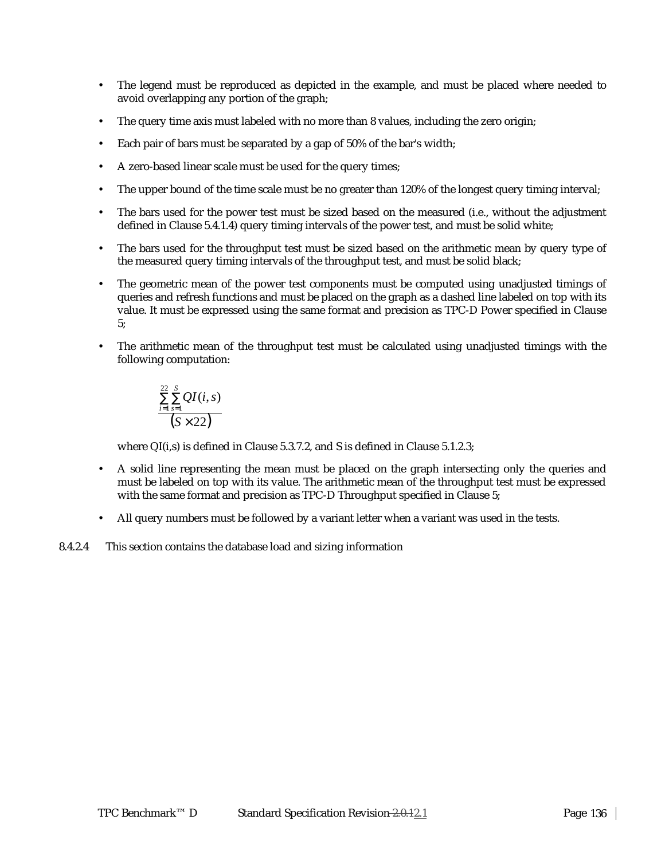- The legend must be reproduced as depicted in the example, and must be placed where needed to avoid overlapping any portion of the graph;
- The query time axis must labeled with no more than 8 values, including the zero origin;
- Each pair of bars must be separated by a gap of 50% of the bar's width;
- A zero-based linear scale must be used for the query times;
- The upper bound of the time scale must be no greater than 120% of the longest query timing interval;
- The bars used for the power test must be sized based on the measured (i.e., without the adjustment defined in Clause 5.4.1.4) query timing intervals of the power test, and must be solid white;
- The bars used for the throughput test must be sized based on the arithmetic mean by query type of the measured query timing intervals of the throughput test, and must be solid black;
- The geometric mean of the power test components must be computed using unadjusted timings of queries and refresh functions and must be placed on the graph as a dashed line labeled on top with its value. It must be expressed using the same format and precision as TPC-D Power specified in Clause 5;
- The arithmetic mean of the throughput test must be calculated using unadjusted timings with the following computation:

$$
\frac{\sum\limits_{i=1}^{22}\sum\limits_{s=1}^{S}QI(i,s)}{\left(S\times22\right)}
$$

where QI(i,s) is defined in Clause 5.3.7.2, and S is defined in Clause 5.1.2.3;

- A solid line representing the mean must be placed on the graph intersecting only the queries and must be labeled on top with its value. The arithmetic mean of the throughput test must be expressed with the same format and precision as TPC-D Throughput specified in Clause 5;
- All query numbers must be followed by a variant letter when a variant was used in the tests.
- 8.4.2.4 This section contains the database load and sizing information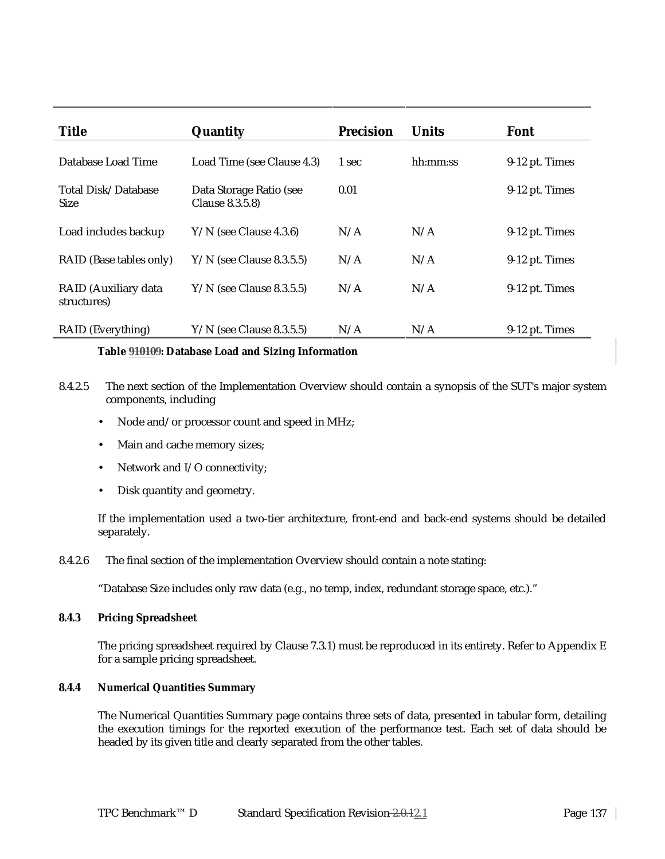| <b>Title</b>                        | Quantity                                   | <b>Precision</b> | <b>Units</b> | Font           |
|-------------------------------------|--------------------------------------------|------------------|--------------|----------------|
| Database Load Time                  | Load Time (see Clause 4.3)                 | 1 sec            | hh:mm:ss     | 9-12 pt. Times |
| Total Disk/Database<br><b>Size</b>  | Data Storage Ratio (see<br>Clause 8.3.5.8) | 0.01             |              | 9-12 pt. Times |
| Load includes backup                | $Y/N$ (see Clause 4.3.6)                   | N/A              | N/A          | 9-12 pt. Times |
| RAID (Base tables only)             | $Y/N$ (see Clause 8.3.5.5)                 | N/A              | N/A          | 9-12 pt. Times |
| RAID (Auxiliary data<br>structures) | $Y/N$ (see Clause 8.3.5.5)                 | N/A              | N/A          | 9-12 pt. Times |
| RAID (Everything)                   | $Y/N$ (see Clause 8.3.5.5)                 | N/A              | N/A          | 9-12 pt. Times |

#### **Table 910109: Database Load and Sizing Information**

- 8.4.2.5 The next section of the Implementation Overview should contain a synopsis of the SUT's major system components, including
	- Node and/or processor count and speed in MHz;
	- Main and cache memory sizes;
	- Network and I/O connectivity;
	- Disk quantity and geometry.

If the implementation used a two-tier architecture, front-end and back-end systems should be detailed separately.

8.4.2.6 The final section of the implementation Overview should contain a note stating:

"Database Size includes only raw data (e.g., no temp, index, redundant storage space, etc.)."

#### **8.4.3 Pricing Spreadsheet**

The pricing spreadsheet required by Clause 7.3.1) must be reproduced in its entirety. Refer to Appendix E for a sample pricing spreadsheet.

#### **8.4.4 Numerical Quantities Summary**

The Numerical Quantities Summary page contains three sets of data, presented in tabular form, detailing the execution timings for the reported execution of the performance test. Each set of data should be headed by its given title and clearly separated from the other tables.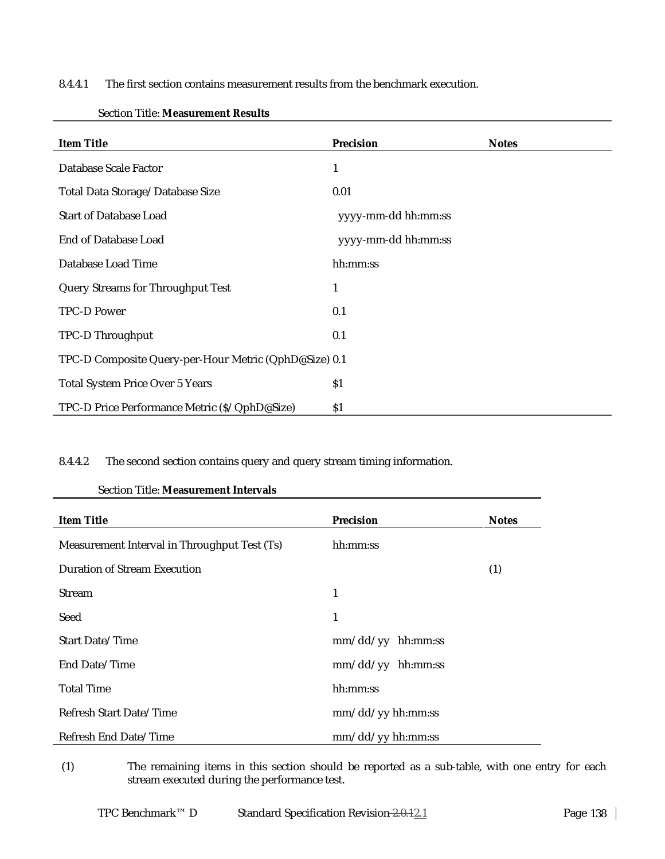8.4.4.1 The first section contains measurement results from the benchmark execution.

| <b>Item Title</b>                                     | <b>Precision</b>    | <b>Notes</b> |
|-------------------------------------------------------|---------------------|--------------|
| Database Scale Factor                                 | 1                   |              |
| Total Data Storage/Database Size                      | 0.01                |              |
| <b>Start of Database Load</b>                         | yyyy-mm-dd hh:mm:ss |              |
| <b>End of Database Load</b>                           | yyyy-mm-dd hh:mm:ss |              |
| Database Load Time                                    | hh:mm:ss            |              |
| <b>Query Streams for Throughput Test</b>              | 1                   |              |
| <b>TPC-D Power</b>                                    | 0.1                 |              |
| TPC-D Throughput                                      | 0.1                 |              |
| TPC-D Composite Query-per-Hour Metric (QphD@Size) 0.1 |                     |              |
| <b>Total System Price Over 5 Years</b>                | \$1                 |              |
| TPC-D Price Performance Metric (\$/QphD@Size)         | \$1                 |              |

### Section Title: **Measurement Results**

8.4.4.2 The second section contains query and query stream timing information.

| <b>Item Title</b>                            | <b>Precision</b>    | <b>Notes</b> |
|----------------------------------------------|---------------------|--------------|
| Measurement Interval in Throughput Test (Ts) | hh:mm:ss            |              |
| <b>Duration of Stream Execution</b>          |                     | (1)          |
| <b>Stream</b>                                | 1                   |              |
| Seed                                         | 1                   |              |
| Start Date/Time                              | $mm/dd/yy$ hh:mm:ss |              |
| End Date/Time                                | $mm/dd/yy$ hh:mm:ss |              |
| <b>Total Time</b>                            | hh:mm:ss            |              |
| Refresh Start Date/Time                      | $mm/dd/yy$ hh:mm:ss |              |
| Refresh End Date/Time                        | $mm/dd/yy$ hh:mm:ss |              |

#### Section Title: **Measurement Intervals**

 (1) The remaining items in this section should be reported as a sub-table, with one entry for each stream executed during the performance test.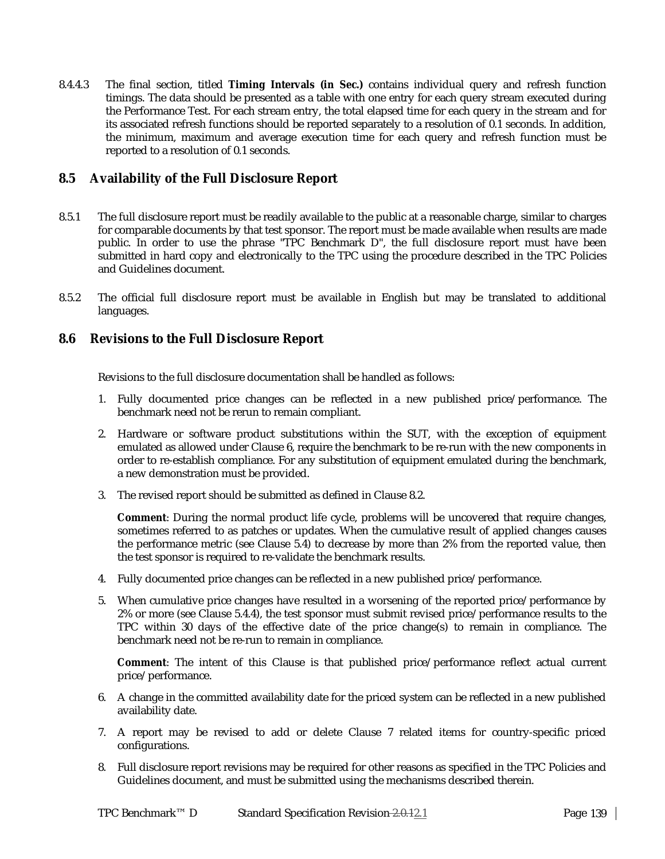8.4.4.3 The final section, titled **Timing Intervals (in Sec.)** contains individual query and refresh function timings. The data should be presented as a table with one entry for each query stream executed during the Performance Test. For each stream entry, the total elapsed time for each query in the stream and for its associated refresh functions should be reported separately to a resolution of 0.1 seconds. In addition, the minimum, maximum and average execution time for each query and refresh function must be reported to a resolution of 0.1 seconds.

# **8.5 Availability of the Full Disclosure Report**

- 8.5.1 The full disclosure report must be readily available to the public at a reasonable charge, similar to charges for comparable documents by that test sponsor. The report must be made available when results are made public. In order to use the phrase "TPC Benchmark D", the full disclosure report must have been submitted in hard copy and electronically to the TPC using the procedure described in the TPC Policies and Guidelines document.
- 8.5.2 The official full disclosure report must be available in English but may be translated to additional languages.

# **8.6 Revisions to the Full Disclosure Report**

Revisions to the full disclosure documentation shall be handled as follows:

- 1. Fully documented price changes can be reflected in a new published price/performance. The benchmark need not be rerun to remain compliant.
- 2. Hardware or software product substitutions within the SUT, with the exception of equipment emulated as allowed under Clause 6, require the benchmark to be re-run with the new components in order to re-establish compliance. For any substitution of equipment emulated during the benchmark, a new demonstration must be provided.
- 3. The revised report should be submitted as defined in Clause 8.2.

**Comment**: During the normal product life cycle, problems will be uncovered that require changes, sometimes referred to as patches or updates. When the cumulative result of applied changes causes the performance metric (see Clause 5.4) to decrease by more than 2% from the reported value, then the test sponsor is required to re-validate the benchmark results.

- 4. Fully documented price changes can be reflected in a new published price/performance.
- 5. When cumulative price changes have resulted in a worsening of the reported price/performance by 2% or more (see Clause 5.4.4), the test sponsor must submit revised price/performance results to the TPC within 30 days of the effective date of the price change(s) to remain in compliance. The benchmark need not be re-run to remain in compliance.

**Comment**: The intent of this Clause is that published price/performance reflect actual current price/performance.

- 6. A change in the committed availability date for the priced system can be reflected in a new published availability date.
- 7. A report may be revised to add or delete Clause 7 related items for country-specific priced configurations.
- 8. Full disclosure report revisions may be required for other reasons as specified in the TPC Policies and Guidelines document, and must be submitted using the mechanisms described therein.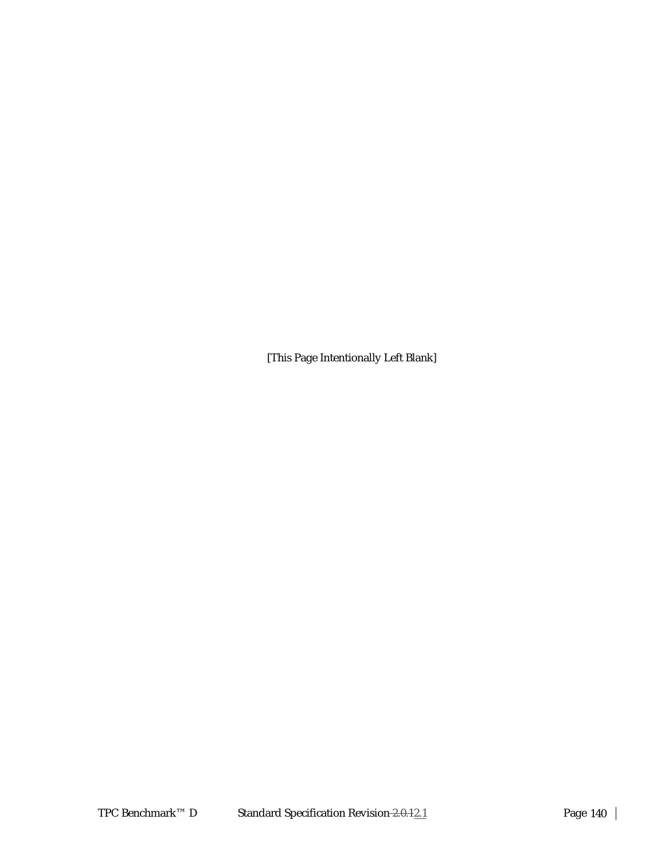[This Page Intentionally Left Blank]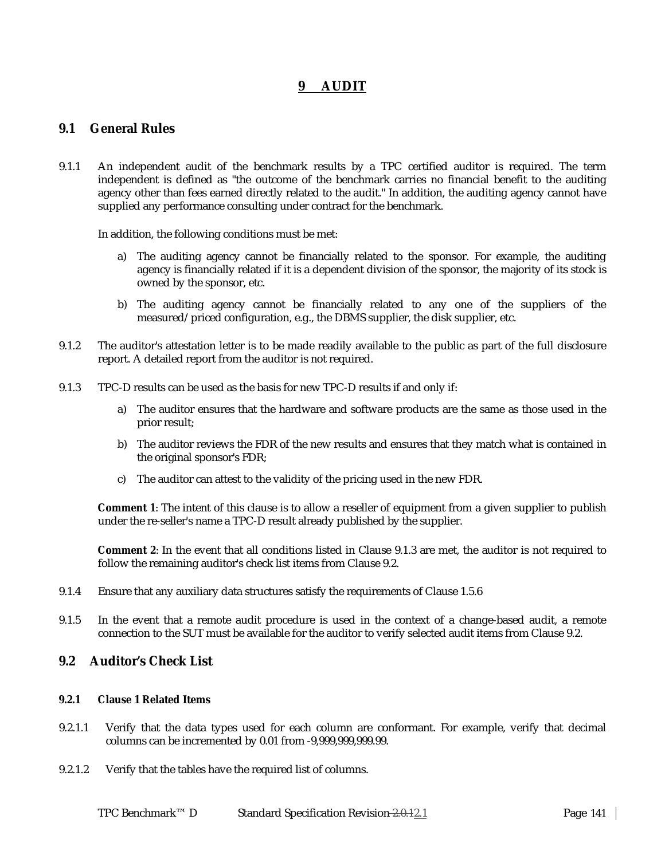# **9 AUDIT**

# **9.1 General Rules**

9.1.1 An independent audit of the benchmark results by a TPC certified auditor is required. The term independent is defined as "the outcome of the benchmark carries no financial benefit to the auditing agency other than fees earned directly related to the audit." In addition, the auditing agency cannot have supplied any performance consulting under contract for the benchmark.

In addition, the following conditions must be met:

- a) The auditing agency cannot be financially related to the sponsor. For example, the auditing agency is financially related if it is a dependent division of the sponsor, the majority of its stock is owned by the sponsor, etc.
- b) The auditing agency cannot be financially related to any one of the suppliers of the measured/priced configuration, e.g., the DBMS supplier, the disk supplier, etc.
- 9.1.2 The auditor's attestation letter is to be made readily available to the public as part of the full disclosure report. A detailed report from the auditor is not required.
- 9.1.3 TPC-D results can be used as the basis for new TPC-D results if and only if:
	- a) The auditor ensures that the hardware and software products are the same as those used in the prior result;
	- b) The auditor reviews the FDR of the new results and ensures that they match what is contained in the original sponsor's FDR;
	- c) The auditor can attest to the validity of the pricing used in the new FDR.

**Comment 1**: The intent of this clause is to allow a reseller of equipment from a given supplier to publish under the re-seller's name a TPC-D result already published by the supplier.

**Comment 2**: In the event that all conditions listed in Clause 9.1.3 are met, the auditor is not required to follow the remaining auditor's check list items from Clause 9.2.

- 9.1.4 Ensure that any auxiliary data structures satisfy the requirements of Clause 1.5.6
- 9.1.5 In the event that a remote audit procedure is used in the context of a change-based audit, a remote connection to the SUT must be available for the auditor to verify selected audit items from Clause 9.2.

# **9.2 Auditor's Check List**

#### **9.2.1 Clause 1 Related Items**

- 9.2.1.1 Verify that the data types used for each column are conformant. For example, verify that decimal columns can be incremented by 0.01 from -9,999,999,999.99.
- 9.2.1.2 Verify that the tables have the required list of columns.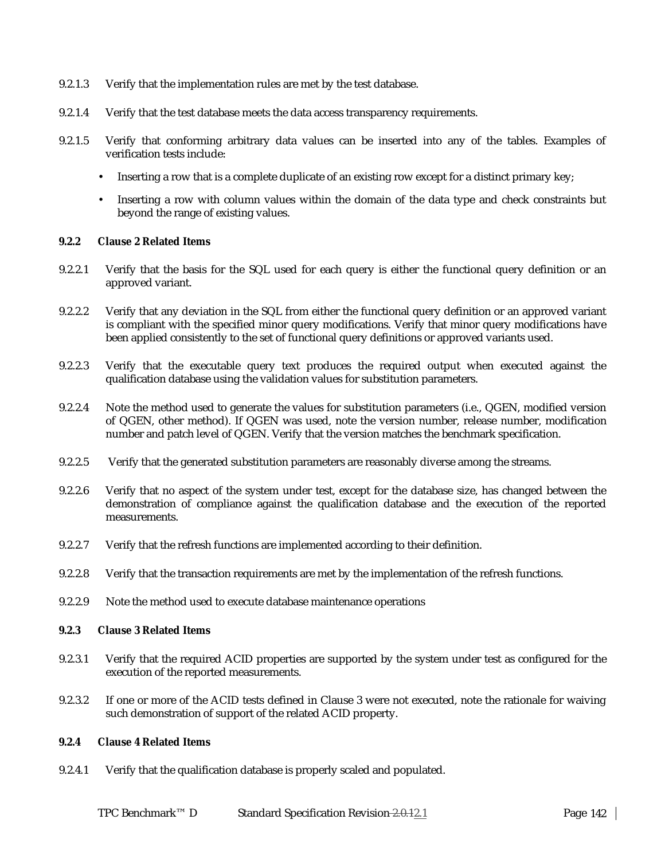- 9.2.1.3 Verify that the implementation rules are met by the test database.
- 9.2.1.4 Verify that the test database meets the data access transparency requirements.
- 9.2.1.5 Verify that conforming arbitrary data values can be inserted into any of the tables. Examples of verification tests include:
	- Inserting a row that is a complete duplicate of an existing row except for a distinct primary key;
	- Inserting a row with column values within the domain of the data type and check constraints but beyond the range of existing values.

#### **9.2.2 Clause 2 Related Items**

- 9.2.2.1 Verify that the basis for the SQL used for each query is either the functional query definition or an approved variant.
- 9.2.2.2 Verify that any deviation in the SQL from either the functional query definition or an approved variant is compliant with the specified minor query modifications. Verify that minor query modifications have been applied consistently to the set of functional query definitions or approved variants used.
- 9.2.2.3 Verify that the executable query text produces the required output when executed against the qualification database using the validation values for substitution parameters.
- 9.2.2.4 Note the method used to generate the values for substitution parameters (i.e., QGEN, modified version of QGEN, other method). If QGEN was used, note the version number, release number, modification number and patch level of QGEN. Verify that the version matches the benchmark specification.
- 9.2.2.5 Verify that the generated substitution parameters are reasonably diverse among the streams.
- 9.2.2.6 Verify that no aspect of the system under test, except for the database size, has changed between the demonstration of compliance against the qualification database and the execution of the reported measurements.
- 9.2.2.7 Verify that the refresh functions are implemented according to their definition.
- 9.2.2.8 Verify that the transaction requirements are met by the implementation of the refresh functions.
- 9.2.2.9 Note the method used to execute database maintenance operations

#### **9.2.3 Clause 3 Related Items**

- 9.2.3.1 Verify that the required ACID properties are supported by the system under test as configured for the execution of the reported measurements.
- 9.2.3.2 If one or more of the ACID tests defined in Clause 3 were not executed, note the rationale for waiving such demonstration of support of the related ACID property.

#### **9.2.4 Clause 4 Related Items**

9.2.4.1 Verify that the qualification database is properly scaled and populated.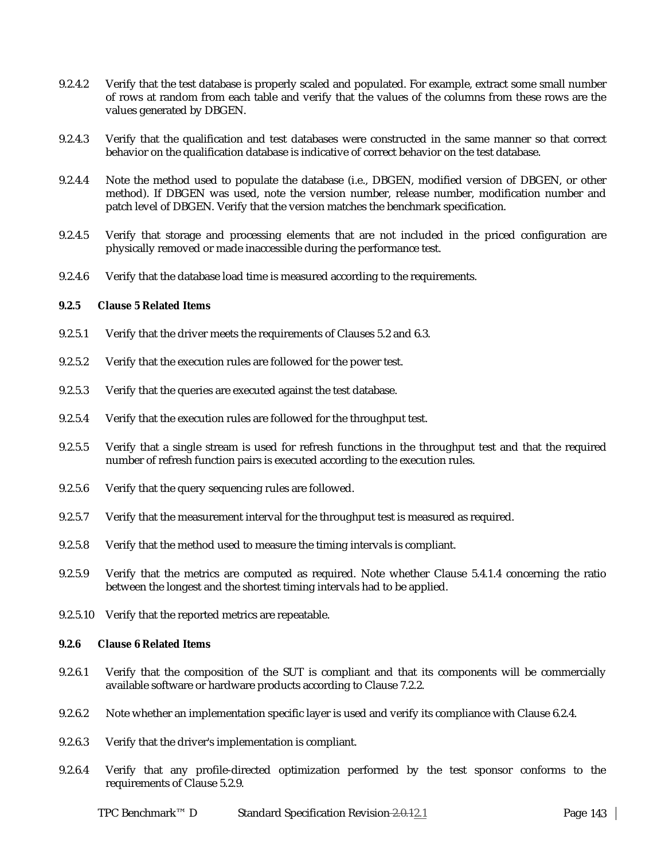- 9.2.4.2 Verify that the test database is properly scaled and populated. For example, extract some small number of rows at random from each table and verify that the values of the columns from these rows are the values generated by DBGEN.
- 9.2.4.3 Verify that the qualification and test databases were constructed in the same manner so that correct behavior on the qualification database is indicative of correct behavior on the test database.
- 9.2.4.4 Note the method used to populate the database (i.e., DBGEN, modified version of DBGEN, or other method). If DBGEN was used, note the version number, release number, modification number and patch level of DBGEN. Verify that the version matches the benchmark specification.
- 9.2.4.5 Verify that storage and processing elements that are not included in the priced configuration are physically removed or made inaccessible during the performance test.
- 9.2.4.6 Verify that the database load time is measured according to the requirements.

#### **9.2.5 Clause 5 Related Items**

- 9.2.5.1 Verify that the driver meets the requirements of Clauses 5.2 and 6.3.
- 9.2.5.2 Verify that the execution rules are followed for the power test.
- 9.2.5.3 Verify that the queries are executed against the test database.
- 9.2.5.4 Verify that the execution rules are followed for the throughput test.
- 9.2.5.5 Verify that a single stream is used for refresh functions in the throughput test and that the required number of refresh function pairs is executed according to the execution rules.
- 9.2.5.6 Verify that the query sequencing rules are followed.
- 9.2.5.7 Verify that the measurement interval for the throughput test is measured as required.
- 9.2.5.8 Verify that the method used to measure the timing intervals is compliant.
- 9.2.5.9 Verify that the metrics are computed as required. Note whether Clause 5.4.1.4 concerning the ratio between the longest and the shortest timing intervals had to be applied.
- 9.2.5.10 Verify that the reported metrics are repeatable.

#### **9.2.6 Clause 6 Related Items**

- 9.2.6.1 Verify that the composition of the SUT is compliant and that its components will be commercially available software or hardware products according to Clause 7.2.2.
- 9.2.6.2 Note whether an implementation specific layer is used and verify its compliance with Clause 6.2.4.
- 9.2.6.3 Verify that the driver's implementation is compliant.
- 9.2.6.4 Verify that any profile-directed optimization performed by the test sponsor conforms to the requirements of Clause 5.2.9.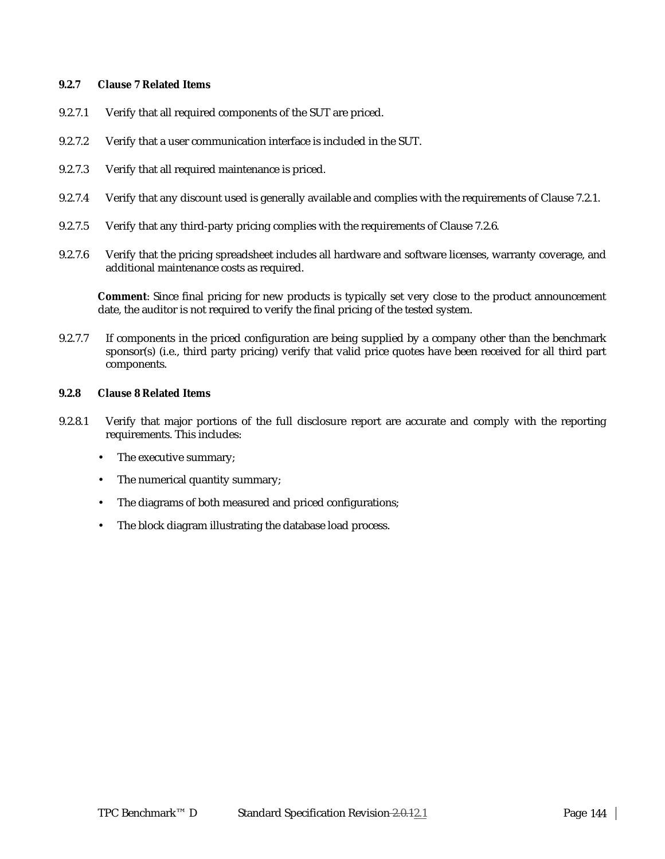#### **9.2.7 Clause 7 Related Items**

- 9.2.7.1 Verify that all required components of the SUT are priced.
- 9.2.7.2 Verify that a user communication interface is included in the SUT.
- 9.2.7.3 Verify that all required maintenance is priced.
- 9.2.7.4 Verify that any discount used is generally available and complies with the requirements of Clause 7.2.1.
- 9.2.7.5 Verify that any third-party pricing complies with the requirements of Clause 7.2.6.
- 9.2.7.6 Verify that the pricing spreadsheet includes all hardware and software licenses, warranty coverage, and additional maintenance costs as required.

**Comment**: Since final pricing for new products is typically set very close to the product announcement date, the auditor is not required to verify the final pricing of the tested system.

9.2.7.7 If components in the priced configuration are being supplied by a company other than the benchmark sponsor(s) (i.e., third party pricing) verify that valid price quotes have been received for all third part components.

#### **9.2.8 Clause 8 Related Items**

- 9.2.8.1 Verify that major portions of the full disclosure report are accurate and comply with the reporting requirements. This includes:
	- The executive summary;
	- The numerical quantity summary;
	- The diagrams of both measured and priced configurations;
	- The block diagram illustrating the database load process.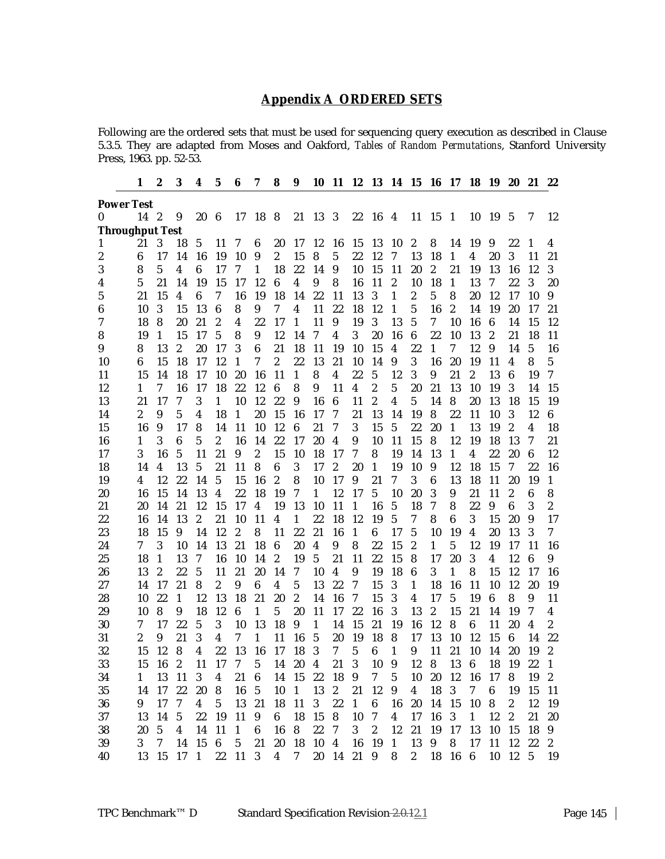# **Appendix A ORDERED SETS**

Following are the ordered sets that must be used for sequencing query execution as described in Clause 5.3.5. They are adapted from Moses and Oakford, *Tables of Random Permutations*, Stanford University Press, 1963. pp. 52-53.

|                        | 1                | 2                | 3                | 4                      | 5                | 6                      | 7                    | 8                      | 9                       | 10             | 11                      | 12                 | 13                   | 14                 | 15                      | 16                  | 17               | 18                      | 19                      | 20               | 21                      | 22                      |
|------------------------|------------------|------------------|------------------|------------------------|------------------|------------------------|----------------------|------------------------|-------------------------|----------------|-------------------------|--------------------|----------------------|--------------------|-------------------------|---------------------|------------------|-------------------------|-------------------------|------------------|-------------------------|-------------------------|
| <b>Power Test</b>      |                  |                  |                  |                        |                  |                        |                      |                        |                         |                |                         |                    |                      |                    |                         |                     |                  |                         |                         |                  |                         |                         |
| 0                      | 14               | $\overline{2}$   | 9                | 20                     | $\boldsymbol{6}$ | 17                     | 18                   | 8                      | 21                      | <b>13</b>      | 3                       | 22                 | 16                   | $\overline{4}$     | 11                      | 15                  | -1               | 10                      | -19                     | $\sqrt{5}$       | 7                       | 12                      |
| <b>Throughput Test</b> |                  |                  |                  |                        |                  |                        |                      |                        |                         |                |                         |                    |                      |                    |                         |                     |                  |                         |                         |                  |                         |                         |
| 1                      | 21               | 3                | 18               | 5                      | 11               | 7                      | 6                    | 20                     | 17                      | 12             | 16                      | 15                 | 13                   | 10                 | $\boldsymbol{2}$        | 8                   | 14               | 19                      | 9                       | 22               | 1                       | 4                       |
| 2                      | 6                | 17               | 14               | 16                     | 19               | 10                     | 9                    | $\boldsymbol{2}$       | 15                      | 8              | 5                       | 22                 | 12                   | 7                  | 13                      | 18                  | $\mathbf{1}$     | 4                       | 20                      | 3                | 11                      | 21                      |
| 3                      | 8                | $\overline{5}$   | 4                | 6                      | 17               | 7                      | 1                    | 18                     | 22                      | 14             | 9                       | 10                 | 15                   | 11                 | 20                      | $\boldsymbol{2}$    | 21               | 19                      | 13                      | 16               | 12                      | 3                       |
| 4                      | 5                | 21               | 14               | 19                     | 15               | 17                     | 12                   | 6                      | $\overline{\mathbf{4}}$ | 9              | 8                       | 16                 | 11                   | $\boldsymbol{2}$   | 10                      | 18                  | $\mathbf{1}$     | 13                      | 7                       | 22               | 3                       | 20                      |
| 5                      | 21               | 15               | 4                | 6                      | 7                | 16                     | 19                   | 18                     | 14                      | 22             | 11                      | 13                 | 3                    | $\mathbf{1}$       | $\boldsymbol{2}$        | $\overline{5}$      | 8                | 20                      | 12                      | 17               | 10                      | 9                       |
| 6                      | 10               | 3                | 15               | 13                     | 6                | 8                      | 9                    | 7                      | 4                       | 11             | 22                      | 18                 | 12                   | $\mathbf{1}$       | $\overline{5}$          | 16                  | $\boldsymbol{2}$ | 14                      | 19                      | 20               | 17                      | 21                      |
| 7                      | 18               | 8                | 20               | 21                     | $\overline{2}$   | 4                      | 22                   | 17                     | 1                       | 11             | 9                       | 19                 | 3                    | 13                 | 5                       | $\tau$              | 10               | 16                      | 6                       | 14               | 15                      | 12                      |
| 8                      | 19               | 1                | 15               | 17                     | 5                | 8                      | 9                    | 12                     | 14                      | 7              | 4                       | 3                  | 20                   | 16                 | 6                       | 22                  | 10               | 13                      | $\overline{c}$          | 21               | 18                      | 11                      |
| 9                      | 8                | 13               | $\overline{2}$   | 20                     | 17               | 3                      | 6                    | 21                     | 18                      | 11             | 19                      | 10                 | 15                   | $\boldsymbol{4}$   | 22                      | $\mathbf{1}$        | 7                | 12                      | 9                       | 14               | $\overline{5}$          | 16                      |
| 10                     | 6                | 15               | 18               | 17                     | 12               | 1                      | 7                    | $\overline{c}$         | 22                      | 13             | 21                      | 10                 | 14                   | 9                  | 3                       | 16                  | 20               | 19                      | 11                      | 4                | 8                       | $\mathbf{5}$            |
| 11                     | 15               | 14               | 18               | 17                     | 10               | 20                     | 16                   | 11                     | $\mathbf{1}$            | 8              | 4                       | 22                 | $\overline{5}$       | 12                 | 3                       | 9                   | 21               | $\mathbf{2}$            | 13                      | 6                | 19                      | 7                       |
| 12                     | 1                | 7                | 16               | 17                     | 18               | 22                     | 12                   | $6\phantom{1}$         | 8                       | 9              | 11                      | $\boldsymbol{4}$   | $\boldsymbol{2}$     | $\overline{5}$     | 20                      | 21                  | 13               | 10                      | 19                      | 3                | 14                      | 15                      |
| 13                     | 21               | 17               | 7                | 3                      | $\mathbf{1}$     | 10                     | 12                   | 22                     | 9                       | 16             | $\boldsymbol{6}$        | 11                 | $\boldsymbol{2}$     | $\boldsymbol{4}$   | $5\phantom{.0}$         | 14                  | 8                | 20                      | 13                      | 18               | 15                      | 19                      |
| 14                     | $\boldsymbol{2}$ | 9                | 5                | 4                      | 18               | $\mathbf{1}$           | 20                   | 15                     | 16                      | 17             | 7                       | 21                 | 13                   | 14                 | 19                      | 8                   | 22               | 11                      | 10                      | 3                | 12                      | $6\phantom{.0}$         |
| 15                     | 16               | 9                | 17               | 8                      | 14               | 11                     | 10                   | 12                     | $\boldsymbol{6}$        | 21             | $\boldsymbol{7}$        | 3                  | 15                   | $5\overline{)}$    | 22                      | 20                  | $\mathbf{1}$     | 13                      | 19                      | $\boldsymbol{2}$ | $\overline{\mathbf{4}}$ | 18                      |
| 16                     | 1                | 3                | 6                | 5                      | $\overline{2}$   | 16                     | 14                   | 22                     | 17                      | 20             | $\overline{\mathbf{4}}$ | $\boldsymbol{9}$   | 10                   | 11                 | 15                      | 8                   | 12               | 19                      | 18                      | 13               | $\tau$                  | 21                      |
| 17                     | 3                | 16               | 5                | 11                     | 21               | $\boldsymbol{9}$       | $\boldsymbol{2}$     | 15                     | 10                      | 18             | 17                      | $\tau$             | 8                    | 19                 | 14                      | 13                  | $\mathbf{1}$     | $\overline{\mathbf{4}}$ | 22                      | 20               | $6\phantom{1}$          | 12                      |
| 18                     | 14               | 4                | 13               | $\overline{5}$         | 21               | 11                     | 8                    | $6\phantom{1}$         | 3                       | 17             | $\boldsymbol{2}$        | 20                 | $\mathbf{1}$         | 19                 | 10                      | 9                   | 12               | 18                      | 15                      | $\mathbf 7$      | 22                      | 16                      |
| 19                     | 4                | 12               | 22               | 14                     | $\overline{5}$   | 15                     | 16                   | $\boldsymbol{2}$       | 8                       | 10             | 17                      | 9                  | 21                   | $\overline{7}$     | 3                       | $\boldsymbol{6}$    | 13               | 18                      | 11                      | 20               | 19                      | $\mathbf{1}$            |
| 20                     | 16               | 15               | 14               | 13                     | $\boldsymbol{4}$ | 22                     | 18                   | 19                     | 7                       | $\mathbf{1}$   | 12                      | 17                 | $\overline{5}$       | 10                 | 20                      | 3                   | 9                | 21                      | 11                      | $\boldsymbol{2}$ | 6                       | 8                       |
| 21                     | 20               | 14<br>14         | 21<br>13         | 12<br>$\boldsymbol{2}$ | 15<br>21         | 17                     | $\overline{4}$<br>11 | 19<br>$\boldsymbol{4}$ | 13<br>$\mathbf{1}$      | 10<br>22       | 11<br>18                | $\mathbf{1}$<br>12 | 16                   | $\bf 5$<br>$\bf 5$ | 18<br>7                 | $\overline{7}$<br>8 | 8<br>6           | 22<br>3                 | $\boldsymbol{9}$        | $6\phantom{1}$   | 3<br>9                  | $\boldsymbol{2}$<br>17  |
| 22<br>23               | 16<br>18         | 15               | 9                | 14                     | 12               | 10<br>$\boldsymbol{2}$ | 8                    | 11                     | 22                      | 21             | 16                      | $\mathbf{1}$       | 19<br>$6\phantom{1}$ | 17                 | $\bf 5$                 | 10                  | 19               | $\overline{4}$          | 15<br>20                | 20<br>13         | 3                       | 7                       |
| 24                     | 7                | 3                | 10               | 14                     | 13               | 21                     | 18                   | $\boldsymbol{6}$       | 20                      | $\overline{4}$ | 9                       | 8                  | 22                   | 15                 | $\boldsymbol{2}$        | $\mathbf{1}$        | $\overline{5}$   | 12                      | 19                      | 17               | 11                      | 16                      |
| 25                     | 18               | $\mathbf{1}$     | 13               | 7                      | 16               | 10                     | 14                   | $\boldsymbol{2}$       | 19                      | $\overline{5}$ | 21                      | 11                 | 22                   | 15                 | 8                       | 17                  | 20               | 3                       | $\overline{\mathbf{4}}$ | 12               | $6\phantom{1}$          | 9                       |
| 26                     | 13               | $\boldsymbol{2}$ | 22               | $\sqrt{5}$             | 11               | 21                     | 20                   | 14                     | $\tau$                  | 10             | $\overline{4}$          | 9                  | 19                   | 18                 | $\boldsymbol{6}$        | 3                   | 1                | 8                       | 15                      | 12               | 17                      | 16                      |
| 27                     | 14               | 17               | 21               | 8                      | $\boldsymbol{2}$ | 9                      | $\boldsymbol{6}$     | 4                      | $\overline{5}$          | 13             | 22                      | $\boldsymbol{7}$   | 15                   | 3                  | $\mathbf{1}$            | 18                  | 16               | 11                      | 10                      | 12               | 20                      | 19                      |
| 28                     | 10               | 22               | $\mathbf{1}$     | 12                     | 13               | 18                     | 21                   | 20                     | $\boldsymbol{2}$        | 14             | 16                      | 7                  | 15                   | 3                  | $\overline{\mathbf{4}}$ | 17                  | $\overline{5}$   | 19                      | $\boldsymbol{6}$        | 8                | 9                       | 11                      |
| 29                     | 10               | 8                | 9                | 18                     | 12               | $6\phantom{1}6$        | 1                    | 5                      | 20                      | 11             | 17                      | 22                 | 16                   | 3                  | 13                      | $\boldsymbol{2}$    | 15               | 21                      | 14                      | 19               | 7                       | $\overline{\mathbf{4}}$ |
| 30                     | 7                | 17               | 22               | $\overline{5}$         | 3                | 10                     | 13                   | 18                     | $\boldsymbol{9}$        | $\mathbf{1}$   | 14                      | 15                 | 21                   | 19                 | 16                      | 12                  | 8                | 6                       | 11                      | 20               | 4                       | $\boldsymbol{2}$        |
| 31                     | 2                | 9                | 21               | 3                      | 4                | 7                      | 1                    | 11                     | 16                      | 5              | 20                      | 19                 | 18                   | 8                  | 17                      | 13                  | 10               | 12                      | 15                      | 6                | 14                      | 22                      |
| 32                     | 15               | 12               | 8                | 4                      | 22               | 13                     | 16                   | 17                     | 18                      | 3              | 7                       | $\overline{5}$     | 6                    | $\mathbf{1}$       | 9                       | 11                  | 21               | 10                      | 14                      | 20               | 19                      | $\boldsymbol{2}$        |
| 33                     |                  | 15 16 2          |                  | 11                     | 17               | $7\overline{ }$        | $\bf 5$              |                        | $14\quad20\quad4$       |                | 21                      | $\sqrt{3}$         | 10                   | $\boldsymbol{9}$   |                         | 12 8                | 136              |                         | 18                      | 19               | $22 \quad 1$            |                         |
| 34                     | $\mathbf{1}$     |                  | 13 11            | $\boldsymbol{3}$       | $\boldsymbol{4}$ | 21                     | - 6                  |                        | 14 15 22                |                | 18                      | $9\phantom{.0}$    | $\tau$               | $\sqrt{5}$         | 10                      |                     | 20 12 16         |                         | 17                      | 8                | 19 2                    |                         |
| 35                     | 14               | 17               | $22\,$           | 20                     | ${\bf 8}$        | 16                     | $\sqrt{5}$           | 10                     | $\mathbf{1}$            | 13             | $\boldsymbol{2}$        | 21                 | 12                   | $9\phantom{.0}$    | $\overline{\mathbf{4}}$ | 18                  | $\boldsymbol{3}$ | $\tau$                  | 6                       | 19               | 15                      | <b>11</b>               |
| 36                     | 9                | 17               | 7                | $\boldsymbol{4}$       | $\bf 5$          | 13                     | 21                   | 18                     | 11                      | $\mathbf{3}$   | 22                      | $\mathbf{1}$       | $\boldsymbol{6}$     | 16                 | 20                      | 14                  | 15               | 10                      | ${\bf 8}$               | $\boldsymbol{2}$ | 12                      | 19                      |
| $37\,$                 | 13               | 14               | $\bf 5$          | 22                     | 19               | 11                     | $\boldsymbol{9}$     | $\boldsymbol{6}$       | 18                      | 15             | $\bf 8$                 | 10                 | $\boldsymbol{7}$     | $\boldsymbol{4}$   | 17                      | 16                  | $\boldsymbol{3}$ | $\mathbf{1}$            | 12                      | $\boldsymbol{2}$ | 21                      | 20                      |
| ${\bf 38}$             | 20               | $\mathbf{5}$     | $\boldsymbol{4}$ | 14                     | 11               | $\mathbf{1}$           | $\bf 6$              | 16                     | $\bf 8$                 | $22\,$         | $\boldsymbol{7}$        | 3                  | $\boldsymbol{2}$     | 12                 | 21                      | 19                  | 17               | 13                      | 10                      | 15               | 18                      | 9                       |
| 39                     | 3 <sup>1</sup>   | 7                | 14               | 15                     | $\bf 6$          | $\mathbf 5$            | 21                   | 20                     | 18                      | 10             | $\overline{4}$          | 16                 | 19                   | $\mathbf{1}$       | 13                      | $9\phantom{.0}$     | 8                | 17                      | 11                      | 12               | $22\,$                  | $\boldsymbol{2}$        |
| 40                     |                  | 13 15 17         |                  | $\mathbf{1}$           | 22               | 11                     | $\mathbf{3}$         | $\overline{4}$         | $\overline{7}$          |                | 20 14                   | 21                 | $\boldsymbol{9}$     | 8                  | $\boldsymbol{2}$        |                     | 18 16 6          |                         | 10                      | 12               | $\sqrt{5}$              | 19                      |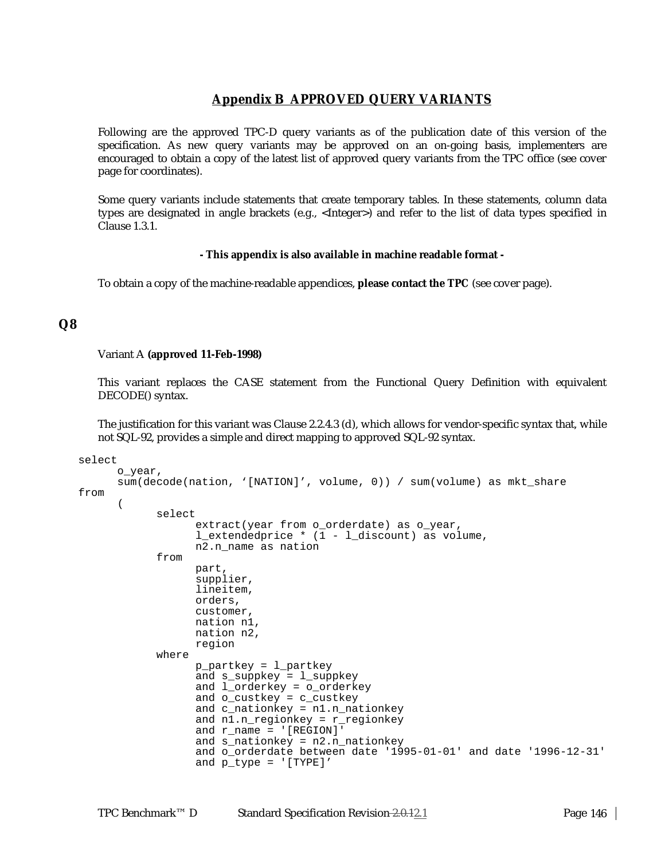### **Appendix B APPROVED QUERY VARIANTS**

Following are the approved TPC-D query variants as of the publication date of this version of the specification. As new query variants may be approved on an on-going basis, implementers are encouraged to obtain a copy of the latest list of approved query variants from the TPC office (see cover page for coordinates).

Some query variants include statements that create temporary tables. In these statements, column data types are designated in angle brackets (e.g., <Integer>) and refer to the list of data types specified in Clause 1.3.1.

#### **- This appendix is also available in machine readable format -**

To obtain a copy of the machine-readable appendices, **please contact the TPC** (see cover page).

### **Q8**

#### Variant A **(approved 11-Feb-1998)**

This variant replaces the CASE statement from the Functional Query Definition with equivalent DECODE() syntax.

The justification for this variant was Clause 2.2.4.3 (d), which allows for vendor-specific syntax that, while not SQL-92, provides a simple and direct mapping to approved SQL-92 syntax.

```
select
      o_year,
      sum(decode(nation, '[NATION]', volume, 0)) / sum(volume) as mkt_share
from
      (
            select
                  extract(year from o_orderdate) as o_year,
                  l_extendedprice *(1 - 1_d) as volume,
                  n2.n_name as nation
            from
                  part,
                  supplier,
                  lineitem,
                  orders,
                  customer,
                  nation n1,
                  nation n2,
                  region
            where
                  p_partkey = l_partkey
                  and s_suppkey = l_suppkey
                  and 1 orderkey = 0 orderkey
                  and o_custkey = c_custkey
                  and c_nationkey = n1.n_nationkey
                  and n1.n_regionkey = r_regionkey
                  and r name = '[REGION]'
                  and s nationkey = n2.n nationkey
                  and o_orderdate between date '1995-01-01' and date '1996-12-31'
                  and p_type = '[TYPE]'
```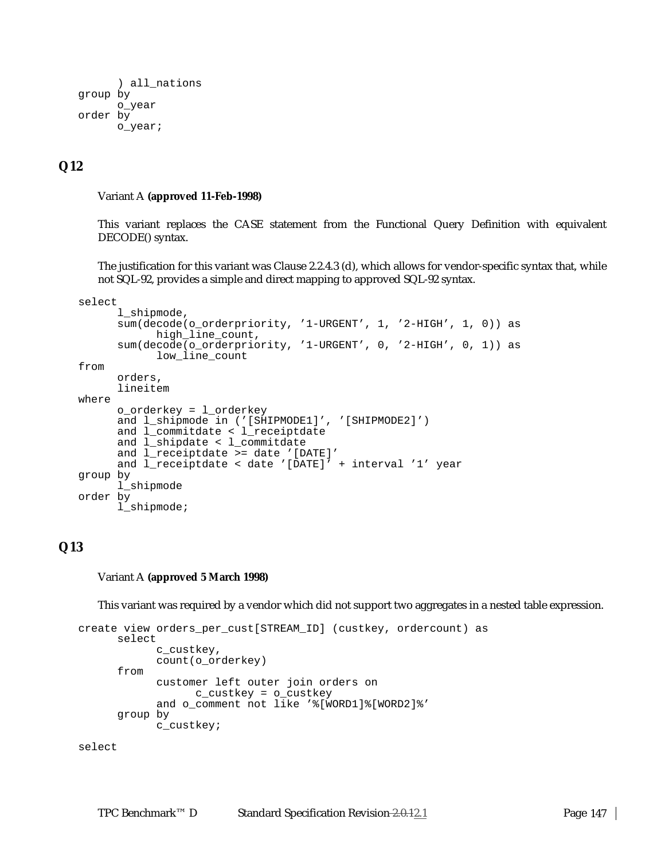```
) all_nations
group by
      o_year
order by
      o_year;
```
# **Q12**

#### Variant A **(approved 11-Feb-1998)**

This variant replaces the CASE statement from the Functional Query Definition with equivalent DECODE() syntax.

The justification for this variant was Clause 2.2.4.3 (d), which allows for vendor-specific syntax that, while not SQL-92, provides a simple and direct mapping to approved SQL-92 syntax.

```
select
      l_shipmode,
      sum(decode(o_orderpriority, '1-URGENT', 1, '2-HIGH', 1, 0)) as
            high_line_count,
      sum(decode(o_orderpriority, '1-URGENT', 0, '2-HIGH', 0, 1)) as
            low_line_count
from
      orders,
      lineitem
where
      o_orderkey = l_orderkey
      and l_shipmode in ('[SHIPMODE1]', '[SHIPMODE2]')
      and 1 commitdate < 1 receiptdate
      and l_shipdate < l_commitdate
      and l_receiptdate >= date '[DATE]'
      and l_receiptdate < date '[DATE]' + interval '1' year
group by
      l_shipmode
order by
      l_shipmode;
```
### **Q13**

#### Variant A **(approved 5 March 1998)**

This variant was required by a vendor which did not support two aggregates in a nested table expression.

```
create view orders_per_cust[STREAM_ID] (custkey, ordercount) as
      select
            c_custkey,
            count(o_orderkey)
      from
            customer left outer join orders on
                  c_custkey = o_custkey
            and o_comment not like '%[WORD1]%[WORD2]%'
      group by
            c_custkey;
```
select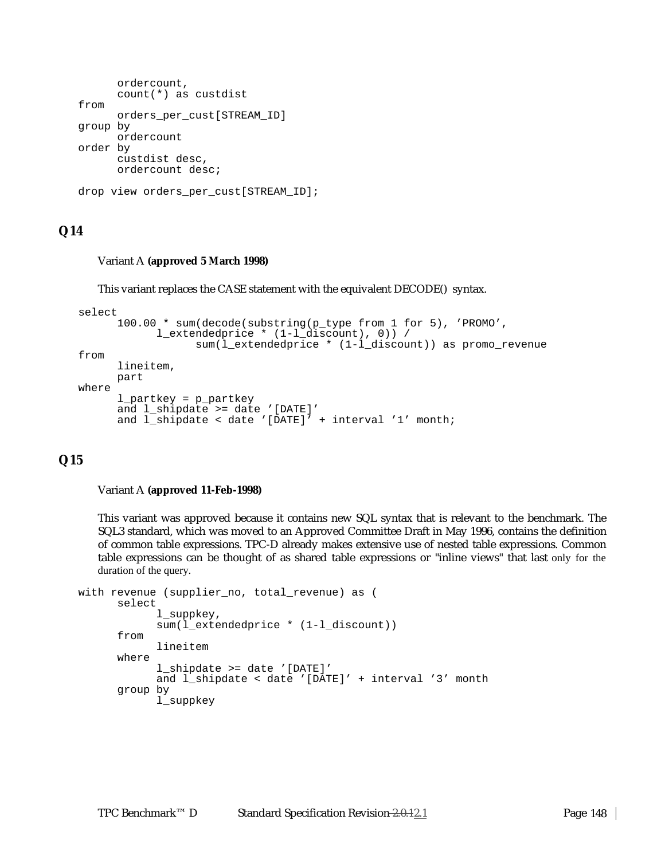```
ordercount,
      count(*) as custdist
from
      orders_per_cust[STREAM_ID]
group by
      ordercount
order by
      custdist desc,
      ordercount desc;
drop view orders_per_cust[STREAM_ID];
```
# **Q14**

#### Variant A **(approved 5 March 1998)**

This variant replaces the CASE statement with the equivalent DECODE() syntax.

```
select
      100.00 * sum(decode(substring(p_type from 1 for 5), 'PROMO',
            l_extendedprice * (1-l_discount), 0)) /
                  sum(l_extendedprice * (1-l_discount)) as promo_revenue
from
      lineitem,
      part
where
      l_partkey = p_partkey
      and l_shipdate >= date '[DATE]'
      and l shipdate < date '[DATE]' + interval '1' month;
```
# **Q15**

#### Variant A **(approved 11-Feb-1998)**

This variant was approved because it contains new SQL syntax that is relevant to the benchmark. The SQL3 standard, which was moved to an Approved Committee Draft in May 1996, contains the definition of common table expressions. TPC-D already makes extensive use of nested table expressions. Common table expressions can be thought of as shared table expressions or "inline views" that last only for the duration of the query.

```
with revenue (supplier no, total revenue) as (
      select
            l_suppkey,
            sum(l_extendedprice * (1-l_discount))
      from
            lineitem
      where
            l_shipdate >= date '[DATE]'
            and l_shipdate < date '[DATE]' + interval '3' month
      group by
            l_suppkey
```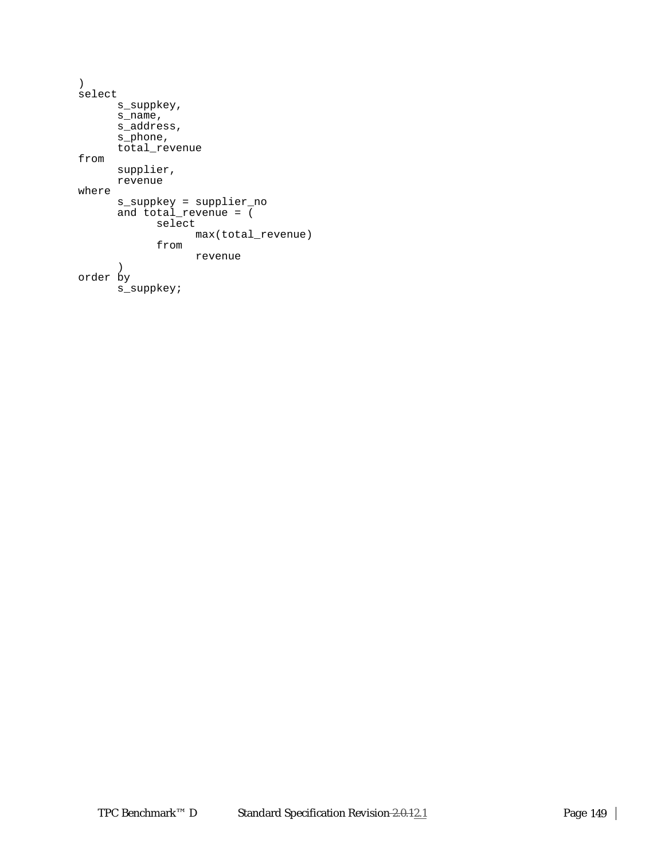```
)
select
      s_suppkey,
      s_name,
     s_address,
     s_phone,
      total_revenue
from
      supplier,
     revenue
where
      s_suppkey = supplier_no
      and total_revenue = (
            select
                  max(total_revenue)
            from
                  revenue
      )
order by
      s_suppkey;
```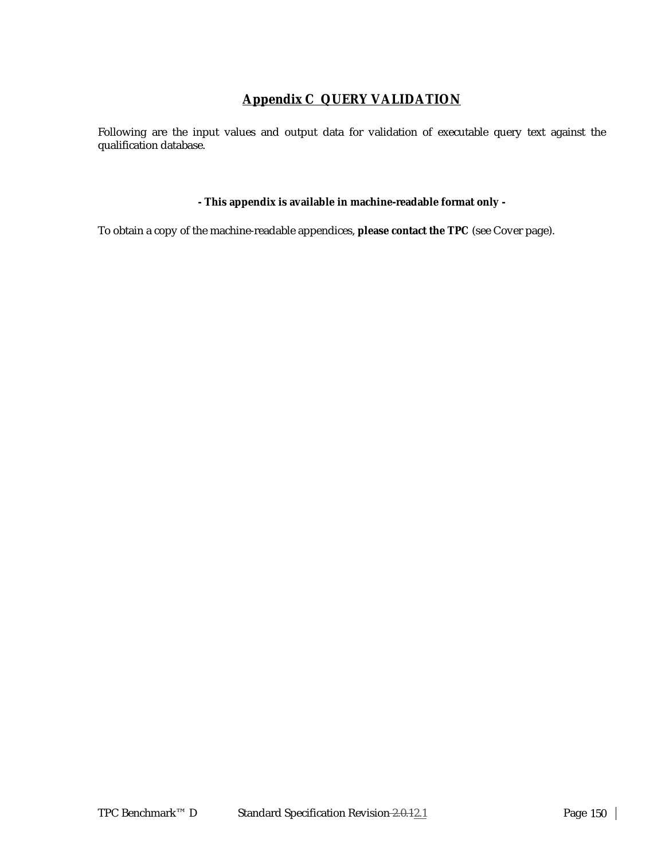# **Appendix C QUERY VALIDATION**

Following are the input values and output data for validation of executable query text against the qualification database.

#### **- This appendix is available in machine-readable format only -**

To obtain a copy of the machine-readable appendices, **please contact the TPC** (see Cover page).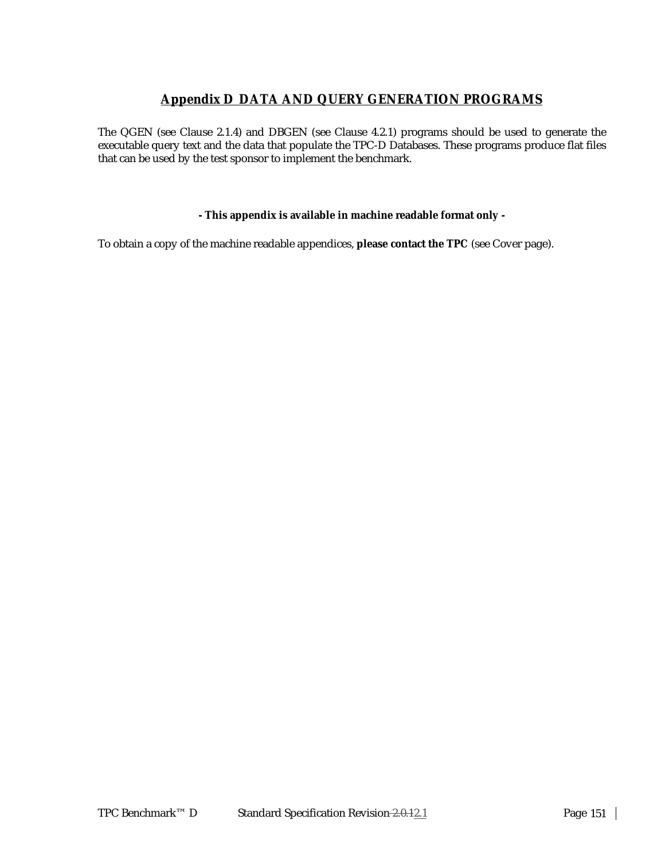# **Appendix D DATA AND QUERY GENERATION PROGRAMS**

The QGEN (see Clause 2.1.4) and DBGEN (see Clause 4.2.1) programs should be used to generate the executable query text and the data that populate the TPC-D Databases. These programs produce flat files that can be used by the test sponsor to implement the benchmark.

#### **- This appendix is available in machine readable format only -**

To obtain a copy of the machine readable appendices, **please contact the TPC** (see Cover page).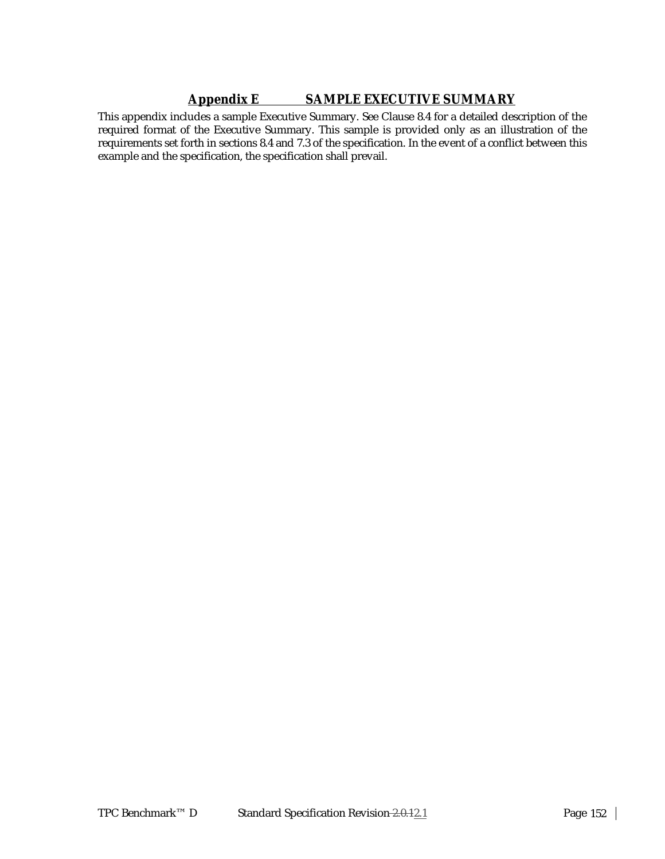## **Appendix E SAMPLE EXECUTIVE SUMMARY**

This appendix includes a sample Executive Summary. See Clause 8.4 for a detailed description of the required format of the Executive Summary. This sample is provided only as an illustration of the requirements set forth in sections 8.4 and 7.3 of the specification. In the event of a conflict between this example and the specification, the specification shall prevail.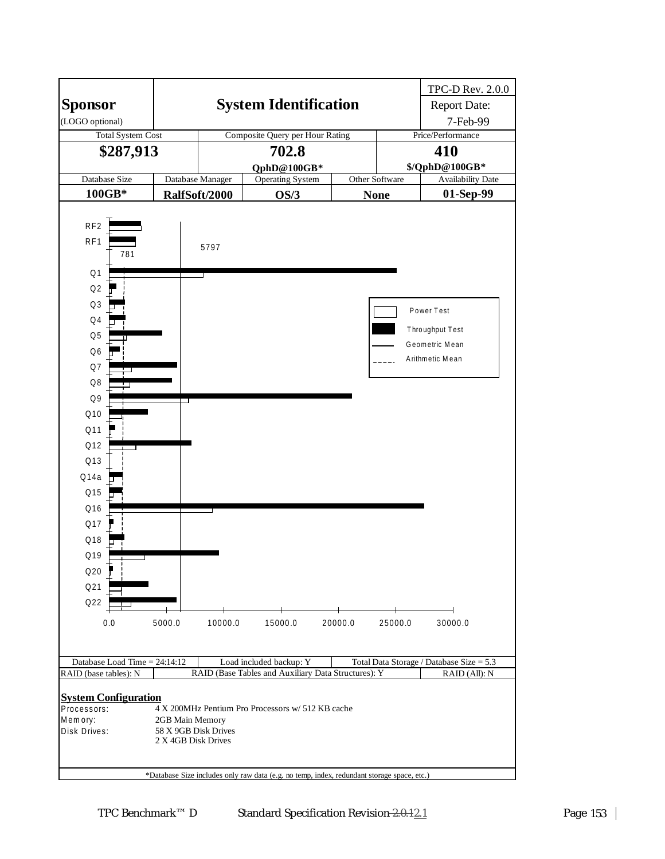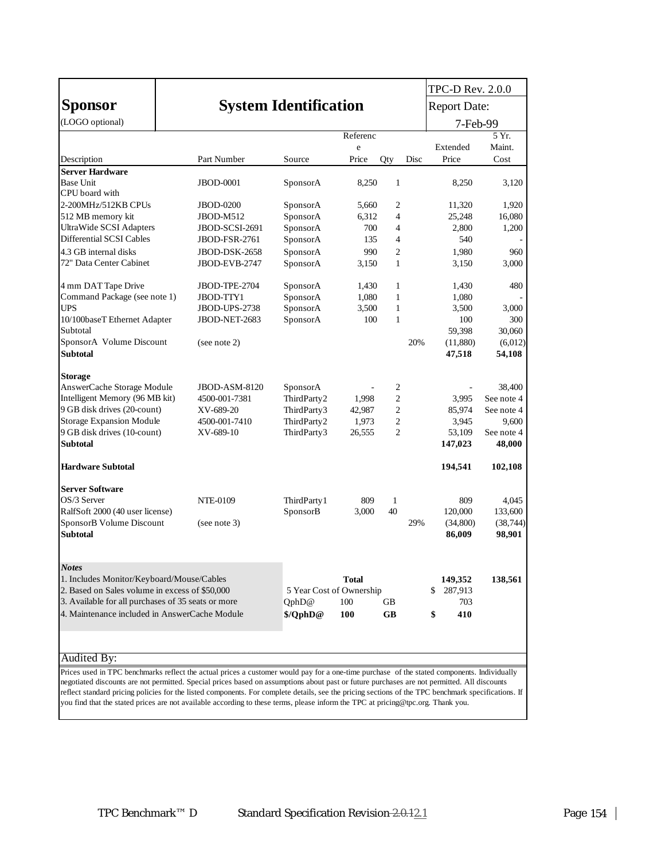|                                                                                                                                                                                                                                                                                                    |                  |                              |              |                |      | <b>TPC-D Rev. 2.0.0</b> |            |
|----------------------------------------------------------------------------------------------------------------------------------------------------------------------------------------------------------------------------------------------------------------------------------------------------|------------------|------------------------------|--------------|----------------|------|-------------------------|------------|
| <b>Sponsor</b>                                                                                                                                                                                                                                                                                     |                  | <b>System Identification</b> |              |                |      | <b>Report Date:</b>     |            |
| (LOGO optional)                                                                                                                                                                                                                                                                                    |                  |                              |              |                |      | 7-Feb-99                |            |
|                                                                                                                                                                                                                                                                                                    |                  |                              | Referenc     |                |      |                         | 5 Yr.      |
|                                                                                                                                                                                                                                                                                                    |                  |                              | e            |                |      | Extended                | Maint.     |
| Description                                                                                                                                                                                                                                                                                        | Part Number      | Source                       | Price        | Oty            | Disc | Price                   | Cost       |
| <b>Server Hardware</b>                                                                                                                                                                                                                                                                             |                  |                              |              |                |      |                         |            |
| <b>Base Unit</b>                                                                                                                                                                                                                                                                                   | <b>JBOD-0001</b> | SponsorA                     | 8.250        | $\mathbf{1}$   |      | 8,250                   | 3,120      |
| CPU board with                                                                                                                                                                                                                                                                                     |                  |                              |              |                |      |                         |            |
| 2-200MHz/512KB CPUs                                                                                                                                                                                                                                                                                | <b>JBOD-0200</b> | SponsorA                     | 5,660        | 2              |      | 11,320                  | 1,920      |
| 512 MB memory kit                                                                                                                                                                                                                                                                                  | JBOD-M512        | SponsorA                     | 6,312        | 4              |      | 25,248                  | 16,080     |
| UltraWide SCSI Adapters                                                                                                                                                                                                                                                                            | JBOD-SCSI-2691   | SponsorA                     | 700          | 4              |      | 2,800                   | 1,200      |
| <b>Differential SCSI Cables</b>                                                                                                                                                                                                                                                                    | JBOD-FSR-2761    | SponsorA                     | 135          | 4              |      | 540                     |            |
| 4.3 GB internal disks                                                                                                                                                                                                                                                                              | JBOD-DSK-2658    | SponsorA                     | 990          | 2              |      | 1,980                   | 960        |
| 72" Data Center Cabinet                                                                                                                                                                                                                                                                            | JBOD-EVB-2747    | SponsorA                     | 3,150        | $\mathbf{1}$   |      | 3,150                   | 3,000      |
| 4 mm DAT Tape Drive                                                                                                                                                                                                                                                                                | JBOD-TPE-2704    | SponsorA                     | 1,430        | 1              |      | 1,430                   | 480        |
| Command Package (see note 1)                                                                                                                                                                                                                                                                       | JBOD-TTY1        | SponsorA                     | 1,080        | $\mathbf{1}$   |      | 1,080                   |            |
| <b>UPS</b>                                                                                                                                                                                                                                                                                         | JBOD-UPS-2738    | SponsorA                     | 3,500        | 1              |      | 3,500                   | 3,000      |
| 10/100baseT Ethernet Adapter                                                                                                                                                                                                                                                                       | JBOD-NET-2683    | SponsorA                     | 100          | $\mathbf{1}$   |      | 100                     | 300        |
| Subtotal                                                                                                                                                                                                                                                                                           |                  |                              |              |                |      | 59,398                  | 30,060     |
| SponsorA Volume Discount                                                                                                                                                                                                                                                                           | (see note 2)     |                              |              |                | 20%  | (11,880)                | (6,012)    |
| <b>Subtotal</b>                                                                                                                                                                                                                                                                                    |                  |                              |              |                |      | 47,518                  | 54,108     |
| <b>Storage</b>                                                                                                                                                                                                                                                                                     |                  |                              |              |                |      |                         |            |
| AnswerCache Storage Module                                                                                                                                                                                                                                                                         | JBOD-ASM-8120    | SponsorA                     |              | 2              |      |                         | 38,400     |
| Intelligent Memory (96 MB kit)                                                                                                                                                                                                                                                                     | 4500-001-7381    | ThirdParty2                  | 1,998        | $\overline{c}$ |      | 3,995                   | See note 4 |
| 9 GB disk drives (20-count)                                                                                                                                                                                                                                                                        | XV-689-20        | ThirdParty3                  | 42,987       | 2              |      | 85,974                  | See note 4 |
| <b>Storage Expansion Module</b>                                                                                                                                                                                                                                                                    | 4500-001-7410    | ThirdParty2                  | 1,973        | 2              |      | 3,945                   | 9,600      |
| 9 GB disk drives (10-count)                                                                                                                                                                                                                                                                        | XV-689-10        | ThirdParty3                  | 26,555       | $\overline{2}$ |      | 53,109                  | See note 4 |
| <b>Subtotal</b>                                                                                                                                                                                                                                                                                    |                  |                              |              |                |      | 147,023                 | 48,000     |
| <b>Hardware Subtotal</b>                                                                                                                                                                                                                                                                           |                  |                              |              |                |      | 194,541                 | 102,108    |
| <b>Server Software</b>                                                                                                                                                                                                                                                                             |                  |                              |              |                |      |                         |            |
| OS/3 Server                                                                                                                                                                                                                                                                                        | NTE-0109         | ThirdParty1                  | 809          | 1              |      | 809                     | 4,045      |
| RalfSoft 2000 (40 user license)                                                                                                                                                                                                                                                                    |                  | SponsorB                     | 3,000        | 40             |      | 120,000                 | 133,600    |
| SponsorB Volume Discount                                                                                                                                                                                                                                                                           | (see note 3)     |                              |              |                | 29%  | (34,800)                | (38, 744)  |
| <b>Subtotal</b>                                                                                                                                                                                                                                                                                    |                  |                              |              |                |      | 86,009                  | 98,901     |
|                                                                                                                                                                                                                                                                                                    |                  |                              |              |                |      |                         |            |
| <b>Notes</b>                                                                                                                                                                                                                                                                                       |                  |                              |              |                |      |                         |            |
| 1. Includes Monitor/Keyboard/Mouse/Cables                                                                                                                                                                                                                                                          |                  |                              | <b>Total</b> |                |      | 149,352                 | 138,561    |
| 2. Based on Sales volume in excess of \$50,000                                                                                                                                                                                                                                                     |                  | 5 Year Cost of Ownership     |              |                |      | \$<br>287,913           |            |
| 3. Available for all purchases of 35 seats or more                                                                                                                                                                                                                                                 |                  | QphD@                        | 100          | GB             |      | 703                     |            |
| 4. Maintenance included in AnswerCache Module                                                                                                                                                                                                                                                      |                  | \$/QphD@                     | 100          | GB             |      | \$<br>410               |            |
| Audited By:                                                                                                                                                                                                                                                                                        |                  |                              |              |                |      |                         |            |
|                                                                                                                                                                                                                                                                                                    |                  |                              |              |                |      |                         |            |
| Prices used in TPC benchmarks reflect the actual prices a customer would pay for a one-time purchase of the stated components. Individually                                                                                                                                                        |                  |                              |              |                |      |                         |            |
| negotiated discounts are not permitted. Special prices based on assumptions about past or future purchases are not permitted. All discounts<br>reflect standard pricing policies for the listed components. For complete details, see the pricing sections of the TPC benchmark specifications. If |                  |                              |              |                |      |                         |            |
| you find that the stated prices are not available according to these terms, please inform the TPC at pricing@tpc.org. Thank you.                                                                                                                                                                   |                  |                              |              |                |      |                         |            |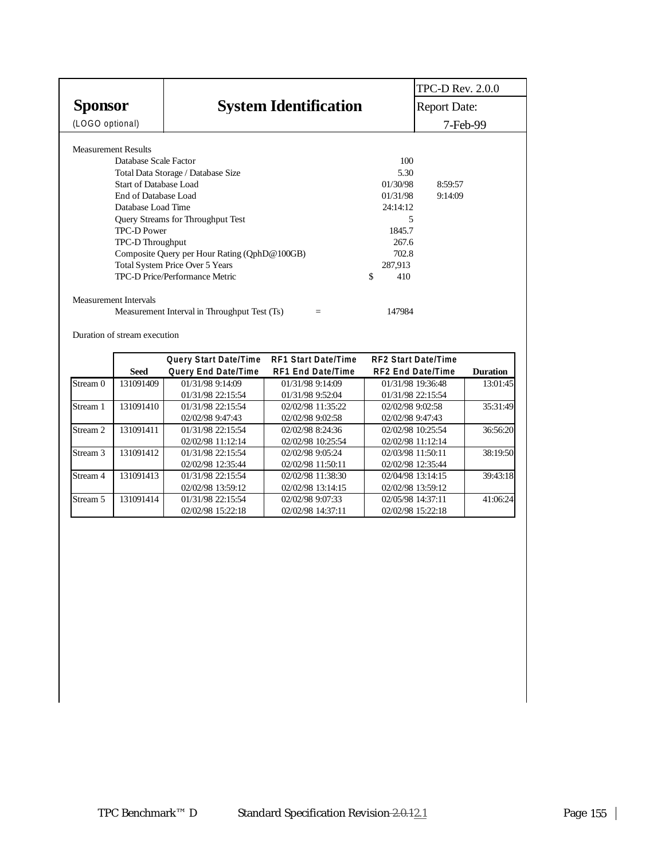|                 |                                              |                                              |                              |                            | <b>TPC-D Rev. 2.0.0</b> |                                                                      |
|-----------------|----------------------------------------------|----------------------------------------------|------------------------------|----------------------------|-------------------------|----------------------------------------------------------------------|
| <b>Sponsor</b>  |                                              |                                              | <b>System Identification</b> |                            | <b>Report Date:</b>     |                                                                      |
| (LOGO optional) |                                              |                                              |                              |                            | 7-Feb-99                |                                                                      |
|                 | <b>Measurement Results</b>                   |                                              |                              |                            |                         |                                                                      |
|                 | Database Scale Factor                        |                                              |                              | 100                        |                         |                                                                      |
|                 |                                              | Total Data Storage / Database Size           |                              | 5.30                       |                         |                                                                      |
|                 | <b>Start of Database Load</b>                |                                              |                              | 01/30/98                   | 8:59:57                 |                                                                      |
|                 | End of Database Load                         |                                              |                              | 01/31/98                   | 9:14:09                 |                                                                      |
|                 | Database Load Time                           |                                              | 24:14:12                     |                            |                         |                                                                      |
|                 |                                              | Query Streams for Throughput Test            |                              | 5                          |                         |                                                                      |
|                 | TPC-D Power                                  |                                              |                              | 1845.7                     |                         |                                                                      |
|                 | TPC-D Throughput                             |                                              |                              | 267.6                      |                         |                                                                      |
|                 | Composite Query per Hour Rating (QphD@100GB) | 702.8                                        |                              |                            |                         |                                                                      |
|                 | <b>Total System Price Over 5 Years</b>       | 287,913                                      |                              |                            |                         |                                                                      |
|                 |                                              |                                              |                              | \$<br>410                  |                         |                                                                      |
|                 | <b>Measurement Intervals</b>                 | TPC-D Price/Performance Metric               |                              |                            |                         |                                                                      |
|                 | Duration of stream execution                 | Measurement Interval in Throughput Test (Ts) | $=$                          | 147984                     |                         |                                                                      |
|                 |                                              | <b>Query Start Date/Time</b>                 | <b>RF1 Start Date/Time</b>   | <b>RF2 Start Date/Time</b> |                         |                                                                      |
|                 | Seed                                         | <b>Query End Date/Time</b>                   | <b>RF1 End Date/Time</b>     | <b>RF2 End Date/Time</b>   |                         | <b>Duration</b>                                                      |
| Stream 0        | 131091409                                    | 01/31/98 9:14:09                             | 01/31/98 9:14:09             |                            | 01/31/98 19:36:48       |                                                                      |
|                 |                                              | 01/31/98 22:15:54                            | 01/31/98 9:52:04             |                            | 01/31/98 22:15:54       |                                                                      |
| Stream 1        | 131091410                                    | 01/31/98 22:15:54                            | 02/02/98 11:35:22            | 02/02/98 9:02:58           |                         |                                                                      |
|                 |                                              | 02/02/98 9:47:43                             | 02/02/98 9:02:58             | 02/02/98 9:47:43           |                         |                                                                      |
| Stream 2        | 131091411                                    | 01/31/98 22:15:54                            | 02/02/98 8:24:36             | 02/02/98 10:25:54          |                         |                                                                      |
|                 |                                              | 02/02/98 11:12:14                            | 02/02/98 10:25:54            |                            | 02/02/98 11:12:14       |                                                                      |
| Stream 3        | 131091412                                    | 01/31/98 22:15:54                            | 02/02/98 9:05:24             | 02/03/98 11:50:11          |                         |                                                                      |
|                 |                                              | 02/02/98 12:35:44                            | 02/02/98 11:50:11            |                            | 02/02/98 12:35:44       |                                                                      |
| Stream 4        | 131091413                                    | 01/31/98 22:15:54                            | 02/02/98 11:38:30            |                            | 02/04/98 13:14:15       |                                                                      |
|                 |                                              | 02/02/98 13:59:12                            | 02/02/98 13:14:15            |                            | 02/02/98 13:59:12       |                                                                      |
| Stream 5        | 131091414                                    | 01/31/98 22:15:54                            | 02/02/98 9:07:33             | 02/05/98 14:37:11          |                         | 13:01:45<br>35:31:49<br>36:56:20<br>38:19:50<br>39:43:18<br>41:06:24 |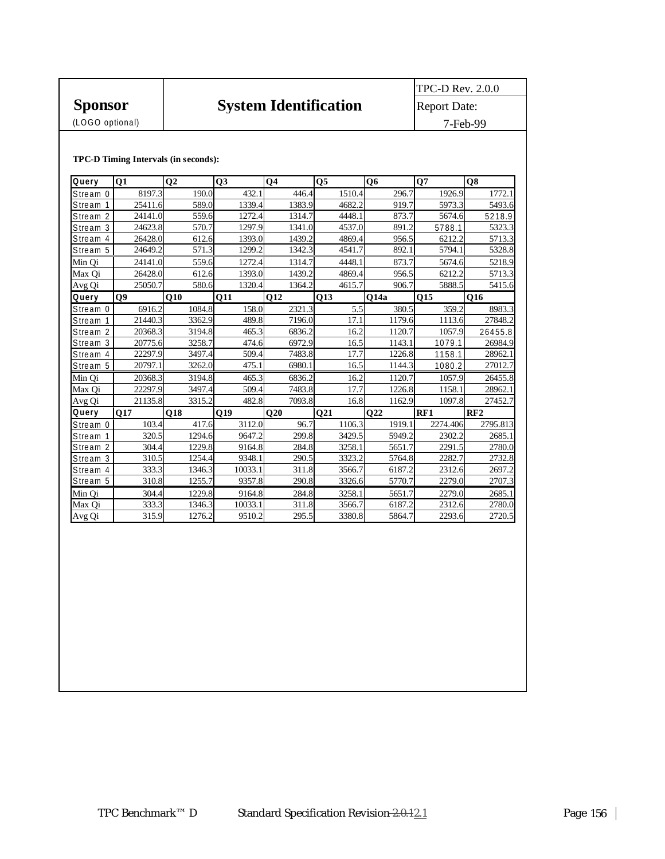# **Sponsor** System Identification Report Date:

TPC-D Rev. 2.0.0

(LOGO optional)

7-Feb-99

**TPC-D Timing Intervals (in seconds):**

| Query               | <b>O1</b>      | Q <sub>2</sub> | Q <sub>3</sub> | Q <sub>4</sub> | Q5         | Q <sub>6</sub> | Q7       | <b>O8</b> |
|---------------------|----------------|----------------|----------------|----------------|------------|----------------|----------|-----------|
| Stream 0            | 8197.3         | 190.0          | 432.1          | 446.4          | 1510.4     | 296.7          | 1926.9   | 1772.1    |
| Stream 1            | 25411.6        | 589.0          | 1339.4         | 1383.9         | 4682.2     | 919.7          | 5973.3   | 5493.6    |
| Stream <sub>2</sub> | 24141.0        | 559.6          | 1272.4         | 1314.7         | 4448.1     | 873.7          | 5674.6   | 5218.9    |
| Stream 3            | 24623.8        | 570.7          | 1297.9         | 1341.0         | 4537.0     | 891.2          | 5788.1   | 5323.3    |
| Stream 4            | 26428.0        | 612.6          | 1393.0         | 1439.2         | 4869.4     | 956.5          | 6212.2   | 5713.3    |
| Stream 5            | 24649.2        | 571.3          | 1299.2         | 1342.3         | 4541.7     | 892.1          | 5794.1   | 5328.8    |
| Min Qi              | 24141.0        | 559.6          | 1272.4         | 1314.7         | 4448.1     | 873.7          | 5674.6   | 5218.9    |
| Max Qi              | 26428.0        | 612.6          | 1393.0         | 1439.2         | 4869.4     | 956.5          | 6212.2   | 5713.3    |
| Avg Qi              | 25050.7        | 580.6          | 1320.4         | 1364.2         | 4615.7     | 906.7          | 5888.5   | 5415.6    |
| Query               | O <sub>9</sub> | <b>O10</b>     | <b>O11</b>     | Q12            | <b>O13</b> | <b>O14a</b>    | Q15      | Q16       |
| Stream 0            | 6916.2         | 1084.8         | 158.0          | 2321.3         | 5.5        | 380.5          | 359.2    | 8983.3    |
| Stream 1            | 21440.3        | 3362.9         | 489.8          | 7196.0         | 17.1       | 1179.6         | 1113.6   | 27848.2   |
| Stream <sub>2</sub> | 20368.3        | 3194.8         | 465.3          | 6836.2         | 16.2       | 1120.7         | 1057.9   | 26455.8   |
| Stream <sub>3</sub> | 20775.6        | 3258.7         | 474.6          | 6972.9         | 16.5       | 1143.1         | 1079.1   | 26984.9   |
| Stream 4            | 22297.9        | 3497.4         | 509.4          | 7483.8         | 17.7       | 1226.8         | 1158.1   | 28962.1   |
| Stream 5            | 20797.1        | 3262.0         | 475.1          | 6980.1         | 16.5       | 1144.3         | 1080.2   | 27012.7   |
| Min Qi              | 20368.3        | 3194.8         | 465.3          | 6836.2         | 16.2       | 1120.7         | 1057.9   | 26455.8   |
| Max Qi              | 22297.9        | 3497.4         | 509.4          | 7483.8         | 17.7       | 1226.8         | 1158.1   | 28962.1   |
| Avg Qi              | 21135.8        | 3315.2         | 482.8          | 7093.8         | 16.8       | 1162.9         | 1097.8   | 27452.7   |
| Query               | Q17            | Q18            | Q19            | Q20            | Q21        | Q22            | RF1      | RF2       |
| Stream 0            | 103.4          | 417.6          | 3112.0         | 96.7           | 1106.3     | 1919.1         | 2274.406 | 2795.813  |
| Stream 1            | 320.5          | 1294.6         | 9647.2         | 299.8          | 3429.5     | 5949.2         | 2302.2   | 2685.1    |
| Stream 2            | 304.4          | 1229.8         | 9164.8         | 284.8          | 3258.1     | 5651.7         | 2291.5   | 2780.0    |
| Stream <sub>3</sub> | 310.5          | 1254.4         | 9348.1         | 290.5          | 3323.2     | 5764.8         | 2282.7   | 2732.8    |
| Stream 4            | 333.3          | 1346.3         | 10033.1        | 311.8          | 3566.7     | 6187.2         | 2312.6   | 2697.2    |
| Stream 5            | 310.8          | 1255.7         | 9357.8         | 290.8          | 3326.6     | 5770.7         | 2279.0   | 2707.3    |
| Min Qi              | 304.4          | 1229.8         | 9164.8         | 284.8          | 3258.1     | 5651.7         | 2279.0   | 2685.1    |
| Max Qi              | 333.3          | 1346.3         | 10033.1        | 311.8          | 3566.7     | 6187.2         | 2312.6   | 2780.0    |
| Avg Qi              | 315.9          | 1276.2         | 9510.2         | 295.5          | 3380.8     | 5864.7         | 2293.6   | 2720.5    |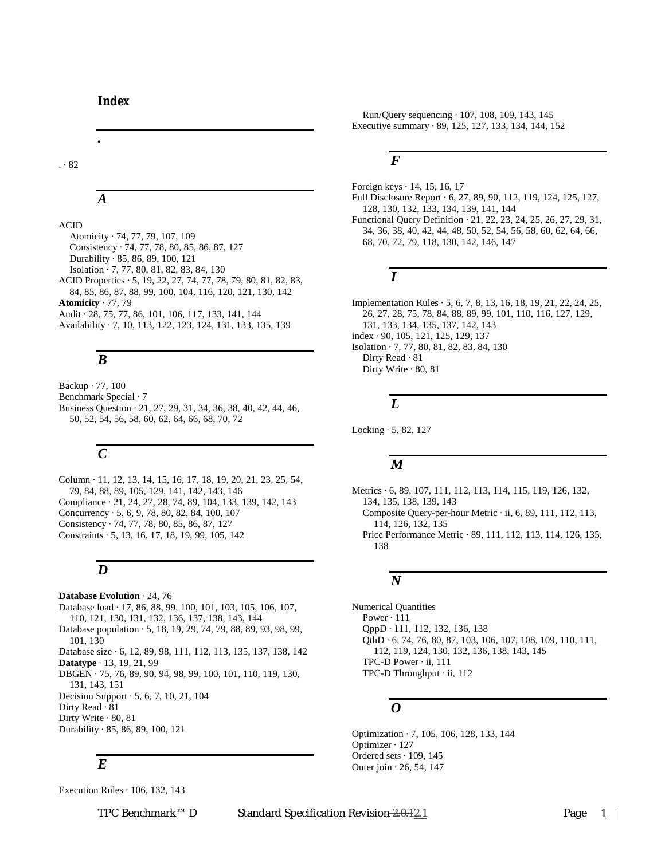*Index*

 $.82$ 

### *A*

*.*

ACID

Atomicity · 74, 77, 79, 107, 109 Consistency · 74, 77, 78, 80, 85, 86, 87, 127 Durability · 85, 86, 89, 100, 121 Isolation · 7, 77, 80, 81, 82, 83, 84, 130 ACID Properties · 5, 19, 22, 27, 74, 77, 78, 79, 80, 81, 82, 83, 84, 85, 86, 87, 88, 99, 100, 104, 116, 120, 121, 130, 142 **Atomicity** · 77, 79 Audit · 28, 75, 77, 86, 101, 106, 117, 133, 141, 144 Availability · 7, 10, 113, 122, 123, 124, 131, 133, 135, 139

### *B*

Backup · 77, 100

Benchmark Special · 7

Business Question · 21, 27, 29, 31, 34, 36, 38, 40, 42, 44, 46, 50, 52, 54, 56, 58, 60, 62, 64, 66, 68, 70, 72

*C*

*D*

Column · 11, 12, 13, 14, 15, 16, 17, 18, 19, 20, 21, 23, 25, 54, 79, 84, 88, 89, 105, 129, 141, 142, 143, 146 Compliance · 21, 24, 27, 28, 74, 89, 104, 133, 139, 142, 143 Concurrency · 5, 6, 9, 78, 80, 82, 84, 100, 107 Consistency · 74, 77, 78, 80, 85, 86, 87, 127 Constraints · 5, 13, 16, 17, 18, 19, 99, 105, 142

**Database Evolution** · 24, 76 Database load · 17, 86, 88, 99, 100, 101, 103, 105, 106, 107, 110, 121, 130, 131, 132, 136, 137, 138, 143, 144 Database population · 5, 18, 19, 29, 74, 79, 88, 89, 93, 98, 99, 101, 130 Database size · 6, 12, 89, 98, 111, 112, 113, 135, 137, 138, 142 **Datatype** · 13, 19, 21, 99 DBGEN · 75, 76, 89, 90, 94, 98, 99, 100, 101, 110, 119, 130, 131, 143, 151 Decision Support · 5, 6, 7, 10, 21, 104 Dirty Read · 81 Dirty Write · 80, 81 Durability · 85, 86, 89, 100, 121

### *E*

Execution Rules · 106, 132, 143

Run/Query sequencing · 107, 108, 109, 143, 145 Executive summary · 89, 125, 127, 133, 134, 144, 152

### *F*

Foreign keys · 14, 15, 16, 17

Full Disclosure Report · 6, 27, 89, 90, 112, 119, 124, 125, 127, 128, 130, 132, 133, 134, 139, 141, 144

Functional Query Definition · 21, 22, 23, 24, 25, 26, 27, 29, 31, 34, 36, 38, 40, 42, 44, 48, 50, 52, 54, 56, 58, 60, 62, 64, 66, 68, 70, 72, 79, 118, 130, 142, 146, 147

### *I*

Implementation Rules · 5, 6, 7, 8, 13, 16, 18, 19, 21, 22, 24, 25, 26, 27, 28, 75, 78, 84, 88, 89, 99, 101, 110, 116, 127, 129, 131, 133, 134, 135, 137, 142, 143 index · 90, 105, 121, 125, 129, 137 Isolation · 7, 77, 80, 81, 82, 83, 84, 130 Dirty Read · 81 Dirty Write · 80, 81

### *L*

Locking · 5, 82, 127

#### *M*

- Metrics · 6, 89, 107, 111, 112, 113, 114, 115, 119, 126, 132, 134, 135, 138, 139, 143 Composite Query-per-hour Metric · ii, 6, 89, 111, 112, 113, 114, 126, 132, 135
	- Price Performance Metric · 89, 111, 112, 113, 114, 126, 135, 138

#### *N*

Numerical Quantities Power · 111 QppD · 111, 112, 132, 136, 138 QthD · 6, 74, 76, 80, 87, 103, 106, 107, 108, 109, 110, 111, 112, 119, 124, 130, 132, 136, 138, 143, 145 TPC-D Power · ii, 111 TPC-D Throughput · ii, 112

#### *O*

Optimization · 7, 105, 106, 128, 133, 144 Optimizer · 127 Ordered sets · 109, 145 Outer join · 26, 54, 147